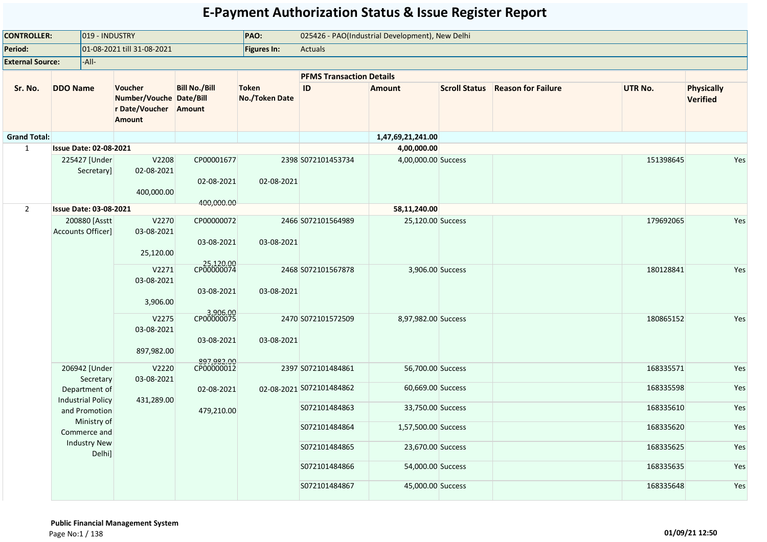| <b>CONTROLLER:</b>      | 019 - INDUSTRY                            |                                                                              |                                        | PAO:                           |                                 | 025426 - PAO(Industrial Development), New Delhi |                                  |           |                                      |
|-------------------------|-------------------------------------------|------------------------------------------------------------------------------|----------------------------------------|--------------------------------|---------------------------------|-------------------------------------------------|----------------------------------|-----------|--------------------------------------|
| Period:                 |                                           | 01-08-2021 till 31-08-2021                                                   |                                        | <b>Figures In:</b>             | Actuals                         |                                                 |                                  |           |                                      |
| <b>External Source:</b> | -All-                                     |                                                                              |                                        |                                |                                 |                                                 |                                  |           |                                      |
|                         |                                           |                                                                              |                                        |                                | <b>PFMS Transaction Details</b> |                                                 |                                  |           |                                      |
| Sr. No.                 | <b>DDO Name</b>                           | Voucher<br>Number/Vouche Date/Bill<br>r Date/Voucher Amount<br><b>Amount</b> | <b>Bill No./Bill</b>                   | <b>Token</b><br>No./Token Date | $\sf ID$                        | <b>Amount</b>                                   | Scroll Status Reason for Failure | UTR No.   | <b>Physically</b><br><b>Verified</b> |
| <b>Grand Total:</b>     |                                           |                                                                              |                                        |                                |                                 | 1,47,69,21,241.00                               |                                  |           |                                      |
| $\mathbf{1}$            | <b>Issue Date: 02-08-2021</b>             |                                                                              |                                        |                                |                                 | 4,00,000.00                                     |                                  |           |                                      |
|                         | 225427 [Under<br>Secretaryl               | V2208<br>02-08-2021<br>400,000.00                                            | CP00001677<br>02-08-2021<br>400,000.00 | 02-08-2021                     | 2398 S072101453734              | 4,00,000.00 Success                             |                                  | 151398645 | Yes                                  |
| $2^{\circ}$             | <b>Issue Date: 03-08-2021</b>             |                                                                              |                                        |                                |                                 | 58,11,240.00                                    |                                  |           |                                      |
|                         | 200880 [Asstt<br>Accounts Officer]        | V2270<br>03-08-2021<br>25,120.00                                             | CP00000072<br>03-08-2021               | 03-08-2021                     | 2466 S072101564989              | 25,120.00 Success                               |                                  | 179692065 | Yes                                  |
|                         |                                           | V2271<br>03-08-2021<br>3,906.00                                              | 25,120.00<br>03-08-2021                | 03-08-2021                     | 2468 S072101567878              | 3,906.00 Success                                |                                  | 180128841 | Yes                                  |
|                         |                                           | V2275<br>03-08-2021<br>897,982.00                                            | 8,906.00<br>CP00000075<br>03-08-2021   | 03-08-2021                     | 2470 S072101572509              | 8,97,982.00 Success                             |                                  | 180865152 | Yes                                  |
|                         | 206942 [Under<br>Secretary                | V2220<br>03-08-2021                                                          | 897,982.00<br>CP00000012               |                                | 2397 S072101484861              | 56,700.00 Success                               |                                  | 168335571 | Yes                                  |
|                         | Department of<br><b>Industrial Policy</b> | 431,289.00                                                                   | 02-08-2021                             |                                | 02-08-2021 S072101484862        | 60,669.00 Success                               |                                  | 168335598 | Yes                                  |
|                         | and Promotion<br>Ministry of              |                                                                              | 479,210.00                             |                                | S072101484863                   | 33,750.00 Success                               |                                  | 168335610 | Yes                                  |
|                         | Commerce and<br><b>Industry New</b>       |                                                                              |                                        |                                | S072101484864                   | 1,57,500.00 Success                             |                                  | 168335620 | Yes                                  |
|                         | Delhi]                                    |                                                                              |                                        |                                | S072101484865                   | 23,670.00 Success                               |                                  | 168335625 | Yes                                  |
|                         |                                           |                                                                              |                                        |                                | S072101484866                   | 54,000.00 Success                               |                                  | 168335635 | Yes                                  |
|                         |                                           |                                                                              |                                        |                                | S072101484867                   | 45,000.00 Success                               |                                  | 168335648 | Yes                                  |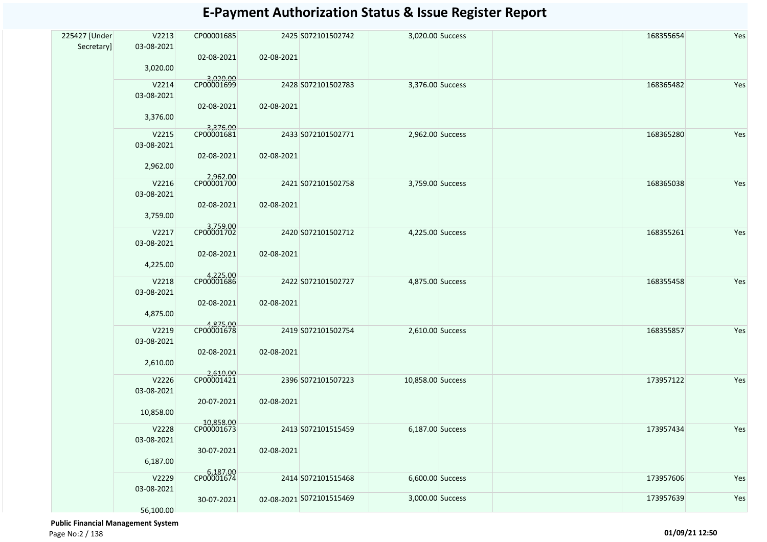| 225427 [Under | V2213               | CP00001685              |                          | 2425 S072101502742 | 3,020.00 Success  |  | 168355654 | Yes |
|---------------|---------------------|-------------------------|--------------------------|--------------------|-------------------|--|-----------|-----|
| Secretary]    | 03-08-2021          |                         |                          |                    |                   |  |           |     |
|               | 3,020.00            | 02-08-2021              | 02-08-2021               |                    |                   |  |           |     |
|               |                     | 3,020.00<br>CP00001699  |                          |                    |                   |  |           |     |
|               | V2214               |                         |                          | 2428 S072101502783 | 3,376.00 Success  |  | 168365482 | Yes |
|               | 03-08-2021          | 02-08-2021              | 02-08-2021               |                    |                   |  |           |     |
|               | 3,376.00            |                         |                          |                    |                   |  |           |     |
|               | V2215               | 3,376.00<br>CP00001681  |                          | 2433 S072101502771 | 2,962.00 Success  |  | 168365280 | Yes |
|               | 03-08-2021          |                         |                          |                    |                   |  |           |     |
|               |                     | 02-08-2021              | 02-08-2021               |                    |                   |  |           |     |
|               | 2,962.00            |                         |                          |                    |                   |  |           |     |
|               | V2216               | 2,962.00                |                          | 2421 S072101502758 | 3,759.00 Success  |  | 168365038 | Yes |
|               | 03-08-2021          |                         |                          |                    |                   |  |           |     |
|               |                     | 02-08-2021              | 02-08-2021               |                    |                   |  |           |     |
|               | 3,759.00            |                         |                          |                    |                   |  |           |     |
|               | V2217               | 3,759.00                |                          | 2420 S072101502712 | 4,225.00 Success  |  | 168355261 | Yes |
|               | 03-08-2021          |                         |                          |                    |                   |  |           |     |
|               | 4,225.00            | 02-08-2021              | 02-08-2021               |                    |                   |  |           |     |
|               |                     | 4,225.00<br>CP00001686  |                          |                    |                   |  |           |     |
|               | V2218               |                         |                          | 2422 S072101502727 | 4,875.00 Success  |  | 168355458 | Yes |
|               | 03-08-2021          | 02-08-2021              | 02-08-2021               |                    |                   |  |           |     |
|               | 4,875.00            |                         |                          |                    |                   |  |           |     |
|               | V2219               | 4,875.00<br>CP00001678  |                          | 2419 S072101502754 | 2,610.00 Success  |  | 168355857 | Yes |
|               | 03-08-2021          |                         |                          |                    |                   |  |           |     |
|               |                     | 02-08-2021              | 02-08-2021               |                    |                   |  |           |     |
|               | 2,610.00            |                         |                          |                    |                   |  |           |     |
|               | V2226               | 2,610.00<br>CP00001421  |                          | 2396 S072101507223 | 10,858.00 Success |  | 173957122 | Yes |
|               | 03-08-2021          |                         |                          |                    |                   |  |           |     |
|               |                     | 20-07-2021              | 02-08-2021               |                    |                   |  |           |     |
|               | 10,858.00           |                         |                          |                    |                   |  |           |     |
|               | V2228               | 10,858.00<br>CP00001673 |                          | 2413 S072101515459 | 6,187.00 Success  |  | 173957434 | Yes |
|               | 03-08-2021          |                         |                          |                    |                   |  |           |     |
|               | 6,187.00            | 30-07-2021              | 02-08-2021               |                    |                   |  |           |     |
|               |                     | 6,187.00<br>CP00001674  |                          |                    |                   |  |           |     |
|               | V2229<br>03-08-2021 |                         |                          | 2414 S072101515468 | 6,600.00 Success  |  | 173957606 | Yes |
|               |                     | 30-07-2021              | 02-08-2021 S072101515469 |                    | 3,000.00 Success  |  | 173957639 | Yes |
|               | 56,100.00           |                         |                          |                    |                   |  |           |     |

 **Public Financial Management System**  Page No:2 / 138 **01/09/21 12:50**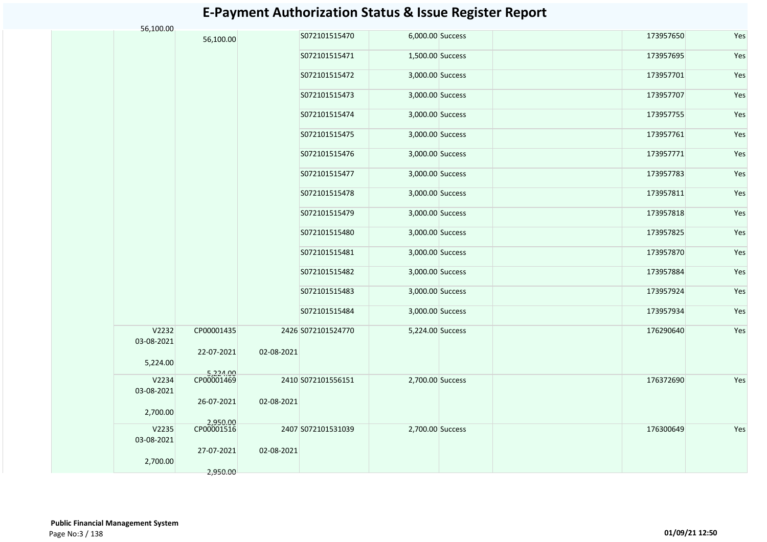| 56,100.00           |                        |            |                    |                  |           |     |
|---------------------|------------------------|------------|--------------------|------------------|-----------|-----|
|                     | 56,100.00              |            | S072101515470      | 6,000.00 Success | 173957650 | Yes |
|                     |                        |            | S072101515471      | 1,500.00 Success | 173957695 | Yes |
|                     |                        |            | S072101515472      | 3,000.00 Success | 173957701 | Yes |
|                     |                        |            | S072101515473      | 3,000.00 Success | 173957707 | Yes |
|                     |                        |            | S072101515474      | 3,000.00 Success | 173957755 | Yes |
|                     |                        |            | S072101515475      | 3,000.00 Success | 173957761 | Yes |
|                     |                        |            | S072101515476      | 3,000.00 Success | 173957771 | Yes |
|                     |                        |            | S072101515477      | 3,000.00 Success | 173957783 | Yes |
|                     |                        |            | S072101515478      | 3,000.00 Success | 173957811 | Yes |
|                     |                        |            | S072101515479      | 3,000.00 Success | 173957818 | Yes |
|                     |                        |            | S072101515480      | 3,000.00 Success | 173957825 | Yes |
|                     |                        |            | S072101515481      | 3,000.00 Success | 173957870 | Yes |
|                     |                        |            | S072101515482      | 3,000.00 Success | 173957884 | Yes |
|                     |                        |            | S072101515483      | 3,000.00 Success | 173957924 | Yes |
|                     |                        |            | S072101515484      | 3,000.00 Success | 173957934 | Yes |
| V2232<br>03-08-2021 | CP00001435             |            | 2426 S072101524770 | 5,224.00 Success | 176290640 | Yes |
| 5,224.00            | 22-07-2021             | 02-08-2021 |                    |                  |           |     |
| V2234               | 5,224.00<br>CP00001469 |            | 2410 S072101556151 | 2,700.00 Success | 176372690 | Yes |
| 03-08-2021          | 26-07-2021             | 02-08-2021 |                    |                  |           |     |
| 2,700.00            |                        |            |                    |                  |           |     |
| V2235<br>03-08-2021 | 2,950.00<br>CP00001516 |            | 2407 S072101531039 | 2,700.00 Success | 176300649 | Yes |
| 2,700.00            | 27-07-2021             | 02-08-2021 |                    |                  |           |     |
|                     | 2,950.00               |            |                    |                  |           |     |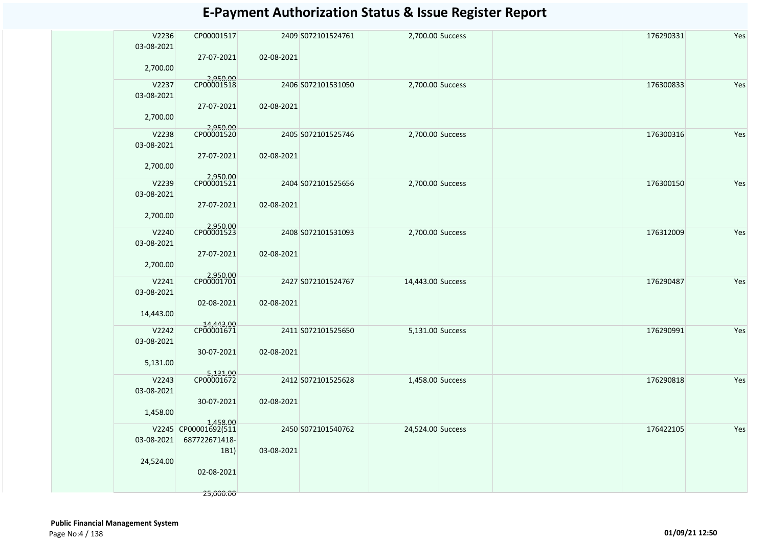| V2236<br>03-08-2021<br>2,700.00 | CP00001517<br>27-07-2021         | 02-08-2021 | 2409 S072101524761 | 2,700.00 Success  | 176290331 | Yes |
|---------------------------------|----------------------------------|------------|--------------------|-------------------|-----------|-----|
|                                 | 2,950.00<br>CP00001518           |            |                    |                   |           |     |
| V2237                           |                                  |            | 2406 S072101531050 | 2,700.00 Success  | 176300833 | Yes |
| 03-08-2021                      | 27-07-2021                       | 02-08-2021 |                    |                   |           |     |
| 2,700.00                        |                                  |            |                    |                   |           |     |
| V2238                           | 2,950.00                         |            | 2405 S072101525746 | 2,700.00 Success  | 176300316 | Yes |
| 03-08-2021                      |                                  |            |                    |                   |           |     |
|                                 | 27-07-2021                       | 02-08-2021 |                    |                   |           |     |
| 2,700.00                        |                                  |            |                    |                   |           |     |
| V2239                           | 2,950.00<br>CP00001521           |            |                    | 2,700.00 Success  | 176300150 |     |
| 03-08-2021                      |                                  |            | 2404 S072101525656 |                   |           | Yes |
|                                 | 27-07-2021                       | 02-08-2021 |                    |                   |           |     |
| 2,700.00                        |                                  |            |                    |                   |           |     |
|                                 |                                  |            |                    |                   |           |     |
| V2240                           | 2,950.00<br>CP00001523           |            | 2408 S072101531093 | 2,700.00 Success  | 176312009 | Yes |
| 03-08-2021                      |                                  |            |                    |                   |           |     |
|                                 | 27-07-2021                       | 02-08-2021 |                    |                   |           |     |
| 2,700.00                        |                                  |            |                    |                   |           |     |
| V2241                           | 2,950.00<br>CP00001701           |            | 2427 S072101524767 | 14,443.00 Success | 176290487 | Yes |
| 03-08-2021                      |                                  |            |                    |                   |           |     |
|                                 | 02-08-2021                       | 02-08-2021 |                    |                   |           |     |
| 14,443.00                       |                                  |            |                    |                   |           |     |
| V2242                           | 14,443.00<br>CP00001671          |            | 2411 S072101525650 | 5,131.00 Success  | 176290991 | Yes |
| 03-08-2021                      |                                  |            |                    |                   |           |     |
|                                 | 30-07-2021                       | 02-08-2021 |                    |                   |           |     |
| 5,131.00                        |                                  |            |                    |                   |           |     |
|                                 | 5,131.00<br>CP00001672           |            |                    |                   |           |     |
| V2243                           |                                  |            | 2412 S072101525628 | 1,458.00 Success  | 176290818 | Yes |
| 03-08-2021                      | 30-07-2021                       | 02-08-2021 |                    |                   |           |     |
| 1,458.00                        |                                  |            |                    |                   |           |     |
|                                 |                                  |            |                    |                   |           |     |
|                                 | 1,458.00<br>V2245 CP00001692(511 |            | 2450 S072101540762 | 24,524.00 Success | 176422105 | Yes |
| 03-08-2021                      | 687722671418-                    |            |                    |                   |           |     |
|                                 | 1B1)                             | 03-08-2021 |                    |                   |           |     |
| 24,524.00                       |                                  |            |                    |                   |           |     |
|                                 | 02-08-2021                       |            |                    |                   |           |     |
|                                 |                                  |            |                    |                   |           |     |
|                                 | 25,000.00                        |            |                    |                   |           |     |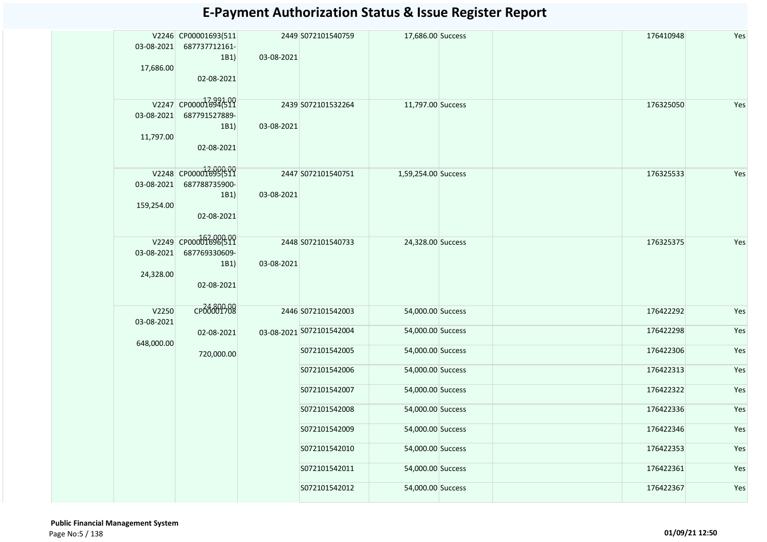| 03-08-2021<br>17,686.00  | V2246 CP00001693(511<br>687737712161-<br>1B1)<br>02-08-2021  | 03-08-2021 | 2449 S072101540759       | 17,686.00 Success   |  | 176410948 | Yes |
|--------------------------|--------------------------------------------------------------|------------|--------------------------|---------------------|--|-----------|-----|
| 03-08-2021<br>11,797.00  | V2247 CP00001694511<br>687791527889-<br>1B1)<br>02-08-2021   | 03-08-2021 | 2439 S072101532264       | 11,797.00 Success   |  | 176325050 | Yes |
| 03-08-2021<br>159,254.00 | V2248 CP00001695(511<br>687788735900-<br>1B1)<br>02-08-2021  | 03-08-2021 | 2447 S072101540751       | 1,59,254.00 Success |  | 176325533 | Yes |
| 03-08-2021<br>24,328.00  | V2249 CP000003696(511<br>687769330609-<br>1B1)<br>02-08-2021 | 03-08-2021 | 2448 S072101540733       | 24,328.00 Success   |  | 176325375 | Yes |
| V2250<br>03-08-2021      | CP00001708                                                   |            | 2446 S072101542003       | 54,000.00 Success   |  | 176422292 | Yes |
|                          | 02-08-2021                                                   |            | 03-08-2021 5072101542004 | 54,000.00 Success   |  | 176422298 | Yes |
| 648,000.00               | 720,000.00                                                   |            | S072101542005            | 54,000.00 Success   |  | 176422306 | Yes |
|                          |                                                              |            | S072101542006            | 54,000.00 Success   |  | 176422313 | Yes |
|                          |                                                              |            | S072101542007            | 54,000.00 Success   |  | 176422322 | Yes |
|                          |                                                              |            | S072101542008            | 54,000.00 Success   |  | 176422336 | Yes |
|                          |                                                              |            | S072101542009            | 54,000.00 Success   |  | 176422346 | Yes |
|                          |                                                              |            | S072101542010            | 54,000.00 Success   |  | 176422353 | Yes |
|                          |                                                              |            | S072101542011            | 54,000.00 Success   |  | 176422361 | Yes |
|                          |                                                              |            | S072101542012            | 54,000.00 Success   |  | 176422367 | Yes |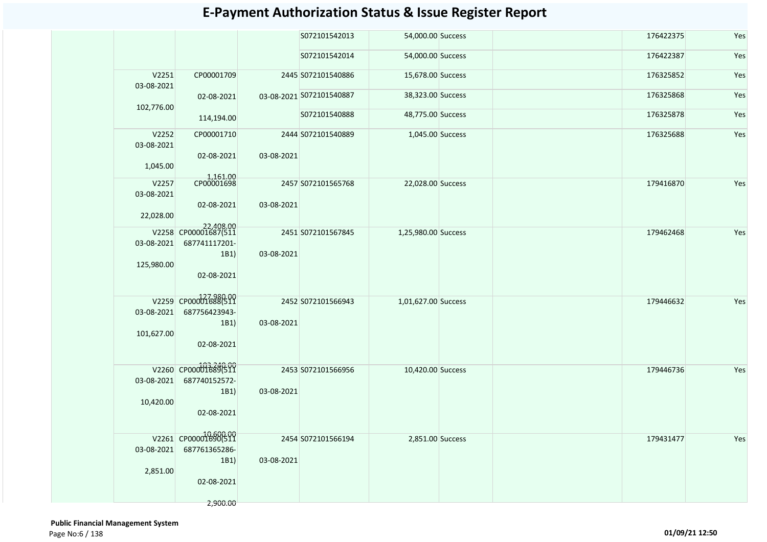|                     |                                   |            | S072101542013            | 54,000.00 Success   |  | 176422375 | Yes |
|---------------------|-----------------------------------|------------|--------------------------|---------------------|--|-----------|-----|
|                     |                                   |            | S072101542014            | 54,000.00 Success   |  | 176422387 | Yes |
| V2251<br>03-08-2021 | CP00001709                        |            | 2445 S072101540886       | 15,678.00 Success   |  | 176325852 | Yes |
| 102,776.00          | 02-08-2021                        |            | 03-08-2021 S072101540887 | 38,323.00 Success   |  | 176325868 | Yes |
|                     | 114,194.00                        |            | S072101540888            | 48,775.00 Success   |  | 176325878 | Yes |
| V2252<br>03-08-2021 | CP00001710                        |            | 2444 S072101540889       | 1,045.00 Success    |  | 176325688 | Yes |
| 1,045.00            | 02-08-2021                        | 03-08-2021 |                          |                     |  |           |     |
| V2257<br>03-08-2021 | 1,161.00<br>CP00001698            |            | 2457 S072101565768       | 22,028.00 Success   |  | 179416870 | Yes |
| 22,028.00           | 02-08-2021                        | 03-08-2021 |                          |                     |  |           |     |
|                     | 22,408.00<br>V2258 CP00001687(511 |            |                          |                     |  |           |     |
| 03-08-2021          | 687741117201-                     |            | 2451 S072101567845       | 1,25,980.00 Success |  | 179462468 | Yes |
|                     | 1B1)                              | 03-08-2021 |                          |                     |  |           |     |
| 125,980.00          |                                   |            |                          |                     |  |           |     |
|                     | 02-08-2021                        |            |                          |                     |  |           |     |
|                     | V2259 CP000016880511              |            | 2452 S072101566943       | 1,01,627.00 Success |  | 179446632 | Yes |
| 03-08-2021          | 687756423943-                     |            |                          |                     |  |           |     |
| 101,627.00          | 1B1)                              | 03-08-2021 |                          |                     |  |           |     |
|                     | 02-08-2021                        |            |                          |                     |  |           |     |
|                     |                                   |            |                          |                     |  |           |     |
|                     | V2260 CP00001689(511              |            | 2453 S072101566956       | 10,420.00 Success   |  | 179446736 | Yes |
| 03-08-2021          | 687740152572-<br>1B1)             | 03-08-2021 |                          |                     |  |           |     |
| 10,420.00           |                                   |            |                          |                     |  |           |     |
|                     | 02-08-2021                        |            |                          |                     |  |           |     |
|                     | V2261 CP00001690(511              |            | 2454 S072101566194       | 2,851.00 Success    |  | 179431477 | Yes |
| 03-08-2021          | 687761365286-                     |            |                          |                     |  |           |     |
|                     | 1B1)                              | 03-08-2021 |                          |                     |  |           |     |
| 2,851.00            | 02-08-2021                        |            |                          |                     |  |           |     |
|                     |                                   |            |                          |                     |  |           |     |
|                     | 2,900.00                          |            |                          |                     |  |           |     |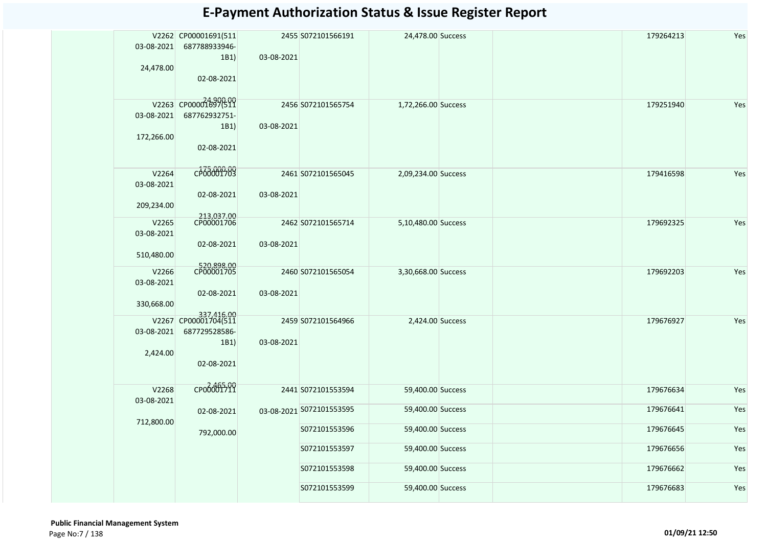|            | V2262 CP00001691(511               |            | 2455 S072101566191       | 24,478.00 Success   |  | 179264213 | Yes |
|------------|------------------------------------|------------|--------------------------|---------------------|--|-----------|-----|
| 03-08-2021 | 687788933946-                      |            |                          |                     |  |           |     |
|            | 1B1)                               | 03-08-2021 |                          |                     |  |           |     |
| 24,478.00  |                                    |            |                          |                     |  |           |     |
|            | 02-08-2021                         |            |                          |                     |  |           |     |
|            | V2263 CP00001897(511               |            |                          |                     |  |           |     |
| 03-08-2021 | 687762932751-                      |            | 2456 S072101565754       | 1,72,266.00 Success |  | 179251940 | Yes |
|            | 1B1)                               | 03-08-2021 |                          |                     |  |           |     |
| 172,266.00 |                                    |            |                          |                     |  |           |     |
|            | 02-08-2021                         |            |                          |                     |  |           |     |
|            |                                    |            |                          |                     |  |           |     |
| V2264      | cp68001783                         |            | 2461 S072101565045       | 2,09,234.00 Success |  | 179416598 | Yes |
| 03-08-2021 |                                    |            |                          |                     |  |           |     |
|            | 02-08-2021                         | 03-08-2021 |                          |                     |  |           |     |
| 209,234.00 |                                    |            |                          |                     |  |           |     |
| V2265      | 213,037.00<br>CP00001706           |            | 2462 S072101565714       | 5,10,480.00 Success |  | 179692325 | Yes |
| 03-08-2021 |                                    |            |                          |                     |  |           |     |
|            | 02-08-2021                         | 03-08-2021 |                          |                     |  |           |     |
| 510,480.00 |                                    |            |                          |                     |  |           |     |
| V2266      | 520,898.00<br>CP00001705           |            | 2460 S072101565054       | 3,30,668.00 Success |  | 179692203 | Yes |
| 03-08-2021 |                                    |            |                          |                     |  |           |     |
| 330,668.00 | 02-08-2021                         | 03-08-2021 |                          |                     |  |           |     |
|            |                                    |            |                          |                     |  |           |     |
|            | 337,416.00<br>V2267 CP00001704(511 |            | 2459 S072101564966       | 2,424.00 Success    |  | 179676927 | Yes |
| 03-08-2021 | 687729528586-                      |            |                          |                     |  |           |     |
| 2,424.00   | 1B1)                               | 03-08-2021 |                          |                     |  |           |     |
|            | 02-08-2021                         |            |                          |                     |  |           |     |
|            |                                    |            |                          |                     |  |           |     |
| V2268      | CP000001711                        |            | 2441 S072101553594       | 59,400.00 Success   |  | 179676634 | Yes |
| 03-08-2021 |                                    |            |                          |                     |  |           |     |
|            | 02-08-2021                         |            | 03-08-2021 S072101553595 | 59,400.00 Success   |  | 179676641 | Yes |
| 712,800.00 |                                    |            | S072101553596            | 59,400.00 Success   |  | 179676645 | Yes |
|            | 792,000.00                         |            |                          |                     |  |           |     |
|            |                                    |            | S072101553597            | 59,400.00 Success   |  | 179676656 | Yes |
|            |                                    |            | S072101553598            | 59,400.00 Success   |  | 179676662 | Yes |
|            |                                    |            |                          |                     |  |           |     |
|            |                                    |            | S072101553599            | 59,400.00 Success   |  | 179676683 | Yes |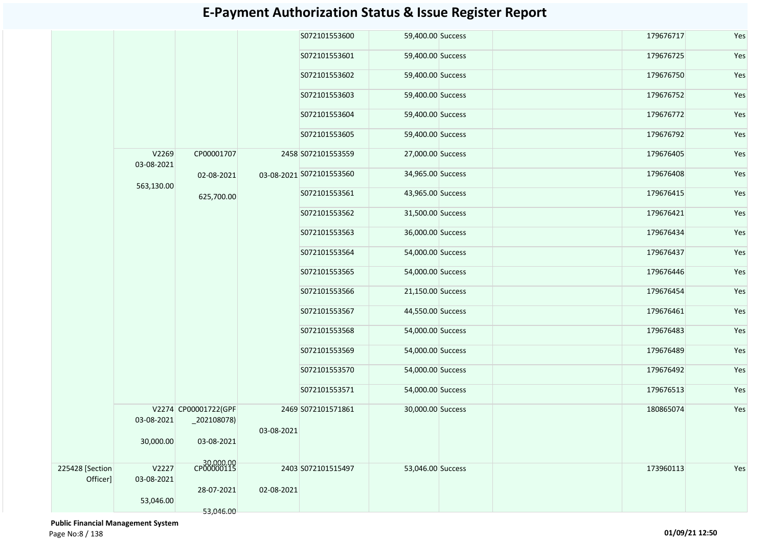|                             |                     |                                        |            | S072101553600            | 59,400.00 Success | 179676717 | Yes |
|-----------------------------|---------------------|----------------------------------------|------------|--------------------------|-------------------|-----------|-----|
|                             |                     |                                        |            | S072101553601            | 59,400.00 Success | 179676725 | Yes |
|                             |                     |                                        |            | S072101553602            | 59,400.00 Success | 179676750 | Yes |
|                             |                     |                                        |            | S072101553603            | 59,400.00 Success | 179676752 | Yes |
|                             |                     |                                        |            | S072101553604            | 59,400.00 Success | 179676772 | Yes |
|                             |                     |                                        |            | S072101553605            | 59,400.00 Success | 179676792 | Yes |
|                             | V2269<br>03-08-2021 | CP00001707                             |            | 2458 S072101553559       | 27,000.00 Success | 179676405 | Yes |
|                             | 563,130.00          | 02-08-2021                             |            | 03-08-2021 S072101553560 | 34,965.00 Success | 179676408 | Yes |
|                             |                     | 625,700.00                             |            | S072101553561            | 43,965.00 Success | 179676415 | Yes |
|                             |                     |                                        |            | S072101553562            | 31,500.00 Success | 179676421 | Yes |
|                             |                     |                                        |            | S072101553563            | 36,000.00 Success | 179676434 | Yes |
|                             |                     |                                        |            | S072101553564            | 54,000.00 Success | 179676437 | Yes |
|                             |                     |                                        |            | S072101553565            | 54,000.00 Success | 179676446 | Yes |
|                             |                     |                                        |            | S072101553566            | 21,150.00 Success | 179676454 | Yes |
|                             |                     |                                        |            | S072101553567            | 44,550.00 Success | 179676461 | Yes |
|                             |                     |                                        |            | S072101553568            | 54,000.00 Success | 179676483 | Yes |
|                             |                     |                                        |            | S072101553569            | 54,000.00 Success | 179676489 | Yes |
|                             |                     |                                        |            | S072101553570            | 54,000.00 Success | 179676492 | Yes |
|                             |                     |                                        |            | S072101553571            | 54,000.00 Success | 179676513 | Yes |
|                             | 03-08-2021          | V2274 CP00001722(GPF<br>$_2$ 02108078) |            | 2469 S072101571861       | 30,000.00 Success | 180865074 | Yes |
|                             | 30,000.00           | 03-08-2021                             | 03-08-2021 |                          |                   |           |     |
| 225428 [Section<br>Officer] | V2227<br>03-08-2021 | CP00000115                             |            | 2403 S072101515497       | 53,046.00 Success | 173960113 | Yes |
|                             | 53,046.00           | 28-07-2021<br>53,046.00                | 02-08-2021 |                          |                   |           |     |

 **Public Financial Management System**  Page No:8 / 138 **01/09/21 12:50**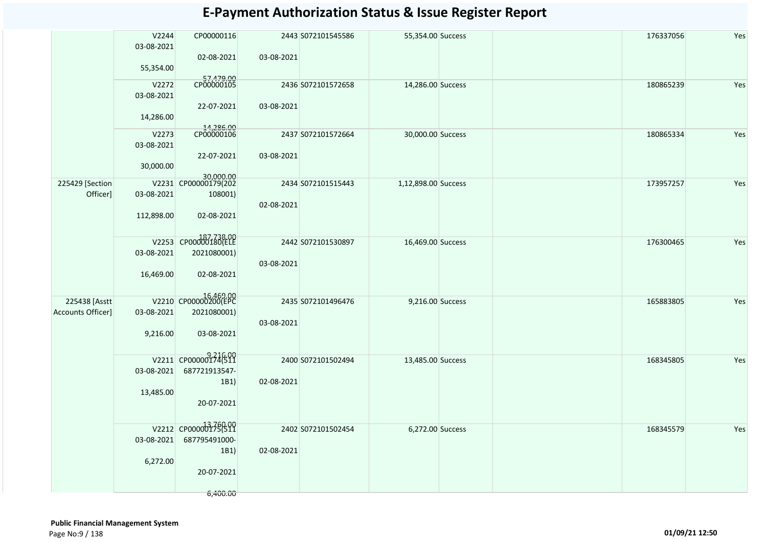|                                    | V2244<br>03-08-2021<br>55,354.00 | CP00000116<br>02-08-2021                                                 | 03-08-2021 | 2443 S072101545586 | 55,354.00 Success   | 176337056 | Yes |
|------------------------------------|----------------------------------|--------------------------------------------------------------------------|------------|--------------------|---------------------|-----------|-----|
|                                    | V2272<br>03-08-2021<br>14,286.00 | 57,479.00<br>CP00000105<br>22-07-2021                                    | 03-08-2021 | 2436 S072101572658 | 14,286.00 Success   | 180865239 | Yes |
|                                    | V2273<br>03-08-2021<br>30,000.00 | t4,286.00<br>CP00000106<br>22-07-2021                                    | 03-08-2021 | 2437 S072101572664 | 30,000.00 Success   | 180865334 | Yes |
| 225429 [Section<br>Officer]        | 03-08-2021<br>112,898.00         | 30,000.00<br>V2231 CP00000179(202<br>108001)<br>02-08-2021               | 02-08-2021 | 2434 S072101515443 | 1,12,898.00 Success | 173957257 | Yes |
|                                    | 03-08-2021<br>16,469.00          | V2253 CP00000180(ELE<br>2021080001)<br>02-08-2021                        | 03-08-2021 | 2442 S072101530897 | 16,469.00 Success   | 176300465 | Yes |
| 225438 [Asstt<br>Accounts Officer] | 03-08-2021<br>9,216.00           | V2210 CP00000200(EPC<br>2021080001)<br>03-08-2021                        | 03-08-2021 | 2435 S072101496476 | 9,216.00 Success    | 165883805 | Yes |
|                                    | 03-08-2021<br>13,485.00          | V2211 CP00000174(511<br>687721913547-<br>1B1)<br>20-07-2021              | 02-08-2021 | 2400 S072101502494 | 13,485.00 Success   | 168345805 | Yes |
|                                    | 03-08-2021<br>6,272.00           | V2212 CP0000013750100<br>687795491000-<br>1B1)<br>20-07-2021<br>6,400.00 | 02-08-2021 | 2402 S072101502454 | 6,272.00 Success    | 168345579 | Yes |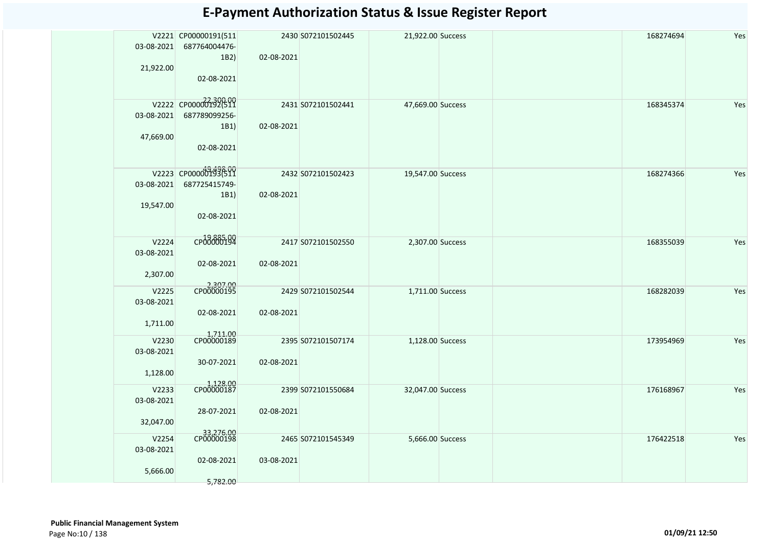|            | V2221 CP00000191(511    |            | 2430 S072101502445 | 21,922.00 Success | 168274694 | Yes |
|------------|-------------------------|------------|--------------------|-------------------|-----------|-----|
| 03-08-2021 | 687764004476-           |            |                    |                   |           |     |
|            | 1B2)                    | 02-08-2021 |                    |                   |           |     |
| 21,922.00  |                         |            |                    |                   |           |     |
|            | 02-08-2021              |            |                    |                   |           |     |
|            |                         |            |                    |                   |           |     |
|            | V2222 CP000000132(511   |            | 2431 S072101502441 | 47,669.00 Success | 168345374 | Yes |
| 03-08-2021 | 687789099256-           |            |                    |                   |           |     |
|            | 1B1)                    | 02-08-2021 |                    |                   |           |     |
| 47,669.00  |                         |            |                    |                   |           |     |
|            | 02-08-2021              |            |                    |                   |           |     |
|            |                         |            |                    |                   |           |     |
|            | V2223 CP00000193699     |            | 2432 S072101502423 | 19,547.00 Success | 168274366 | Yes |
| 03-08-2021 | 687725415749-           |            |                    |                   |           |     |
|            | 1B1)                    | 02-08-2021 |                    |                   |           |     |
| 19,547.00  |                         |            |                    |                   |           |     |
|            | 02-08-2021              |            |                    |                   |           |     |
|            |                         |            |                    |                   |           |     |
| V2224      | CP00000194              |            | 2417 S072101502550 | 2,307.00 Success  | 168355039 | Yes |
| 03-08-2021 |                         |            |                    |                   |           |     |
|            | 02-08-2021              | 02-08-2021 |                    |                   |           |     |
| 2,307.00   |                         |            |                    |                   |           |     |
| V2225      | 2,307.00<br>CP00000195  |            | 2429 S072101502544 | 1,711.00 Success  | 168282039 | Yes |
| 03-08-2021 |                         |            |                    |                   |           |     |
|            | 02-08-2021              | 02-08-2021 |                    |                   |           |     |
| 1,711.00   |                         |            |                    |                   |           |     |
|            | 1,711.00<br>CP00000189  |            |                    |                   |           |     |
| V2230      |                         |            | 2395 S072101507174 | 1,128.00 Success  | 173954969 | Yes |
| 03-08-2021 |                         |            |                    |                   |           |     |
|            | 30-07-2021              | 02-08-2021 |                    |                   |           |     |
| 1,128.00   |                         |            |                    |                   |           |     |
| V2233      | 1,128.00<br>CP00000187  |            | 2399 S072101550684 | 32,047.00 Success | 176168967 | Yes |
| 03-08-2021 |                         |            |                    |                   |           |     |
|            | 28-07-2021              | 02-08-2021 |                    |                   |           |     |
| 32,047.00  |                         |            |                    |                   |           |     |
| V2254      | 33,276.00<br>CP00000198 |            | 2465 S072101545349 | 5,666.00 Success  | 176422518 | Yes |
| 03-08-2021 |                         |            |                    |                   |           |     |
|            | 02-08-2021              | 03-08-2021 |                    |                   |           |     |
| 5,666.00   |                         |            |                    |                   |           |     |
|            | 5,782.00                |            |                    |                   |           |     |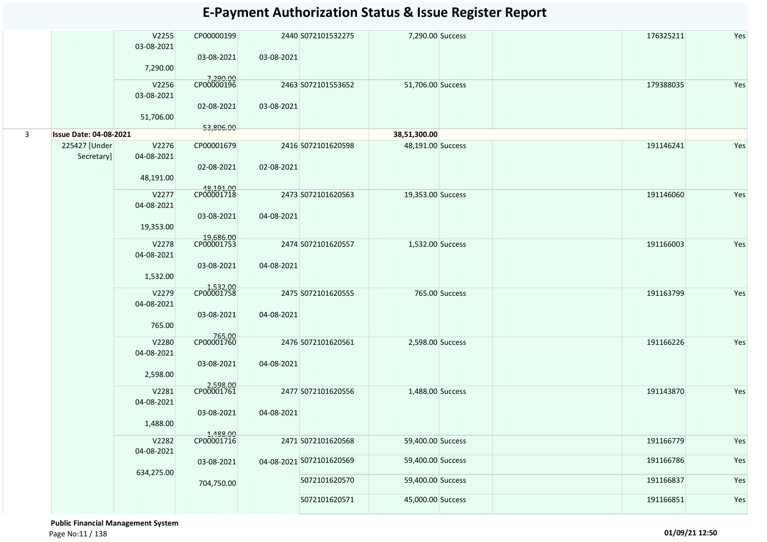|   |                               | V2255<br>03-08-2021<br>7,290.00  | CP00000199<br>03-08-2021              | 03-08-2021 | 2440 S072101532275                             | 7,290.00 Success                       |                | 176325211              | Yes        |
|---|-------------------------------|----------------------------------|---------------------------------------|------------|------------------------------------------------|----------------------------------------|----------------|------------------------|------------|
|   |                               | V2256<br>03-08-2021<br>51,706.00 | 7,290.00<br>CP00000196<br>02-08-2021  | 03-08-2021 | 2463 S072101553652                             | 51,706.00 Success                      |                | 179388035              | Yes        |
| 3 | <b>Issue Date: 04-08-2021</b> |                                  | 53,806.00                             |            |                                                | 38,51,300.00                           |                |                        |            |
|   | 225427 [Under<br>Secretary]   | V2276<br>04-08-2021<br>48,191.00 | CP00001679<br>02-08-2021              | 02-08-2021 | 2416 S072101620598                             | 48,191.00 Success                      |                | 191146241              | Yes        |
|   |                               | V2277<br>04-08-2021<br>19,353.00 | 48,191.00<br>CP00001718<br>03-08-2021 | 04-08-2021 | 2473 S072101620563                             | 19,353.00 Success                      |                | 191146060              | Yes        |
|   |                               | V2278<br>04-08-2021<br>1,532.00  | 19,686.00<br>CP00001753<br>03-08-2021 | 04-08-2021 | 2474 S072101620557                             | 1,532.00 Success                       |                | 191166003              | Yes        |
|   |                               | V2279<br>04-08-2021<br>765.00    | 1,532.00<br>CP00001758<br>03-08-2021  | 04-08-2021 | 2475 S072101620555                             |                                        | 765.00 Success | 191163799              | Yes        |
|   |                               | V2280<br>04-08-2021<br>2,598.00  | 765.00<br>CP00001760<br>03-08-2021    | 04-08-2021 | 2476 S072101620561                             | 2,598.00 Success                       |                | 191166226              | Yes        |
|   |                               | V2281<br>04-08-2021<br>1,488.00  | 2,598.00<br>CP00001761<br>03-08-2021  | 04-08-2021 | 2477 S072101620556                             | 1,488.00 Success                       |                | 191143870              | Yes        |
|   |                               | V2282<br>04-08-2021              | 1,488.00<br>CP00001716                |            | 2471 S072101620568<br>04-08-2021 S072101620569 | 59,400.00 Success<br>59,400.00 Success |                | 191166779<br>191166786 | Yes<br>Yes |
|   |                               | 634,275.00                       | 03-08-2021<br>704,750.00              |            | S072101620570                                  | 59,400.00 Success                      |                | 191166837              | Yes        |
|   |                               |                                  |                                       |            | S072101620571                                  | 45,000.00 Success                      |                | 191166851              | Yes        |

 **Public Financial Management System**  Page No:11 / 138 **01/09/21 12:50**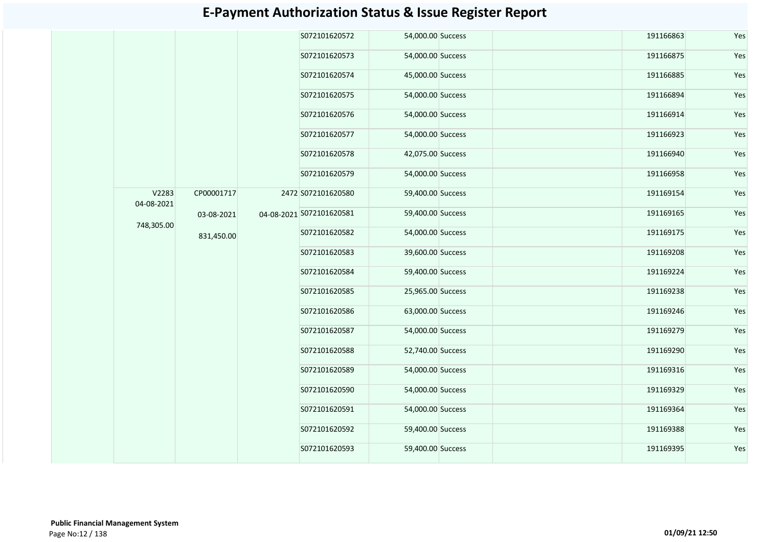|                     |            |  | S072101620572            | 54,000.00 Success |               | 191166863         | Yes |           |     |  |  |  |  |  |  |  |  |  |               |                   |
|---------------------|------------|--|--------------------------|-------------------|---------------|-------------------|-----|-----------|-----|--|--|--|--|--|--|--|--|--|---------------|-------------------|
|                     |            |  | S072101620573            | 54,000.00 Success |               | 191166875         | Yes |           |     |  |  |  |  |  |  |  |  |  |               |                   |
|                     |            |  | S072101620574            | 45,000.00 Success |               | 191166885         | Yes |           |     |  |  |  |  |  |  |  |  |  |               |                   |
|                     |            |  | S072101620575            | 54,000.00 Success |               | 191166894         | Yes |           |     |  |  |  |  |  |  |  |  |  |               |                   |
|                     |            |  | S072101620576            | 54,000.00 Success |               | 191166914         | Yes |           |     |  |  |  |  |  |  |  |  |  |               |                   |
|                     |            |  | S072101620577            | 54,000.00 Success |               | 191166923         | Yes |           |     |  |  |  |  |  |  |  |  |  |               |                   |
|                     |            |  | S072101620578            | 42,075.00 Success |               | 191166940         | Yes |           |     |  |  |  |  |  |  |  |  |  |               |                   |
|                     |            |  | S072101620579            | 54,000.00 Success |               | 191166958         | Yes |           |     |  |  |  |  |  |  |  |  |  |               |                   |
| V2283<br>04-08-2021 | CP00001717 |  | 2472 S072101620580       | 59,400.00 Success |               | 191169154         | Yes |           |     |  |  |  |  |  |  |  |  |  |               |                   |
| 748,305.00          | 03-08-2021 |  | 04-08-2021 S072101620581 | 59,400.00 Success |               | 191169165         | Yes |           |     |  |  |  |  |  |  |  |  |  |               |                   |
|                     | 831,450.00 |  | S072101620582            | 54,000.00 Success |               | 191169175         | Yes |           |     |  |  |  |  |  |  |  |  |  |               |                   |
|                     |            |  | S072101620583            | 39,600.00 Success |               | 191169208         | Yes |           |     |  |  |  |  |  |  |  |  |  |               |                   |
|                     |            |  | S072101620584            | 59,400.00 Success |               | 191169224         | Yes |           |     |  |  |  |  |  |  |  |  |  |               |                   |
|                     |            |  | S072101620585            | 25,965.00 Success |               | 191169238         | Yes |           |     |  |  |  |  |  |  |  |  |  |               |                   |
|                     |            |  |                          |                   | S072101620586 | 63,000.00 Success |     | 191169246 | Yes |  |  |  |  |  |  |  |  |  |               |                   |
|                     |            |  |                          |                   |               |                   |     |           |     |  |  |  |  |  |  |  |  |  | S072101620587 | 54,000.00 Success |
|                     |            |  | S072101620588            | 52,740.00 Success |               | 191169290         | Yes |           |     |  |  |  |  |  |  |  |  |  |               |                   |
|                     |            |  | S072101620589            | 54,000.00 Success |               | 191169316         | Yes |           |     |  |  |  |  |  |  |  |  |  |               |                   |
|                     |            |  | S072101620590            | 54,000.00 Success |               | 191169329         | Yes |           |     |  |  |  |  |  |  |  |  |  |               |                   |
|                     |            |  | S072101620591            | 54,000.00 Success |               | 191169364         | Yes |           |     |  |  |  |  |  |  |  |  |  |               |                   |
|                     |            |  | S072101620592            | 59,400.00 Success |               | 191169388         | Yes |           |     |  |  |  |  |  |  |  |  |  |               |                   |
|                     |            |  | S072101620593            | 59,400.00 Success |               | 191169395         | Yes |           |     |  |  |  |  |  |  |  |  |  |               |                   |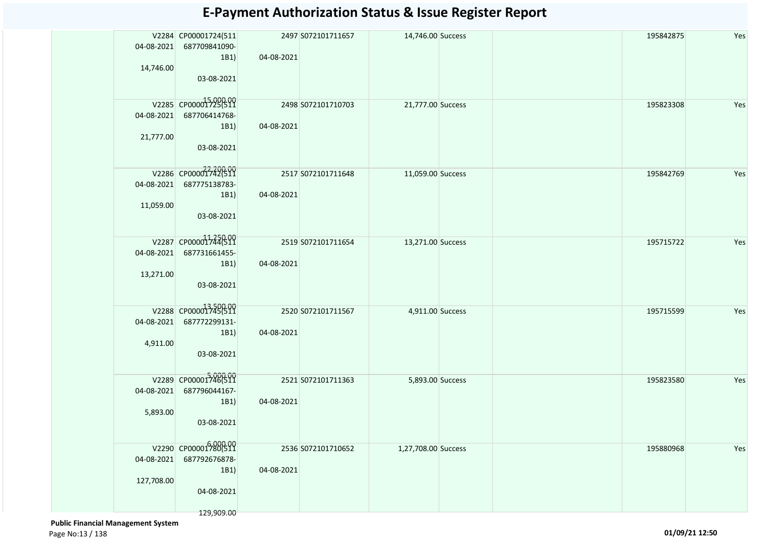| 04-08-2021<br>14,746.00  | V2284 CP00001724(511<br>687709841090-<br>1B1)<br>03-08-2021               | 04-08-2021 | 2497 S072101711657 | 14,746.00 Success   |  | 195842875 | Yes |
|--------------------------|---------------------------------------------------------------------------|------------|--------------------|---------------------|--|-----------|-----|
| 04-08-2021<br>21,777.00  | V2285 CP000015290000<br>687706414768-<br>1B1)<br>03-08-2021               | 04-08-2021 | 2498 S072101710703 | 21,777.00 Success   |  | 195823308 | Yes |
| 04-08-2021<br>11,059.00  | V2286 CP00001742(511<br>687775138783-<br>1B1)<br>03-08-2021               | 04-08-2021 | 2517 S072101711648 | 11,059.00 Success   |  | 195842769 | Yes |
| 04-08-2021<br>13,271.00  | V2287 CP00001744(519<br>687731661455-<br>1B1)<br>03-08-2021               | 04-08-2021 | 2519 S072101711654 | 13,271.00 Success   |  | 195715722 | Yes |
| 04-08-2021<br>4,911.00   | V2288 CP000013745(511<br>687772299131-<br>1B1)<br>03-08-2021              | 04-08-2021 | 2520 S072101711567 | 4,911.00 Success    |  | 195715599 | Yes |
| 04-08-2021<br>5,893.00   | V2289 CP00001746(511<br>687796044167-<br>1B1)<br>03-08-2021               | 04-08-2021 | 2521 S072101711363 | 5,893.00 Success    |  | 195823580 | Yes |
| 04-08-2021<br>127,708.00 | V2290 CP00001780(511<br>687792676878-<br>1B1)<br>04-08-2021<br>129,909.00 | 04-08-2021 | 2536 S072101710652 | 1,27,708.00 Success |  | 195880968 | Yes |

 **Public Financial Management System**  Page No:13 / 138 **01/09/21 12:50**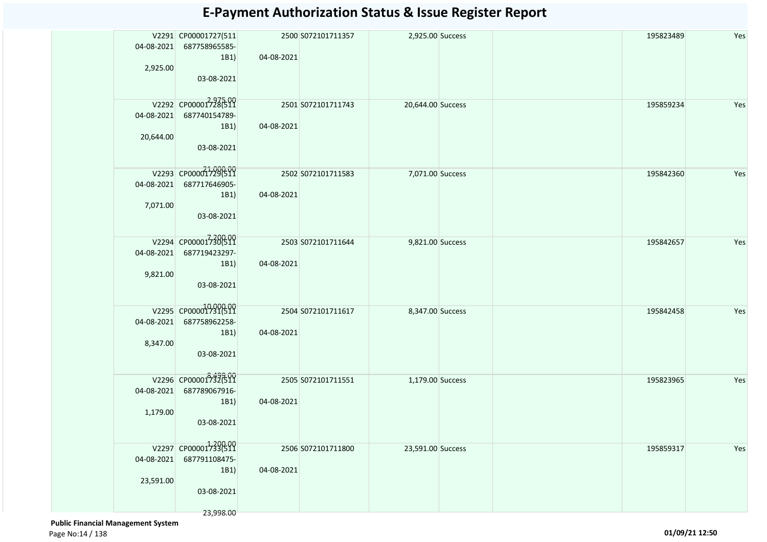| 04-08-2021 | V2291 CP00001727(511<br>687758965585- |            | 2500 S072101711357 | 2,925.00 Success  |  | 195823489 | Yes |
|------------|---------------------------------------|------------|--------------------|-------------------|--|-----------|-----|
| 2,925.00   | 1B1)                                  | 04-08-2021 |                    |                   |  |           |     |
|            | 03-08-2021                            |            |                    |                   |  |           |     |
| 04-08-2021 | V2292 CP00001728699<br>687740154789-  |            | 2501 S072101711743 | 20,644.00 Success |  | 195859234 | Yes |
|            | 1B1)                                  | 04-08-2021 |                    |                   |  |           |     |
| 20,644.00  | 03-08-2021                            |            |                    |                   |  |           |     |
|            | V2293 CP00001729(511                  |            | 2502 S072101711583 | 7,071.00 Success  |  | 195842360 | Yes |
| 04-08-2021 | 687717646905-<br>1B1)                 | 04-08-2021 |                    |                   |  |           |     |
| 7,071.00   |                                       |            |                    |                   |  |           |     |
|            | 03-08-2021                            |            |                    |                   |  |           |     |
|            | V2294 CP000017300511                  |            | 2503 S072101711644 | 9,821.00 Success  |  | 195842657 | Yes |
| 04-08-2021 | 687719423297-<br>1B1)                 | 04-08-2021 |                    |                   |  |           |     |
| 9,821.00   |                                       |            |                    |                   |  |           |     |
|            | 03-08-2021                            |            |                    |                   |  |           |     |
|            | V2295 CP00001731(511                  |            | 2504 S072101711617 | 8,347.00 Success  |  | 195842458 | Yes |
| 04-08-2021 | 687758962258-<br>1B1)                 | 04-08-2021 |                    |                   |  |           |     |
| 8,347.00   | 03-08-2021                            |            |                    |                   |  |           |     |
|            |                                       |            |                    |                   |  |           |     |
|            | V2296 CP00001732611                   |            | 2505 S072101711551 | 1,179.00 Success  |  | 195823965 | Yes |
| 04-08-2021 | 687789067916-<br>1B1)                 | 04-08-2021 |                    |                   |  |           |     |
| 1,179.00   | 03-08-2021                            |            |                    |                   |  |           |     |
|            |                                       |            |                    |                   |  |           |     |
|            | V2297 CP00001733(511                  |            | 2506 S072101711800 | 23,591.00 Success |  | 195859317 | Yes |
| 04-08-2021 | 687791108475-<br>1B1)                 | 04-08-2021 |                    |                   |  |           |     |
| 23,591.00  | 03-08-2021                            |            |                    |                   |  |           |     |
|            |                                       |            |                    |                   |  |           |     |
|            | 23,998.00                             |            |                    |                   |  |           |     |

 **Public Financial Management System**  Page No:14 / 138 **01/09/21 12:50**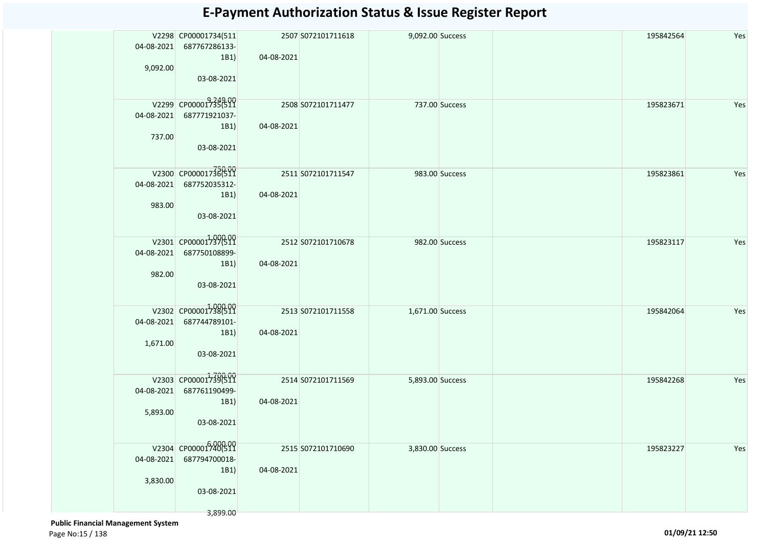| 04-08-2021             | V2298 CP00001734(511<br>687767286133-<br>1B1)                           | 04-08-2021 | 2507 S072101711618 | 9,092.00 Success |                | 195842564 | Yes |
|------------------------|-------------------------------------------------------------------------|------------|--------------------|------------------|----------------|-----------|-----|
| 9,092.00               | 03-08-2021                                                              |            |                    |                  |                |           |     |
| 737.00                 | V2299 CP00001735(511<br>04-08-2021 687771921037-<br>1B1)<br>03-08-2021  | 04-08-2021 | 2508 S072101711477 |                  | 737.00 Success | 195823671 | Yes |
| 04-08-2021<br>983.00   | V2300 CP00001736(511<br>687752035312-<br>1B1)<br>03-08-2021             | 04-08-2021 | 2511 S072101711547 |                  | 983.00 Success | 195823861 | Yes |
| 982.00                 | V2301 CP00001737(511<br>04-08-2021 687750108899-<br>1B1)<br>03-08-2021  | 04-08-2021 | 2512 S072101710678 |                  | 982.00 Success | 195823117 | Yes |
| 1,671.00               | V2302 CP00001738(511<br>04-08-2021 687744789101-<br>1B1)<br>03-08-2021  | 04-08-2021 | 2513 S072101711558 | 1,671.00 Success |                | 195842064 | Yes |
| 04-08-2021<br>5,893.00 | V2303 CP00001739(511<br>687761190499-<br>1B1)<br>03-08-2021             | 04-08-2021 | 2514 S072101711569 | 5,893.00 Success |                | 195842268 | Yes |
| 04-08-2021<br>3,830.00 | V2304 CP00001740(511<br>687794700018-<br>1B1)<br>03-08-2021<br>3,899.00 | 04-08-2021 | 2515 S072101710690 | 3,830.00 Success |                | 195823227 | Yes |

 **Public Financial Management System**  Page No:15 / 138 **01/09/21 12:50**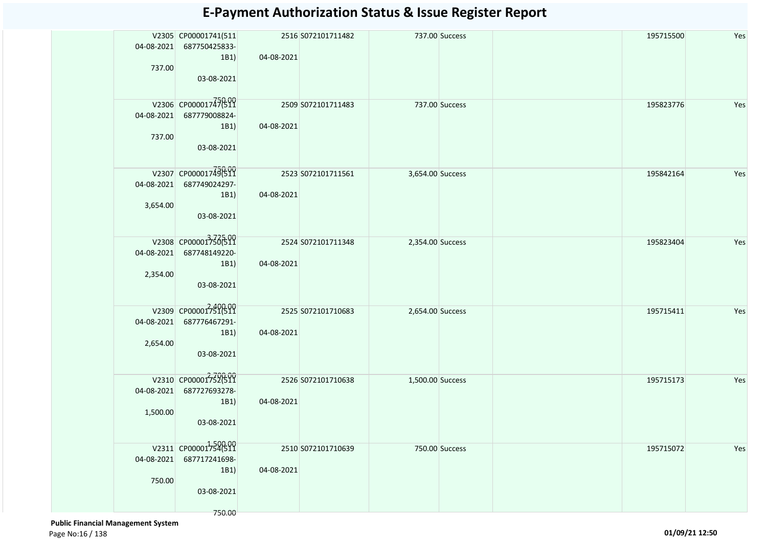| 04-08-2021 | V2305 CP00001741(511<br>687750425833- |            | 2516 S072101711482 |                  | 737.00 Success | 195715500 | Yes |
|------------|---------------------------------------|------------|--------------------|------------------|----------------|-----------|-----|
| 737.00     | 1B1)                                  | 04-08-2021 |                    |                  |                |           |     |
|            | 03-08-2021                            |            |                    |                  |                |           |     |
| 04-08-2021 | V2306 CP00001747699<br>687779008824-  |            | 2509 S072101711483 |                  | 737.00 Success | 195823776 | Yes |
|            | 1B1)                                  | 04-08-2021 |                    |                  |                |           |     |
| 737.00     | 03-08-2021                            |            |                    |                  |                |           |     |
|            | V2307 CP00001749(511                  |            | 2523 S072101711561 | 3,654.00 Success |                | 195842164 | Yes |
| 04-08-2021 | 687749024297-<br>1B1)                 | 04-08-2021 |                    |                  |                |           |     |
| 3,654.00   | 03-08-2021                            |            |                    |                  |                |           |     |
|            | V2308 CP000013366599                  |            | 2524 S072101711348 | 2,354.00 Success |                | 195823404 | Yes |
| 04-08-2021 | 687748149220-                         |            |                    |                  |                |           |     |
| 2,354.00   | 1B1)<br>03-08-2021                    | 04-08-2021 |                    |                  |                |           |     |
|            |                                       |            |                    |                  |                |           |     |
| 04-08-2021 | V2309 CP00001751(511<br>687776467291- |            | 2525 S072101710683 | 2,654.00 Success |                | 195715411 | Yes |
|            | 1B1)                                  | 04-08-2021 |                    |                  |                |           |     |
| 2,654.00   | 03-08-2021                            |            |                    |                  |                |           |     |
|            | V2310 CP00001752(511                  |            | 2526 S072101710638 | 1,500.00 Success |                | 195715173 | Yes |
| 04-08-2021 | 687727693278-                         | 04-08-2021 |                    |                  |                |           |     |
| 1,500.00   | 1B1)                                  |            |                    |                  |                |           |     |
|            | 03-08-2021                            |            |                    |                  |                |           |     |
|            | V2311 CP00001754(511                  |            | 2510 S072101710639 |                  | 750.00 Success | 195715072 | Yes |
| 04-08-2021 | 687717241698-<br>1B1)                 | 04-08-2021 |                    |                  |                |           |     |
| 750.00     |                                       |            |                    |                  |                |           |     |
|            | 03-08-2021                            |            |                    |                  |                |           |     |
|            | 750.00                                |            |                    |                  |                |           |     |

 **Public Financial Management System**  Page No:16 / 138 **01/09/21 12:50**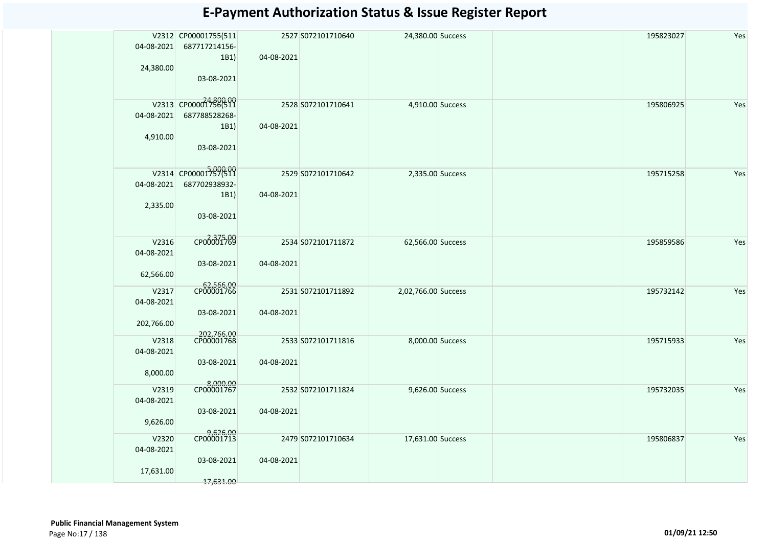| 04-08-2021                        | V2312 CP00001755(511<br>687717214156-<br>1B1)               | 04-08-2021 | 2527 S072101710640 | 24,380.00 Success   | 195823027 | Yes |
|-----------------------------------|-------------------------------------------------------------|------------|--------------------|---------------------|-----------|-----|
| 24,380.00                         | 03-08-2021                                                  |            |                    |                     |           |     |
| 04-08-2021<br>4,910.00            | V2313 CP00001756(511<br>687788528268-<br>1B1)<br>03-08-2021 | 04-08-2021 | 2528 S072101710641 | 4,910.00 Success    | 195806925 | Yes |
| 04-08-2021<br>2,335.00            | V2314 CP00001757600<br>687702938932-<br>1B1)<br>03-08-2021  | 04-08-2021 | 2529 S072101710642 | 2,335.00 Success    | 195715258 | Yes |
| V2316<br>04-08-2021<br>62,566.00  | сробоб1789<br>03-08-2021                                    | 04-08-2021 | 2534 S072101711872 | 62,566.00 Success   | 195859586 | Yes |
| V2317<br>04-08-2021<br>202,766.00 | 62,566.00<br>CP00001766<br>03-08-2021                       | 04-08-2021 | 2531 S072101711892 | 2,02,766.00 Success | 195732142 | Yes |
| V2318<br>04-08-2021<br>8,000.00   | 202,766.00<br>CP00001768<br>03-08-2021                      | 04-08-2021 | 2533 S072101711816 | 8,000.00 Success    | 195715933 | Yes |
| V2319<br>04-08-2021<br>9,626.00   | 8,000.00<br>CP00001767<br>03-08-2021                        | 04-08-2021 | 2532 S072101711824 | 9,626.00 Success    | 195732035 | Yes |
| V2320<br>04-08-2021<br>17,631.00  | 9,626.00<br>CP00001713<br>03-08-2021<br>17,631.00           | 04-08-2021 | 2479 S072101710634 | 17,631.00 Success   | 195806837 | Yes |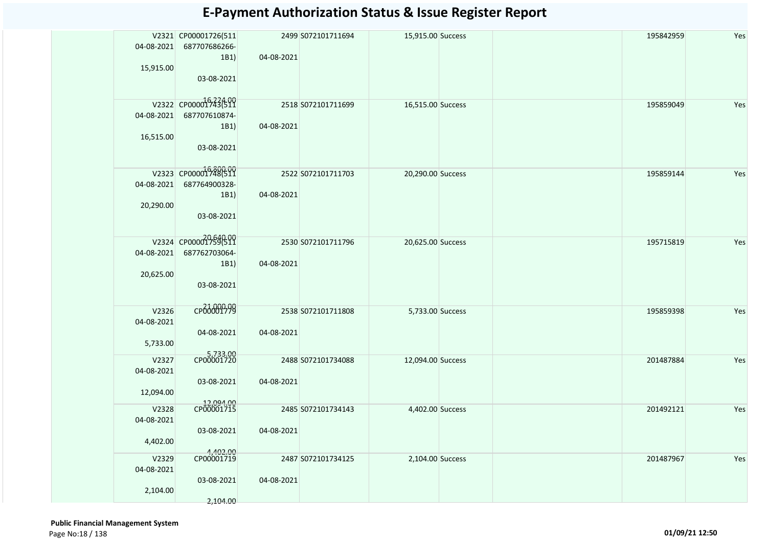|            | V2321 CP00001726(511    |            | 2499 S072101711694 | 15,915.00 Success | 195842959 | Yes |
|------------|-------------------------|------------|--------------------|-------------------|-----------|-----|
| 04-08-2021 | 687707686266-           |            |                    |                   |           |     |
|            | 1B1)                    | 04-08-2021 |                    |                   |           |     |
| 15,915.00  |                         |            |                    |                   |           |     |
|            | 03-08-2021              |            |                    |                   |           |     |
|            | V2322 CP00001543(599    |            |                    |                   |           |     |
| 04-08-2021 | 687707610874-           |            | 2518 S072101711699 | 16,515.00 Success | 195859049 | Yes |
|            | 1B1)                    | 04-08-2021 |                    |                   |           |     |
| 16,515.00  |                         |            |                    |                   |           |     |
|            | 03-08-2021              |            |                    |                   |           |     |
|            |                         |            |                    |                   |           |     |
|            | V2323 CP00001748(511    |            | 2522 S072101711703 | 20,290.00 Success | 195859144 | Yes |
| 04-08-2021 | 687764900328-           |            |                    |                   |           |     |
|            | 1B1)                    | 04-08-2021 |                    |                   |           |     |
| 20,290.00  |                         |            |                    |                   |           |     |
|            | 03-08-2021              |            |                    |                   |           |     |
|            |                         |            |                    |                   |           |     |
|            | V2324 CP000017596409    |            | 2530 S072101711796 | 20,625.00 Success | 195715819 | Yes |
| 04-08-2021 | 687762703064-           |            |                    |                   |           |     |
|            | 1B1)                    | 04-08-2021 |                    |                   |           |     |
| 20,625.00  |                         |            |                    |                   |           |     |
|            | 03-08-2021              |            |                    |                   |           |     |
|            |                         |            |                    |                   |           |     |
| V2326      | CP00001799              |            | 2538 S072101711808 | 5,733.00 Success  | 195859398 | Yes |
| 04-08-2021 |                         |            |                    |                   |           |     |
| 5,733.00   | 04-08-2021              | 04-08-2021 |                    |                   |           |     |
|            |                         |            |                    |                   |           |     |
| V2327      | 5,733.00<br>CP00001720  |            | 2488 S072101734088 | 12,094.00 Success | 201487884 | Yes |
| 04-08-2021 |                         |            |                    |                   |           |     |
|            | 03-08-2021              | 04-08-2021 |                    |                   |           |     |
| 12,094.00  |                         |            |                    |                   |           |     |
| V2328      | 12,094.00<br>CP00001715 |            | 2485 S072101734143 | 4,402.00 Success  | 201492121 | Yes |
| 04-08-2021 |                         |            |                    |                   |           |     |
|            | 03-08-2021              | 04-08-2021 |                    |                   |           |     |
| 4,402.00   |                         |            |                    |                   |           |     |
| V2329      | 4,402.00<br>CP00001719  |            | 2487 S072101734125 | 2,104.00 Success  | 201487967 | Yes |
| 04-08-2021 |                         |            |                    |                   |           |     |
|            | 03-08-2021              | 04-08-2021 |                    |                   |           |     |
| 2,104.00   |                         |            |                    |                   |           |     |
|            | 2,104.00                |            |                    |                   |           |     |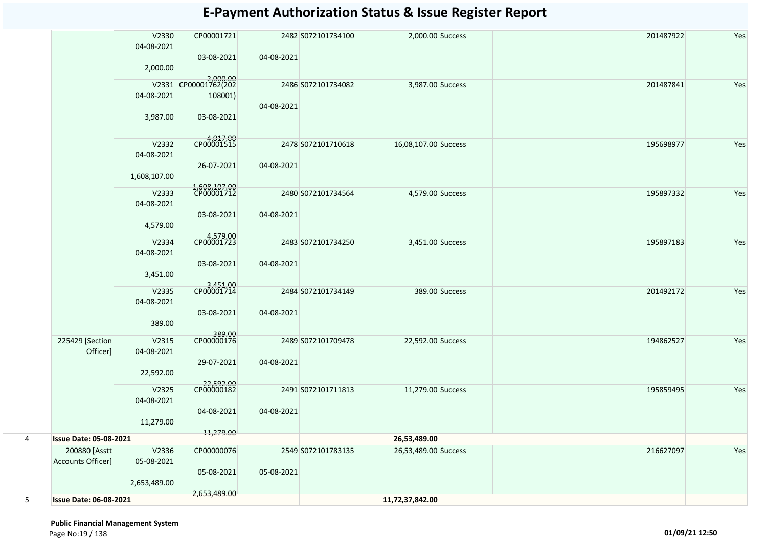|   |                                    | V2330               | CP00001721                       |            | 2482 S072101734100 | 2,000.00 Success     |                | 201487922 | Yes |
|---|------------------------------------|---------------------|----------------------------------|------------|--------------------|----------------------|----------------|-----------|-----|
|   |                                    | 04-08-2021          | 03-08-2021                       | 04-08-2021 |                    |                      |                |           |     |
|   |                                    | 2,000.00            |                                  |            |                    |                      |                |           |     |
|   |                                    |                     | 2,000.00<br>V2331 CP00001762(202 |            | 2486 S072101734082 | 3,987.00 Success     |                | 201487841 | Yes |
|   |                                    | 04-08-2021          | 108001)                          |            |                    |                      |                |           |     |
|   |                                    | 3,987.00            | 03-08-2021                       | 04-08-2021 |                    |                      |                |           |     |
|   |                                    | V2332               | CP00001515                       |            | 2478 S072101710618 | 16,08,107.00 Success |                | 195698977 | Yes |
|   |                                    | 04-08-2021          |                                  |            |                    |                      |                |           |     |
|   |                                    | 1,608,107.00        | 26-07-2021                       | 04-08-2021 |                    |                      |                |           |     |
|   |                                    | V2333               | 1,608,107.00<br>CP00001712       |            | 2480 S072101734564 | 4,579.00 Success     |                | 195897332 | Yes |
|   |                                    | 04-08-2021          |                                  |            |                    |                      |                |           |     |
|   |                                    | 4,579.00            | 03-08-2021                       | 04-08-2021 |                    |                      |                |           |     |
|   |                                    | V2334               | 4,579.00<br>CP00001723           |            | 2483 S072101734250 | 3,451.00 Success     |                | 195897183 | Yes |
|   |                                    | 04-08-2021          |                                  |            |                    |                      |                |           |     |
|   |                                    | 3,451.00            | 03-08-2021                       | 04-08-2021 |                    |                      |                |           |     |
|   |                                    | V2335               | 3,451.00<br>CP00001714           |            | 2484 S072101734149 |                      | 389.00 Success | 201492172 | Yes |
|   |                                    | 04-08-2021          |                                  |            |                    |                      |                |           |     |
|   |                                    | 389.00              | 03-08-2021                       | 04-08-2021 |                    |                      |                |           |     |
|   |                                    |                     | 389.00<br>CP00000176             |            |                    |                      |                |           |     |
|   | 225429 [Section<br>Officer]        | V2315<br>04-08-2021 |                                  |            | 2489 S072101709478 | 22,592.00 Success    |                | 194862527 | Yes |
|   |                                    |                     | 29-07-2021                       | 04-08-2021 |                    |                      |                |           |     |
|   |                                    | 22,592.00           |                                  |            |                    |                      |                |           |     |
|   |                                    | V2325               | 22,592.00<br>CP00000182          |            | 2491 S072101711813 | 11,279.00 Success    |                | 195859495 | Yes |
|   |                                    | 04-08-2021          |                                  |            |                    |                      |                |           |     |
|   |                                    |                     | 04-08-2021                       | 04-08-2021 |                    |                      |                |           |     |
|   |                                    | 11,279.00           | 11,279.00                        |            |                    |                      |                |           |     |
| 4 | <b>Issue Date: 05-08-2021</b>      |                     |                                  |            |                    | 26,53,489.00         |                |           |     |
|   | 200880 [Asstt<br>Accounts Officer] | V2336<br>05-08-2021 | CP00000076                       |            | 2549 S072101783135 | 26,53,489.00 Success |                | 216627097 | Yes |
|   |                                    |                     | 05-08-2021                       | 05-08-2021 |                    |                      |                |           |     |
|   |                                    | 2,653,489.00        |                                  |            |                    |                      |                |           |     |
| 5 | <b>Issue Date: 06-08-2021</b>      |                     | 2,653,489.00                     |            |                    | 11,72,37,842.00      |                |           |     |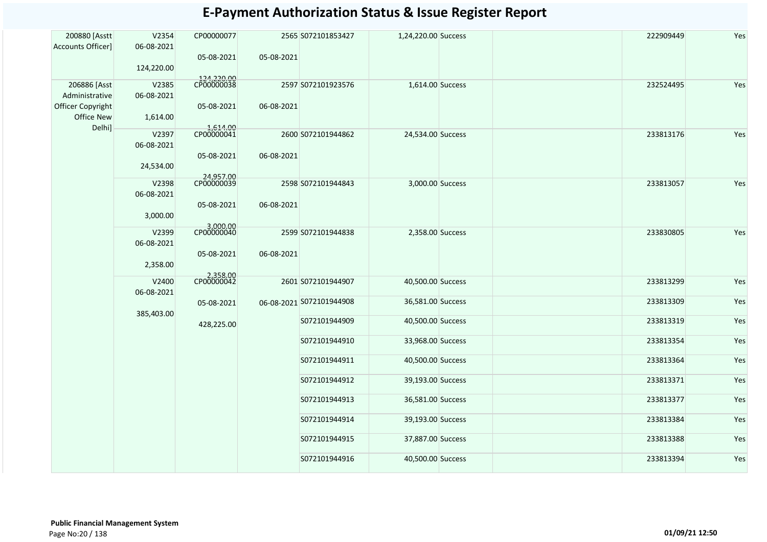| 200880 [Asstt                       | V2354               | CP00000077               |            | 2565 S072101853427       | 1,24,220.00 Success |  | 222909449 | Yes |
|-------------------------------------|---------------------|--------------------------|------------|--------------------------|---------------------|--|-----------|-----|
| <b>Accounts Officer]</b>            | 06-08-2021          | 05-08-2021               | 05-08-2021 |                          |                     |  |           |     |
|                                     | 124,220.00          |                          |            |                          |                     |  |           |     |
| 206886 [Asst                        | V2385               | 124,220.00<br>CP00000038 |            | 2597 S072101923576       | 1,614.00 Success    |  | 232524495 | Yes |
| Administrative<br>Officer Copyright | 06-08-2021          | 05-08-2021               | 06-08-2021 |                          |                     |  |           |     |
| Office New                          | 1,614.00            |                          |            |                          |                     |  |           |     |
| Delhi]                              | V2397               | 1,614.00<br>CP00000041   |            | 2600 S072101944862       | 24,534.00 Success   |  | 233813176 | Yes |
|                                     | 06-08-2021          | 05-08-2021               | 06-08-2021 |                          |                     |  |           |     |
|                                     | 24,534.00           |                          |            |                          |                     |  |           |     |
|                                     | V2398               | 24,957.00<br>CP00000039  |            | 2598 S072101944843       | 3,000.00 Success    |  | 233813057 | Yes |
|                                     | 06-08-2021          | 05-08-2021               | 06-08-2021 |                          |                     |  |           |     |
|                                     | 3,000.00            |                          |            |                          |                     |  |           |     |
|                                     | V2399               | 3,000.00<br>CP00000040   |            | 2599 S072101944838       | 2,358.00 Success    |  | 233830805 | Yes |
|                                     | 06-08-2021          | 05-08-2021               | 06-08-2021 |                          |                     |  |           |     |
|                                     | 2,358.00            |                          |            |                          |                     |  |           |     |
|                                     | V2400<br>06-08-2021 | 2,358.00<br>CP00000042   |            | 2601 S072101944907       | 40,500.00 Success   |  | 233813299 | Yes |
|                                     |                     | 05-08-2021               |            | 06-08-2021 S072101944908 | 36,581.00 Success   |  | 233813309 | Yes |
|                                     | 385,403.00          | 428,225.00               |            | S072101944909            | 40,500.00 Success   |  | 233813319 | Yes |
|                                     |                     |                          |            | S072101944910            | 33,968.00 Success   |  | 233813354 | Yes |
|                                     |                     |                          |            |                          |                     |  |           |     |
|                                     |                     |                          |            | S072101944911            | 40,500.00 Success   |  | 233813364 | Yes |
|                                     |                     |                          |            | S072101944912            | 39,193.00 Success   |  | 233813371 | Yes |
|                                     |                     |                          |            | S072101944913            | 36,581.00 Success   |  | 233813377 | Yes |
|                                     |                     |                          |            | S072101944914            | 39,193.00 Success   |  | 233813384 | Yes |
|                                     |                     |                          |            | S072101944915            | 37,887.00 Success   |  | 233813388 | Yes |
|                                     |                     |                          |            | S072101944916            | 40,500.00 Success   |  | 233813394 | Yes |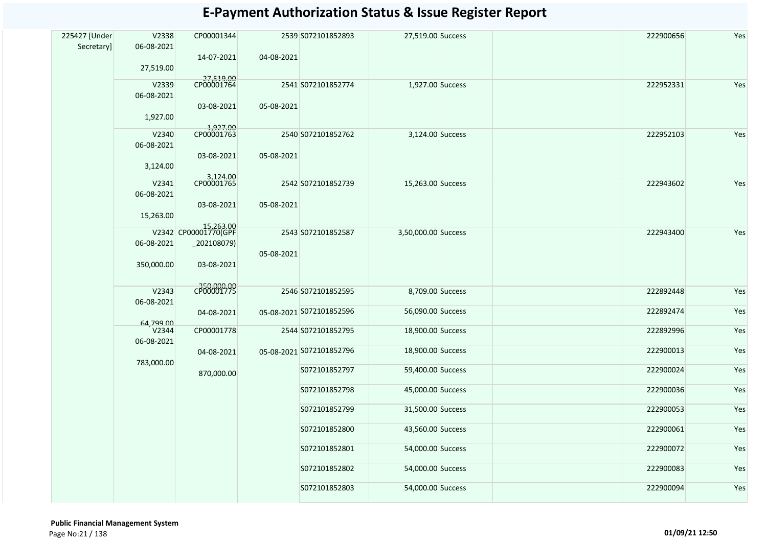| 225427 [Under | V2338               | CP00001344                        |            | 2539 S072101852893       | 27,519.00 Success   |  | 222900656 | Yes |
|---------------|---------------------|-----------------------------------|------------|--------------------------|---------------------|--|-----------|-----|
| Secretary]    | 06-08-2021          |                                   |            |                          |                     |  |           |     |
|               |                     | 14-07-2021                        | 04-08-2021 |                          |                     |  |           |     |
|               | 27,519.00           |                                   |            |                          |                     |  |           |     |
|               | V2339               | 27,519.00<br>CP00001764           |            | 2541 S072101852774       | 1,927.00 Success    |  | 222952331 | Yes |
|               | 06-08-2021          |                                   |            |                          |                     |  |           |     |
|               |                     | 03-08-2021                        | 05-08-2021 |                          |                     |  |           |     |
|               | 1,927.00            |                                   |            |                          |                     |  |           |     |
|               | V2340               | 1,927.00                          |            | 2540 S072101852762       | 3,124.00 Success    |  | 222952103 | Yes |
|               | 06-08-2021          |                                   |            |                          |                     |  |           |     |
|               |                     | 03-08-2021                        | 05-08-2021 |                          |                     |  |           |     |
|               | 3,124.00            |                                   |            |                          |                     |  |           |     |
|               | V2341               | 3,124.00                          |            | 2542 S072101852739       | 15,263.00 Success   |  | 222943602 | Yes |
|               | 06-08-2021          |                                   |            |                          |                     |  |           |     |
|               |                     | 03-08-2021                        | 05-08-2021 |                          |                     |  |           |     |
|               | 15,263.00           |                                   |            |                          |                     |  |           |     |
|               |                     | 15,263.00<br>V2342 CP00001770(GPF |            |                          |                     |  | 222943400 |     |
|               | 06-08-2021          | $_2$ 202108079)                   |            | 2543 S072101852587       | 3,50,000.00 Success |  |           | Yes |
|               |                     |                                   | 05-08-2021 |                          |                     |  |           |     |
|               | 350,000.00          | 03-08-2021                        |            |                          |                     |  |           |     |
|               |                     |                                   |            |                          |                     |  |           |     |
|               | V2343               | $-350,000,00$<br>CP00001775       |            | 2546 S072101852595       | 8,709.00 Success    |  | 222892448 | Yes |
|               | 06-08-2021          |                                   |            |                          |                     |  |           |     |
|               |                     | 04-08-2021                        |            | 05-08-2021 S072101852596 | 56,090.00 Success   |  | 222892474 | Yes |
|               | 64,799.00           |                                   |            |                          |                     |  |           |     |
|               | V2344<br>06-08-2021 | CP00001778                        |            | 2544 S072101852795       | 18,900.00 Success   |  | 222892996 | Yes |
|               |                     | 04-08-2021                        |            | 05-08-2021 S072101852796 | 18,900.00 Success   |  | 222900013 | Yes |
|               | 783,000.00          |                                   |            |                          |                     |  |           |     |
|               |                     | 870,000.00                        |            | S072101852797            | 59,400.00 Success   |  | 222900024 | Yes |
|               |                     |                                   |            | S072101852798            | 45,000.00 Success   |  | 222900036 | Yes |
|               |                     |                                   |            |                          |                     |  |           |     |
|               |                     |                                   |            | S072101852799            | 31,500.00 Success   |  | 222900053 | Yes |
|               |                     |                                   |            |                          |                     |  |           |     |
|               |                     |                                   |            | S072101852800            | 43,560.00 Success   |  | 222900061 | Yes |
|               |                     |                                   |            | S072101852801            | 54,000.00 Success   |  | 222900072 | Yes |
|               |                     |                                   |            |                          |                     |  |           |     |
|               |                     |                                   |            | S072101852802            | 54,000.00 Success   |  | 222900083 | Yes |
|               |                     |                                   |            | S072101852803            | 54,000.00 Success   |  | 222900094 | Yes |
|               |                     |                                   |            |                          |                     |  |           |     |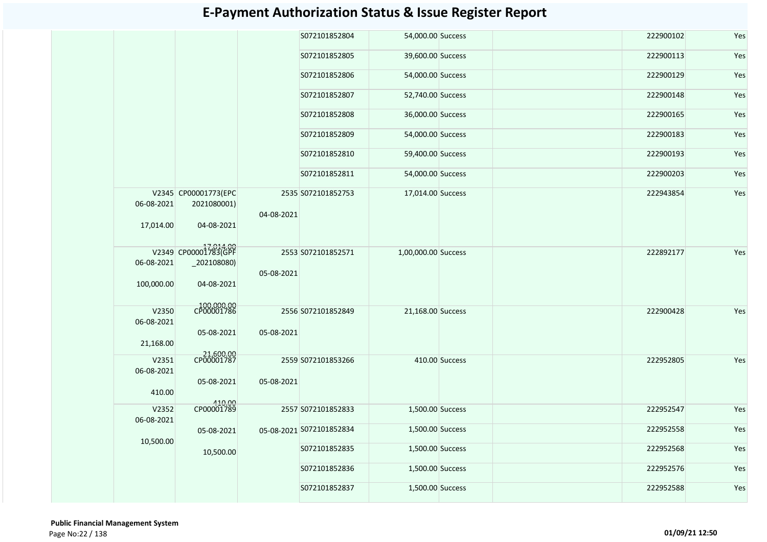|                                  |                                                      |            | S072101852804            | 54,000.00 Success   |                | 222900102 | Yes |
|----------------------------------|------------------------------------------------------|------------|--------------------------|---------------------|----------------|-----------|-----|
|                                  |                                                      |            | S072101852805            | 39,600.00 Success   |                | 222900113 | Yes |
|                                  |                                                      |            | S072101852806            | 54,000.00 Success   |                | 222900129 | Yes |
|                                  |                                                      |            | S072101852807            | 52,740.00 Success   |                | 222900148 | Yes |
|                                  |                                                      |            | S072101852808            | 36,000.00 Success   |                | 222900165 | Yes |
|                                  |                                                      |            | S072101852809            | 54,000.00 Success   |                | 222900183 | Yes |
|                                  |                                                      |            | S072101852810            | 59,400.00 Success   |                | 222900193 | Yes |
|                                  |                                                      |            | S072101852811            | 54,000.00 Success   |                | 222900203 | Yes |
| 06-08-2021<br>17,014.00          | V2345 CP00001773(EPC<br>2021080001)<br>04-08-2021    | 04-08-2021 | 2535 S072101852753       | 17,014.00 Success   |                | 222943854 | Yes |
| 06-08-2021<br>100,000.00         | V2349 CP00001783(GPF<br>$_2$ 02108080)<br>04-08-2021 | 05-08-2021 | 2553 S072101852571       | 1,00,000.00 Success |                | 222892177 | Yes |
| V2350<br>06-08-2021<br>21,168.00 | 100,000.00<br>CP00001786<br>05-08-2021               | 05-08-2021 | 2556 S072101852849       | 21,168.00 Success   |                | 222900428 | Yes |
| V2351<br>06-08-2021<br>410.00    | 21,600.00<br>CP00001787<br>05-08-2021                | 05-08-2021 | 2559 S072101853266       |                     | 410.00 Success | 222952805 | Yes |
| V2352                            | 410.00<br>CP00001789                                 |            | 2557 S072101852833       | 1,500.00 Success    |                | 222952547 | Yes |
| 06-08-2021                       | 05-08-2021                                           |            | 05-08-2021 S072101852834 | 1,500.00 Success    |                | 222952558 | Yes |
| 10,500.00                        | 10,500.00                                            |            | S072101852835            | 1,500.00 Success    |                | 222952568 | Yes |
|                                  |                                                      |            | S072101852836            | 1,500.00 Success    |                | 222952576 | Yes |
|                                  |                                                      |            | S072101852837            | 1,500.00 Success    |                | 222952588 | Yes |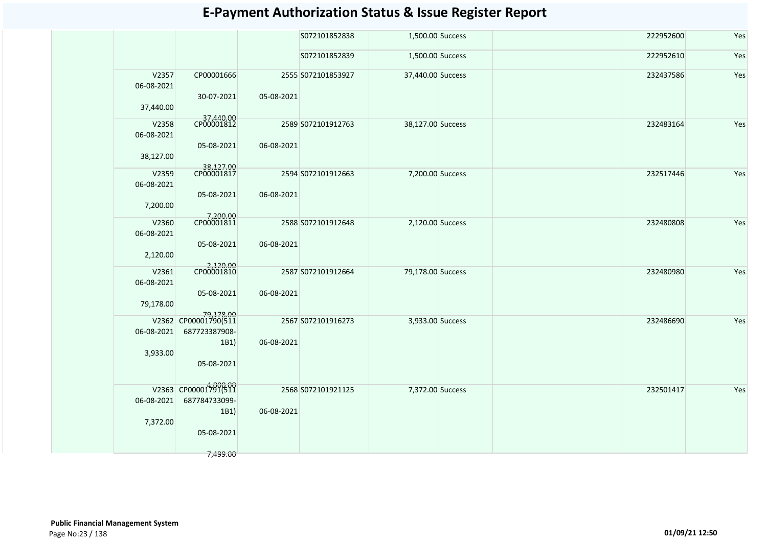|                     |                                   |            | S072101852838      | 1,500.00 Success  | 222952600 | Yes |
|---------------------|-----------------------------------|------------|--------------------|-------------------|-----------|-----|
|                     |                                   |            | S072101852839      | 1,500.00 Success  | 222952610 | Yes |
| V2357<br>06-08-2021 | CP00001666                        |            | 2555 S072101853927 | 37,440.00 Success | 232437586 | Yes |
| 37,440.00           | 30-07-2021                        | 05-08-2021 |                    |                   |           |     |
| V2358<br>06-08-2021 | 37,440.00<br>CP00001812           |            | 2589 S072101912763 | 38,127.00 Success | 232483164 | Yes |
|                     | 05-08-2021                        | 06-08-2021 |                    |                   |           |     |
| 38,127.00           |                                   |            |                    |                   |           |     |
| V2359<br>06-08-2021 | 38,127.00<br>CP00001817           |            | 2594 S072101912663 | 7,200.00 Success  | 232517446 | Yes |
| 7,200.00            | 05-08-2021                        | 06-08-2021 |                    |                   |           |     |
|                     | 7,200.00<br>CP00001811            |            |                    |                   |           |     |
| V2360<br>06-08-2021 |                                   |            | 2588 S072101912648 | 2,120.00 Success  | 232480808 | Yes |
| 2,120.00            | 05-08-2021                        | 06-08-2021 |                    |                   |           |     |
| V2361               | 2,120.00<br>CP00001810            |            | 2587 S072101912664 | 79,178.00 Success | 232480980 | Yes |
| 06-08-2021          |                                   |            |                    |                   |           |     |
|                     | 05-08-2021                        | 06-08-2021 |                    |                   |           |     |
| 79,178.00           |                                   |            |                    |                   |           |     |
|                     | 79,178.00<br>V2362 CP00001790(511 |            | 2567 S072101916273 | 3,933.00 Success  | 232486690 | Yes |
| 06-08-2021          | 687723387908-                     |            |                    |                   |           |     |
|                     | 1B1)                              | 06-08-2021 |                    |                   |           |     |
| 3,933.00            |                                   |            |                    |                   |           |     |
|                     | 05-08-2021                        |            |                    |                   |           |     |
|                     | V2363 CP00001791(511              |            |                    |                   |           |     |
| 06-08-2021          | 687784733099-                     |            | 2568 S072101921125 | 7,372.00 Success  | 232501417 | Yes |
|                     | 1B1)                              | 06-08-2021 |                    |                   |           |     |
| 7,372.00            |                                   |            |                    |                   |           |     |
|                     | 05-08-2021                        |            |                    |                   |           |     |
|                     | 7,499.00                          |            |                    |                   |           |     |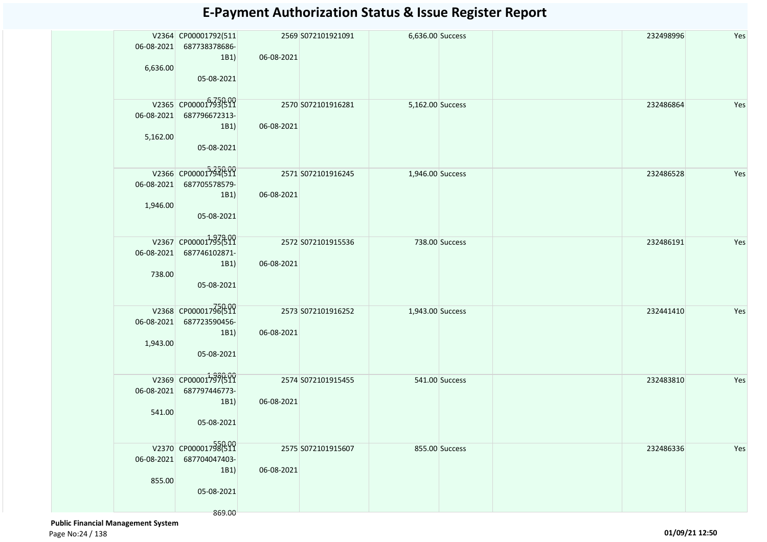| 06-08-2021<br>6,636.00 | V2364 CP00001792(511<br>687738378686-<br>1B1)<br>05-08-2021           | 06-08-2021 | 2569 S072101921091 | 6,636.00 Success |                | 232498996 | Yes |
|------------------------|-----------------------------------------------------------------------|------------|--------------------|------------------|----------------|-----------|-----|
| 06-08-2021<br>5,162.00 | V2365 CP00001793(511<br>687796672313-<br>1B1)<br>05-08-2021           | 06-08-2021 | 2570 S072101916281 | 5,162.00 Success |                | 232486864 | Yes |
| 06-08-2021<br>1,946.00 | V2366 CP00001794(511<br>687705578579-<br>1B1)<br>05-08-2021           | 06-08-2021 | 2571 S072101916245 | 1,946.00 Success |                | 232486528 | Yes |
| 06-08-2021<br>738.00   | V2367 CP000017936519<br>687746102871-<br>1B1)<br>05-08-2021           | 06-08-2021 | 2572 S072101915536 |                  | 738.00 Success | 232486191 | Yes |
| 06-08-2021<br>1,943.00 | V2368 CP00001796(511<br>687723590456-<br>1B1)<br>05-08-2021           | 06-08-2021 | 2573 S072101916252 | 1,943.00 Success |                | 232441410 | Yes |
| 06-08-2021<br>541.00   | V2369 CP00001797(511<br>687797446773-<br>1B1)<br>05-08-2021           | 06-08-2021 | 2574 S072101915455 |                  | 541.00 Success | 232483810 | Yes |
| 06-08-2021<br>855.00   | V2370 CP00001798(511<br>687704047403-<br>1B1)<br>05-08-2021<br>869.00 | 06-08-2021 | 2575 S072101915607 |                  | 855.00 Success | 232486336 | Yes |

 **Public Financial Management System**  Page No:24 / 138 **01/09/21 12:50**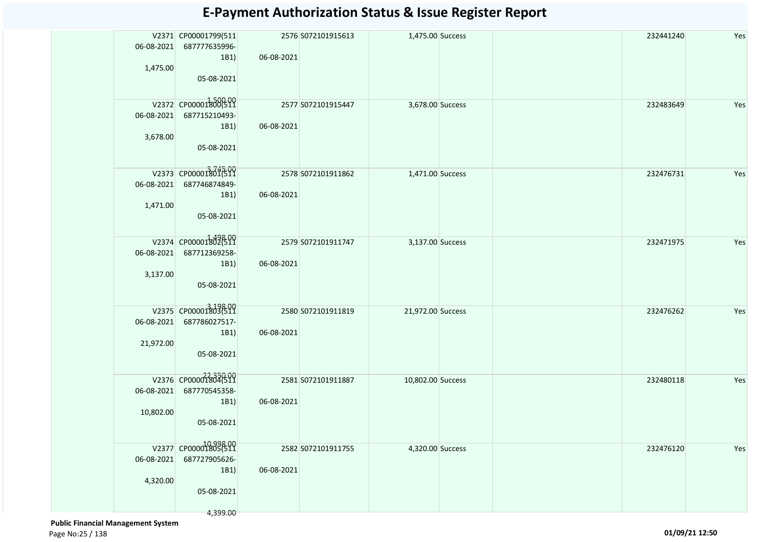| 06-08-2021<br>1,475.00  | V2371 CP00001799(511<br>687777635996-<br>1B1)<br>05-08-2021             | 06-08-2021 | 2576 S072101915613 | 1,475.00 Success  |  | 232441240 | Yes |
|-------------------------|-------------------------------------------------------------------------|------------|--------------------|-------------------|--|-----------|-----|
| 06-08-2021<br>3,678.00  | V2372 CP00001800(511<br>687715210493-<br>1B1)<br>05-08-2021             | 06-08-2021 | 2577 S072101915447 | 3,678.00 Success  |  | 232483649 | Yes |
| 06-08-2021<br>1,471.00  | V2373 CP00001801511<br>687746874849-<br>1B1)<br>05-08-2021              | 06-08-2021 | 2578 S072101911862 | 1,471.00 Success  |  | 232476731 | Yes |
| 06-08-2021<br>3,137.00  | V2374 CP00001302619<br>687712369258-<br>1B1)<br>05-08-2021              | 06-08-2021 | 2579 S072101911747 | 3,137.00 Success  |  | 232471975 | Yes |
| 06-08-2021<br>21,972.00 | V2375 CP00001303(511<br>687786027517-<br>1B1)<br>05-08-2021             | 06-08-2021 | 2580 S072101911819 | 21,972.00 Success |  | 232476262 | Yes |
| 06-08-2021<br>10,802.00 | V2376 CP00001804(511<br>687770545358-<br>1B1)<br>05-08-2021             | 06-08-2021 | 2581 S072101911887 | 10,802.00 Success |  | 232480118 | Yes |
| 06-08-2021<br>4,320.00  | V2377 CP00001805(511<br>687727905626-<br>1B1)<br>05-08-2021<br>4,399.00 | 06-08-2021 | 2582 S072101911755 | 4,320.00 Success  |  | 232476120 | Yes |

 **Public Financial Management System**  Page No:25 / 138 **01/09/21 12:50**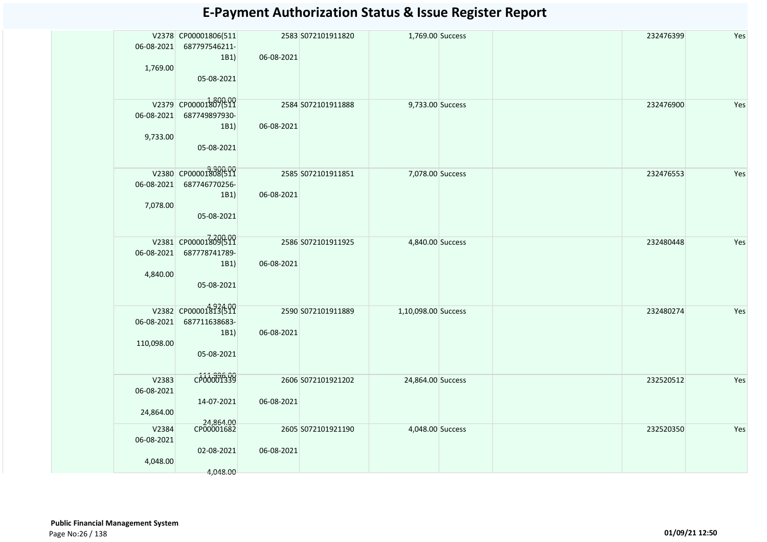| 06-08-2021<br>1,769.00           | V2378 CP00001806(511<br>687797546211-<br>1B1)<br>05-08-2021 | 06-08-2021 | 2583 S072101911820 | 1,769.00 Success    | 232476399 | Yes |
|----------------------------------|-------------------------------------------------------------|------------|--------------------|---------------------|-----------|-----|
| 06-08-2021<br>9,733.00           | V2379 CP00001807(511<br>687749897930-<br>1B1)<br>05-08-2021 | 06-08-2021 | 2584 S072101911888 | 9,733.00 Success    | 232476900 | Yes |
| 06-08-2021<br>7,078.00           | V2380 CP00001808(511<br>687746770256-<br>1B1)<br>05-08-2021 | 06-08-2021 | 2585 S072101911851 | 7,078.00 Success    | 232476553 | Yes |
| 06-08-2021<br>4,840.00           | V2381 CP00001809(511<br>687778741789-<br>1B1)<br>05-08-2021 | 06-08-2021 | 2586 S072101911925 | 4,840.00 Success    | 232480448 | Yes |
| 06-08-2021<br>110,098.00         | V2382 CP00001813(511<br>687711638683-<br>1B1)<br>05-08-2021 | 06-08-2021 | 2590 S072101911889 | 1,10,098.00 Success | 232480274 | Yes |
| V2383<br>06-08-2021<br>24,864.00 | CP00001339<br>14-07-2021                                    | 06-08-2021 | 2606 S072101921202 | 24,864.00 Success   | 232520512 | Yes |
| V2384<br>06-08-2021<br>4,048.00  | 24,864.00<br>CP00001682<br>02-08-2021<br>4,048.00           | 06-08-2021 | 2605 S072101921190 | 4,048.00 Success    | 232520350 | Yes |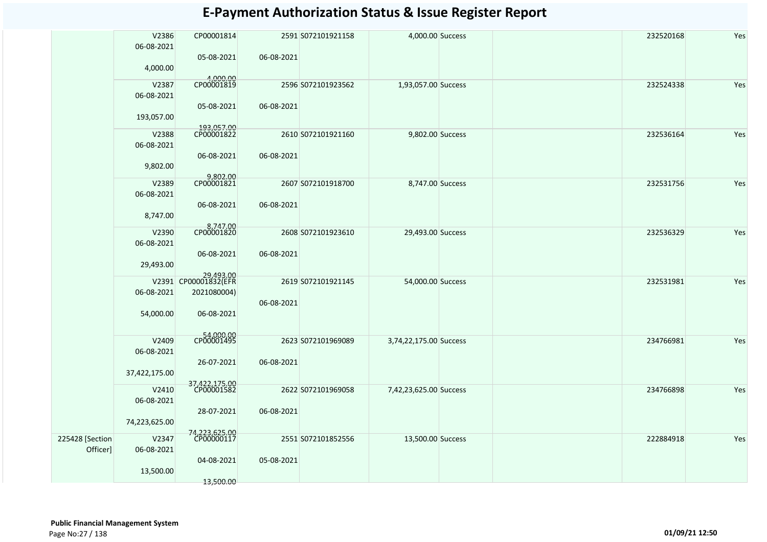|                             | V2386<br>06-08-2021 | CP00001814                                       |            | 2591 S072101921158 | 4,000.00 Success       |  | 232520168<br>Yes |
|-----------------------------|---------------------|--------------------------------------------------|------------|--------------------|------------------------|--|------------------|
|                             | 4,000.00            | 05-08-2021                                       | 06-08-2021 |                    |                        |  |                  |
|                             | V2387<br>06-08-2021 | 4,000.00<br>CP00001819                           |            | 2596 S072101923562 | 1,93,057.00 Success    |  | 232524338<br>Yes |
|                             | 193,057.00          | 05-08-2021                                       | 06-08-2021 |                    |                        |  |                  |
|                             | V2388<br>06-08-2021 | 193,057.00<br>CP00001822                         |            | 2610 S072101921160 | 9,802.00 Success       |  | 232536164<br>Yes |
|                             | 9,802.00            | 06-08-2021                                       | 06-08-2021 |                    |                        |  |                  |
|                             | V2389<br>06-08-2021 | 9,802.00<br>CP00001821                           |            | 2607 S072101918700 | 8,747.00 Success       |  | 232531756<br>Yes |
|                             | 8,747.00            | 06-08-2021                                       | 06-08-2021 |                    |                        |  |                  |
|                             | V2390<br>06-08-2021 | 8,747.00<br>CP00001820                           |            | 2608 S072101923610 | 29,493.00 Success      |  | 232536329<br>Yes |
|                             | 29,493.00           | 06-08-2021                                       | 06-08-2021 |                    |                        |  |                  |
|                             | 06-08-2021          | 29,493.00<br>V2391 CP00001832(EFR<br>2021080004) |            | 2619 S072101921145 | 54,000.00 Success      |  | 232531981<br>Yes |
|                             | 54,000.00           | 06-08-2021                                       | 06-08-2021 |                    |                        |  |                  |
|                             | V2409<br>06-08-2021 | CP00001495                                       |            | 2623 S072101969089 | 3,74,22,175.00 Success |  | 234766981<br>Yes |
|                             | 37,422,175.00       | 26-07-2021                                       | 06-08-2021 |                    |                        |  |                  |
|                             | V2410<br>06-08-2021 | 37,422,175.00<br>CP00001582                      |            | 2622 S072101969058 | 7,42,23,625.00 Success |  | 234766898<br>Yes |
|                             | 74,223,625.00       | 28-07-2021                                       | 06-08-2021 |                    |                        |  |                  |
| 225428 [Section<br>Officer] | V2347<br>06-08-2021 | 74,223,625.00<br>CP00000117                      |            | 2551 S072101852556 | 13,500.00 Success      |  | 222884918<br>Yes |
|                             | 13,500.00           | 04-08-2021                                       | 05-08-2021 |                    |                        |  |                  |
|                             |                     | 13,500.00                                        |            |                    |                        |  |                  |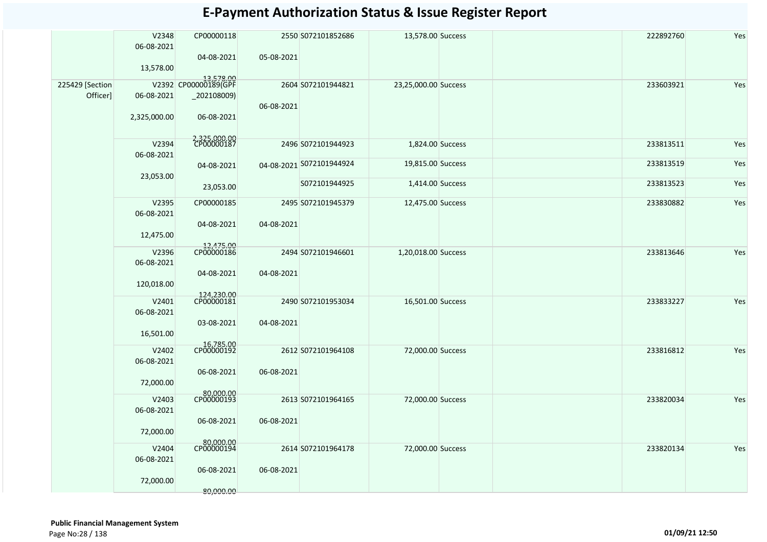|                             | V2348<br>06-08-2021<br>13,578.00  | CP00000118<br>04-08-2021                                       | 05-08-2021 | 2550 S072101852686       | 13,578.00 Success    | 222892760 | Yes |
|-----------------------------|-----------------------------------|----------------------------------------------------------------|------------|--------------------------|----------------------|-----------|-----|
| 225429 [Section<br>Officer] | 06-08-2021<br>2,325,000.00        | 13,578.00<br>V2392 CP00000189(GPF<br>_202108009)<br>06-08-2021 | 06-08-2021 | 2604 S072101944821       | 23,25,000.00 Success | 233603921 | Yes |
|                             | V2394                             | 2,325,000.00                                                   |            | 2496 S072101944923       | 1,824.00 Success     | 233813511 | Yes |
|                             | 06-08-2021                        | 04-08-2021                                                     |            | 04-08-2021 S072101944924 | 19,815.00 Success    | 233813519 | Yes |
|                             | 23,053.00                         | 23,053.00                                                      |            | S072101944925            | 1,414.00 Success     | 233813523 | Yes |
|                             | V2395<br>06-08-2021<br>12,475.00  | CP00000185<br>04-08-2021                                       | 04-08-2021 | 2495 S072101945379       | 12,475.00 Success    | 233830882 | Yes |
|                             | V2396<br>06-08-2021<br>120,018.00 | 12,475.00<br>CP00000186<br>04-08-2021                          | 04-08-2021 | 2494 S072101946601       | 1,20,018.00 Success  | 233813646 | Yes |
|                             | V2401<br>06-08-2021<br>16,501.00  | 124,230.00<br>CP00000181<br>03-08-2021                         | 04-08-2021 | 2490 S072101953034       | 16,501.00 Success    | 233833227 | Yes |
|                             | V2402<br>06-08-2021<br>72,000.00  | 16,785.00<br>CP00000192<br>06-08-2021                          | 06-08-2021 | 2612 S072101964108       | 72,000.00 Success    | 233816812 | Yes |
|                             | V2403<br>06-08-2021<br>72,000.00  | $-$ 80,000.00<br>CP00000193<br>06-08-2021                      | 06-08-2021 | 2613 S072101964165       | 72,000.00 Success    | 233820034 | Yes |
|                             | V2404<br>06-08-2021<br>72,000.00  | 80,000.00<br>CP00000194<br>06-08-2021<br>80,000.00             | 06-08-2021 | 2614 S072101964178       | 72,000.00 Success    | 233820134 | Yes |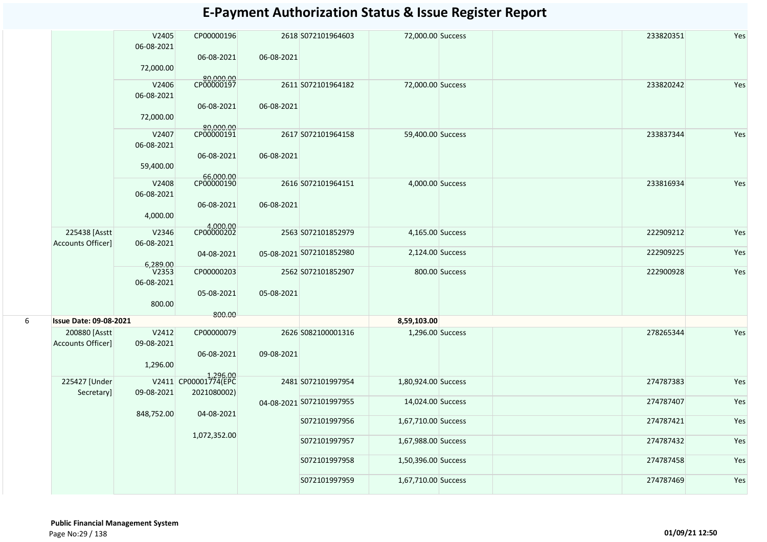|   |                                    | V2405<br>06-08-2021             | CP00000196<br>06-08-2021                        | 06-08-2021 | 2618 S072101964603       | 72,000.00 Success   |                | 233820351 | Yes |
|---|------------------------------------|---------------------------------|-------------------------------------------------|------------|--------------------------|---------------------|----------------|-----------|-----|
|   |                                    | 72,000.00<br>V2406              | 80,000.00                                       |            | 2611 S072101964182       | 72,000.00 Success   |                | 233820242 | Yes |
|   |                                    | 06-08-2021                      | 06-08-2021                                      | 06-08-2021 |                          |                     |                |           |     |
|   |                                    | 72,000.00                       | 80,000.00                                       |            |                          |                     |                |           |     |
|   |                                    | V2407<br>06-08-2021             | 06-08-2021                                      | 06-08-2021 | 2617 S072101964158       | 59,400.00 Success   |                | 233837344 | Yes |
|   |                                    | 59,400.00                       |                                                 |            |                          |                     |                |           |     |
|   |                                    | V2408<br>06-08-2021             | 66,000.00<br>06-08-2021                         | 06-08-2021 | 2616 S072101964151       | 4,000.00 Success    |                | 233816934 | Yes |
|   |                                    | 4,000.00                        |                                                 |            |                          |                     |                |           |     |
|   | 225438 [Asstt<br>Accounts Officer] | V2346<br>06-08-2021             | 4,000.00                                        |            | 2563 S072101852979       | 4,165.00 Success    |                | 222909212 | Yes |
|   |                                    | 6,289.00                        | 04-08-2021                                      |            | 05-08-2021 S072101852980 | 2,124.00 Success    |                | 222909225 | Yes |
|   |                                    | V <sub>2353</sub><br>06-08-2021 | CP00000203                                      |            | 2562 S072101852907       |                     | 800.00 Success | 222900928 | Yes |
|   |                                    | 800.00                          | 05-08-2021<br>800.00                            | 05-08-2021 |                          |                     |                |           |     |
| 6 | <b>Issue Date: 09-08-2021</b>      |                                 |                                                 |            |                          | 8,59,103.00         |                |           |     |
|   | 200880 [Asstt<br>Accounts Officer] | V2412<br>09-08-2021             | CP00000079                                      |            | 2626 S082100001316       | 1,296.00 Success    |                | 278265344 | Yes |
|   |                                    | 1,296.00                        | 06-08-2021                                      | 09-08-2021 |                          |                     |                |           |     |
|   | 225427 [Under<br>Secretary]        | 09-08-2021                      | 1,296.00<br>V2411 CP00001774(EPC<br>2021080002) |            | 2481 S072101997954       | 1,80,924.00 Success |                | 274787383 | Yes |
|   |                                    | 848,752.00                      | 04-08-2021                                      |            | 04-08-2021 S072101997955 | 14,024.00 Success   |                | 274787407 | Yes |
|   |                                    |                                 |                                                 |            | S072101997956            | 1,67,710.00 Success |                | 274787421 | Yes |
|   |                                    |                                 | 1,072,352.00                                    |            | S072101997957            | 1,67,988.00 Success |                | 274787432 | Yes |
|   |                                    |                                 |                                                 |            | S072101997958            | 1,50,396.00 Success |                | 274787458 | Yes |
|   |                                    |                                 |                                                 |            | S072101997959            | 1,67,710.00 Success |                | 274787469 | Yes |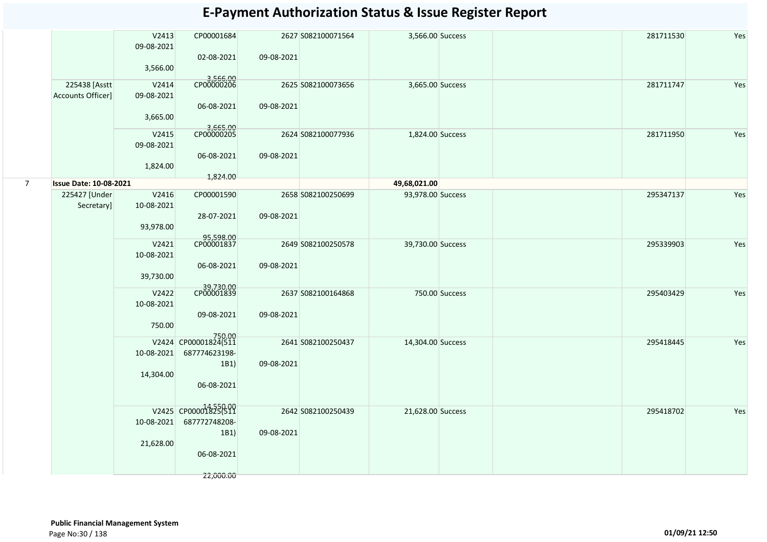|   |                                    | V2413<br>09-08-2021<br>3,566.00  | CP00001684<br>02-08-2021                                                 | 09-08-2021 | 2627 S082100071564 | 3,566.00 Success  |                | 281711530 | Yes |
|---|------------------------------------|----------------------------------|--------------------------------------------------------------------------|------------|--------------------|-------------------|----------------|-----------|-----|
|   | 225438 [Asstt<br>Accounts Officer] | V2414<br>09-08-2021<br>3,665.00  | 3,566.00<br>CP00000206<br>06-08-2021                                     | 09-08-2021 | 2625 S082100073656 | 3,665.00 Success  |                | 281711747 | Yes |
|   |                                    | V2415<br>09-08-2021<br>1,824.00  | 3,665.00<br>06-08-2021<br>1,824.00                                       | 09-08-2021 | 2624 S082100077936 | 1,824.00 Success  |                | 281711950 | Yes |
| 7 | <b>Issue Date: 10-08-2021</b>      |                                  |                                                                          |            |                    | 49,68,021.00      |                |           |     |
|   | 225427 [Under<br>Secretary]        | V2416<br>10-08-2021<br>93,978.00 | CP00001590<br>28-07-2021                                                 | 09-08-2021 | 2658 S082100250699 | 93,978.00 Success |                | 295347137 | Yes |
|   |                                    | V2421<br>10-08-2021<br>39,730.00 | 95,598.00<br>CP00001837<br>06-08-2021                                    | 09-08-2021 | 2649 S082100250578 | 39,730.00 Success |                | 295339903 | Yes |
|   |                                    | V2422<br>10-08-2021<br>750.00    | 39,730.00<br>09-08-2021                                                  | 09-08-2021 | 2637 S082100164868 |                   | 750.00 Success | 295403429 | Yes |
|   |                                    | $10 - 08 - 2021$<br>14,304.00    | 750.00<br>V2424 CP00001824(511<br>687774623198-<br>1B1)<br>06-08-2021    | 09-08-2021 | 2641 S082100250437 | 14,304.00 Success |                | 295418445 | Yes |
|   |                                    | 10-08-2021<br>21,628.00          | V2425 CP00001825(511<br>687772748208-<br>1B1)<br>06-08-2021<br>22,000.00 | 09-08-2021 | 2642 S082100250439 | 21,628.00 Success |                | 295418702 | Yes |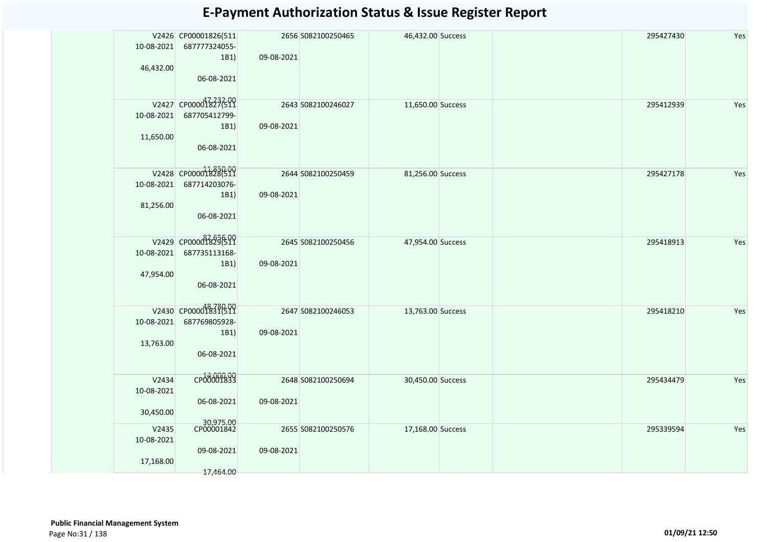| 10-08-2021<br>46,432.00          | V2426 CP00001826(511<br>687777324055-<br>1B1)<br>06-08-2021 | 09-08-2021 | 2656 S082100250465 | 46,432.00 Success |  | 295427430 | Yes |
|----------------------------------|-------------------------------------------------------------|------------|--------------------|-------------------|--|-----------|-----|
| 10-08-2021<br>11,650.00          | V2427 CP00001827699<br>687705412799-<br>1B1)<br>06-08-2021  | 09-08-2021 | 2643 S082100246027 | 11,650.00 Success |  | 295412939 | Yes |
| 10-08-2021<br>81,256.00          | V2428 CP00001828(511<br>687714203076-<br>1B1)<br>06-08-2021 | 09-08-2021 | 2644 S082100250459 | 81,256.00 Success |  | 295427178 | Yes |
| 10-08-2021<br>47,954.00          | V2429 CP000018296511<br>687735113168-<br>1B1)<br>06-08-2021 | 09-08-2021 | 2645 S082100250456 | 47,954.00 Success |  | 295418913 | Yes |
| 10-08-2021<br>13,763.00          | V2430 CP00001831699<br>687769805928-<br>1B1)<br>06-08-2021  | 09-08-2021 | 2647 S082100246053 | 13,763.00 Success |  | 295418210 | Yes |
| V2434<br>10-08-2021<br>30,450.00 | CP00001833<br>06-08-2021                                    | 09-08-2021 | 2648 S082100250694 | 30,450.00 Success |  | 295434479 | Yes |
| V2435<br>10-08-2021<br>17,168.00 | 30,975.00<br>CP00001842<br>09-08-2021<br>17,464.00          | 09-08-2021 | 2655 S082100250576 | 17,168.00 Success |  | 295339594 | Yes |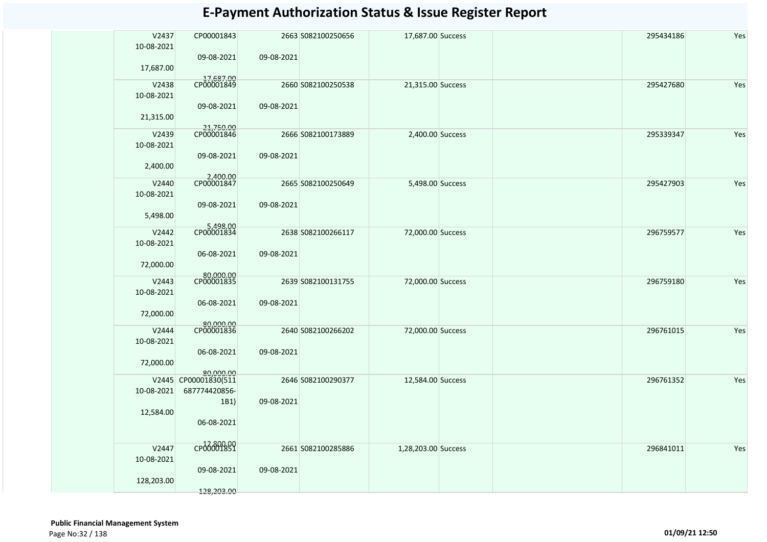| V2437               | CP00001843                        |            | 2663 S082100250656 | 17,687.00 Success   |  | 295434186 | Yes |
|---------------------|-----------------------------------|------------|--------------------|---------------------|--|-----------|-----|
| 10-08-2021          | 09-08-2021                        | 09-08-2021 |                    |                     |  |           |     |
| 17,687.00           |                                   |            |                    |                     |  |           |     |
| V2438               | 17,687.00<br>CP00001849           |            | 2660 S082100250538 | 21,315.00 Success   |  | 295427680 | Yes |
| 10-08-2021          |                                   |            |                    |                     |  |           |     |
| 21,315.00           | 09-08-2021                        | 09-08-2021 |                    |                     |  |           |     |
| V2439               | 21,750.00<br>CP00001846           |            | 2666 S082100173889 | 2,400.00 Success    |  | 295339347 | Yes |
| 10-08-2021          | 09-08-2021                        | 09-08-2021 |                    |                     |  |           |     |
| 2,400.00            |                                   |            |                    |                     |  |           |     |
| V2440               | 2,400.00<br>CP00001847            |            | 2665 S082100250649 | 5,498.00 Success    |  | 295427903 | Yes |
| 10-08-2021          | 09-08-2021                        | 09-08-2021 |                    |                     |  |           |     |
| 5,498.00            |                                   |            |                    |                     |  |           |     |
| V2442               | 5,498.00<br>CP00001834            |            | 2638 S082100266117 | 72,000.00 Success   |  | 296759577 | Yes |
| 10-08-2021          |                                   |            |                    |                     |  |           |     |
|                     | 06-08-2021                        | 09-08-2021 |                    |                     |  |           |     |
| 72,000.00           | 80,000.00<br>CP00001835           |            |                    |                     |  |           |     |
| V2443<br>10-08-2021 |                                   |            | 2639 S082100131755 | 72,000.00 Success   |  | 296759180 | Yes |
|                     | 06-08-2021                        | 09-08-2021 |                    |                     |  |           |     |
| 72,000.00           |                                   |            |                    |                     |  |           |     |
| V2444               | 80,000.00<br>CP00001836           |            | 2640 S082100266202 | 72,000.00 Success   |  | 296761015 | Yes |
| 10-08-2021          | 06-08-2021                        | 09-08-2021 |                    |                     |  |           |     |
| 72,000.00           |                                   |            |                    |                     |  |           |     |
|                     | 80.000.00<br>V2445 CP00001830(511 |            | 2646 S082100290377 | 12,584.00 Success   |  | 296761352 | Yes |
| 10-08-2021          | 687774420856-                     |            |                    |                     |  |           |     |
| 12,584.00           | 1B1)                              | 09-08-2021 |                    |                     |  |           |     |
|                     | 06-08-2021                        |            |                    |                     |  |           |     |
|                     |                                   |            |                    |                     |  |           |     |
| V2447<br>10-08-2021 | CP00009899                        |            | 2661 S082100285886 | 1,28,203.00 Success |  | 296841011 | Yes |
|                     | 09-08-2021                        | 09-08-2021 |                    |                     |  |           |     |
| 128,203.00          |                                   |            |                    |                     |  |           |     |
|                     | 128,203.00                        |            |                    |                     |  |           |     |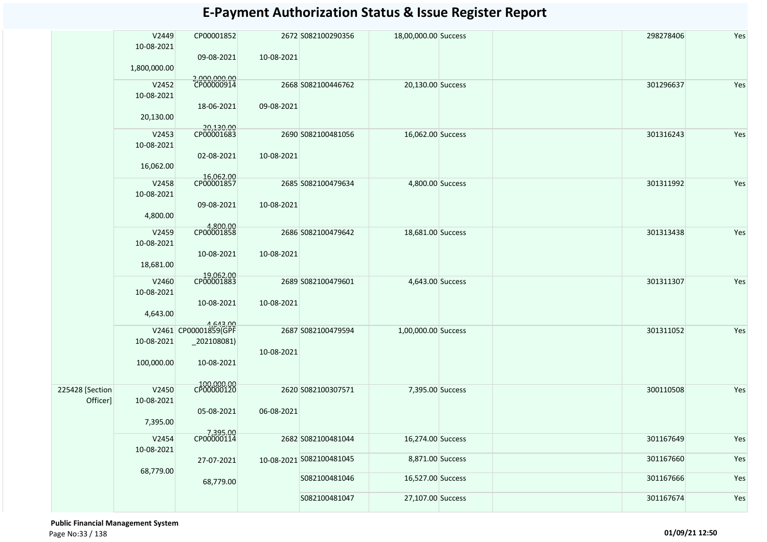|                             | V2449<br>10-08-2021<br>1,800,000.00 | CP00001852<br>09-08-2021                                         | 10-08-2021 | 2672 S082100290356                        | 18,00,000.00 Success                  |  | 298278406              | Yes        |
|-----------------------------|-------------------------------------|------------------------------------------------------------------|------------|-------------------------------------------|---------------------------------------|--|------------------------|------------|
|                             | V2452<br>10-08-2021<br>20,130.00    | 2,000,000.00<br>CP00000914<br>18-06-2021                         | 09-08-2021 | 2668 S082100446762                        | 20,130.00 Success                     |  | 301296637              | Yes        |
|                             | V2453<br>10-08-2021<br>16,062.00    | 20,130.00<br>CP00001683<br>02-08-2021                            | 10-08-2021 | 2690 S082100481056                        | 16,062.00 Success                     |  | 301316243              | Yes        |
|                             | V2458<br>10-08-2021<br>4,800.00     | 16,062.00<br>CP00001857<br>09-08-2021                            | 10-08-2021 | 2685 S082100479634                        | 4,800.00 Success                      |  | 301311992              | Yes        |
|                             | V2459<br>10-08-2021<br>18,681.00    | 4,800.00<br>CP00001858<br>10-08-2021                             | 10-08-2021 | 2686 S082100479642                        | 18,681.00 Success                     |  | 301313438              | Yes        |
|                             | V2460<br>10-08-2021<br>4,643.00     | 19,062.00<br>CP00001883<br>10-08-2021                            | 10-08-2021 | 2689 S082100479601                        | 4,643.00 Success                      |  | 301311307              | Yes        |
|                             | 10-08-2021<br>100,000.00            | 4,643.00<br>V2461 CP00001859(GPF<br>$_2$ 02108081)<br>10-08-2021 | 10-08-2021 | 2687 S082100479594                        | 1,00,000.00 Success                   |  | 301311052              | Yes        |
| 225428 [Section<br>Officer] | V2450<br>10-08-2021<br>7,395.00     | 100,000.00<br>CP00000120<br>05-08-2021                           | 06-08-2021 | 2620 S082100307571                        | 7,395.00 Success                      |  | 300110508              | Yes        |
|                             | V2454<br>10-08-2021                 | 7,395.00<br>CP00000114                                           |            | 2682 S082100481044                        | 16,274.00 Success<br>8,871.00 Success |  | 301167649<br>301167660 | Yes        |
|                             | 68,779.00                           | 27-07-2021<br>68,779.00                                          |            | 10-08-2021 5082100481045<br>S082100481046 | 16,527.00 Success                     |  | 301167666              | Yes<br>Yes |
|                             |                                     |                                                                  |            | S082100481047                             | 27,107.00 Success                     |  | 301167674              | Yes        |

 **Public Financial Management System**  Page No:33 / 138 **01/09/21 12:50**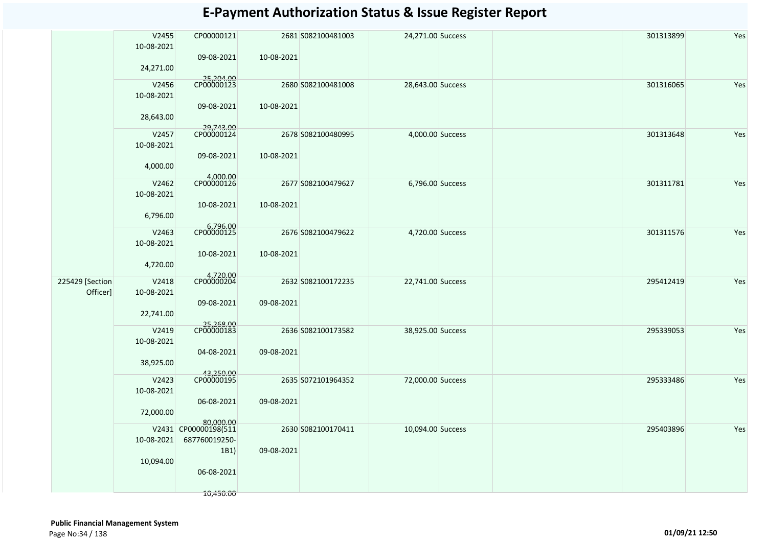|                             | V2455<br>10-08-2021 | CP00000121                            |            | 2681 S082100481003 | 24,271.00 Success |  | 301313899 | Yes |
|-----------------------------|---------------------|---------------------------------------|------------|--------------------|-------------------|--|-----------|-----|
|                             | 24,271.00           | 09-08-2021                            | 10-08-2021 |                    |                   |  |           |     |
|                             | V2456<br>10-08-2021 | 25,204.00<br>CP00000123               |            | 2680 S082100481008 | 28,643.00 Success |  | 301316065 | Yes |
|                             | 28,643.00           | 09-08-2021                            | 10-08-2021 |                    |                   |  |           |     |
|                             | V2457<br>10-08-2021 | 29,743.00<br>CP00000124               |            | 2678 S082100480995 | 4,000.00 Success  |  | 301313648 | Yes |
|                             | 4,000.00            | 09-08-2021                            | 10-08-2021 |                    |                   |  |           |     |
|                             | V2462<br>10-08-2021 | 4,000.00<br>CP00000126                |            | 2677 S082100479627 | 6,796.00 Success  |  | 301311781 | Yes |
|                             | 6,796.00            | 10-08-2021                            | 10-08-2021 |                    |                   |  |           |     |
|                             | V2463<br>10-08-2021 | 6,796.00<br>CP00000125                |            | 2676 S082100479622 | 4,720.00 Success  |  | 301311576 | Yes |
|                             | 4,720.00            | 10-08-2021                            | 10-08-2021 |                    |                   |  |           |     |
| 225429 [Section<br>Officer] | V2418<br>10-08-2021 | 4,720.00<br>CP00000204                |            | 2632 S082100172235 | 22,741.00 Success |  | 295412419 | Yes |
|                             | 22,741.00           | 09-08-2021                            | 09-08-2021 |                    |                   |  |           |     |
|                             | V2419<br>10-08-2021 | 25,268.00<br>CP00000183               |            | 2636 S082100173582 | 38,925.00 Success |  | 295339053 | Yes |
|                             | 38,925.00           | 04-08-2021                            | 09-08-2021 |                    |                   |  |           |     |
|                             | V2423<br>10-08-2021 | 43,250.00<br>CP00000195               |            | 2635 S072101964352 | 72,000.00 Success |  | 295333486 | Yes |
|                             | 72,000.00           | 06-08-2021<br>80,000.00               | 09-08-2021 |                    |                   |  |           |     |
|                             | 10-08-2021          | V2431 CP00000198(511<br>687760019250- |            | 2630 S082100170411 | 10,094.00 Success |  | 295403896 | Yes |
|                             | 10,094.00           | 1B1)<br>06-08-2021                    | 09-08-2021 |                    |                   |  |           |     |
|                             |                     | 10,450.00                             |            |                    |                   |  |           |     |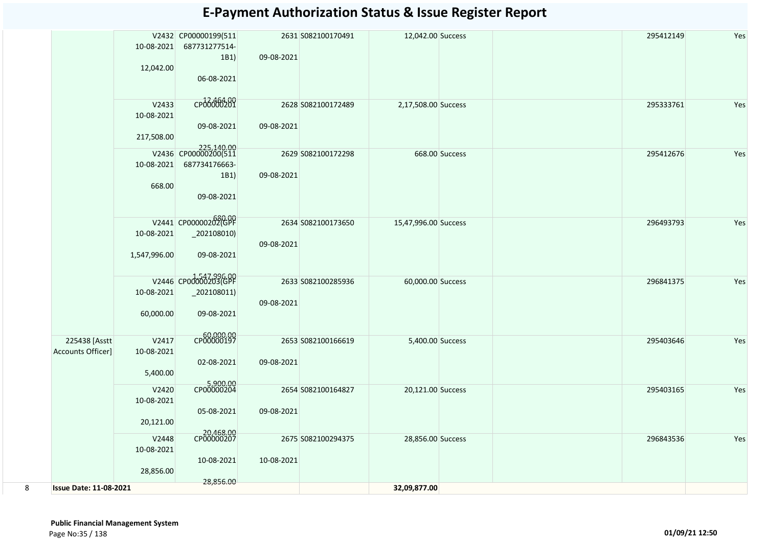|   |                                    | 10-08-2021<br>12,042.00           | V2432 CP00000199(511<br>687731277514-<br>1B1)<br>06-08-2021 | 09-08-2021 | 2631 S082100170491 | 12,042.00 Success    |                | 295412149 | Yes |
|---|------------------------------------|-----------------------------------|-------------------------------------------------------------|------------|--------------------|----------------------|----------------|-----------|-----|
|   |                                    | V2433<br>10-08-2021<br>217,508.00 | CP06000201<br>09-08-2021                                    | 09-08-2021 | 2628 S082100172489 | 2,17,508.00 Success  |                | 295333761 | Yes |
|   |                                    |                                   | 225,140.00<br>V2436 CP00000200(511                          |            | 2629 S082100172298 |                      | 668.00 Success | 295412676 | Yes |
|   |                                    | 10-08-2021<br>668.00              | 687734176663-<br>1B1)<br>09-08-2021                         | 09-08-2021 |                    |                      |                |           |     |
|   |                                    | 10-08-2021<br>1,547,996.00        | V2441 CP00000202(GPF<br>$_2$ 202108010)<br>09-08-2021       | 09-08-2021 | 2634 S082100173650 | 15,47,996.00 Success |                | 296493793 | Yes |
|   |                                    | 10-08-2021<br>60,000.00           | V2446 CP00000203(GPF<br>$_2$ 202108011)<br>09-08-2021       | 09-08-2021 | 2633 S082100285936 | 60,000.00 Success    |                | 296841375 | Yes |
|   | 225438 [Asstt<br>Accounts Officer] | V2417<br>10-08-2021<br>5,400.00   | CP00000197<br>02-08-2021                                    | 09-08-2021 | 2653 S082100166619 | 5,400.00 Success     |                | 295403646 | Yes |
|   |                                    | V2420<br>10-08-2021<br>20,121.00  | 5,900.00<br>CP00000204<br>05-08-2021                        | 09-08-2021 | 2654 S082100164827 | 20,121.00 Success    |                | 295403165 | Yes |
|   |                                    | V2448<br>10-08-2021<br>28,856.00  | 20,468.00<br>CP00000207<br>10-08-2021                       | 10-08-2021 | 2675 S082100294375 | 28,856.00 Success    |                | 296843536 | Yes |
| 8 | <b>Issue Date: 11-08-2021</b>      |                                   | 28,856.00                                                   |            |                    | 32,09,877.00         |                |           |     |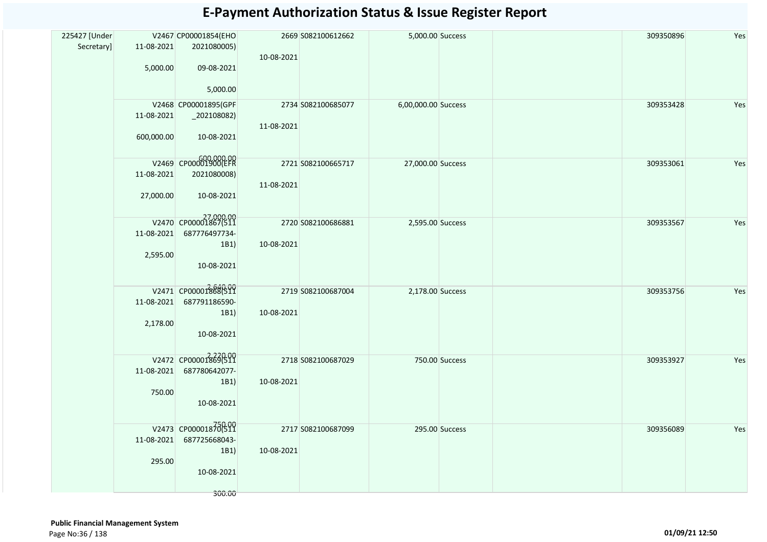| 225427 [Under |                          | V2467 CP00001854(EHO                           |            | 2669 S082100612662 | 5,000.00 Success    |                | 309350896 | Yes |
|---------------|--------------------------|------------------------------------------------|------------|--------------------|---------------------|----------------|-----------|-----|
| Secretary]    | 11-08-2021<br>5,000.00   | 2021080005)<br>09-08-2021<br>5,000.00          | 10-08-2021 |                    |                     |                |           |     |
|               |                          | V2468 CP00001895(GPF                           |            | 2734 S082100685077 | 6,00,000.00 Success |                | 309353428 | Yes |
|               | 11-08-2021<br>600,000.00 | $_2$ 202108082)<br>10-08-2021                  | 11-08-2021 |                    |                     |                |           |     |
|               |                          | V2469 CP00001900(EFR                           |            |                    |                     |                |           |     |
|               | 11-08-2021               | 2021080008)                                    |            | 2721 S082100665717 | 27,000.00 Success   |                | 309353061 | Yes |
|               | 27,000.00                | 10-08-2021                                     | 11-08-2021 |                    |                     |                |           |     |
|               |                          | V2470 CP00001867(511                           |            | 2720 S082100686881 | 2,595.00 Success    |                | 309353567 | Yes |
|               |                          | 11-08-2021 687776497734-                       |            |                    |                     |                |           |     |
|               | 2,595.00                 | 1B1)<br>10-08-2021                             | 10-08-2021 |                    |                     |                |           |     |
|               |                          | V2471 CP00001868(511                           |            | 2719 S082100687004 | 2,178.00 Success    |                | 309353756 | Yes |
|               | 2,178.00                 | 11-08-2021 687791186590-<br>1B1)<br>10-08-2021 | 10-08-2021 |                    |                     |                |           |     |
|               |                          | V2472 CP00001869(511                           |            | 2718 S082100687029 | 750.00 Success      |                | 309353927 | Yes |
|               |                          | 11-08-2021 687780642077-                       |            |                    |                     |                |           |     |
|               | 750.00                   | 1B1)<br>10-08-2021                             | 10-08-2021 |                    |                     |                |           |     |
|               |                          | V2473 CP00001870(511                           |            | 2717 S082100687099 |                     | 295.00 Success | 309356089 | Yes |
|               |                          | 11-08-2021 687725668043-                       |            |                    |                     |                |           |     |
|               | 295.00                   | 1B1)                                           | 10-08-2021 |                    |                     |                |           |     |
|               |                          | 10-08-2021                                     |            |                    |                     |                |           |     |
|               |                          | 300.00                                         |            |                    |                     |                |           |     |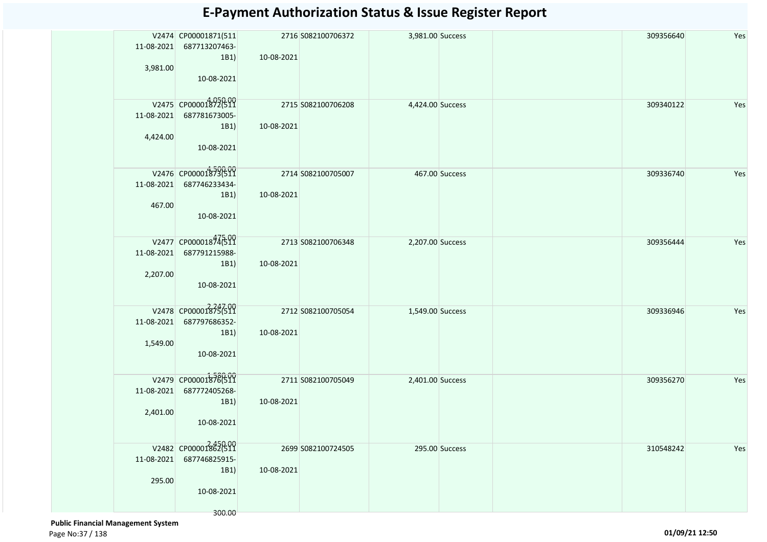| 11-08-2021 | V2474 CP00001871(511                 |            | 2716 S082100706372 | 3,981.00 Success |                | 309356640 | Yes |
|------------|--------------------------------------|------------|--------------------|------------------|----------------|-----------|-----|
|            | 687713207463-<br>1B1)                | 10-08-2021 |                    |                  |                |           |     |
| 3,981.00   |                                      |            |                    |                  |                |           |     |
|            | 10-08-2021                           |            |                    |                  |                |           |     |
|            | V2475 CP00001872(511                 |            | 2715 S082100706208 | 4,424.00 Success |                | 309340122 | Yes |
| 11-08-2021 | 687781673005-                        |            |                    |                  |                |           |     |
| 4,424.00   | 1B1)                                 | 10-08-2021 |                    |                  |                |           |     |
|            | 10-08-2021                           |            |                    |                  |                |           |     |
|            | V2476 CP00001873(511                 |            | 2714 S082100705007 |                  | 467.00 Success | 309336740 | Yes |
| 11-08-2021 | 687746233434-                        |            |                    |                  |                |           |     |
|            | $ 1B1\rangle$                        | 10-08-2021 |                    |                  |                |           |     |
| 467.00     | 10-08-2021                           |            |                    |                  |                |           |     |
|            |                                      |            |                    |                  |                |           |     |
| 11-08-2021 | V2477 CP00001874599<br>687791215988- |            | 2713 S082100706348 | 2,207.00 Success |                | 309356444 | Yes |
|            | 1B1)                                 | 10-08-2021 |                    |                  |                |           |     |
| 2,207.00   |                                      |            |                    |                  |                |           |     |
|            | 10-08-2021                           |            |                    |                  |                |           |     |
|            | V2478 CP00001875(511                 |            | 2712 S082100705054 | 1,549.00 Success |                | 309336946 | Yes |
| 11-08-2021 | 687797686352-                        |            |                    |                  |                |           |     |
| 1,549.00   | 1B1)                                 | 10-08-2021 |                    |                  |                |           |     |
|            | 10-08-2021                           |            |                    |                  |                |           |     |
|            | V2479 CP000018780511                 |            | 2711 S082100705049 | 2,401.00 Success |                | 309356270 | Yes |
| 11-08-2021 | 687772405268-                        |            |                    |                  |                |           |     |
|            | 1B1)                                 | 10-08-2021 |                    |                  |                |           |     |
| 2,401.00   | 10-08-2021                           |            |                    |                  |                |           |     |
|            |                                      |            |                    |                  |                |           |     |
|            | V2482 CP00001862(511                 |            | 2699 S082100724505 |                  | 295.00 Success | 310548242 | Yes |
| 11-08-2021 | 687746825915-                        |            |                    |                  |                |           |     |
| 295.00     | 1B1                                  | 10-08-2021 |                    |                  |                |           |     |
|            | 10-08-2021                           |            |                    |                  |                |           |     |
|            |                                      |            |                    |                  |                |           |     |
|            | 300.00                               |            |                    |                  |                |           |     |

 **Public Financial Management System**  Page No:37 / 138 **01/09/21 12:50**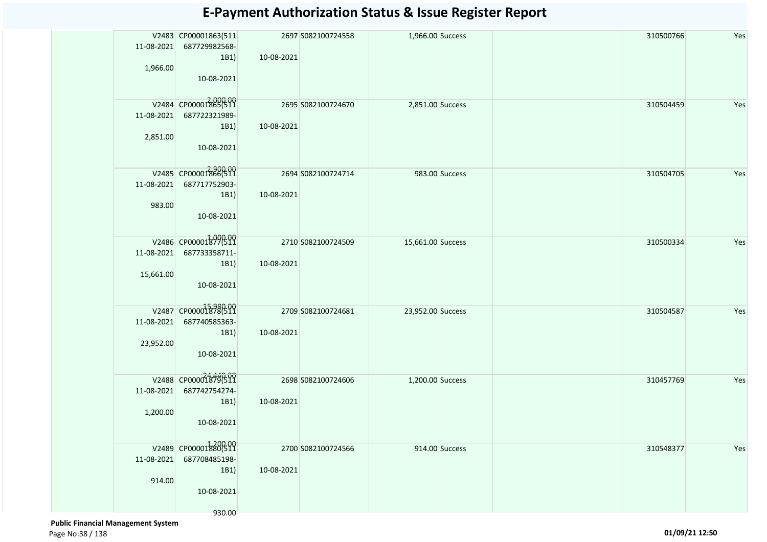| 11-08-2021<br>1,966.00  | V2483 CP00001863(511<br>687729982568-<br>1B1)<br>10-08-2021           | 10-08-2021 | 2697 S082100724558 | 1,966.00 Success  |                | 310500766 | Yes |
|-------------------------|-----------------------------------------------------------------------|------------|--------------------|-------------------|----------------|-----------|-----|
| 11-08-2021<br>2,851.00  | V2484 CP00001865(511<br>687722321989-<br>1B1)<br>10-08-2021           | 10-08-2021 | 2695 S082100724670 | 2,851.00 Success  |                | 310504459 | Yes |
| 11-08-2021<br>983.00    | V2485 CP00001866(511<br>687717752903-<br>1B1)<br>10-08-2021           | 10-08-2021 | 2694 S082100724714 |                   | 983.00 Success | 310504705 | Yes |
| 11-08-2021<br>15,661.00 | V2486 CP00001877(511<br>687733358711-<br>1B1)<br>10-08-2021           | 10-08-2021 | 2710 S082100724509 | 15,661.00 Success |                | 310500334 | Yes |
| 11-08-2021<br>23,952.00 | V2487 CP000018780511<br>687740585363-<br>1B1)<br>10-08-2021           | 10-08-2021 | 2709 S082100724681 | 23,952.00 Success |                | 310504587 | Yes |
| 11-08-2021<br>1,200.00  | V2488 CP000018796511<br>687742754274-<br>1B1)<br>10-08-2021           | 10-08-2021 | 2698 S082100724606 | 1,200.00 Success  |                | 310457769 | Yes |
| 11-08-2021<br>914.00    | V2489 CP00001880(511<br>687708485198-<br>1B1)<br>10-08-2021<br>930.00 | 10-08-2021 | 2700 S082100724566 |                   | 914.00 Success | 310548377 | Yes |

 **Public Financial Management System**  Page No:38 / 138 **01/09/21 12:50**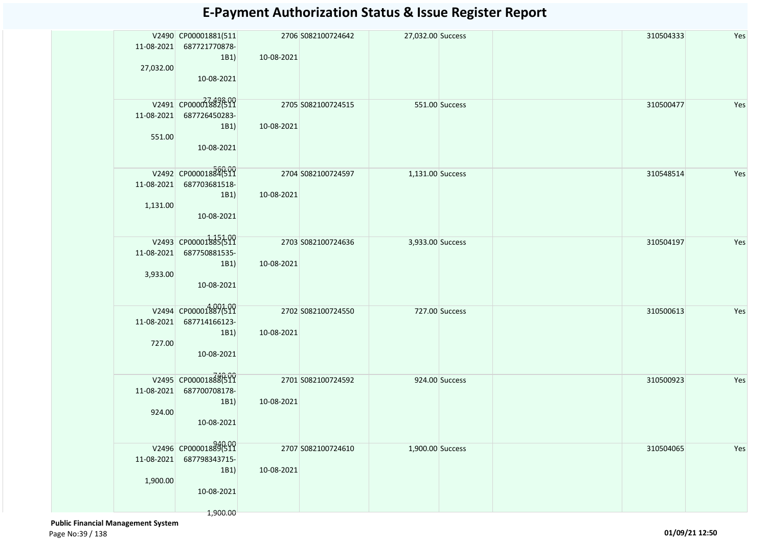| 11-08-2021                 | V2490 CP00001881(511<br>687721770878-                                  |            | 2706 S082100724642 | 27,032.00 Success |                | 310504333 | Yes |
|----------------------------|------------------------------------------------------------------------|------------|--------------------|-------------------|----------------|-----------|-----|
| 27,032.00                  | 1B1<br>10-08-2021                                                      | 10-08-2021 |                    |                   |                |           |     |
| 551.00                     | V2491 CP00001882699<br>11-08-2021 687726450283-<br>1B1)<br>10-08-2021  | 10-08-2021 | 2705 S082100724515 |                   | 551.00 Success | 310500477 | Yes |
| 11-08-2021<br>1,131.00     | V2492 CP00001884(511<br>687703681518-<br>$ 1B1\rangle$<br>10-08-2021   | 10-08-2021 | 2704 S082100724597 | 1,131.00 Success  |                | 310548514 | Yes |
| 11-08-2021<br>3,933.00     | V2493 CP00001885(511<br>687750881535-<br>1B1)<br>10-08-2021            | 10-08-2021 | 2703 S082100724636 | 3,933.00 Success  |                | 310504197 | Yes |
| $11 - 08 - 2021$<br>727.00 | V2494 CP00001887(511<br>687714166123-<br>1B1)<br>10-08-2021            | 10-08-2021 | 2702 S082100724550 |                   | 727.00 Success | 310500613 | Yes |
| 11-08-2021<br>924.00       | V2495 CP00001888(511<br>687700708178-<br>1B1)<br>10-08-2021            | 10-08-2021 | 2701 S082100724592 |                   | 924.00 Success | 310500923 | Yes |
| 11-08-2021<br>1,900.00     | V2496 CP00001889(511<br>687798343715-<br>1B1<br>10-08-2021<br>1,900.00 | 10-08-2021 | 2707 S082100724610 | 1,900.00 Success  |                | 310504065 | Yes |

 **Public Financial Management System**  Page No:39 / 138 **01/09/21 12:50**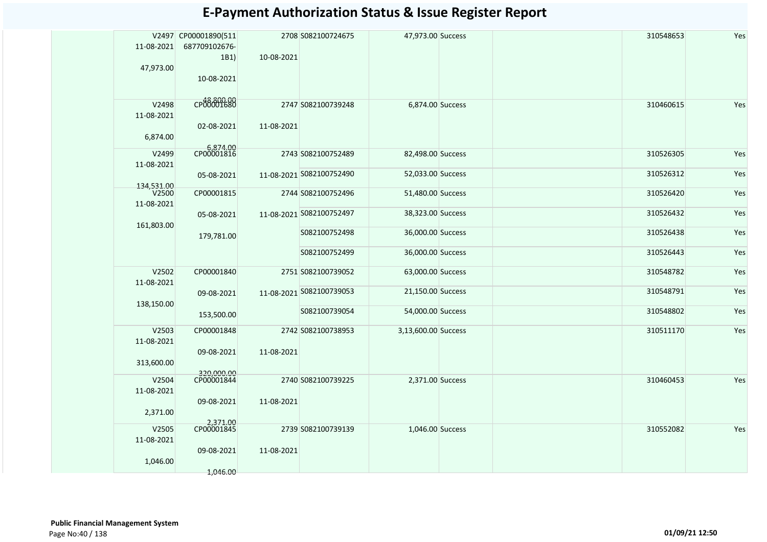| 11-08-2021<br>47,973.00         | V2497 CP00001890(511<br>687709102676-<br>1B1)<br>10-08-2021 | 10-08-2021 | 2708 S082100724675       | 47,973.00 Success   | 310548653 | Yes |
|---------------------------------|-------------------------------------------------------------|------------|--------------------------|---------------------|-----------|-----|
| V2498<br>11-08-2021<br>6,874.00 | CP00001680<br>02-08-2021                                    | 11-08-2021 | 2747 S082100739248       | 6,874.00 Success    | 310460615 | Yes |
| V2499<br>11-08-2021             | 6,874.00<br>CP00001816                                      |            | 2743 S082100752489       | 82,498.00 Success   | 310526305 | Yes |
| 134.531.00                      | 05-08-2021                                                  |            | 11-08-2021 5082100752490 | 52,033.00 Success   | 310526312 | Yes |
| V <sub>2500</sub><br>11-08-2021 | CP00001815                                                  |            | 2744 S082100752496       | 51,480.00 Success   | 310526420 | Yes |
| 161,803.00                      | 05-08-2021                                                  |            | 11-08-2021 S082100752497 | 38,323.00 Success   | 310526432 | Yes |
|                                 | 179,781.00                                                  |            | S082100752498            | 36,000.00 Success   | 310526438 | Yes |
|                                 |                                                             |            | S082100752499            | 36,000.00 Success   | 310526443 | Yes |
| V2502<br>11-08-2021             | CP00001840                                                  |            | 2751 S082100739052       | 63,000.00 Success   | 310548782 | Yes |
| 138,150.00                      | 09-08-2021                                                  |            | 11-08-2021 5082100739053 | 21,150.00 Success   | 310548791 | Yes |
|                                 | 153,500.00                                                  |            | S082100739054            | 54,000.00 Success   | 310548802 | Yes |
| V2503<br>11-08-2021             | CP00001848                                                  |            | 2742 S082100738953       | 3,13,600.00 Success | 310511170 | Yes |
| 313,600.00                      | 09-08-2021                                                  | 11-08-2021 |                          |                     |           |     |
| V2504<br>11-08-2021             | 320.000.00<br>CP00001844                                    |            | 2740 S082100739225       | 2,371.00 Success    | 310460453 | Yes |
| 2,371.00                        | 09-08-2021                                                  | 11-08-2021 |                          |                     |           |     |
| V2505<br>11-08-2021             | 2,371.00                                                    |            | 2739 S082100739139       | 1,046.00 Success    | 310552082 | Yes |
| 1,046.00                        | 09-08-2021<br>1,046.00                                      | 11-08-2021 |                          |                     |           |     |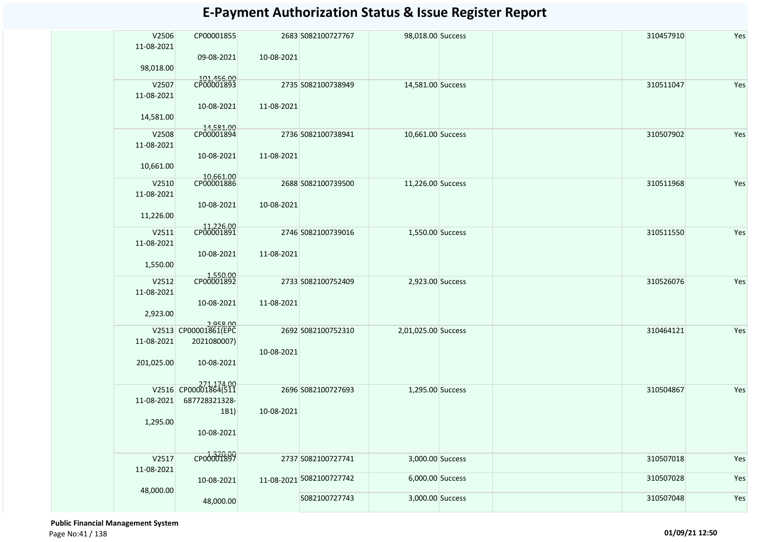| V2506<br>11-08-2021 | CP00001855                         |            | 2683 S082100727767       | 98,018.00 Success   |  | 310457910 | Yes |
|---------------------|------------------------------------|------------|--------------------------|---------------------|--|-----------|-----|
| 98,018.00           | 09-08-2021                         | 10-08-2021 |                          |                     |  |           |     |
| V2507               | 101,456.00<br>CP00001893           |            | 2735 S082100738949       | 14,581.00 Success   |  | 310511047 | Yes |
| 11-08-2021          | 10-08-2021                         | 11-08-2021 |                          |                     |  |           |     |
| 14,581.00           |                                    |            |                          |                     |  |           |     |
| V2508<br>11-08-2021 | 14,581.00<br>CP00001894            |            | 2736 S082100738941       | 10,661.00 Success   |  | 310507902 | Yes |
| 10,661.00           | 10-08-2021                         | 11-08-2021 |                          |                     |  |           |     |
| V2510<br>11-08-2021 | 10,661.00<br>CP00001886            |            | 2688 S082100739500       | 11,226.00 Success   |  | 310511968 | Yes |
| 11,226.00           | 10-08-2021                         | 10-08-2021 |                          |                     |  |           |     |
|                     | 11,226.00<br>CP00001891            |            |                          |                     |  |           |     |
| V2511<br>11-08-2021 |                                    |            | 2746 S082100739016       | 1,550.00 Success    |  | 310511550 | Yes |
| 1,550.00            | 10-08-2021                         | 11-08-2021 |                          |                     |  |           |     |
| V2512               | 1,550.00<br>CP00001892             |            | 2733 S082100752409       | 2,923.00 Success    |  | 310526076 | Yes |
| 11-08-2021          |                                    |            |                          |                     |  |           |     |
|                     | 10-08-2021                         | 11-08-2021 |                          |                     |  |           |     |
| 2,923.00            |                                    |            |                          |                     |  |           |     |
|                     | 2,958.00<br>V2513 CP00001861(EPC   |            |                          |                     |  |           |     |
|                     |                                    |            | 2692 S082100752310       | 2,01,025.00 Success |  | 310464121 | Yes |
| 11-08-2021          | 2021080007)                        | 10-08-2021 |                          |                     |  |           |     |
| 201,025.00          | 10-08-2021                         |            |                          |                     |  |           |     |
|                     | 271,174.00<br>V2516 CP00001864(511 |            | 2696 S082100727693       | 1,295.00 Success    |  | 310504867 | Yes |
| 11-08-2021          | 687728321328-                      |            |                          |                     |  |           |     |
|                     | 1B1)                               | 10-08-2021 |                          |                     |  |           |     |
| 1,295.00            |                                    |            |                          |                     |  |           |     |
|                     | 10-08-2021                         |            |                          |                     |  |           |     |
|                     |                                    |            |                          |                     |  |           |     |
| V2517<br>11-08-2021 | CP00001899                         |            | 2737 S082100727741       | 3,000.00 Success    |  | 310507018 | Yes |
|                     | 10-08-2021                         |            | 11-08-2021 5082100727742 | 6,000.00 Success    |  | 310507028 | Yes |
| 48,000.00           | 48,000.00                          |            | S082100727743            | 3,000.00 Success    |  | 310507048 | Yes |

 **Public Financial Management System**  Page No:41 / 138 **01/09/21 12:50**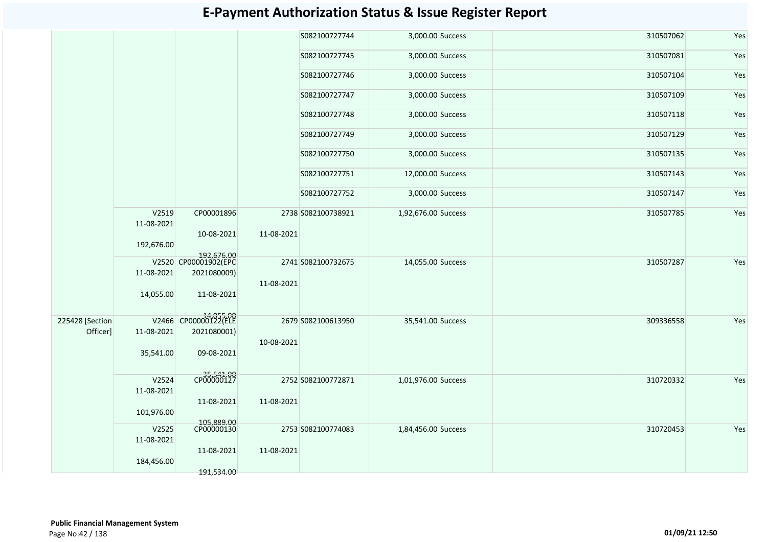|                 |                     |                                    |            | S082100727744      | 3,000.00 Success    |  | 310507062 | Yes |
|-----------------|---------------------|------------------------------------|------------|--------------------|---------------------|--|-----------|-----|
|                 |                     |                                    |            | S082100727745      | 3,000.00 Success    |  | 310507081 | Yes |
|                 |                     |                                    |            | S082100727746      | 3,000.00 Success    |  | 310507104 | Yes |
|                 |                     |                                    |            | S082100727747      | 3,000.00 Success    |  | 310507109 | Yes |
|                 |                     |                                    |            | S082100727748      | 3,000.00 Success    |  | 310507118 | Yes |
|                 |                     |                                    |            | S082100727749      | 3,000.00 Success    |  | 310507129 | Yes |
|                 |                     |                                    |            | S082100727750      | 3,000.00 Success    |  | 310507135 | Yes |
|                 |                     |                                    |            | S082100727751      | 12,000.00 Success   |  | 310507143 | Yes |
|                 |                     |                                    |            | S082100727752      | 3,000.00 Success    |  | 310507147 | Yes |
|                 | V2519<br>11-08-2021 | CP00001896                         |            | 2738 S082100738921 | 1,92,676.00 Success |  | 310507785 | Yes |
|                 | 192,676.00          | 10-08-2021                         | 11-08-2021 |                    |                     |  |           |     |
|                 |                     |                                    |            |                    |                     |  |           |     |
|                 |                     | 192,676.00<br>V2520 CP00001902(EPC |            | 2741 S082100732675 | 14,055.00 Success   |  | 310507287 | Yes |
|                 | 11-08-2021          | 2021080009)                        |            |                    |                     |  |           |     |
|                 |                     |                                    | 11-08-2021 |                    |                     |  |           |     |
|                 | 14,055.00           | 11-08-2021                         |            |                    |                     |  |           |     |
|                 |                     |                                    |            |                    |                     |  |           |     |
| 225428 [Section |                     | V2466 CP00000122(ELE               |            | 2679 S082100613950 | 35,541.00 Success   |  | 309336558 | Yes |
| Officer]        | 11-08-2021          | 2021080001)                        |            |                    |                     |  |           |     |
|                 |                     |                                    | 10-08-2021 |                    |                     |  |           |     |
|                 | 35,541.00           | 09-08-2021                         |            |                    |                     |  |           |     |
|                 |                     |                                    |            |                    |                     |  |           |     |
|                 | V2524               | CP00000127                         |            | 2752 S082100772871 |                     |  |           |     |
|                 | 11-08-2021          |                                    |            |                    | 1,01,976.00 Success |  | 310720332 | Yes |
|                 |                     | 11-08-2021                         | 11-08-2021 |                    |                     |  |           |     |
|                 | 101,976.00          |                                    |            |                    |                     |  |           |     |
|                 |                     |                                    |            |                    |                     |  |           |     |
|                 | V2525               | 105,889.00<br>CP00000130           |            | 2753 S082100774083 | 1,84,456.00 Success |  | 310720453 | Yes |
|                 | 11-08-2021          |                                    |            |                    |                     |  |           |     |
|                 |                     | 11-08-2021                         | 11-08-2021 |                    |                     |  |           |     |
|                 | 184,456.00          |                                    |            |                    |                     |  |           |     |
|                 |                     | 191,534.00                         |            |                    |                     |  |           |     |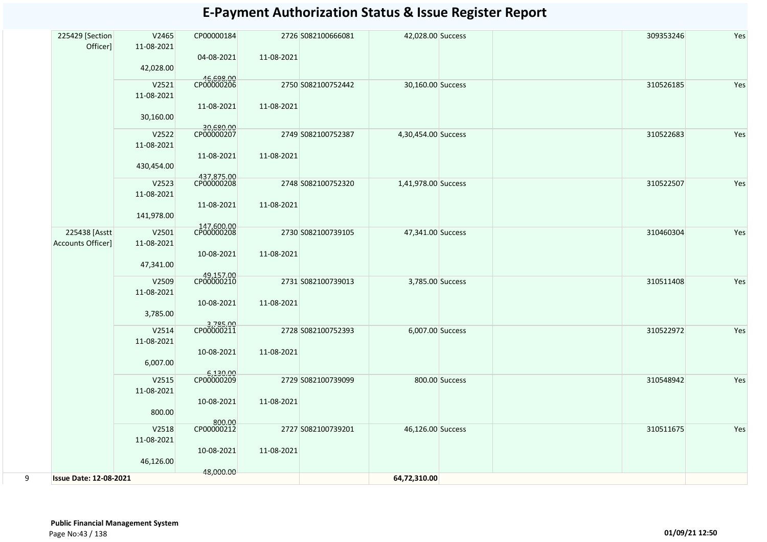|   | 225429 [Section<br>Officer]               | V2465<br>11-08-2021<br>42,028.00  | CP00000184<br>04-08-2021               | 11-08-2021 | 2726 S082100666081 | 42,028.00 Success   |                | 309353246 | Yes |
|---|-------------------------------------------|-----------------------------------|----------------------------------------|------------|--------------------|---------------------|----------------|-----------|-----|
|   |                                           | V2521<br>11-08-2021<br>30,160.00  | 46,698.00<br>CP00000206<br>11-08-2021  | 11-08-2021 | 2750 S082100752442 | 30,160.00 Success   |                | 310526185 | Yes |
|   |                                           | V2522<br>11-08-2021<br>430,454.00 | 30,680.00<br>CP00000207<br>11-08-2021  | 11-08-2021 | 2749 S082100752387 | 4,30,454.00 Success |                | 310522683 | Yes |
|   |                                           | V2523<br>11-08-2021<br>141,978.00 | 437,875.00<br>CP00000208<br>11-08-2021 | 11-08-2021 | 2748 S082100752320 | 1,41,978.00 Success |                | 310522507 | Yes |
|   | 225438 [Asstt<br><b>Accounts Officer]</b> | V2501<br>11-08-2021<br>47,341.00  | 147,600.00<br>CP00000208<br>10-08-2021 | 11-08-2021 | 2730 S082100739105 | 47,341.00 Success   |                | 310460304 | Yes |
|   |                                           | V2509<br>11-08-2021<br>3,785.00   | 49,157.00<br>CP00000210<br>10-08-2021  | 11-08-2021 | 2731 S082100739013 | 3,785.00 Success    |                | 310511408 | Yes |
|   |                                           | V2514<br>11-08-2021<br>6,007.00   | 3,785.00<br>CP00000211<br>10-08-2021   | 11-08-2021 | 2728 S082100752393 | 6,007.00 Success    |                | 310522972 | Yes |
|   |                                           | V2515<br>11-08-2021<br>800.00     | 6,130.00<br>CP00000209<br>10-08-2021   | 11-08-2021 | 2729 S082100739099 |                     | 800.00 Success | 310548942 | Yes |
|   |                                           | V2518<br>11-08-2021<br>46,126.00  | 800.00<br>CP00000212<br>10-08-2021     | 11-08-2021 | 2727 S082100739201 | 46,126.00 Success   |                | 310511675 | Yes |
| 9 | <b>Issue Date: 12-08-2021</b>             |                                   | 48,000.00                              |            |                    | 64,72,310.00        |                |           |     |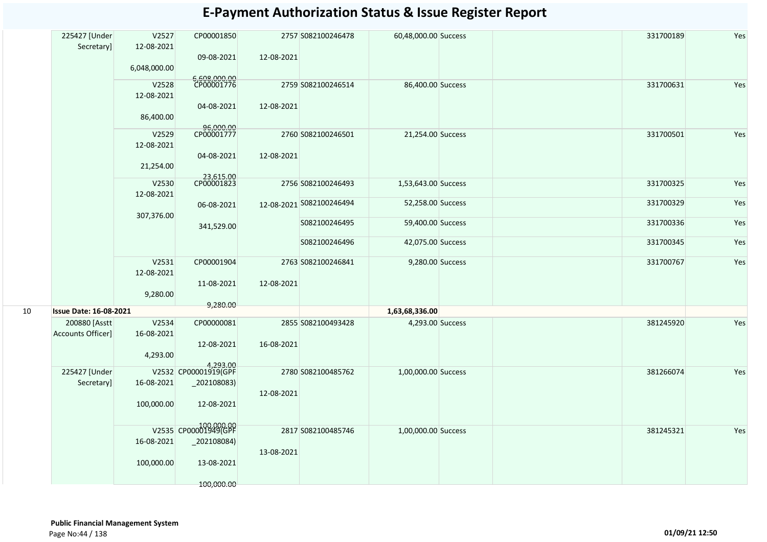|    | 225427 [Under<br>Secretary]        | V2527<br>12-08-2021<br>6,048,000.00 | CP00001850<br>09-08-2021                                            | 12-08-2021 | 2757 S082100246478       | 60,48,000.00 Success |  | 331700189 | Yes |
|----|------------------------------------|-------------------------------------|---------------------------------------------------------------------|------------|--------------------------|----------------------|--|-----------|-----|
|    |                                    | V2528<br>12-08-2021<br>86,400.00    | 6,608,000.00<br>CP00001776<br>04-08-2021                            | 12-08-2021 | 2759 S082100246514       | 86,400.00 Success    |  | 331700631 | Yes |
|    |                                    | V2529<br>12-08-2021<br>21,254.00    | 96,000.00<br>CP00001777<br>04-08-2021                               | 12-08-2021 | 2760 S082100246501       | 21,254.00 Success    |  | 331700501 | Yes |
|    |                                    | V2530<br>12-08-2021                 | 23,615.00<br>CP00001823                                             |            | 2756 S082100246493       | 1,53,643.00 Success  |  | 331700325 | Yes |
|    |                                    | 307,376.00                          | 06-08-2021                                                          |            | 12-08-2021 S082100246494 | 52,258.00 Success    |  | 331700329 | Yes |
|    |                                    |                                     | 341,529.00                                                          |            | S082100246495            | 59,400.00 Success    |  | 331700336 | Yes |
|    |                                    |                                     |                                                                     |            | S082100246496            | 42,075.00 Success    |  | 331700345 | Yes |
|    |                                    | V2531<br>12-08-2021<br>9,280.00     | CP00001904<br>11-08-2021<br>9,280.00                                | 12-08-2021 | 2763 S082100246841       | 9,280.00 Success     |  | 331700767 | Yes |
| 10 | <b>Issue Date: 16-08-2021</b>      |                                     |                                                                     |            |                          | 1,63,68,336.00       |  |           |     |
|    | 200880 [Asstt<br>Accounts Officer] | V2534<br>16-08-2021<br>4,293.00     | CP00000081<br>12-08-2021                                            | 16-08-2021 | 2855 S082100493428       | 4,293.00 Success     |  | 381245920 | Yes |
|    | 225427 [Under<br>Secretary]        | 16-08-2021<br>100,000.00            | 4,293.00<br>V2532 CP00001919(GPF<br>$_2$ 02108083)<br>12-08-2021    | 12-08-2021 | 2780 S082100485762       | 1,00,000.00 Success  |  | 381266074 | Yes |
|    |                                    | 16-08-2021<br>100,000.00            | V2535 CP00001949(GPF<br>$_2$ 202108084)<br>13-08-2021<br>100,000.00 | 13-08-2021 | 2817 S082100485746       | 1,00,000.00 Success  |  | 381245321 | Yes |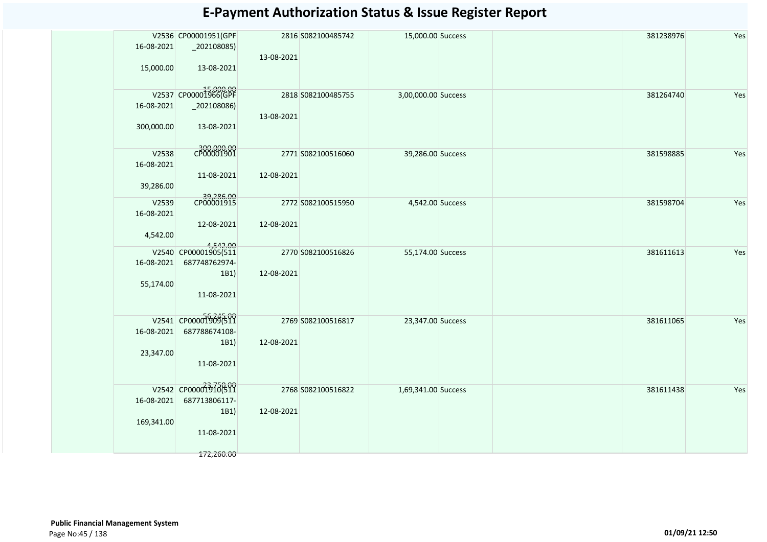| 16-08-2021<br>15,000.00          | V2536 CP00001951(GPF<br>$_2$ 202108085)<br>13-08-2021                    | 13-08-2021 | 2816 S082100485742 | 15,000.00 Success   | 381238976 | Yes |
|----------------------------------|--------------------------------------------------------------------------|------------|--------------------|---------------------|-----------|-----|
| 16-08-2021<br>300,000.00         | V2537 CP00001966(GPF<br>$_2$ 02108086)<br>13-08-2021                     | 13-08-2021 | 2818 S082100485755 | 3,00,000.00 Success | 381264740 | Yes |
| V2538<br>16-08-2021<br>39,286.00 | 300,000.00<br>11-08-2021                                                 | 12-08-2021 | 2771 S082100516060 | 39,286.00 Success   | 381598885 | Yes |
| V2539<br>16-08-2021<br>4,542.00  | 39,286.00<br>CP00001915<br>12-08-2021                                    | 12-08-2021 | 2772 S082100515950 | 4,542.00 Success    | 381598704 | Yes |
| 16-08-2021<br>55,174.00          | 4,542.00<br>V2540 CP00001905(511<br>687748762974-<br>1B1)<br>11-08-2021  | 12-08-2021 | 2770 S082100516826 | 55,174.00 Success   | 381611613 | Yes |
| 16-08-2021<br>23,347.00          | V2541 CP000019096511<br>687788674108-<br>1B1)<br>11-08-2021              | 12-08-2021 | 2769 S082100516817 | 23,347.00 Success   | 381611065 | Yes |
| 16-08-2021<br>169,341.00         | V2542 CP00001318899<br>687713806117-<br>1B1)<br>11-08-2021<br>172,260.00 | 12-08-2021 | 2768 S082100516822 | 1,69,341.00 Success | 381611438 | Yes |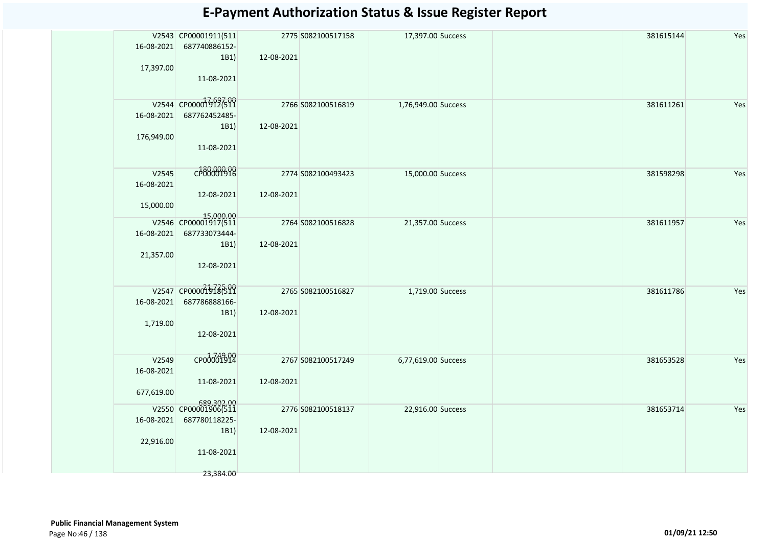|            | V2543 CP00001911(511              |            | 2775 S082100517158 | 17,397.00 Success   |  | 381615144 | Yes |
|------------|-----------------------------------|------------|--------------------|---------------------|--|-----------|-----|
| 16-08-2021 | 687740886152-                     |            |                    |                     |  |           |     |
|            | 1B1)                              | 12-08-2021 |                    |                     |  |           |     |
| 17,397.00  |                                   |            |                    |                     |  |           |     |
|            | 11-08-2021                        |            |                    |                     |  |           |     |
|            |                                   |            |                    |                     |  |           |     |
|            | V2544 CP00001912(511              |            | 2766 S082100516819 | 1,76,949.00 Success |  | 381611261 | Yes |
| 16-08-2021 | 687762452485-                     |            |                    |                     |  |           |     |
|            | 1B1)                              | 12-08-2021 |                    |                     |  |           |     |
| 176,949.00 |                                   |            |                    |                     |  |           |     |
|            | 11-08-2021                        |            |                    |                     |  |           |     |
|            |                                   |            |                    |                     |  |           |     |
| V2545      | c <sup>180,000,00</sup>           |            | 2774 S082100493423 | 15,000.00 Success   |  | 381598298 | Yes |
| 16-08-2021 |                                   |            |                    |                     |  |           |     |
|            | 12-08-2021                        | 12-08-2021 |                    |                     |  |           |     |
| 15,000.00  |                                   |            |                    |                     |  |           |     |
|            | 15,000.00<br>V2546 CP00001917(511 |            | 2764 S082100516828 | 21,357.00 Success   |  | 381611957 | Yes |
| 16-08-2021 | 687733073444-                     |            |                    |                     |  |           |     |
|            | 1B1)                              | 12-08-2021 |                    |                     |  |           |     |
| 21,357.00  |                                   |            |                    |                     |  |           |     |
|            | 12-08-2021                        |            |                    |                     |  |           |     |
|            |                                   |            |                    |                     |  |           |     |
|            | V2547 CP00001918699               |            | 2765 S082100516827 | 1,719.00 Success    |  | 381611786 | Yes |
| 16-08-2021 | 687786888166-                     |            |                    |                     |  |           |     |
|            | 1B1)                              | 12-08-2021 |                    |                     |  |           |     |
| 1,719.00   | 12-08-2021                        |            |                    |                     |  |           |     |
|            |                                   |            |                    |                     |  |           |     |
| V2549      | CP00001914                        |            | 2767 S082100517249 |                     |  | 381653528 | Yes |
| 16-08-2021 |                                   |            |                    | 6,77,619.00 Success |  |           |     |
|            | 11-08-2021                        | 12-08-2021 |                    |                     |  |           |     |
| 677,619.00 |                                   |            |                    |                     |  |           |     |
|            | 689,302.00                        |            |                    |                     |  |           |     |
|            |                                   |            | 2776 S082100518137 | 22,916.00 Success   |  | 381653714 | Yes |
| 16-08-2021 | 687780118225-                     | 12-08-2021 |                    |                     |  |           |     |
| 22,916.00  | 1B1)                              |            |                    |                     |  |           |     |
|            | 11-08-2021                        |            |                    |                     |  |           |     |
|            |                                   |            |                    |                     |  |           |     |
|            | 23,384.00                         |            |                    |                     |  |           |     |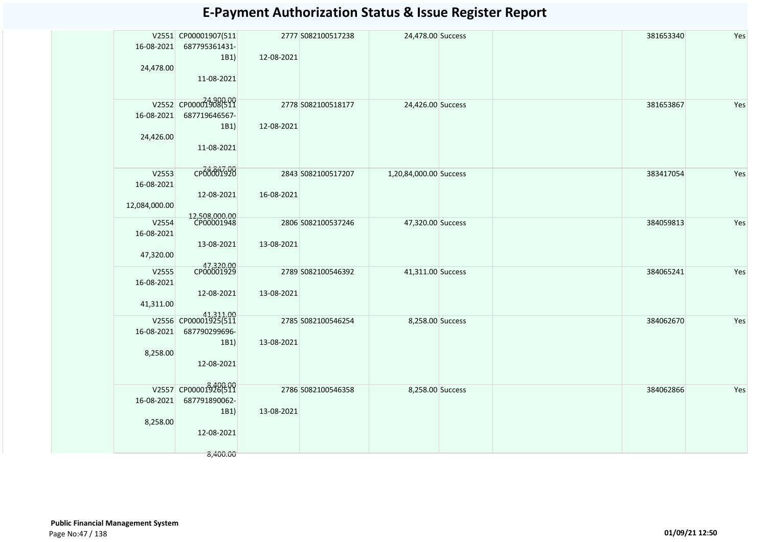| 16-08-2021<br>24,478.00 | V2551 CP00001907(511<br>687795361431-<br>1B1) | 12-08-2021 | 2777 S082100517238 | 24,478.00 Success      |  | 381653340 | Yes |
|-------------------------|-----------------------------------------------|------------|--------------------|------------------------|--|-----------|-----|
|                         | 11-08-2021<br>V2552 CP00001908(511            |            |                    |                        |  |           |     |
| 16-08-2021              | 687719646567-<br>1B1)                         | 12-08-2021 | 2778 S082100518177 | 24,426.00 Success      |  | 381653867 | Yes |
| 24,426.00               | 11-08-2021                                    |            |                    |                        |  |           |     |
| V2553<br>16-08-2021     | CP00001920                                    |            | 2843 S082100517207 | 1,20,84,000.00 Success |  | 383417054 | Yes |
| 12,084,000.00           | 12-08-2021<br>12,508,000.00<br>CP00001948     | 16-08-2021 |                    |                        |  |           |     |
| V2554<br>16-08-2021     | 13-08-2021                                    | 13-08-2021 | 2806 S082100537246 | 47,320.00 Success      |  | 384059813 | Yes |
| 47,320.00<br>V2555      | 47,320.00<br>CP00001929                       |            | 2789 S082100546392 | 41,311.00 Success      |  | 384065241 | Yes |
| 16-08-2021<br>41,311.00 | 12-08-2021                                    | 13-08-2021 |                    |                        |  |           |     |
| 16-08-2021              | 41,311.00<br>687790299696-                    |            | 2785 S082100546254 | 8,258.00 Success       |  | 384062670 | Yes |
| 8,258.00                | 1B1)<br>12-08-2021                            | 13-08-2021 |                    |                        |  |           |     |
| 16-08-2021              | V2557 CP00001928(511<br>687791890062-<br>1B1) | 13-08-2021 | 2786 S082100546358 | 8,258.00 Success       |  | 384062866 | Yes |
| 8,258.00                | 12-08-2021                                    |            |                    |                        |  |           |     |
|                         | 8,400.00                                      |            |                    |                        |  |           |     |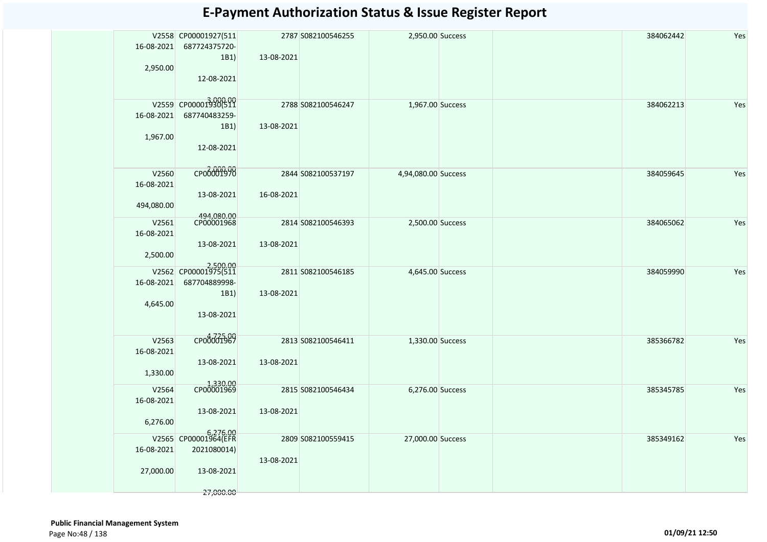| 16-08-2021<br>2,950.00            | V2558 CP00001927(511<br>687724375720-<br>1B1)<br>12-08-2021                | 13-08-2021 | 2787 S082100546255 | 2,950.00 Success    | 384062442 | Yes |
|-----------------------------------|----------------------------------------------------------------------------|------------|--------------------|---------------------|-----------|-----|
| 16-08-2021<br>1,967.00            | V2559 CP000013000591<br>687740483259-<br>1B1)<br>12-08-2021                | 13-08-2021 | 2788 S082100546247 | 1,967.00 Success    | 384062213 | Yes |
| V2560<br>16-08-2021<br>494,080.00 | CP00001970<br>13-08-2021                                                   | 16-08-2021 | 2844 S082100537197 | 4,94,080.00 Success | 384059645 | Yes |
| V2561<br>16-08-2021<br>2,500.00   | 494,080.00<br>CP00001968<br>13-08-2021                                     | 13-08-2021 | 2814 S082100546393 | 2,500.00 Success    | 384065062 | Yes |
| 16-08-2021<br>4,645.00            | 2,500.00<br>V2562 CP00001975(511<br>687704889998-<br>1B1)<br>13-08-2021    | 13-08-2021 | 2811 S082100546185 | 4,645.00 Success    | 384059990 | Yes |
| V2563<br>16-08-2021<br>1,330.00   | сробобт989<br>13-08-2021                                                   | 13-08-2021 | 2813 S082100546411 | 1,330.00 Success    | 385366782 | Yes |
| V2564<br>16-08-2021<br>6,276.00   | 1,330.00<br>13-08-2021                                                     | 13-08-2021 | 2815 S082100546434 | 6,276.00 Success    | 385345785 | Yes |
| 16-08-2021<br>27,000.00           | 6,276.00<br>V2565 CP00001964(EFR<br>2021080014)<br>13-08-2021<br>27,000.00 | 13-08-2021 | 2809 S082100559415 | 27,000.00 Success   | 385349162 | Yes |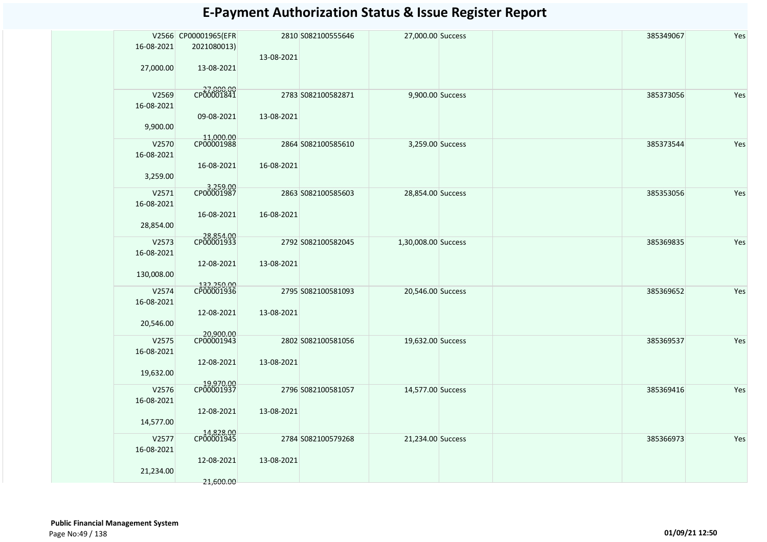| 16-08-2021<br>27,000.00           | V2566 CP00001965(EFR<br>2021080013)<br>13-08-2021  | 13-08-2021 | 2810 S082100555646 | 27,000.00 Success   | 385349067 | Yes |
|-----------------------------------|----------------------------------------------------|------------|--------------------|---------------------|-----------|-----|
| V2569<br>16-08-2021<br>9,900.00   | CP0000000<br>09-08-2021                            | 13-08-2021 | 2783 S082100582871 | 9,900.00 Success    | 385373056 | Yes |
| V2570<br>16-08-2021<br>3,259.00   | 11,000.00<br>CP00001988<br>16-08-2021              | 16-08-2021 | 2864 S082100585610 | 3,259.00 Success    | 385373544 | Yes |
| V2571<br>16-08-2021<br>28,854.00  | 3,259.00<br>CP00001987<br>16-08-2021               | 16-08-2021 | 2863 S082100585603 | 28,854.00 Success   | 385353056 | Yes |
| V2573<br>16-08-2021<br>130,008.00 | 28,854.00<br>CP00001933<br>12-08-2021              | 13-08-2021 | 2792 S082100582045 | 1,30,008.00 Success | 385369835 | Yes |
| V2574<br>16-08-2021<br>20,546.00  | 132,250.00<br>CP00001936<br>12-08-2021             | 13-08-2021 | 2795 S082100581093 | 20,546.00 Success   | 385369652 | Yes |
| V2575<br>16-08-2021<br>19,632.00  | 20,900.00<br>CP00001943<br>12-08-2021              | 13-08-2021 | 2802 S082100581056 | 19,632.00 Success   | 385369537 | Yes |
| V2576<br>16-08-2021<br>14,577.00  | 19,970.00<br>CP00001937<br>12-08-2021              | 13-08-2021 | 2796 S082100581057 | 14,577.00 Success   | 385369416 | Yes |
| V2577<br>16-08-2021<br>21,234.00  | 14,828.00<br>CP00001945<br>12-08-2021<br>21,600.00 | 13-08-2021 | 2784 S082100579268 | 21,234.00 Success   | 385366973 | Yes |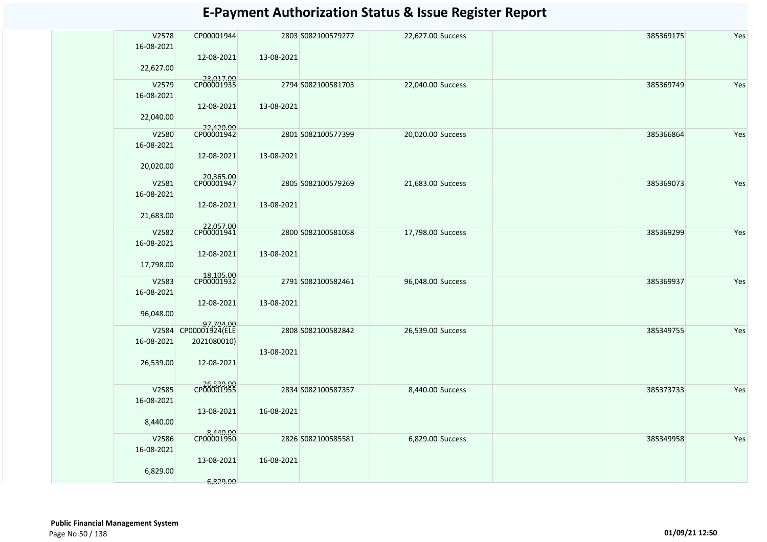| V2578<br>16-08-2021<br>22,627.00 | CP00001944<br>12-08-2021                                       | 13-08-2021 | 2803 S082100579277 | 22,627.00 Success | 385369175 | Yes |
|----------------------------------|----------------------------------------------------------------|------------|--------------------|-------------------|-----------|-----|
| V2579<br>16-08-2021<br>22,040.00 | 23,017.00<br>12-08-2021                                        | 13-08-2021 | 2794 S082100581703 | 22,040.00 Success | 385369749 | Yes |
| V2580<br>16-08-2021<br>20,020.00 | 22,420.00<br>CP00001942<br>12-08-2021                          | 13-08-2021 | 2801 S082100577399 | 20,020.00 Success | 385366864 | Yes |
| V2581<br>16-08-2021<br>21,683.00 | 20,365.00<br>CP00001947<br>12-08-2021                          | 13-08-2021 | 2805 S082100579269 | 21,683.00 Success | 385369073 | Yes |
| V2582<br>16-08-2021<br>17,798.00 | 22,057.00<br>CP00001941<br>12-08-2021                          | 13-08-2021 | 2800 S082100581058 | 17,798.00 Success | 385369299 | Yes |
| V2583<br>16-08-2021<br>96,048.00 | 18,105.00<br>CP00001932<br>12-08-2021                          | 13-08-2021 | 2791 S082100582461 | 96,048.00 Success | 385369937 | Yes |
| 16-08-2021<br>26,539.00          | 97,704.00<br>V2584 CP00001924(ELE<br>2021080010)<br>12-08-2021 | 13-08-2021 | 2808 S082100582842 | 26,539.00 Success | 385349755 | Yes |
| V2585<br>16-08-2021<br>8,440.00  | CP00001955<br>13-08-2021                                       | 16-08-2021 | 2834 S082100587357 | 8,440.00 Success  | 385373733 | Yes |
| V2586<br>16-08-2021<br>6,829.00  | 8,440.00<br>CP00001950<br>13-08-2021<br>6,829.00               | 16-08-2021 | 2826 S082100585581 | 6,829.00 Success  | 385349958 | Yes |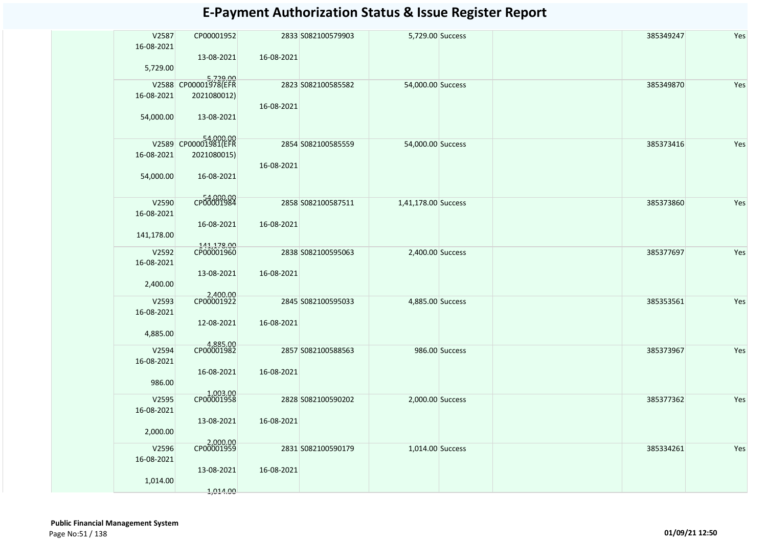| V2587<br>16-08-2021 | CP00001952               |            | 2833 S082100579903 | 5,729.00 Success    |                | 385349247 | Yes |
|---------------------|--------------------------|------------|--------------------|---------------------|----------------|-----------|-----|
| 5,729.00            | 13-08-2021               | 16-08-2021 |                    |                     |                |           |     |
|                     | 5,729.00                 |            | 2823 S082100585582 | 54,000.00 Success   |                | 385349870 | Yes |
| 16-08-2021          | 2021080012)              | 16-08-2021 |                    |                     |                |           |     |
| 54,000.00           | 13-08-2021               |            |                    |                     |                |           |     |
|                     | V2589 CP00001981(EFR     |            | 2854 S082100585559 | 54,000.00 Success   |                | 385373416 | Yes |
| 16-08-2021          | 2021080015)              | 16-08-2021 |                    |                     |                |           |     |
| 54,000.00           | 16-08-2021               |            |                    |                     |                |           |     |
| V2590               | CP00001984               |            | 2858 S082100587511 | 1,41,178.00 Success |                | 385373860 | Yes |
| 16-08-2021          |                          |            |                    |                     |                |           |     |
|                     | 16-08-2021               | 16-08-2021 |                    |                     |                |           |     |
| 141,178.00          |                          |            |                    |                     |                |           |     |
|                     |                          |            |                    |                     |                |           |     |
| V2592               | 141,178.00<br>CP00001960 |            | 2838 S082100595063 | 2,400.00 Success    |                | 385377697 | Yes |
| 16-08-2021          |                          |            |                    |                     |                |           |     |
| 2,400.00            | 13-08-2021               | 16-08-2021 |                    |                     |                |           |     |
| V2593               | 2,400.00<br>CP00001922   |            | 2845 S082100595033 | 4,885.00 Success    |                | 385353561 | Yes |
| 16-08-2021          |                          |            |                    |                     |                |           |     |
|                     | 12-08-2021               | 16-08-2021 |                    |                     |                |           |     |
| 4,885.00            |                          |            |                    |                     |                |           |     |
| V2594               | 4,885.00<br>CP00001982   |            | 2857 S082100588563 |                     | 986.00 Success | 385373967 | Yes |
| 16-08-2021          |                          |            |                    |                     |                |           |     |
|                     | 16-08-2021               | 16-08-2021 |                    |                     |                |           |     |
| 986.00              |                          |            |                    |                     |                |           |     |
|                     | 1,003.00<br>CP00001958   |            |                    |                     |                |           |     |
| V2595               |                          |            | 2828 S082100590202 | 2,000.00 Success    |                | 385377362 | Yes |
| 16-08-2021          |                          |            |                    |                     |                |           |     |
|                     | 13-08-2021               | 16-08-2021 |                    |                     |                |           |     |
| 2,000.00            |                          |            |                    |                     |                |           |     |
| V2596               | 2,000.00                 |            | 2831 S082100590179 | 1,014.00 Success    |                | 385334261 | Yes |
| 16-08-2021          |                          |            |                    |                     |                |           |     |
|                     | 13-08-2021               | 16-08-2021 |                    |                     |                |           |     |
| 1,014.00            |                          |            |                    |                     |                |           |     |
|                     | 1,014.00                 |            |                    |                     |                |           |     |
|                     |                          |            |                    |                     |                |           |     |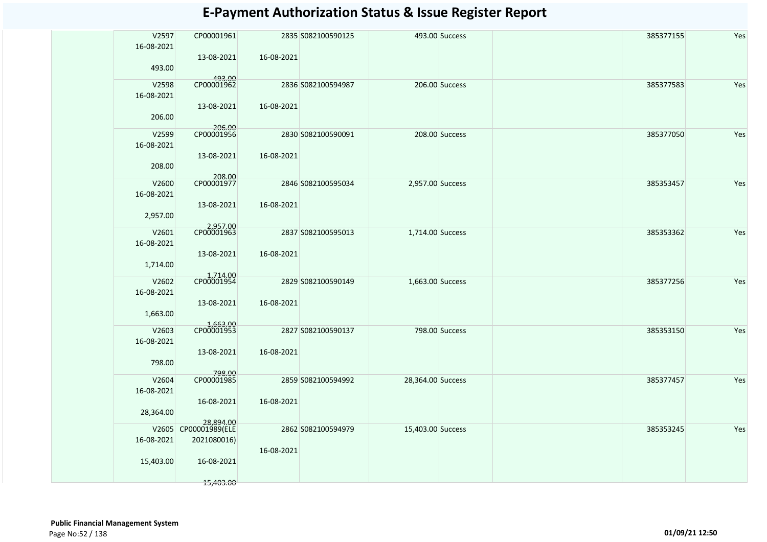| V2597<br>16-08-2021 | CP00001961                         |            | 2835 S082100590125 |                   | 493.00 Success | 385377155 | Yes |
|---------------------|------------------------------------|------------|--------------------|-------------------|----------------|-----------|-----|
| 493.00              | 13-08-2021                         | 16-08-2021 |                    |                   |                |           |     |
| V2598<br>16-08-2021 | 493.00<br>CP00001962               |            | 2836 S082100594987 |                   | 206.00 Success | 385377583 | Yes |
| 206.00              | 13-08-2021                         | 16-08-2021 |                    |                   |                |           |     |
| V2599<br>16-08-2021 | 206.00<br>CP00001956<br>13-08-2021 | 16-08-2021 | 2830 S082100590091 |                   | 208.00 Success | 385377050 | Yes |
| 208.00              | 208.00<br>CP00001977               |            |                    |                   |                |           |     |
| V2600<br>16-08-2021 | 13-08-2021                         | 16-08-2021 | 2846 S082100595034 | 2,957.00 Success  |                | 385353457 | Yes |
| 2,957.00            | 2,957.00<br>CP00001963             |            |                    |                   |                |           |     |
| V2601<br>16-08-2021 | 13-08-2021                         | 16-08-2021 | 2837 S082100595013 | 1,714.00 Success  |                | 385353362 | Yes |
| 1,714.00            | 1,714.00<br>CP00001954             |            |                    |                   |                |           |     |
| V2602<br>16-08-2021 | 13-08-2021                         | 16-08-2021 | 2829 S082100590149 | 1,663.00 Success  |                | 385377256 | Yes |
| 1,663.00            | 1,663.00<br>CP00001953             |            |                    |                   |                |           |     |
| V2603<br>16-08-2021 | 13-08-2021                         | 16-08-2021 | 2827 S082100590137 |                   | 798.00 Success | 385353150 | Yes |
| 798.00              | 798.00<br>CP00001985               |            |                    |                   |                |           |     |
| V2604<br>16-08-2021 | 16-08-2021                         | 16-08-2021 | 2859 S082100594992 | 28,364.00 Success |                | 385377457 | Yes |
| 28,364.00           | 28,894.00<br>CP00001989(ELE        |            |                    |                   |                |           |     |
| V2605<br>16-08-2021 | 2021080016)                        | 16-08-2021 | 2862 S082100594979 | 15,403.00 Success |                | 385353245 | Yes |
| 15,403.00           | 16-08-2021                         |            |                    |                   |                |           |     |
|                     | 15,403.00                          |            |                    |                   |                |           |     |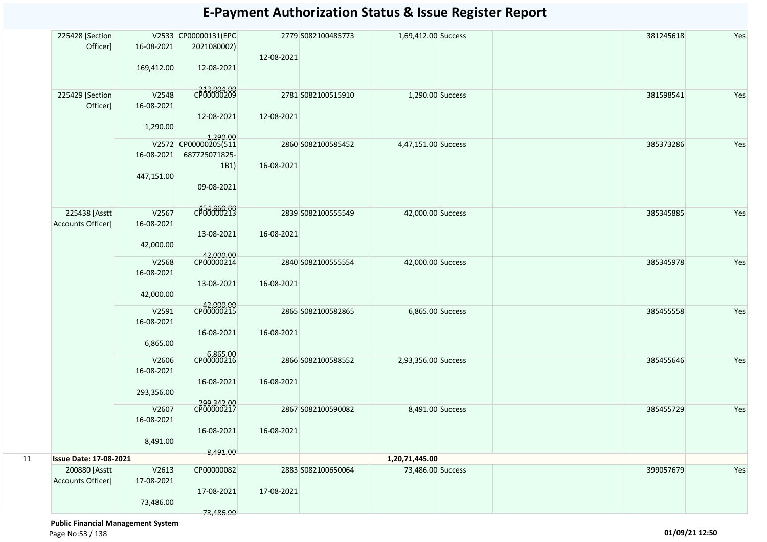|    | 225428 [Section<br>Officer]   | 16-08-2021 | V2533 CP00000131(EPC<br>2021080002) | 12-08-2021 | 2779 S082100485773 | 1,69,412.00 Success |  | 381245618 | Yes |
|----|-------------------------------|------------|-------------------------------------|------------|--------------------|---------------------|--|-----------|-----|
|    |                               | 169,412.00 | 12-08-2021                          |            |                    |                     |  |           |     |
|    | 225429 [Section               | V2548      | CP00000209                          |            | 2781 S082100515910 | 1,290.00 Success    |  | 381598541 | Yes |
|    | Officer]                      | 16-08-2021 | 12-08-2021                          | 12-08-2021 |                    |                     |  |           |     |
|    |                               | 1,290.00   |                                     |            |                    |                     |  |           |     |
|    |                               |            | 1,290.00<br>V2572 CP00000205(511    |            | 2860 S082100585452 | 4,47,151.00 Success |  | 385373286 | Yes |
|    |                               | 16-08-2021 | 687725071825-                       | 16-08-2021 |                    |                     |  |           |     |
|    |                               | 447,151.00 | 1B1)                                |            |                    |                     |  |           |     |
|    |                               |            | 09-08-2021                          |            |                    |                     |  |           |     |
|    | 225438 [Asstt                 | V2567      | CP00000213                          |            | 2839 S082100555549 | 42,000.00 Success   |  | 385345885 | Yes |
|    | Accounts Officer]             | 16-08-2021 |                                     |            |                    |                     |  |           |     |
|    |                               | 42,000.00  | 13-08-2021                          | 16-08-2021 |                    |                     |  |           |     |
|    |                               | V2568      | 42,000.00<br>CP00000214             |            | 2840 S082100555554 | 42,000.00 Success   |  | 385345978 | Yes |
|    |                               | 16-08-2021 |                                     |            |                    |                     |  |           |     |
|    |                               | 42,000.00  | 13-08-2021                          | 16-08-2021 |                    |                     |  |           |     |
|    |                               | V2591      | 42,000.00<br>CP00000215             |            | 2865 S082100582865 | 6,865.00 Success    |  | 385455558 | Yes |
|    |                               | 16-08-2021 |                                     |            |                    |                     |  |           |     |
|    |                               | 6,865.00   | 16-08-2021                          | 16-08-2021 |                    |                     |  |           |     |
|    |                               | V2606      | 6,865.00<br>CP00000216              |            | 2866 S082100588552 | 2,93,356.00 Success |  | 385455646 | Yes |
|    |                               | 16-08-2021 | 16-08-2021                          | 16-08-2021 |                    |                     |  |           |     |
|    |                               | 293,356.00 |                                     |            |                    |                     |  |           |     |
|    |                               | V2607      | 299,342.00<br>CP00000217            |            | 2867 S082100590082 | 8,491.00 Success    |  | 385455729 | Yes |
|    |                               | 16-08-2021 | 16-08-2021                          | 16-08-2021 |                    |                     |  |           |     |
|    |                               | 8,491.00   |                                     |            |                    |                     |  |           |     |
| 11 | <b>Issue Date: 17-08-2021</b> |            | 8,491.00                            |            |                    | 1,20,71,445.00      |  |           |     |
|    | 200880 [Asstt                 | V2613      | CP00000082                          |            | 2883 S082100650064 | 73,486.00 Success   |  | 399057679 | Yes |
|    | Accounts Officer]             | 17-08-2021 | 17-08-2021                          | 17-08-2021 |                    |                     |  |           |     |
|    |                               | 73,486.00  |                                     |            |                    |                     |  |           |     |
|    |                               |            | 73,486.00                           |            |                    |                     |  |           |     |

 **Public Financial Management System**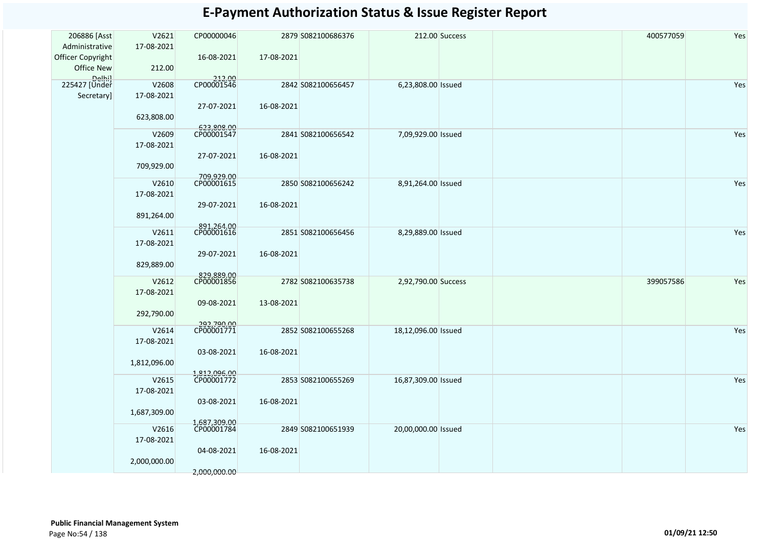| 206886 [Asst<br>Administrative<br>Officer Copyright<br>Office New | V2621<br>17-08-2021<br>212.00       | CP00000046<br>16-08-2021                 | 17-08-2021 | 2879 S082100686376 |                     | 212.00 Success | 400577059 | Yes |
|-------------------------------------------------------------------|-------------------------------------|------------------------------------------|------------|--------------------|---------------------|----------------|-----------|-----|
| Delhil<br>225427 [Under<br>Secretary]                             | V2608<br>17-08-2021<br>623,808.00   | 212.00<br>CP00001546<br>27-07-2021       | 16-08-2021 | 2842 S082100656457 | 6,23,808.00 Issued  |                |           | Yes |
|                                                                   | V2609<br>17-08-2021                 | 623,808.00<br>CP00001547<br>27-07-2021   | 16-08-2021 | 2841 S082100656542 | 7,09,929.00 Issued  |                |           | Yes |
|                                                                   | 709,929.00<br>V2610<br>17-08-2021   | 709,929.00<br>CP00001615<br>29-07-2021   | 16-08-2021 | 2850 S082100656242 | 8,91,264.00 Issued  |                |           | Yes |
|                                                                   | 891,264.00<br>V2611<br>17-08-2021   | 891,264.00<br>CP00001616<br>29-07-2021   | 16-08-2021 | 2851 S082100656456 | 8,29,889.00 Issued  |                |           | Yes |
|                                                                   | 829,889.00<br>V2612<br>17-08-2021   | 829,889.00<br>CP00001856<br>09-08-2021   | 13-08-2021 | 2782 S082100635738 | 2,92,790.00 Success |                | 399057586 | Yes |
|                                                                   | 292,790.00<br>V2614<br>17-08-2021   | 292,790.00<br>CP00001771                 |            | 2852 S082100655268 | 18,12,096.00 Issued |                |           | Yes |
|                                                                   | 1,812,096.00<br>V2615               | 03-08-2021<br>1,812,096.00<br>CP00001772 | 16-08-2021 | 2853 S082100655269 | 16,87,309.00 Issued |                |           | Yes |
|                                                                   | 17-08-2021<br>1,687,309.00<br>V2616 | 03-08-2021<br>1,687,309.00<br>CP00001784 | 16-08-2021 | 2849 S082100651939 | 20,00,000.00 Issued |                |           | Yes |
|                                                                   | 17-08-2021<br>2,000,000.00          | 04-08-2021<br>2,000,000.00               | 16-08-2021 |                    |                     |                |           |     |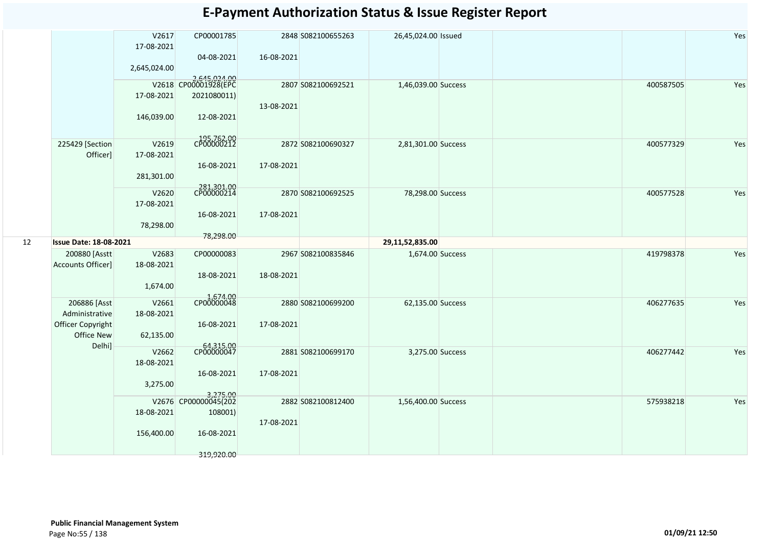|    |                                                                             | V2617<br>17-08-2021<br>2,645,024.00 | CP00001785<br>04-08-2021                                          | 16-08-2021 | 2848 S082100655263 | 26,45,024.00 Issued |  |           | Yes |
|----|-----------------------------------------------------------------------------|-------------------------------------|-------------------------------------------------------------------|------------|--------------------|---------------------|--|-----------|-----|
|    |                                                                             | 17-08-2021<br>146,039.00            | 2,645,024.00<br>V2618 CP00001928(EPC<br>2021080011)<br>12-08-2021 | 13-08-2021 | 2807 S082100692521 | 1,46,039.00 Success |  | 400587505 | Yes |
|    | 225429 [Section<br>Officer]                                                 | V2619<br>17-08-2021<br>281,301.00   | 195,762.00<br>16-08-2021                                          | 17-08-2021 | 2872 S082100690327 | 2,81,301.00 Success |  | 400577329 | Yes |
|    |                                                                             | V2620<br>17-08-2021<br>78,298.00    | 281,301.00<br>CP00000214<br>16-08-2021<br>78,298.00               | 17-08-2021 | 2870 S082100692525 | 78,298.00 Success   |  | 400577528 | Yes |
| 12 | <b>Issue Date: 18-08-2021</b>                                               |                                     |                                                                   |            |                    | 29,11,52,835.00     |  |           |     |
|    | 200880 [Asstt<br>Accounts Officer]                                          | V2683<br>18-08-2021<br>1,674.00     | CP00000083<br>18-08-2021                                          | 18-08-2021 | 2967 S082100835846 | 1,674.00 Success    |  | 419798378 | Yes |
|    | 206886 [Asst<br>Administrative<br>Officer Copyright<br>Office New<br>Delhi] | V2661<br>18-08-2021<br>62,135.00    | 4,674.00<br>CP00000048<br>16-08-2021                              | 17-08-2021 | 2880 S082100699200 | 62,135.00 Success   |  | 406277635 | Yes |
|    |                                                                             | V2662<br>18-08-2021<br>3,275.00     | 64,315.00<br>CP00000047<br>16-08-2021                             | 17-08-2021 | 2881 S082100699170 | 3,275.00 Success    |  | 406277442 | Yes |
|    |                                                                             | 18-08-2021<br>156,400.00            | 3,275.00<br>V2676 CP00000045(202<br>108001)<br>16-08-2021         | 17-08-2021 | 2882 S082100812400 | 1,56,400.00 Success |  | 575938218 | Yes |
|    |                                                                             |                                     | 319,920.00                                                        |            |                    |                     |  |           |     |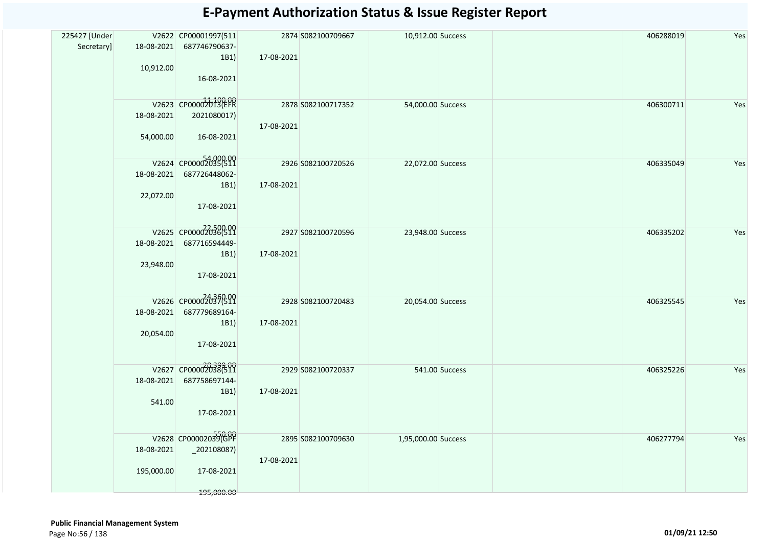| 225427 [Under |            | V2622 CP00001997(511             |            | 2874 S082100709667 | 10,912.00 Success   | 406288019 | Yes |
|---------------|------------|----------------------------------|------------|--------------------|---------------------|-----------|-----|
| Secretary]    |            | 18-08-2021 687746790637-         |            |                    |                     |           |     |
|               |            | 1B1)                             | 17-08-2021 |                    |                     |           |     |
|               | 10,912.00  |                                  |            |                    |                     |           |     |
|               |            | 16-08-2021                       |            |                    |                     |           |     |
|               |            |                                  |            |                    |                     |           |     |
|               |            | V2623 CP00002013(EPR             |            | 2878 S082100717352 | 54,000.00 Success   | 406300711 | Yes |
|               | 18-08-2021 | 2021080017)                      |            |                    |                     |           |     |
|               |            |                                  | 17-08-2021 |                    |                     |           |     |
|               | 54,000.00  | 16-08-2021                       |            |                    |                     |           |     |
|               |            |                                  |            |                    |                     |           |     |
|               |            | V2624 CP00002035(511             |            |                    |                     |           |     |
|               | 18-08-2021 | 687726448062-                    |            | 2926 S082100720526 | 22,072.00 Success   | 406335049 | Yes |
|               |            |                                  |            |                    |                     |           |     |
|               | 22,072.00  | 1B1)                             | 17-08-2021 |                    |                     |           |     |
|               |            | 17-08-2021                       |            |                    |                     |           |     |
|               |            |                                  |            |                    |                     |           |     |
|               |            |                                  |            |                    |                     |           |     |
|               |            | V2625 CP00002036(511             |            | 2927 S082100720596 | 23,948.00 Success   | 406335202 | Yes |
|               | 18-08-2021 | 687716594449-                    | 17-08-2021 |                    |                     |           |     |
|               | 23,948.00  | 1B1)                             |            |                    |                     |           |     |
|               |            | 17-08-2021                       |            |                    |                     |           |     |
|               |            |                                  |            |                    |                     |           |     |
|               |            | V2626 CP00002037(511             |            |                    |                     |           |     |
|               |            |                                  |            | 2928 S082100720483 | 20,054.00 Success   | 406325545 | Yes |
|               |            | 18-08-2021 687779689164-<br>1B1) | 17-08-2021 |                    |                     |           |     |
|               | 20,054.00  |                                  |            |                    |                     |           |     |
|               |            | 17-08-2021                       |            |                    |                     |           |     |
|               |            |                                  |            |                    |                     |           |     |
|               |            | V2627 CP00002038(511             |            |                    |                     |           |     |
|               | 18-08-2021 | 687758697144-                    |            | 2929 S082100720337 | 541.00 Success      | 406325226 | Yes |
|               |            | 1B1)                             | 17-08-2021 |                    |                     |           |     |
|               | 541.00     |                                  |            |                    |                     |           |     |
|               |            | 17-08-2021                       |            |                    |                     |           |     |
|               |            |                                  |            |                    |                     |           |     |
|               |            | V2628 CP00002039(GPF             |            |                    |                     | 406277794 |     |
|               | 18-08-2021 | $_2$ 202108087)                  |            | 2895 S082100709630 | 1,95,000.00 Success |           | Yes |
|               |            |                                  | 17-08-2021 |                    |                     |           |     |
|               | 195,000.00 | 17-08-2021                       |            |                    |                     |           |     |
|               |            |                                  |            |                    |                     |           |     |
|               |            | 195,000.00                       |            |                    |                     |           |     |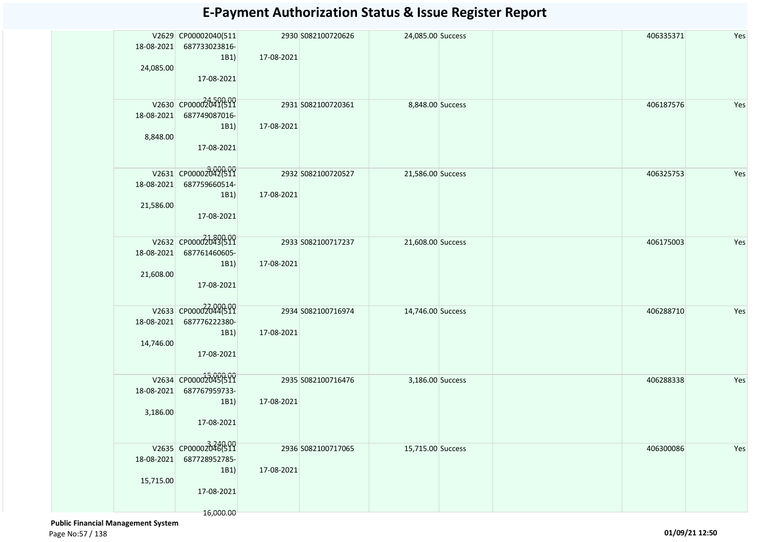| 18-08-2021<br>24,085.00 | V2629 CP00002040(511<br>687733023816-<br>1B1)<br>17-08-2021              | 17-08-2021 | 2930 S082100720626 | 24,085.00 Success | 406335371 | Yes |
|-------------------------|--------------------------------------------------------------------------|------------|--------------------|-------------------|-----------|-----|
| 18-08-2021<br>8,848.00  | V2630 CP00002041(511<br>687749087016-<br>1B1)<br>17-08-2021              | 17-08-2021 | 2931 S082100720361 | 8,848.00 Success  | 406187576 | Yes |
| 18-08-2021<br>21,586.00 | V2631 CP00002042(511<br>687759660514-<br>1B1)<br>17-08-2021              | 17-08-2021 | 2932 S082100720527 | 21,586.00 Success | 406325753 | Yes |
| 18-08-2021<br>21,608.00 | V2632 CP00002043(511<br>687761460605-<br>1B1)<br>17-08-2021              | 17-08-2021 | 2933 S082100717237 | 21,608.00 Success | 406175003 | Yes |
| 18-08-2021<br>14,746.00 | V2633 CP00002044(511<br>687776222380-<br>1B1)<br>17-08-2021              | 17-08-2021 | 2934 S082100716974 | 14,746.00 Success | 406288710 | Yes |
| 18-08-2021<br>3,186.00  | V2634 CP00002045(511<br>687767959733-<br>1B1)<br>17-08-2021              | 17-08-2021 | 2935 S082100716476 | 3,186.00 Success  | 406288338 | Yes |
| 18-08-2021<br>15,715.00 | V2635 CP00002046(511<br>687728952785-<br>1B1)<br>17-08-2021<br>16,000.00 | 17-08-2021 | 2936 S082100717065 | 15,715.00 Success | 406300086 | Yes |

 **Public Financial Management System**  Page No:57 / 138 **01/09/21 12:50**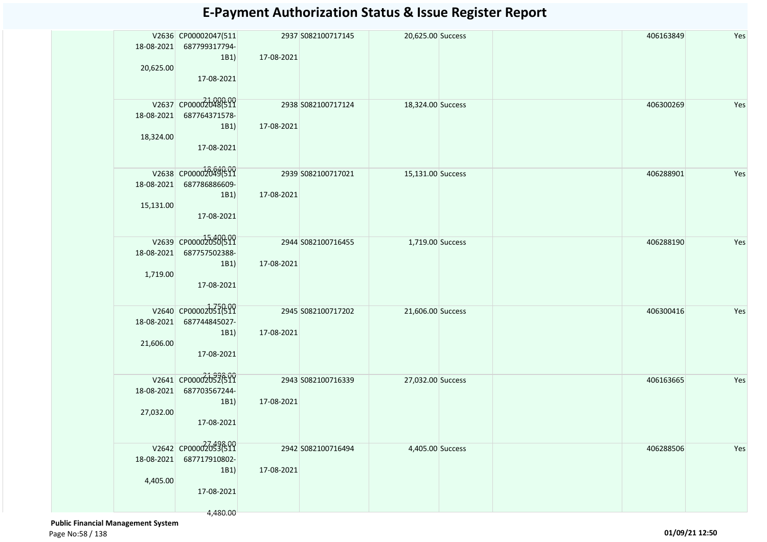| 18-08-2021              | V2636 CP00002047(511<br>687799317794-<br>1B1)                          | 17-08-2021 | 2937 S082100717145 | 20,625.00 Success |  | 406163849 | Yes |
|-------------------------|------------------------------------------------------------------------|------------|--------------------|-------------------|--|-----------|-----|
| 20,625.00               | 17-08-2021                                                             |            |                    |                   |  |           |     |
| 18-08-2021<br>18,324.00 | V2637 CP00002048(511<br>687764371578-<br>1B1)<br>17-08-2021            | 17-08-2021 | 2938 S082100717124 | 18,324.00 Success |  | 406300269 | Yes |
| 18-08-2021<br>15,131.00 | V2638 CP00002049(511<br>687786886609-<br>1B1)<br>17-08-2021            | 17-08-2021 | 2939 S082100717021 | 15,131.00 Success |  | 406288901 | Yes |
| 18-08-2021<br>1,719.00  | V2639 CP00002050(511<br>687757502388-<br>1B1)<br>17-08-2021            | 17-08-2021 | 2944 S082100716455 | 1,719.00 Success  |  | 406288190 | Yes |
| 18-08-2021<br>21,606.00 | V2640 CP00002051(511<br>687744845027-<br>1B1)<br>17-08-2021            | 17-08-2021 | 2945 S082100717202 | 21,606.00 Success |  | 406300416 | Yes |
| 18-08-2021<br>27,032.00 | V2641 CP00002052699<br>687703567244-<br>1B1)<br>17-08-2021             | 17-08-2021 | 2943 S082100716339 | 27,032.00 Success |  | 406163665 | Yes |
| 18-08-2021<br>4,405.00  | V2642 CP00002053699<br>687717910802-<br>1B1)<br>17-08-2021<br>4,480.00 | 17-08-2021 | 2942 S082100716494 | 4,405.00 Success  |  | 406288506 | Yes |

 **Public Financial Management System**  Page No:58 / 138 **01/09/21 12:50**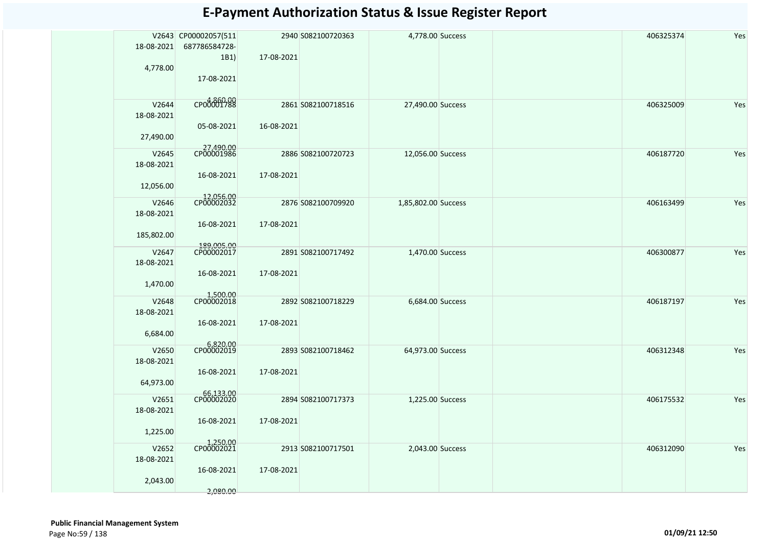| 18-08-2021                       | V2643 CP00002057(511<br>687786584728- |            | 2940 S082100720363 | 4,778.00 Success    | 406325374 | Yes |
|----------------------------------|---------------------------------------|------------|--------------------|---------------------|-----------|-----|
| 4,778.00                         | 1B1)<br>17-08-2021                    | 17-08-2021 |                    |                     |           |     |
| V2644<br>18-08-2021<br>27,490.00 | CP00001788<br>05-08-2021              | 16-08-2021 | 2861 S082100718516 | 27,490.00 Success   | 406325009 | Yes |
|                                  |                                       |            |                    |                     |           |     |
| V2645<br>18-08-2021              | 27,490.00<br>CP00001986               |            | 2886 S082100720723 | 12,056.00 Success   | 406187720 | Yes |
| 12,056.00                        | 16-08-2021                            | 17-08-2021 |                    |                     |           |     |
| V2646<br>18-08-2021              | 12,056.00<br>CP00002032               |            | 2876 S082100709920 | 1,85,802.00 Success | 406163499 | Yes |
| 185,802.00                       | 16-08-2021                            | 17-08-2021 |                    |                     |           |     |
| V2647<br>18-08-2021              | 189,005.00<br>CP00002017              |            | 2891 S082100717492 | 1,470.00 Success    | 406300877 | Yes |
| 1,470.00                         | 16-08-2021                            | 17-08-2021 |                    |                     |           |     |
| V2648<br>18-08-2021              | 1,500.00<br>CP00002018                |            | 2892 S082100718229 | 6,684.00 Success    | 406187197 | Yes |
| 6,684.00                         | 16-08-2021                            | 17-08-2021 |                    |                     |           |     |
| V2650<br>18-08-2021              | 6,820.00<br>CP00002019                |            | 2893 S082100718462 | 64,973.00 Success   | 406312348 | Yes |
| 64,973.00                        | 16-08-2021                            | 17-08-2021 |                    |                     |           |     |
| V2651<br>18-08-2021              | 66,133.00                             |            | 2894 S082100717373 | 1,225.00 Success    | 406175532 | Yes |
| 1,225.00                         | 16-08-2021                            | 17-08-2021 |                    |                     |           |     |
| V2652<br>18-08-2021              | 1,250.00<br>CP00002021                |            | 2913 S082100717501 | 2,043.00 Success    | 406312090 | Yes |
| 2,043.00                         | 16-08-2021<br>2,080.00                | 17-08-2021 |                    |                     |           |     |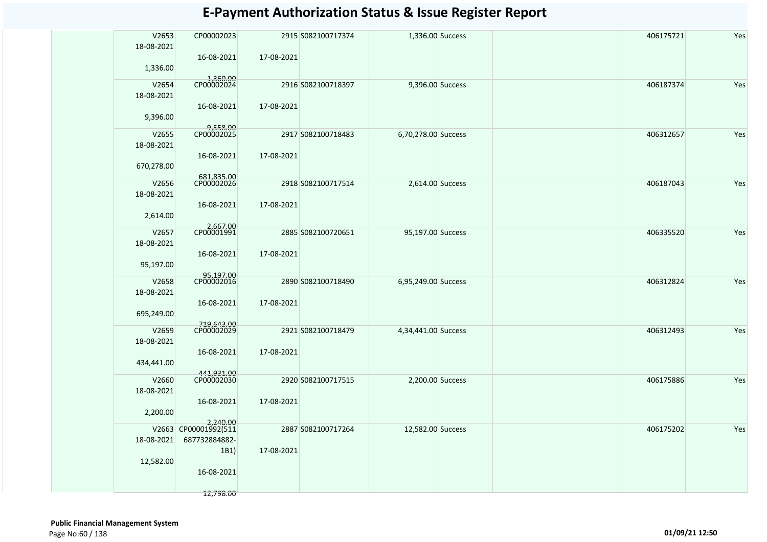| V2653<br>18-08-2021 | CP00002023<br>16-08-2021         | 17-08-2021 | 2915 S082100717374 | 1,336.00 Success    | 406175721 | Yes |
|---------------------|----------------------------------|------------|--------------------|---------------------|-----------|-----|
| 1,336.00            | 1,360.00<br>CP00002024           |            |                    |                     |           |     |
| V2654<br>18-08-2021 |                                  |            | 2916 S082100718397 | 9,396.00 Success    | 406187374 | Yes |
| 9,396.00            | 16-08-2021                       | 17-08-2021 |                    |                     |           |     |
| V2655               | 9,558.00<br>CP00002025           |            | 2917 S082100718483 | 6,70,278.00 Success | 406312657 | Yes |
| 18-08-2021          |                                  |            |                    |                     |           |     |
|                     | 16-08-2021                       | 17-08-2021 |                    |                     |           |     |
| 670,278.00          |                                  |            |                    |                     |           |     |
| V2656               | 681,835.00                       |            | 2918 S082100717514 | 2,614.00 Success    | 406187043 | Yes |
| 18-08-2021          |                                  |            |                    |                     |           |     |
|                     | 16-08-2021                       | 17-08-2021 |                    |                     |           |     |
| 2,614.00            |                                  |            |                    |                     |           |     |
| V2657               | 2,667.00<br>CP00001991           |            | 2885 S082100720651 | 95,197.00 Success   | 406335520 | Yes |
| 18-08-2021          |                                  |            |                    |                     |           |     |
|                     | 16-08-2021                       | 17-08-2021 |                    |                     |           |     |
| 95,197.00           |                                  |            |                    |                     |           |     |
| V2658               | 95,197.00<br>CP00002016          |            | 2890 S082100718490 | 6,95,249.00 Success | 406312824 | Yes |
| 18-08-2021          |                                  |            |                    |                     |           |     |
|                     | 16-08-2021                       | 17-08-2021 |                    |                     |           |     |
| 695,249.00          |                                  |            |                    |                     |           |     |
| V2659               | 719,643.00<br>CP00002029         |            | 2921 S082100718479 | 4,34,441.00 Success | 406312493 | Yes |
| 18-08-2021          |                                  |            |                    |                     |           |     |
|                     | 16-08-2021                       | 17-08-2021 |                    |                     |           |     |
| 434,441.00          |                                  |            |                    |                     |           |     |
| V2660               | 441,931.00<br>CP00002030         |            | 2920 S082100717515 | 2,200.00 Success    | 406175886 | Yes |
| 18-08-2021          |                                  |            |                    |                     |           |     |
|                     | 16-08-2021                       | 17-08-2021 |                    |                     |           |     |
| 2,200.00            |                                  |            |                    |                     |           |     |
|                     | 2,240.00<br>V2663 CP00001992(511 |            | 2887 S082100717264 | 12,582.00 Success   | 406175202 | Yes |
| 18-08-2021          | 687732884882-                    |            |                    |                     |           |     |
|                     | 1B1)                             | 17-08-2021 |                    |                     |           |     |
| 12,582.00           | 16-08-2021                       |            |                    |                     |           |     |
|                     |                                  |            |                    |                     |           |     |
|                     | 12,798.00                        |            |                    |                     |           |     |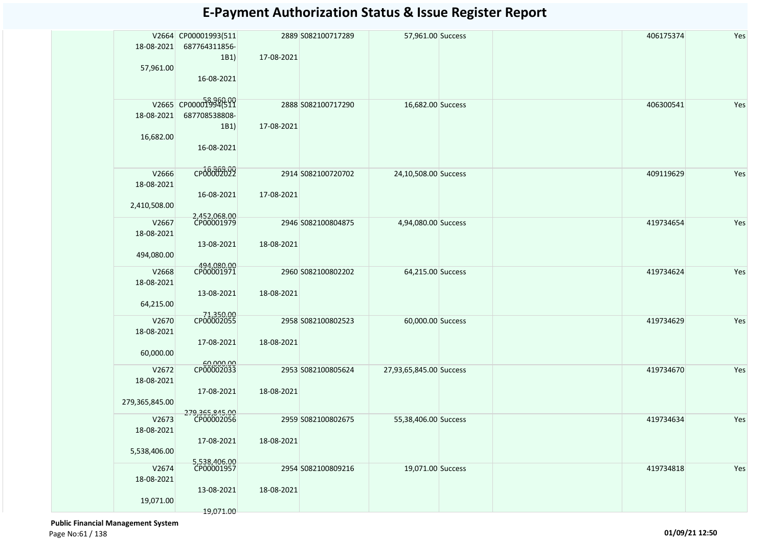|                | V2664 CP00001993(511         |            | 2889 S082100717289 | 57,961.00 Success       |  | 406175374 | Yes |
|----------------|------------------------------|------------|--------------------|-------------------------|--|-----------|-----|
| 18-08-2021     | 687764311856-                |            |                    |                         |  |           |     |
|                | 1B1)                         | 17-08-2021 |                    |                         |  |           |     |
| 57,961.00      | 16-08-2021                   |            |                    |                         |  |           |     |
|                |                              |            |                    |                         |  |           |     |
|                | V2665 CP00001994(511         |            | 2888 S082100717290 | 16,682.00 Success       |  | 406300541 | Yes |
| 18-08-2021     | 687708538808-                |            |                    |                         |  |           |     |
|                | 1B1)                         | 17-08-2021 |                    |                         |  |           |     |
| 16,682.00      |                              |            |                    |                         |  |           |     |
|                | 16-08-2021                   |            |                    |                         |  |           |     |
| V2666          | CP00002022                   |            | 2914 S082100720702 | 24,10,508.00 Success    |  | 409119629 | Yes |
| 18-08-2021     |                              |            |                    |                         |  |           |     |
|                | 16-08-2021                   | 17-08-2021 |                    |                         |  |           |     |
| 2,410,508.00   |                              |            |                    |                         |  |           |     |
| V2667          | 2,452,068.00<br>CP00001979   |            | 2946 S082100804875 | 4,94,080.00 Success     |  | 419734654 | Yes |
| 18-08-2021     |                              |            |                    |                         |  |           |     |
|                | 13-08-2021                   | 18-08-2021 |                    |                         |  |           |     |
| 494,080.00     |                              |            |                    |                         |  |           |     |
| V2668          | 494,080.00<br>CP00001971     |            | 2960 S082100802202 | 64,215.00 Success       |  | 419734624 | Yes |
| 18-08-2021     |                              |            |                    |                         |  |           |     |
|                | 13-08-2021                   | 18-08-2021 |                    |                         |  |           |     |
| 64,215.00      |                              |            |                    |                         |  |           |     |
| V2670          | 71,350.00<br>CP00002055      |            | 2958 S082100802523 | 60,000.00 Success       |  | 419734629 | Yes |
| 18-08-2021     |                              |            |                    |                         |  |           |     |
|                | 17-08-2021                   | 18-08-2021 |                    |                         |  |           |     |
| 60,000.00      |                              |            |                    |                         |  |           |     |
| V2672          | 60,000.00                    |            | 2953 S082100805624 | 27,93,65,845.00 Success |  | 419734670 | Yes |
| 18-08-2021     |                              |            |                    |                         |  |           |     |
|                | 17-08-2021                   | 18-08-2021 |                    |                         |  |           |     |
| 279,365,845.00 |                              |            |                    |                         |  |           |     |
| V2673          | 279,365,845.00<br>CP00002056 |            | 2959 S082100802675 | 55,38,406.00 Success    |  | 419734634 | Yes |
| 18-08-2021     |                              |            |                    |                         |  |           |     |
|                | 17-08-2021                   | 18-08-2021 |                    |                         |  |           |     |
| 5,538,406.00   |                              |            |                    |                         |  |           |     |
| V2674          | 5,538,406.00<br>CP00001957   |            | 2954 S082100809216 | 19,071.00 Success       |  | 419734818 | Yes |
| 18-08-2021     |                              |            |                    |                         |  |           |     |
|                | 13-08-2021                   | 18-08-2021 |                    |                         |  |           |     |
| 19,071.00      |                              |            |                    |                         |  |           |     |
|                | 19,071.00                    |            |                    |                         |  |           |     |

 **Public Financial Management System**  Page No:61 / 138 **01/09/21 12:50**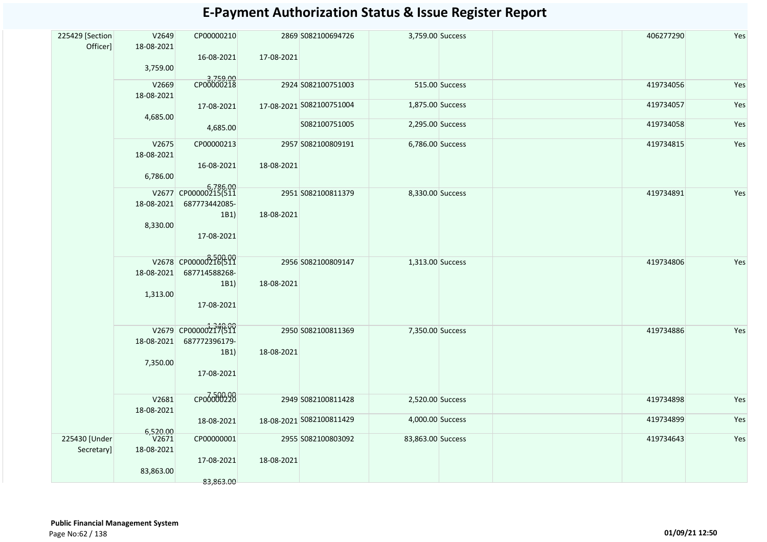| V2649<br>18-08-2021<br>3,759.00  | CP00000210<br>16-08-2021                       | 17-08-2021                                                                                                              |               |                                                                                                                                                                                                                                      | 406277290                                                                                                                                                                                                               | Yes                                 |
|----------------------------------|------------------------------------------------|-------------------------------------------------------------------------------------------------------------------------|---------------|--------------------------------------------------------------------------------------------------------------------------------------------------------------------------------------------------------------------------------------|-------------------------------------------------------------------------------------------------------------------------------------------------------------------------------------------------------------------------|-------------------------------------|
| V2669<br>18-08-2021              |                                                |                                                                                                                         |               |                                                                                                                                                                                                                                      | 419734056                                                                                                                                                                                                               | Yes                                 |
|                                  | 17-08-2021                                     |                                                                                                                         |               |                                                                                                                                                                                                                                      | 419734057                                                                                                                                                                                                               | Yes                                 |
|                                  | 4,685.00                                       |                                                                                                                         | S082100751005 |                                                                                                                                                                                                                                      |                                                                                                                                                                                                                         | Yes                                 |
| V2675<br>18-08-2021              | CP00000213<br>16-08-2021                       | 18-08-2021                                                                                                              |               |                                                                                                                                                                                                                                      | 419734815                                                                                                                                                                                                               | Yes                                 |
|                                  |                                                |                                                                                                                         |               |                                                                                                                                                                                                                                      |                                                                                                                                                                                                                         |                                     |
| 18-08-2021<br>8,330.00           | 687773442085-<br>1B1)<br>17-08-2021            | 18-08-2021                                                                                                              |               |                                                                                                                                                                                                                                      |                                                                                                                                                                                                                         | Yes                                 |
|                                  |                                                |                                                                                                                         |               |                                                                                                                                                                                                                                      |                                                                                                                                                                                                                         |                                     |
| 18-08-2021<br>1,313.00           | 687714588268-<br>1B1)<br>17-08-2021            | 18-08-2021                                                                                                              |               |                                                                                                                                                                                                                                      |                                                                                                                                                                                                                         | Yes                                 |
| 18-08-2021<br>7,350.00           | 687772396179-<br>1B1)<br>17-08-2021            | 18-08-2021                                                                                                              |               |                                                                                                                                                                                                                                      | 419734886                                                                                                                                                                                                               | Yes                                 |
| V2681                            | сробоб00298                                    |                                                                                                                         |               |                                                                                                                                                                                                                                      | 419734898                                                                                                                                                                                                               | Yes                                 |
|                                  | 18-08-2021                                     |                                                                                                                         |               |                                                                                                                                                                                                                                      | 419734899                                                                                                                                                                                                               | Yes                                 |
| V2671<br>18-08-2021<br>83,863.00 | CP00000001<br>17-08-2021                       | 18-08-2021                                                                                                              |               |                                                                                                                                                                                                                                      | 419734643                                                                                                                                                                                                               | Yes                                 |
|                                  | 4,685.00<br>6,786.00<br>18-08-2021<br>6,520.00 | 3,759.00<br>CP00000218<br>6,786.00<br>V2677 CP00000215(511<br>V2678 CP00000216(511<br>V2679 CP000002777699<br>83,863.00 |               | 2869 S082100694726<br>2924 S082100751003<br>17-08-2021 S082100751004<br>2957 S082100809191<br>2951 S082100811379<br>2956 S082100809147<br>2950 S082100811369<br>2949 S082100811428<br>18-08-2021 S082100811429<br>2955 S082100803092 | 3,759.00 Success<br>515.00 Success<br>1,875.00 Success<br>2,295.00 Success<br>6,786.00 Success<br>8,330.00 Success<br>1,313.00 Success<br>7,350.00 Success<br>2,520.00 Success<br>4,000.00 Success<br>83,863.00 Success | 419734058<br>419734891<br>419734806 |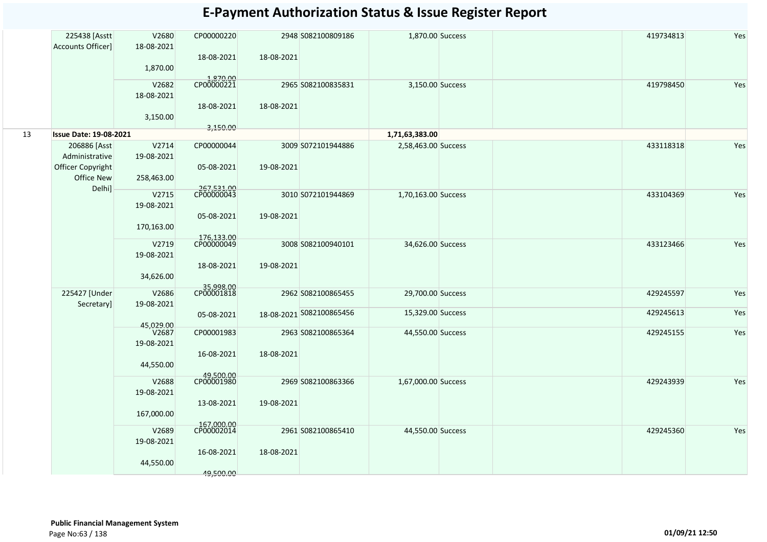| Accounts Officer]<br>18-08-2021<br>18-08-2021<br>18-08-2021<br>1,870.00<br>1,870.00<br>CP00000221<br>419798450<br>V2682<br>2965 S082100835831<br>3,150.00 Success<br>18-08-2021<br>18-08-2021<br>18-08-2021<br>3,150.00 | Yes<br>Yes<br>Yes |
|-------------------------------------------------------------------------------------------------------------------------------------------------------------------------------------------------------------------------|-------------------|
|                                                                                                                                                                                                                         |                   |
|                                                                                                                                                                                                                         |                   |
|                                                                                                                                                                                                                         |                   |
|                                                                                                                                                                                                                         |                   |
|                                                                                                                                                                                                                         |                   |
|                                                                                                                                                                                                                         |                   |
|                                                                                                                                                                                                                         |                   |
| 3,150.00<br>13<br><b>Issue Date: 19-08-2021</b><br>1,71,63,383.00                                                                                                                                                       |                   |
| 206886 [Asst<br>V2714<br>CP00000044<br>3009 S072101944886<br>2,58,463.00 Success<br>433118318                                                                                                                           |                   |
| Administrative<br>19-08-2021                                                                                                                                                                                            |                   |
| Officer Copyright<br>05-08-2021<br>19-08-2021                                                                                                                                                                           |                   |
| Office New<br>258,463.00                                                                                                                                                                                                |                   |
| Delhi]<br>267,531.00<br>V2715<br>433104369<br>3010 S072101944869<br>1,70,163.00 Success                                                                                                                                 |                   |
| 19-08-2021                                                                                                                                                                                                              |                   |
| 05-08-2021<br>19-08-2021                                                                                                                                                                                                |                   |
| 170,163.00                                                                                                                                                                                                              |                   |
| 176,133.00<br>V2719<br>3008 S082100940101<br>433123466<br>34,626.00 Success                                                                                                                                             | Yes               |
| 19-08-2021                                                                                                                                                                                                              |                   |
| 19-08-2021<br>18-08-2021                                                                                                                                                                                                |                   |
| 34,626.00                                                                                                                                                                                                               |                   |
| 35,998.00<br>CP00001818<br>225427 [Under<br>429245597<br>V2686<br>2962 S082100865455<br>29,700.00 Success                                                                                                               | Yes               |
| Secretary]<br>19-08-2021                                                                                                                                                                                                |                   |
| 15,329.00 Success<br>429245613<br>18-08-2021 5082100865456<br>05-08-2021                                                                                                                                                | Yes               |
| 45,029.00                                                                                                                                                                                                               |                   |
| V <sub>2687</sub><br>429245155<br>CP00001983<br>2963 S082100865364<br>44,550.00 Success<br>19-08-2021                                                                                                                   | Yes               |
| 16-08-2021<br>18-08-2021                                                                                                                                                                                                |                   |
| 44,550.00                                                                                                                                                                                                               |                   |
| 49,500.00<br>CP00001980                                                                                                                                                                                                 |                   |
| 2969 S082100863366<br>429243939<br>V2688<br>1,67,000.00 Success                                                                                                                                                         | Yes               |
| 19-08-2021<br>19-08-2021<br>13-08-2021                                                                                                                                                                                  |                   |
| 167,000.00                                                                                                                                                                                                              |                   |
| 167,000.00<br>CP00002014                                                                                                                                                                                                |                   |
| 2961 S082100865410<br>429245360<br>V2689<br>44,550.00 Success                                                                                                                                                           | Yes               |
| 19-08-2021                                                                                                                                                                                                              |                   |
| 18-08-2021<br>16-08-2021<br>44,550.00                                                                                                                                                                                   |                   |
| 49,500.00                                                                                                                                                                                                               |                   |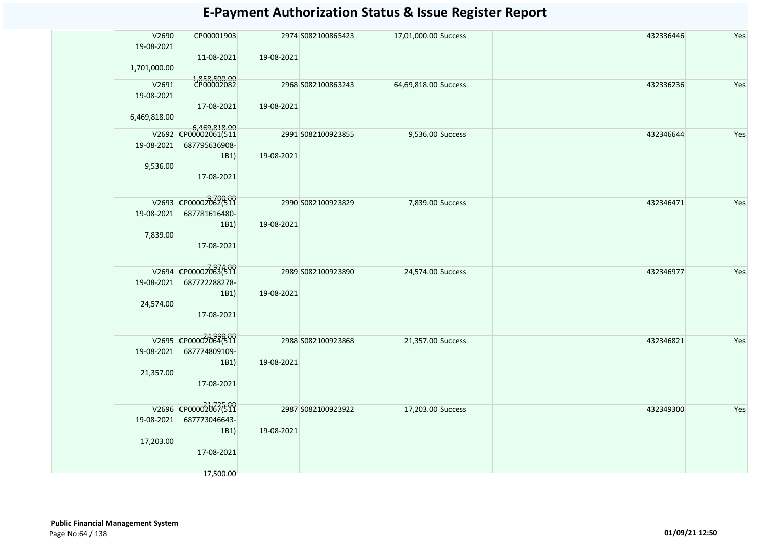| V2690<br>19-08-2021 | CP00001903                                            |            | 2974 S082100865423 | 17,01,000.00 Success | 432336446 | Yes |
|---------------------|-------------------------------------------------------|------------|--------------------|----------------------|-----------|-----|
| 1,701,000.00        | 11-08-2021                                            | 19-08-2021 |                    |                      |           |     |
| V2691<br>19-08-2021 | 1,858,500.00<br>CP00002082                            |            | 2968 S082100863243 | 64,69,818.00 Success | 432336236 | Yes |
| 6,469,818.00        | 17-08-2021                                            | 19-08-2021 |                    |                      |           |     |
| 19-08-2021          | 6,469,818.00<br>V2692 CP00002061(511<br>687795636908- |            | 2991 S082100923855 | 9,536.00 Success     | 432346644 | Yes |
| 9,536.00            | 1B1)<br>17-08-2021                                    | 19-08-2021 |                    |                      |           |     |
| 19-08-2021          | V2693 CP00002062(511<br>687781616480-                 |            | 2990 S082100923829 | 7,839.00 Success     | 432346471 | Yes |
| 7,839.00            | 1B1)<br>17-08-2021                                    | 19-08-2021 |                    |                      |           |     |
| 19-08-2021          | V2694 CP00002083(511<br>687722288278-                 |            | 2989 S082100923890 | 24,574.00 Success    | 432346977 | Yes |
| 24,574.00           | 1B1)<br>17-08-2021                                    | 19-08-2021 |                    |                      |           |     |
| 19-08-2021          | V2695 CP00002064(511<br>687774809109-                 |            | 2988 S082100923868 | 21,357.00 Success    | 432346821 | Yes |
| 21,357.00           | 1B1)                                                  | 19-08-2021 |                    |                      |           |     |
|                     | 17-08-2021                                            |            |                    |                      |           |     |
| 19-08-2021          | V2696 CP00002067699<br>687773046643-                  |            | 2987 S082100923922 | 17,203.00 Success    | 432349300 | Yes |
| 17,203.00           | 1B1)                                                  | 19-08-2021 |                    |                      |           |     |
|                     | 17-08-2021                                            |            |                    |                      |           |     |
|                     | 17,500.00                                             |            |                    |                      |           |     |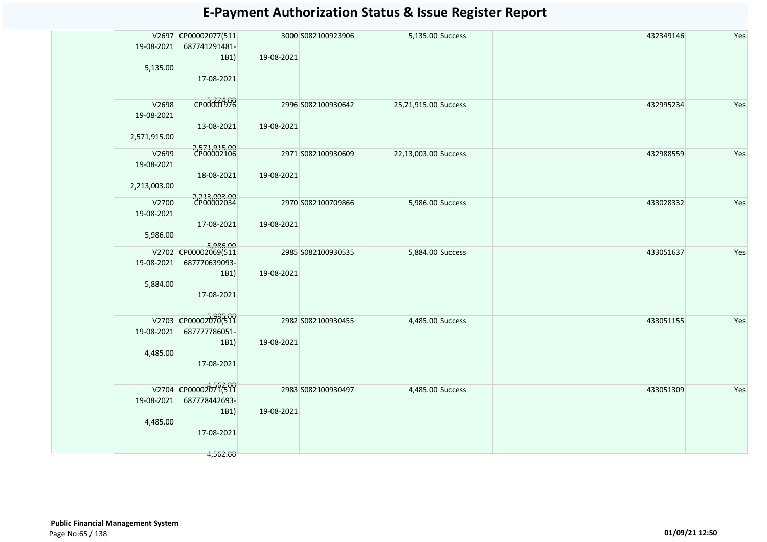|              | V2697 CP00002077(511             |            | 3000 S082100923906 | 5,135.00 Success     | 432349146 | Yes |
|--------------|----------------------------------|------------|--------------------|----------------------|-----------|-----|
| 19-08-2021   | 687741291481-                    |            |                    |                      |           |     |
|              | 1B1)                             | 19-08-2021 |                    |                      |           |     |
| 5,135.00     |                                  |            |                    |                      |           |     |
|              | 17-08-2021                       |            |                    |                      |           |     |
|              |                                  |            |                    |                      |           |     |
| V2698        | сродоо 1998                      |            | 2996 S082100930642 | 25,71,915.00 Success | 432995234 | Yes |
| 19-08-2021   |                                  |            |                    |                      |           |     |
|              | 13-08-2021                       | 19-08-2021 |                    |                      |           |     |
| 2,571,915.00 |                                  |            |                    |                      |           |     |
| V2699        | 2,571,915.00<br>CP00002106       |            | 2971 S082100930609 | 22,13,003.00 Success | 432988559 | Yes |
| 19-08-2021   |                                  |            |                    |                      |           |     |
|              | 18-08-2021                       | 19-08-2021 |                    |                      |           |     |
| 2,213,003.00 |                                  |            |                    |                      |           |     |
|              |                                  |            |                    |                      |           |     |
| V2700        | 2,213,003.00<br>CP00002034       |            | 2970 S082100709866 | 5,986.00 Success     | 433028332 | Yes |
| 19-08-2021   |                                  |            |                    |                      |           |     |
|              | 17-08-2021                       | 19-08-2021 |                    |                      |           |     |
| 5,986.00     |                                  |            |                    |                      |           |     |
|              | 5,986.00<br>V2702 CP00002069(511 |            | 2985 S082100930535 | 5,884.00 Success     | 433051637 | Yes |
| 19-08-2021   | 687770639093-                    |            |                    |                      |           |     |
|              | 1B1)                             | 19-08-2021 |                    |                      |           |     |
| 5,884.00     |                                  |            |                    |                      |           |     |
|              | 17-08-2021                       |            |                    |                      |           |     |
|              |                                  |            |                    |                      |           |     |
|              | V2703 CP000020706511             |            | 2982 S082100930455 | 4,485.00 Success     | 433051155 | Yes |
| 19-08-2021   | 687777786051-                    |            |                    |                      |           |     |
|              | 1B1)                             | 19-08-2021 |                    |                      |           |     |
| 4,485.00     |                                  |            |                    |                      |           |     |
|              | 17-08-2021                       |            |                    |                      |           |     |
|              |                                  |            |                    |                      |           |     |
|              | V2704 CP00002071510              |            | 2983 S082100930497 | 4,485.00 Success     | 433051309 | Yes |
| 19-08-2021   | 687778442693-                    |            |                    |                      |           |     |
|              | 1B1)                             | 19-08-2021 |                    |                      |           |     |
| 4,485.00     |                                  |            |                    |                      |           |     |
|              | 17-08-2021                       |            |                    |                      |           |     |
|              | 4,562.00                         |            |                    |                      |           |     |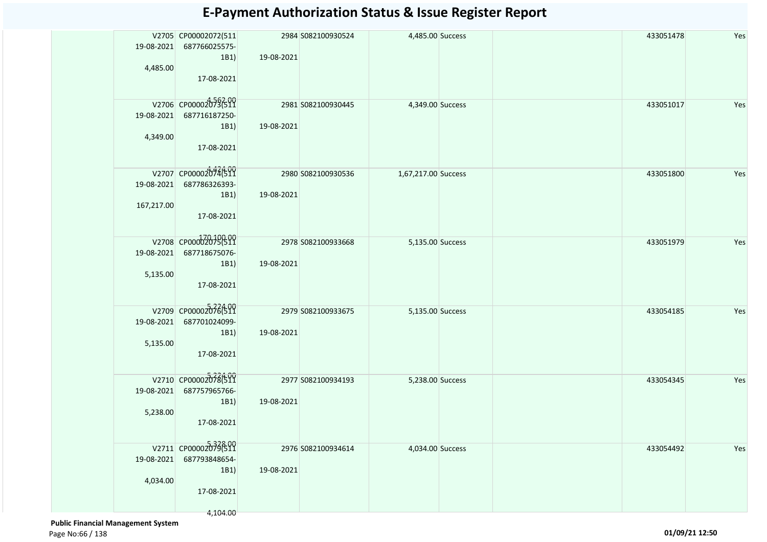| 19-08-2021<br>4,485.00   | V2705 CP00002072(511<br>687766025575-<br>1B1)<br>17-08-2021             | 19-08-2021 | 2984 S082100930524 | 4,485.00 Success    |  | 433051478 | Yes |
|--------------------------|-------------------------------------------------------------------------|------------|--------------------|---------------------|--|-----------|-----|
| 19-08-2021<br>4,349.00   | V2706 CP000020736209<br>687716187250-<br>1B1)<br>17-08-2021             | 19-08-2021 | 2981 S082100930445 | 4,349.00 Success    |  | 433051017 | Yes |
| 19-08-2021<br>167,217.00 | V2707 CP00002074699<br>687786326393-<br>1B1)<br>17-08-2021              | 19-08-2021 | 2980 S082100930536 | 1,67,217.00 Success |  | 433051800 | Yes |
| 19-08-2021<br>5,135.00   | V2708 CP000020796511<br>687718675076-<br>1B1)<br>17-08-2021             | 19-08-2021 | 2978 S082100933668 | 5,135.00 Success    |  | 433051979 | Yes |
| 19-08-2021<br>5,135.00   | V2709 CP00002076(511<br>687701024099-<br>1B1)<br>17-08-2021             | 19-08-2021 | 2979 S082100933675 | 5,135.00 Success    |  | 433054185 | Yes |
| 19-08-2021<br>5,238.00   | V2710 CP00002078(511<br>687757965766-<br>1B1)<br>17-08-2021             | 19-08-2021 | 2977 S082100934193 | 5,238.00 Success    |  | 433054345 | Yes |
| 19-08-2021<br>4,034.00   | V2711 CP000020736800<br>687793848654-<br>1B1)<br>17-08-2021<br>4,104.00 | 19-08-2021 | 2976 S082100934614 | 4,034.00 Success    |  | 433054492 | Yes |

 **Public Financial Management System**  Page No:66 / 138 **01/09/21 12:50**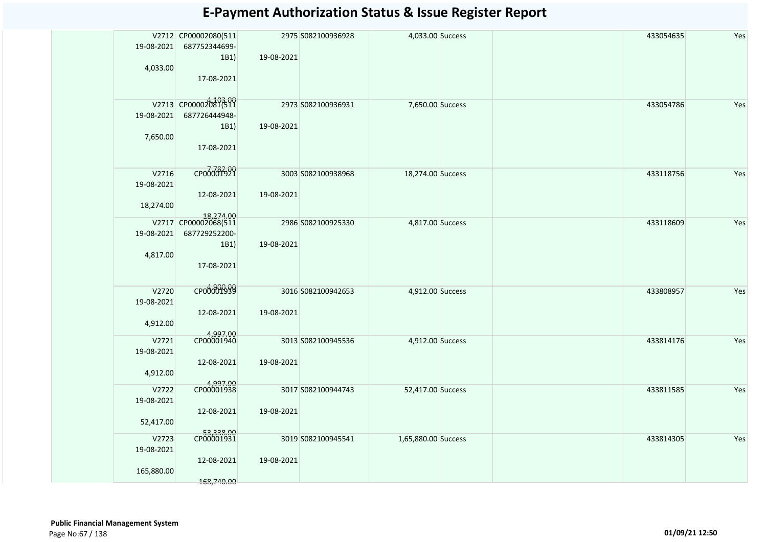| 19-08-2021<br>4,033.00            | V2712 CP00002080(511<br>687752344699-<br>1B1)<br>17-08-2021              | 19-08-2021 | 2975 S082100936928 | 4,033.00 Success    | 433054635 | Yes |
|-----------------------------------|--------------------------------------------------------------------------|------------|--------------------|---------------------|-----------|-----|
| 19-08-2021<br>7,650.00            | V2713 CP00002081691<br>687726444948-<br>1B1)<br>17-08-2021               | 19-08-2021 | 2973 S082100936931 | 7,650.00 Success    | 433054786 | Yes |
| V2716<br>19-08-2021<br>18,274.00  | сробоб1921<br>12-08-2021                                                 | 19-08-2021 | 3003 S082100938968 | 18,274.00 Success   | 433118756 | Yes |
| 19-08-2021<br>4,817.00            | 18,274.00<br>V2717 CP00002068(511<br>687729252200-<br>1B1)<br>17-08-2021 | 19-08-2021 | 2986 S082100925330 | 4,817.00 Success    | 433118609 | Yes |
| V2720<br>19-08-2021<br>4,912.00   | CP00001939<br>12-08-2021                                                 | 19-08-2021 | 3016 S082100942653 | 4,912.00 Success    | 433808957 | Yes |
| V2721<br>19-08-2021<br>4,912.00   | 4,997.00<br>CP00001940<br>12-08-2021                                     | 19-08-2021 | 3013 S082100945536 | 4,912.00 Success    | 433814176 | Yes |
| V2722<br>19-08-2021<br>52,417.00  | 4,997.00<br>CP00001938<br>12-08-2021                                     | 19-08-2021 | 3017 S082100944743 | 52,417.00 Success   | 433811585 | Yes |
| V2723<br>19-08-2021<br>165,880.00 | 53,338.00<br>CP00001931<br>12-08-2021<br>168,740.00                      | 19-08-2021 | 3019 S082100945541 | 1,65,880.00 Success | 433814305 | Yes |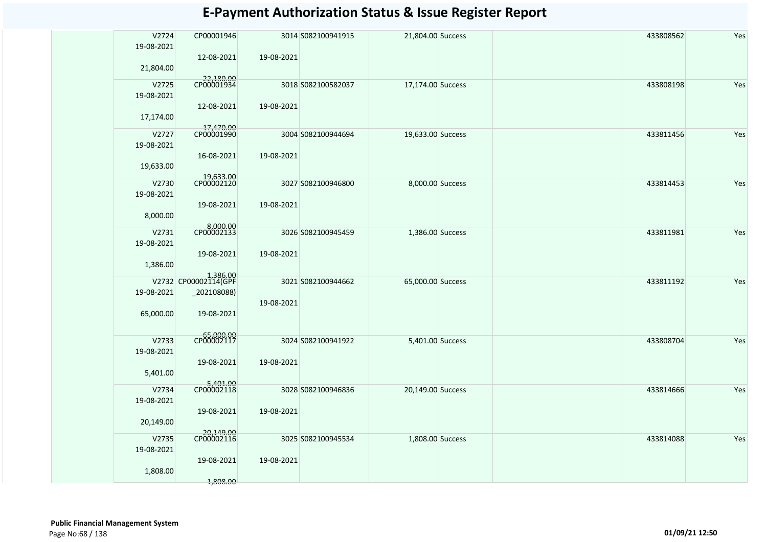| V2724<br>19-08-2021 | CP00001946                       |            | 3014 S082100941915 | 21,804.00 Success | 433808562 | Yes |
|---------------------|----------------------------------|------------|--------------------|-------------------|-----------|-----|
| 21,804.00           | 12-08-2021                       | 19-08-2021 |                    |                   |           |     |
| V2725<br>19-08-2021 | 22,180.00                        |            | 3018 S082100582037 | 17,174.00 Success | 433808198 | Yes |
| 17,174.00           | 12-08-2021                       | 19-08-2021 |                    |                   |           |     |
| V2727<br>19-08-2021 | 17,470.00<br>CP00001990          |            | 3004 S082100944694 | 19,633.00 Success | 433811456 | Yes |
| 19,633.00           | 16-08-2021                       | 19-08-2021 |                    |                   |           |     |
| V2730<br>19-08-2021 | 19,633.00<br>CP00002120          |            | 3027 S082100946800 | 8,000.00 Success  | 433814453 | Yes |
| 8,000.00            | 19-08-2021                       | 19-08-2021 |                    |                   |           |     |
| V2731<br>19-08-2021 | 8,000.00<br>CP00002133           |            | 3026 S082100945459 | 1,386.00 Success  | 433811981 | Yes |
| 1,386.00            | 19-08-2021                       | 19-08-2021 |                    |                   |           |     |
|                     | 1,386.00<br>V2732 CP00002114(GPF |            | 3021 S082100944662 | 65,000.00 Success | 433811192 | Yes |
| 19-08-2021          | _202108088)                      | 19-08-2021 |                    |                   |           |     |
| 65,000.00           | 19-08-2021                       |            |                    |                   |           |     |
| V2733<br>19-08-2021 | CP00002117                       |            | 3024 S082100941922 | 5,401.00 Success  | 433808704 | Yes |
| 5,401.00            | 19-08-2021                       | 19-08-2021 |                    |                   |           |     |
| V2734               | 5,401.00<br>CP00002118           |            | 3028 S082100946836 | 20,149.00 Success | 433814666 | Yes |
| 19-08-2021          | 19-08-2021                       | 19-08-2021 |                    |                   |           |     |
| 20,149.00           |                                  |            |                    |                   |           |     |
| V2735               | 20,149.00<br>CP00002116          |            | 3025 S082100945534 | 1,808.00 Success  | 433814088 | Yes |
| 19-08-2021          | 19-08-2021                       | 19-08-2021 |                    |                   |           |     |
| 1,808.00            |                                  |            |                    |                   |           |     |
|                     | 1,808.00                         |            |                    |                   |           |     |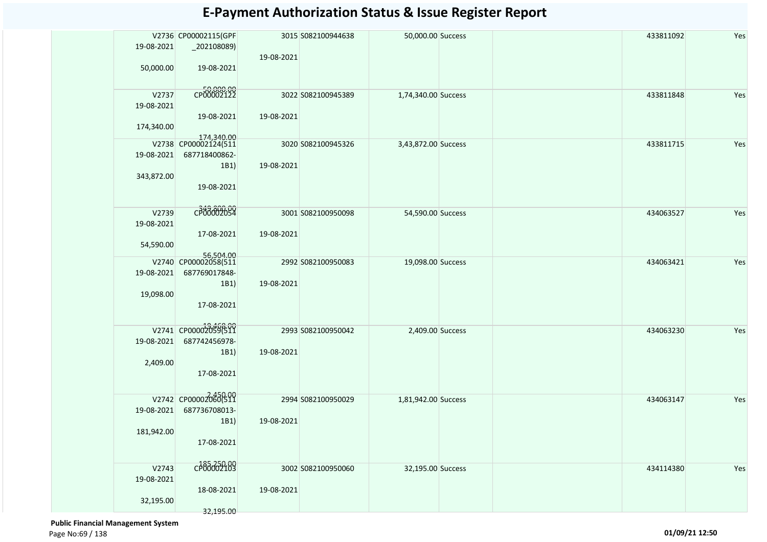|            | V2736 CP00002115(GPF               |            | 3015 S082100944638 | 50,000.00 Success   |  | 433811092 | Yes |
|------------|------------------------------------|------------|--------------------|---------------------|--|-----------|-----|
| 19-08-2021 | $_2$ 02108089)                     |            |                    |                     |  |           |     |
| 50,000.00  | 19-08-2021                         | 19-08-2021 |                    |                     |  |           |     |
| V2737      | CP00002122                         |            | 3022 S082100945389 | 1,74,340.00 Success |  | 433811848 | Yes |
| 19-08-2021 |                                    |            |                    |                     |  |           |     |
| 174,340.00 | 19-08-2021                         | 19-08-2021 |                    |                     |  |           |     |
|            | 174,340.00<br>V2738 CP00002124(511 |            | 3020 S082100945326 | 3,43,872.00 Success |  | 433811715 | Yes |
| 19-08-2021 | 687718400862-                      |            |                    |                     |  |           |     |
|            | 1B1)                               | 19-08-2021 |                    |                     |  |           |     |
| 343,872.00 | 19-08-2021                         |            |                    |                     |  |           |     |
|            |                                    |            |                    |                     |  |           |     |
| V2739      | C <sub>349</sub> 800.00            |            | 3001 S082100950098 | 54,590.00 Success   |  | 434063527 | Yes |
| 19-08-2021 |                                    |            |                    |                     |  |           |     |
|            | 17-08-2021                         | 19-08-2021 |                    |                     |  |           |     |
| 54,590.00  |                                    |            |                    |                     |  |           |     |
|            | 56,504.00<br>V2740 CP00002058(511  |            | 2992 S082100950083 | 19,098.00 Success   |  | 434063421 | Yes |
| 19-08-2021 | 687769017848-                      |            |                    |                     |  |           |     |
| 19,098.00  | 1B1)                               | 19-08-2021 |                    |                     |  |           |     |
|            | 17-08-2021                         |            |                    |                     |  |           |     |
|            |                                    |            |                    |                     |  |           |     |
|            | V2741 CP000020596600               |            | 2993 S082100950042 | 2,409.00 Success    |  | 434063230 | Yes |
| 19-08-2021 | 687742456978-                      |            |                    |                     |  |           |     |
|            | 1B1)                               | 19-08-2021 |                    |                     |  |           |     |
| 2,409.00   | 17-08-2021                         |            |                    |                     |  |           |     |
|            |                                    |            |                    |                     |  |           |     |
|            | V2742 CP00002060(511               |            | 2994 S082100950029 | 1,81,942.00 Success |  | 434063147 | Yes |
| 19-08-2021 | 687736708013-                      |            |                    |                     |  |           |     |
|            | 1B1)                               | 19-08-2021 |                    |                     |  |           |     |
| 181,942.00 | 17-08-2021                         |            |                    |                     |  |           |     |
|            |                                    |            |                    |                     |  |           |     |
| V2743      | cp85250.09                         |            | 3002 S082100950060 | 32,195.00 Success   |  | 434114380 | Yes |
| 19-08-2021 |                                    |            |                    |                     |  |           |     |
|            | 18-08-2021                         | 19-08-2021 |                    |                     |  |           |     |
| 32,195.00  | 32,195.00                          |            |                    |                     |  |           |     |
|            |                                    |            |                    |                     |  |           |     |

 **Public Financial Management System**  Page No:69 / 138 **01/09/21 12:50**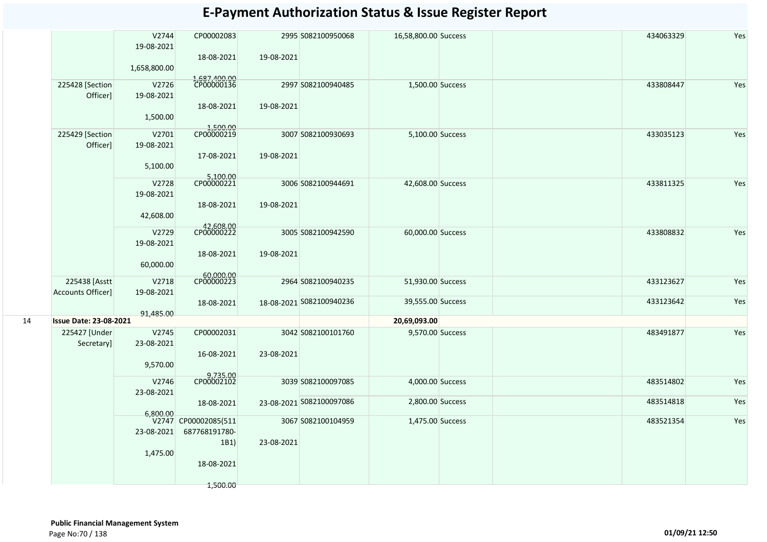|    |                                    | V2744<br>19-08-2021<br>1,658,800.00 | CP00002083<br>18-08-2021                                                | 19-08-2021 | 2995 S082100950068       | 16,58,800.00 Success |  | 434063329 | Yes |
|----|------------------------------------|-------------------------------------|-------------------------------------------------------------------------|------------|--------------------------|----------------------|--|-----------|-----|
|    | 225428 [Section<br>Officer]        | V2726<br>19-08-2021<br>1,500.00     | 1,687,400.00<br>CP00000136<br>18-08-2021                                | 19-08-2021 | 2997 S082100940485       | 1,500.00 Success     |  | 433808447 | Yes |
|    | 225429 [Section<br>Officer]        | V2701<br>19-08-2021<br>5,100.00     | 1,500.00<br>CP00000219<br>17-08-2021                                    | 19-08-2021 | 3007 S082100930693       | 5,100.00 Success     |  | 433035123 | Yes |
|    |                                    | V2728<br>19-08-2021<br>42,608.00    | 5,100.00<br>CP00000221<br>18-08-2021                                    | 19-08-2021 | 3006 S082100944691       | 42,608.00 Success    |  | 433811325 | Yes |
|    |                                    | V2729<br>19-08-2021<br>60,000.00    | 42,608.00<br>CP00000222<br>18-08-2021                                   | 19-08-2021 | 3005 S082100942590       | 60,000.00 Success    |  | 433808832 | Yes |
|    | 225438 [Asstt<br>Accounts Officer] | V2718<br>19-08-2021                 | 60,000.00<br>CP00000223                                                 |            | 2964 S082100940235       | 51,930.00 Success    |  | 433123627 | Yes |
|    |                                    | 91,485.00                           | 18-08-2021                                                              |            | 18-08-2021 5082100940236 | 39,555.00 Success    |  | 433123642 | Yes |
| 14 | <b>Issue Date: 23-08-2021</b>      |                                     |                                                                         |            |                          | 20,69,093.00         |  |           |     |
|    | 225427 [Under<br>Secretary]        | V2745<br>23-08-2021<br>9,570.00     | CP00002031<br>16-08-2021                                                | 23-08-2021 | 3042 S082100101760       | 9,570.00 Success     |  | 483491877 | Yes |
|    |                                    | V2746<br>23-08-2021                 | 9,735.00<br>CP00002102                                                  |            | 3039 S082100097085       | 4,000.00 Success     |  | 483514802 | Yes |
|    |                                    | 6.800.00                            | 18-08-2021                                                              |            | 23-08-2021 S082100097086 | 2,800.00 Success     |  | 483514818 | Yes |
|    |                                    | 23-08-2021<br>1,475.00              | V2747 CP00002085(511<br>687768191780-<br>1B1)<br>18-08-2021<br>1,500.00 | 23-08-2021 | 3067 S082100104959       | 1,475.00 Success     |  | 483521354 | Yes |
|    |                                    |                                     |                                                                         |            |                          |                      |  |           |     |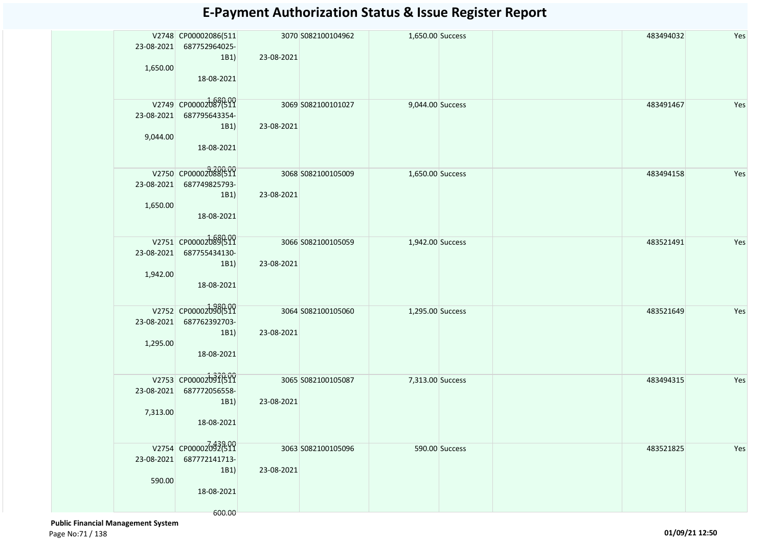| 23-08-2021<br>1,650.00 | V2748 CP00002086(511<br>687752964025-<br>1B1)<br>18-08-2021          | 23-08-2021 | 3070 S082100104962 | 1,650.00 Success |                | 483494032 | Yes |
|------------------------|----------------------------------------------------------------------|------------|--------------------|------------------|----------------|-----------|-----|
| 23-08-2021<br>9,044.00 | V2749 CP00002087(511<br>687795643354-<br>1B1)<br>18-08-2021          | 23-08-2021 | 3069 S082100101027 | 9,044.00 Success |                | 483491467 | Yes |
| 23-08-2021<br>1,650.00 | V2750 CP00002088(511<br>687749825793-<br>1B1)<br>18-08-2021          | 23-08-2021 | 3068 S082100105009 | 1,650.00 Success |                | 483494158 | Yes |
| 23-08-2021<br>1,942.00 | V2751 CP00002089(511<br>687755434130-<br>1B1)<br>18-08-2021          | 23-08-2021 | 3066 S082100105059 | 1,942.00 Success |                | 483521491 | Yes |
| 23-08-2021<br>1,295.00 | V2752 CP00002090(511<br>687762392703-<br>1B1)<br>18-08-2021          | 23-08-2021 | 3064 S082100105060 | 1,295.00 Success |                | 483521649 | Yes |
| 23-08-2021<br>7,313.00 | V2753 CP00002091691<br>687772056558-<br>1B1)<br>18-08-2021           | 23-08-2021 | 3065 S082100105087 | 7,313.00 Success |                | 483494315 | Yes |
| 23-08-2021<br>590.00   | V2754 CP00002092692<br>687772141713-<br>1B1)<br>18-08-2021<br>600.00 | 23-08-2021 | 3063 S082100105096 |                  | 590.00 Success | 483521825 | Yes |

 **Public Financial Management System**  Page No:71 / 138 **01/09/21 12:50**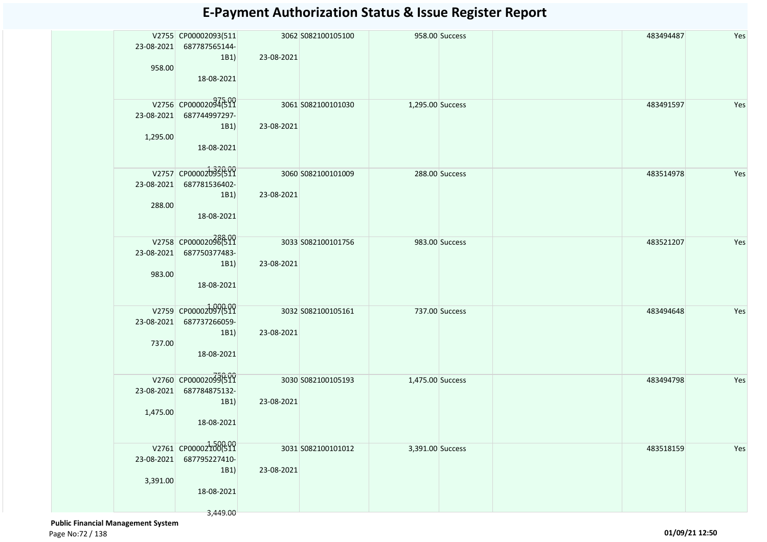| 23-08-2021<br>958.00   | V2755 CP00002093(511<br>687787565144-<br>1B1)<br>18-08-2021             | 23-08-2021 | 3062 S082100105100 |                  | 958.00 Success | 483494487 | Yes |
|------------------------|-------------------------------------------------------------------------|------------|--------------------|------------------|----------------|-----------|-----|
| 1,295.00               | V2756 CP00002094599<br>23-08-2021 687744997297-<br>1B1)<br>18-08-2021   | 23-08-2021 | 3061 S082100101030 | 1,295.00 Success |                | 483491597 | Yes |
| 23-08-2021<br>288.00   | V2757 CP000020936511<br>687781536402-<br>1B1)<br>18-08-2021             | 23-08-2021 | 3060 S082100101009 |                  | 288.00 Success | 483514978 | Yes |
| 983.00                 | V2758 CP00002096(511<br>23-08-2021 687750377483-<br>1B1)<br>18-08-2021  | 23-08-2021 | 3033 S082100101756 |                  | 983.00 Success | 483521207 | Yes |
| 737.00                 | V2759 CP00002097(511<br>23-08-2021 687737266059-<br>1B1)<br>18-08-2021  | 23-08-2021 | 3032 S082100105161 |                  | 737.00 Success | 483494648 | Yes |
| 23-08-2021<br>1,475.00 | V2760 CP000020350511<br>687784875132-<br>1B1)<br>18-08-2021             | 23-08-2021 | 3030 S082100105193 | 1,475.00 Success |                | 483494798 | Yes |
| 23-08-2021<br>3,391.00 | V2761 CP000021006511<br>687795227410-<br>1B1)<br>18-08-2021<br>3,449.00 | 23-08-2021 | 3031 S082100101012 | 3,391.00 Success |                | 483518159 | Yes |

 **Public Financial Management System**  Page No:72 / 138 **01/09/21 12:50**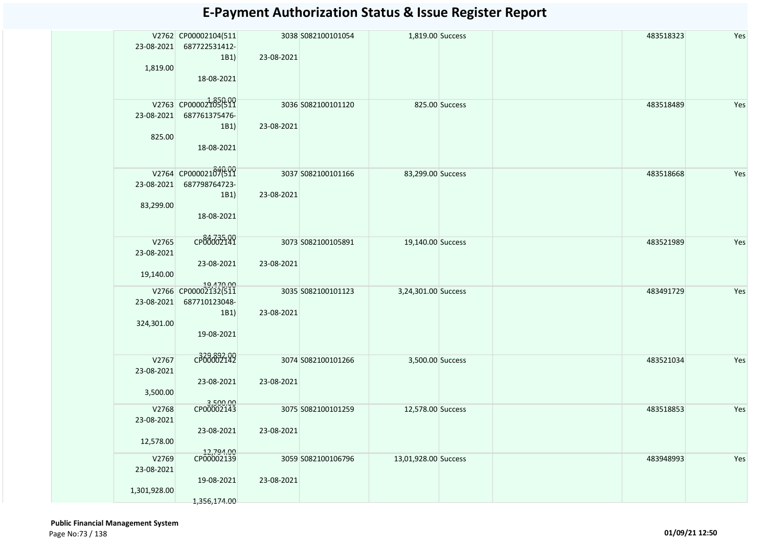|              | V2762 CP00002104(511              |            | 3038 S082100101054 | 1,819.00 Success     |                | 483518323 | Yes |
|--------------|-----------------------------------|------------|--------------------|----------------------|----------------|-----------|-----|
| 23-08-2021   | 687722531412-                     |            |                    |                      |                |           |     |
|              | 1B1)                              | 23-08-2021 |                    |                      |                |           |     |
| 1,819.00     |                                   |            |                    |                      |                |           |     |
|              | 18-08-2021                        |            |                    |                      |                |           |     |
|              |                                   |            |                    |                      |                |           |     |
|              |                                   |            |                    |                      |                |           |     |
|              | V2763 CP000021850509              |            | 3036 S082100101120 |                      | 825.00 Success | 483518489 | Yes |
| 23-08-2021   | 687761375476-                     |            |                    |                      |                |           |     |
|              | 1B1)                              | 23-08-2021 |                    |                      |                |           |     |
| 825.00       |                                   |            |                    |                      |                |           |     |
|              | 18-08-2021                        |            |                    |                      |                |           |     |
|              |                                   |            |                    |                      |                |           |     |
|              | V2764 CP00002187699               |            | 3037 S082100101166 | 83,299.00 Success    |                | 483518668 | Yes |
| 23-08-2021   | 687798764723-                     |            |                    |                      |                |           |     |
|              | 1B1)                              | 23-08-2021 |                    |                      |                |           |     |
|              |                                   |            |                    |                      |                |           |     |
| 83,299.00    | 18-08-2021                        |            |                    |                      |                |           |     |
|              |                                   |            |                    |                      |                |           |     |
|              |                                   |            |                    |                      |                |           |     |
| V2765        | CP84735-99                        |            | 3073 S082100105891 | 19,140.00 Success    |                | 483521989 | Yes |
| 23-08-2021   |                                   |            |                    |                      |                |           |     |
|              | 23-08-2021                        | 23-08-2021 |                    |                      |                |           |     |
| 19,140.00    |                                   |            |                    |                      |                |           |     |
|              | 19,470.00<br>V2766 CP00002132(511 |            |                    |                      |                |           |     |
|              |                                   |            | 3035 S082100101123 | 3,24,301.00 Success  |                | 483491729 | Yes |
| 23-08-2021   | 687710123048-                     |            |                    |                      |                |           |     |
|              | 1B1)                              | 23-08-2021 |                    |                      |                |           |     |
| 324,301.00   |                                   |            |                    |                      |                |           |     |
|              | 19-08-2021                        |            |                    |                      |                |           |     |
|              |                                   |            |                    |                      |                |           |     |
| V2767        | C <sub>1</sub> 38882199           |            | 3074 S082100101266 | 3,500.00 Success     |                | 483521034 | Yes |
| 23-08-2021   |                                   |            |                    |                      |                |           |     |
|              | 23-08-2021                        | 23-08-2021 |                    |                      |                |           |     |
| 3,500.00     |                                   |            |                    |                      |                |           |     |
|              |                                   |            |                    |                      |                |           |     |
| V2768        | 3,500.00<br>CP00002143            |            | 3075 S082100101259 | 12,578.00 Success    |                | 483518853 | Yes |
| 23-08-2021   |                                   |            |                    |                      |                |           |     |
|              | 23-08-2021                        | 23-08-2021 |                    |                      |                |           |     |
| 12,578.00    |                                   |            |                    |                      |                |           |     |
|              |                                   |            |                    |                      |                |           |     |
| V2769        | 12,794.00<br>CP00002139           |            | 3059 S082100106796 | 13,01,928.00 Success |                | 483948993 | Yes |
| 23-08-2021   |                                   |            |                    |                      |                |           |     |
|              | 19-08-2021                        | 23-08-2021 |                    |                      |                |           |     |
| 1,301,928.00 |                                   |            |                    |                      |                |           |     |
|              | 1,356,174.00                      |            |                    |                      |                |           |     |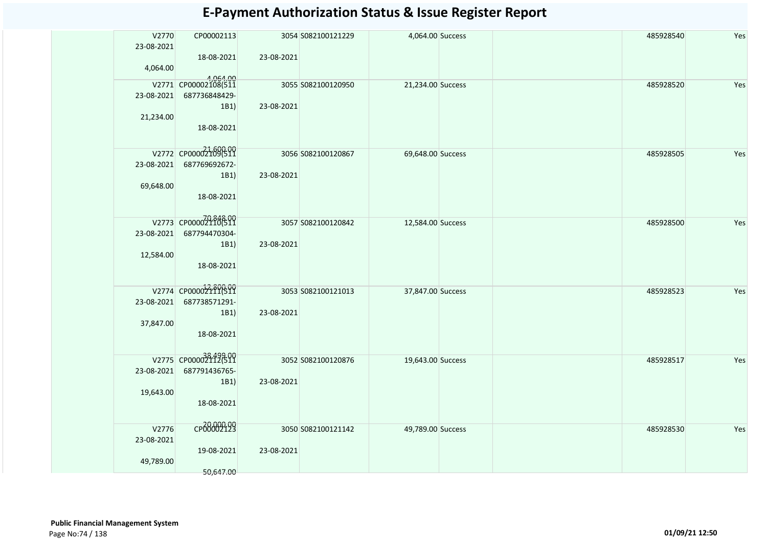| V2770<br>23-08-2021 | CP00002113<br>18-08-2021                          | 23-08-2021 | 3054 S082100121229 | 4,064.00 Success  |  | 485928540 | Yes |
|---------------------|---------------------------------------------------|------------|--------------------|-------------------|--|-----------|-----|
| 4,064.00            |                                                   |            |                    |                   |  |           |     |
| 23-08-2021          | 4,064.00<br>V2771 CP00002108(511<br>687736848429- |            | 3055 S082100120950 | 21,234.00 Success |  | 485928520 | Yes |
| 21,234.00           | 1B1)<br>18-08-2021                                | 23-08-2021 |                    |                   |  |           |     |
|                     | V2772 CP000021090511                              |            | 3056 S082100120867 | 69,648.00 Success |  | 485928505 | Yes |
| 23-08-2021          | 687769692672-<br>1B1)                             | 23-08-2021 |                    |                   |  |           |     |
| 69,648.00           | 18-08-2021                                        |            |                    |                   |  |           |     |
|                     | V2773 CP00002110(511                              |            | 3057 S082100120842 | 12,584.00 Success |  | 485928500 | Yes |
| 23-08-2021          | 687794470304-<br>1B1)                             | 23-08-2021 |                    |                   |  |           |     |
| 12,584.00           | 18-08-2021                                        |            |                    |                   |  |           |     |
|                     | V2774 CP00002211(511                              |            | 3053 S082100121013 | 37,847.00 Success |  | 485928523 | Yes |
| 23-08-2021          | 687738571291-<br>1B1)                             | 23-08-2021 |                    |                   |  |           |     |
| 37,847.00           | 18-08-2021                                        |            |                    |                   |  |           |     |
|                     | V2775 CP000038499809                              |            | 3052 S082100120876 | 19,643.00 Success |  | 485928517 | Yes |
| 23-08-2021          | 687791436765-<br>1B1)                             | 23-08-2021 |                    |                   |  |           |     |
| 19,643.00           | 18-08-2021                                        |            |                    |                   |  |           |     |
| V2776<br>23-08-2021 | CP00002123                                        |            | 3050 S082100121142 | 49,789.00 Success |  | 485928530 | Yes |
| 49,789.00           | 19-08-2021<br>50,647.00                           | 23-08-2021 |                    |                   |  |           |     |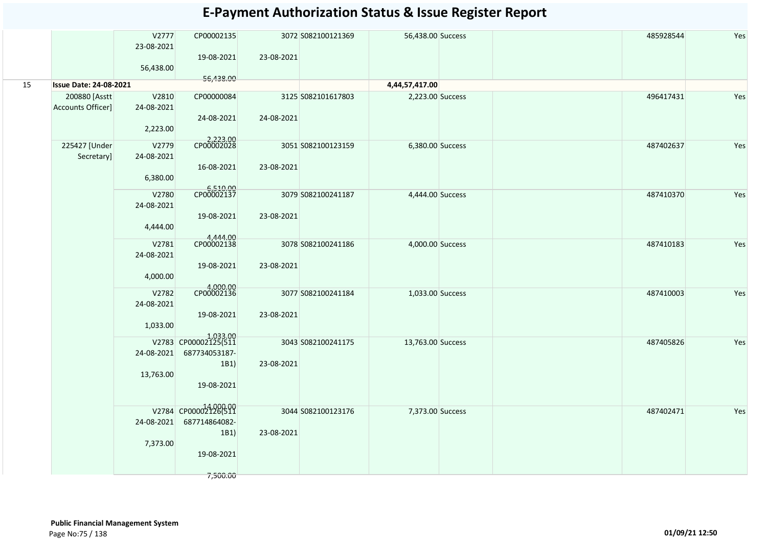|    |                                     | V2777<br>23-08-2021<br>56,438.00 | CP00002135<br>19-08-2021                                                 | 23-08-2021 | 3072 S082100121369 | 56,438.00 Success |  | 485928544 | Yes |
|----|-------------------------------------|----------------------------------|--------------------------------------------------------------------------|------------|--------------------|-------------------|--|-----------|-----|
| 15 | <b>Issue Date: 24-08-2021</b>       |                                  | 56,438.00                                                                |            |                    | 4,44,57,417.00    |  |           |     |
|    | 200880 [Asstt]<br>Accounts Officer] | V2810<br>24-08-2021<br>2,223.00  | CP00000084<br>24-08-2021                                                 | 24-08-2021 | 3125 S082101617803 | 2,223.00 Success  |  | 496417431 | Yes |
|    | 225427 [Under<br>Secretary]         | V2779<br>24-08-2021<br>6,380.00  | 2,223.00<br>CP00002028<br>16-08-2021                                     | 23-08-2021 | 3051 S082100123159 | 6,380.00 Success  |  | 487402637 | Yes |
|    |                                     | V2780<br>24-08-2021<br>4,444.00  | 6,510.00<br>CP00002137<br>19-08-2021                                     | 23-08-2021 | 3079 S082100241187 | 4,444.00 Success  |  | 487410370 | Yes |
|    |                                     | V2781<br>24-08-2021<br>4,000.00  | 4,444.00<br>CP00002138<br>19-08-2021                                     | 23-08-2021 | 3078 S082100241186 | 4,000.00 Success  |  | 487410183 | Yes |
|    |                                     | V2782<br>24-08-2021<br>1,033.00  | 4,000.00<br>CP00002136<br>19-08-2021                                     | 23-08-2021 | 3077 S082100241184 | 1,033.00 Success  |  | 487410003 | Yes |
|    |                                     | 24-08-2021<br>13,763.00          | 1,033.00<br>V2783 CP00002125(511<br>687734053187-<br>1B1)<br>19-08-2021  | 23-08-2021 | 3043 S082100241175 | 13,763.00 Success |  | 487405826 | Yes |
|    |                                     | 24-08-2021<br>7,373.00           | V2784 CP000014,000.00<br>687714864082-<br>1B1)<br>19-08-2021<br>7,500.00 | 23-08-2021 | 3044 S082100123176 | 7,373.00 Success  |  | 487402471 | Yes |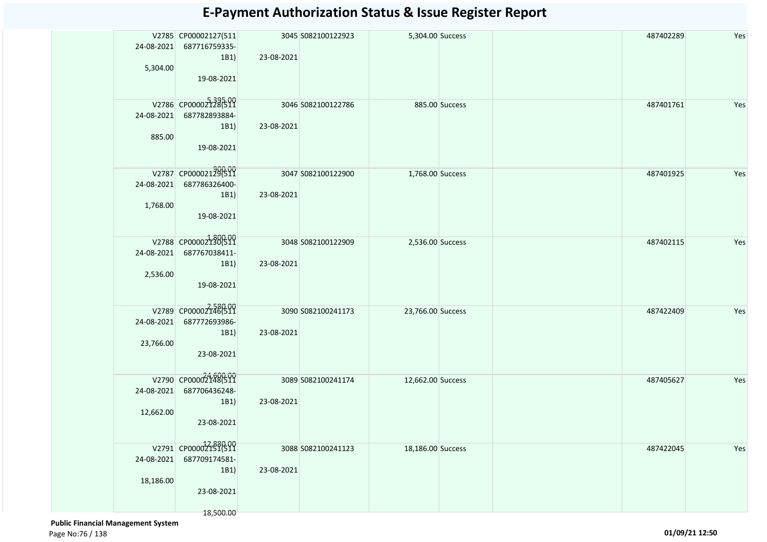| 24-08-2021<br>5,304.00  | V2785 CP00002127(511<br>687716759335-<br>1B1)<br>19-08-2021             | 23-08-2021 | 3045 S082100122923 | 5,304.00 Success  |                | 487402289 | Yes |
|-------------------------|-------------------------------------------------------------------------|------------|--------------------|-------------------|----------------|-----------|-----|
| 24-08-2021<br>885.00    | V2786 CP00002728599<br>687782893884-<br>1B1)<br>19-08-2021              | 23-08-2021 | 3046 S082100122786 |                   | 885.00 Success | 487401761 | Yes |
| 24-08-2021<br>1,768.00  | V2787 CP00002129(511<br>687786326400-<br>1B1)<br>19-08-2021             | 23-08-2021 | 3047 S082100122900 | 1,768.00 Success  |                | 487401925 | Yes |
| 24-08-2021<br>2,536.00  | V2788 CP000021300511<br>687767038411-<br>1B1)<br>19-08-2021             | 23-08-2021 | 3048 S082100122909 | 2,536.00 Success  |                | 487402115 | Yes |
| 24-08-2021<br>23,766.00 | V2789 CP00002146(511<br>687772693986-<br>1B1)<br>23-08-2021             | 23-08-2021 | 3090 S082100241173 | 23,766.00 Success |                | 487422409 | Yes |
| 24-08-2021<br>12,662.00 | V2790 CP00002148(511<br>687706436248-<br>1B1)<br>23-08-2021             | 23-08-2021 | 3089 S082100241174 | 12,662.00 Success |                | 487405627 | Yes |
| 24-08-2021<br>18,186.00 | V2791 CP00002151691<br>687709174581-<br>1B1)<br>23-08-2021<br>18,500.00 | 23-08-2021 | 3088 S082100241123 | 18,186.00 Success |                | 487422045 | Yes |

 **Public Financial Management System**  Page No:76 / 138 **01/09/21 12:50**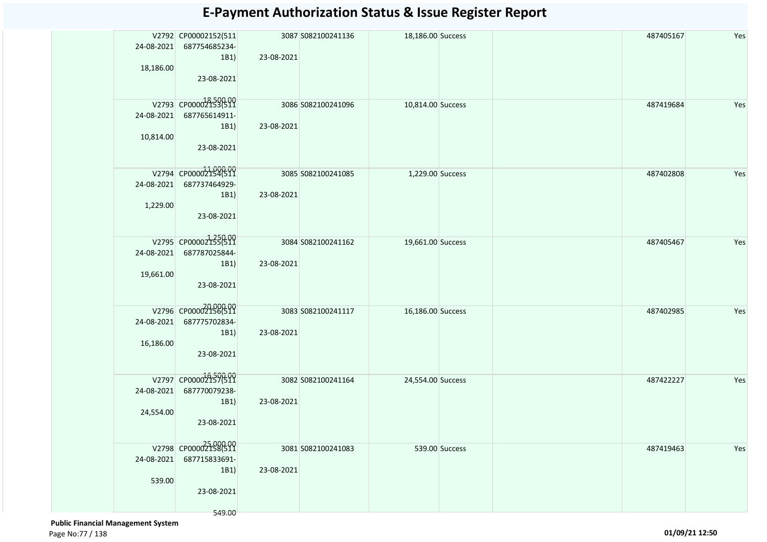| 24-08-2021<br>18,186.00 | V2792 CP00002152(511<br>687754685234-<br>1B1)<br>23-08-2021           | 23-08-2021 | 3087 S082100241136 | 18,186.00 Success |                | 487405167 | Yes |
|-------------------------|-----------------------------------------------------------------------|------------|--------------------|-------------------|----------------|-----------|-----|
| 24-08-2021<br>10,814.00 | V2793 CP00002153(511<br>687765614911-<br>1B1)<br>23-08-2021           | 23-08-2021 | 3086 S082100241096 | 10,814.00 Success |                | 487419684 | Yes |
| 24-08-2021<br>1,229.00  | V2794 CP00002154(511<br>687737464929-<br>1B1)<br>23-08-2021           | 23-08-2021 | 3085 S082100241085 | 1,229.00 Success  |                | 487402808 | Yes |
| 24-08-2021<br>19,661.00 | V2795 CP000021350509<br>687787025844-<br>1B1)<br>23-08-2021           | 23-08-2021 | 3084 S082100241162 | 19,661.00 Success |                | 487405467 | Yes |
| 24-08-2021<br>16,186.00 | V2796 CP00002156(511<br>687775702834-<br>1B1)<br>23-08-2021           | 23-08-2021 | 3083 S082100241117 | 16,186.00 Success |                | 487402985 | Yes |
| 24-08-2021<br>24,554.00 | V2797 CP000022157(511<br>687770079238-<br>1B1)<br>23-08-2021          | 23-08-2021 | 3082 S082100241164 | 24,554.00 Success |                | 487422227 | Yes |
| 24-08-2021<br>539.00    | V2798 CP000027586311<br>687715833691-<br>1B1)<br>23-08-2021<br>549.00 | 23-08-2021 | 3081 S082100241083 |                   | 539.00 Success | 487419463 | Yes |

 **Public Financial Management System**  Page No:77 / 138 **01/09/21 12:50**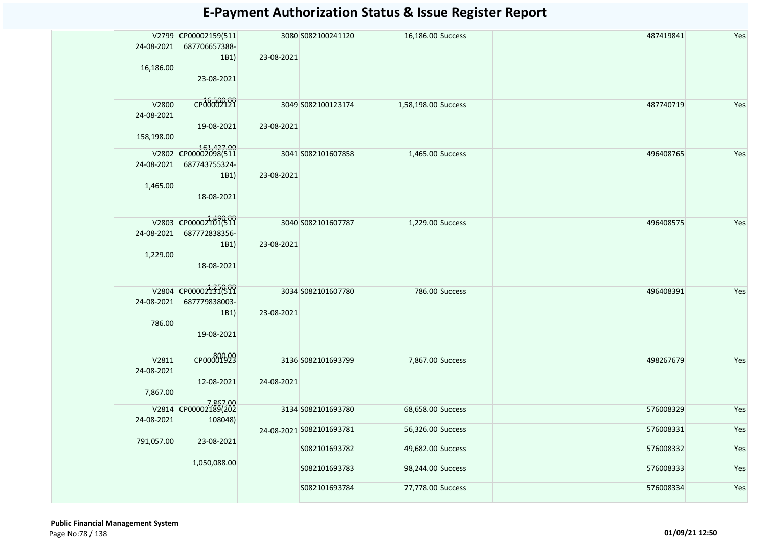| 24-08-2021<br>16,186.00           | V2799 CP00002159(511<br>687706657388-<br>1B1)<br>23-08-2021               | 23-08-2021 | 3080 S082100241120       | 16,186.00 Success                      |                | 487419841 | Yes        |
|-----------------------------------|---------------------------------------------------------------------------|------------|--------------------------|----------------------------------------|----------------|-----------|------------|
| V2800<br>24-08-2021<br>158,198.00 | CP00002121<br>19-08-2021                                                  | 23-08-2021 | 3049 S082100123174       | 1,58,198.00 Success                    |                | 487740719 | Yes        |
| 24-08-2021<br>1,465.00            | 161,427.00<br>V2802 CP00002098(511<br>687743755324-<br>1B1)<br>18-08-2021 | 23-08-2021 | 3041 S082101607858       | 1,465.00 Success                       |                | 496408765 | Yes        |
| 24-08-2021<br>1,229.00            | V2803 CP00002101611<br>687772838356-<br>1B1)<br>18-08-2021                | 23-08-2021 | 3040 S082101607787       | 1,229.00 Success                       |                | 496408575 | Yes        |
| 24-08-2021<br>786.00              | V2804 CP00002131699<br>687779838003-<br>1B1)<br>19-08-2021                | 23-08-2021 | 3034 S082101607780       |                                        | 786.00 Success | 496408391 | Yes        |
| V2811<br>24-08-2021<br>7,867.00   | CP00001929<br>12-08-2021                                                  | 24-08-2021 | 3136 S082101693799       | 7,867.00 Success                       |                | 498267679 | Yes        |
| 24-08-2021                        | 7,867.00<br>V2814 CP00002189(202<br>108048)                               |            | 3134 S082101693780       | 68,658.00 Success                      |                | 576008329 | Yes        |
| 791,057.00                        | 23-08-2021                                                                |            | 24-08-2021 5082101693781 | 56,326.00 Success<br>49,682.00 Success |                | 576008331 | Yes<br>Yes |
|                                   | 1,050,088.00                                                              |            | S082101693782            |                                        |                | 576008332 |            |
|                                   |                                                                           |            | S082101693783            | 98,244.00 Success                      |                | 576008333 | Yes        |
|                                   |                                                                           |            | S082101693784            | 77,778.00 Success                      |                | 576008334 | Yes        |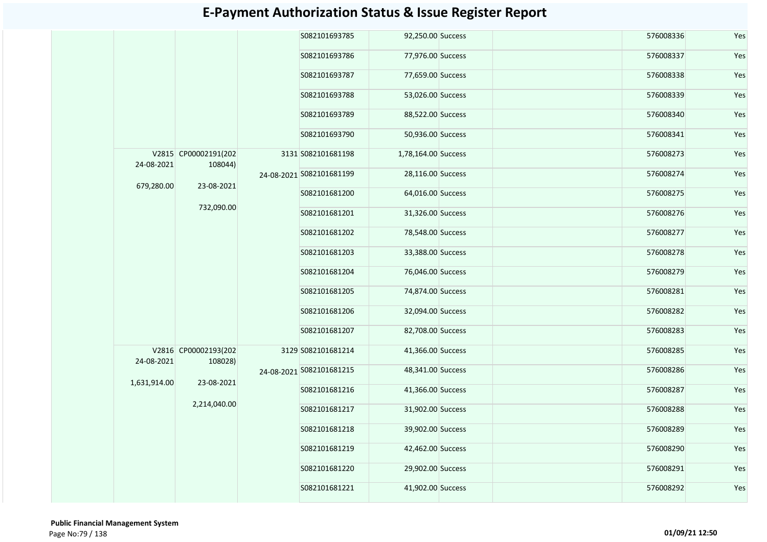|              |                                        |               | S082101693785            | 92,250.00 Success   |                   | 576008336 | Yes       |
|--------------|----------------------------------------|---------------|--------------------------|---------------------|-------------------|-----------|-----------|
|              |                                        |               | S082101693786            | 77,976.00 Success   |                   | 576008337 | Yes       |
|              |                                        |               | S082101693787            | 77,659.00 Success   |                   | 576008338 | Yes       |
|              |                                        |               | S082101693788            | 53,026.00 Success   |                   | 576008339 | Yes       |
|              |                                        |               | S082101693789            | 88,522.00 Success   |                   | 576008340 | Yes       |
|              |                                        |               | S082101693790            | 50,936.00 Success   |                   | 576008341 | Yes       |
| 24-08-2021   | V2815 CP00002191(202<br>108044)        |               | 3131 S082101681198       | 1,78,164.00 Success |                   | 576008273 | Yes       |
|              |                                        |               | 24-08-2021 S082101681199 | 28,116.00 Success   |                   | 576008274 | Yes       |
|              | 679,280.00<br>23-08-2021<br>732,090.00 | S082101681200 | 64,016.00 Success        |                     | 576008275         | Yes       |           |
|              |                                        |               | S082101681201            | 31,326.00 Success   |                   | 576008276 | Yes       |
|              |                                        |               | S082101681202            | 78,548.00 Success   |                   | 576008277 | Yes       |
|              |                                        |               | S082101681203            | 33,388.00 Success   |                   | 576008278 | Yes       |
|              |                                        |               | S082101681204            | 76,046.00 Success   |                   | 576008279 | Yes       |
|              |                                        |               | S082101681205            | 74,874.00 Success   |                   | 576008281 | Yes       |
|              |                                        |               | S082101681206            | 32,094.00 Success   |                   | 576008282 | Yes       |
|              |                                        |               | S082101681207            | 82,708.00 Success   |                   | 576008283 | Yes       |
| 24-08-2021   | V2816 CP00002193(202<br>108028)        |               | 3129 S082101681214       | 41,366.00 Success   |                   | 576008285 | Yes       |
| 1,631,914.00 | 23-08-2021                             |               | 24-08-2021 S082101681215 | 48,341.00 Success   |                   | 576008286 | Yes       |
|              |                                        |               | S082101681216            | 41,366.00 Success   |                   | 576008287 | Yes       |
|              | 2,214,040.00                           |               | S082101681217            | 31,902.00 Success   |                   | 576008288 | Yes       |
|              |                                        |               | S082101681218            | 39,902.00 Success   |                   | 576008289 | Yes       |
|              |                                        |               |                          | S082101681219       | 42,462.00 Success |           | 576008290 |
|              |                                        |               | S082101681220            | 29,902.00 Success   |                   | 576008291 | Yes       |
|              |                                        |               | S082101681221            | 41,902.00 Success   |                   | 576008292 | Yes       |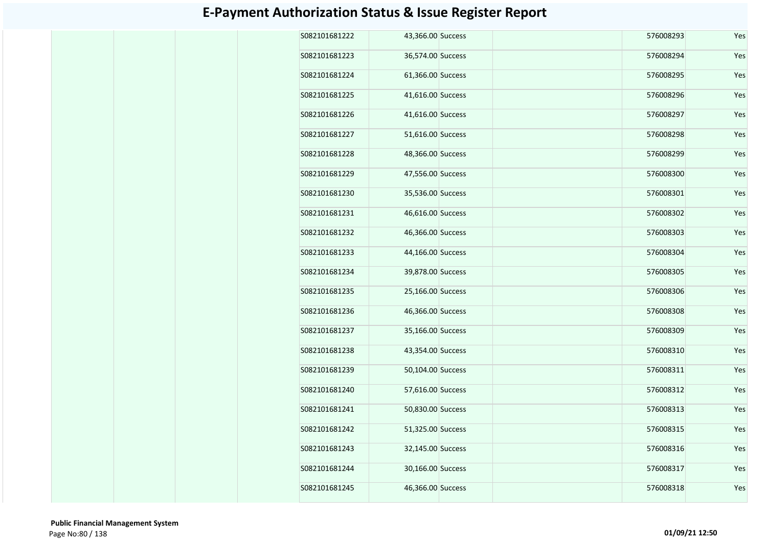| S082101681222 | 43,366.00 Success | 576008293 | Yes |
|---------------|-------------------|-----------|-----|
| S082101681223 | 36,574.00 Success | 576008294 | Yes |
| S082101681224 | 61,366.00 Success | 576008295 | Yes |
| S082101681225 | 41,616.00 Success | 576008296 | Yes |
| S082101681226 | 41,616.00 Success | 576008297 | Yes |
| S082101681227 | 51,616.00 Success | 576008298 | Yes |
| S082101681228 | 48,366.00 Success | 576008299 | Yes |
| S082101681229 | 47,556.00 Success | 576008300 | Yes |
| S082101681230 | 35,536.00 Success | 576008301 | Yes |
| S082101681231 | 46,616.00 Success | 576008302 | Yes |
| S082101681232 | 46,366.00 Success | 576008303 | Yes |
| S082101681233 | 44,166.00 Success | 576008304 | Yes |
| S082101681234 | 39,878.00 Success | 576008305 | Yes |
| S082101681235 | 25,166.00 Success | 576008306 | Yes |
| S082101681236 | 46,366.00 Success | 576008308 | Yes |
| S082101681237 | 35,166.00 Success | 576008309 | Yes |
| S082101681238 | 43,354.00 Success | 576008310 | Yes |
| S082101681239 | 50,104.00 Success | 576008311 | Yes |
| S082101681240 | 57,616.00 Success | 576008312 | Yes |
| S082101681241 | 50,830.00 Success | 576008313 | Yes |
| S082101681242 | 51,325.00 Success | 576008315 | Yes |
| S082101681243 | 32,145.00 Success | 576008316 | Yes |
| S082101681244 | 30,166.00 Success | 576008317 | Yes |
| S082101681245 | 46,366.00 Success | 576008318 | Yes |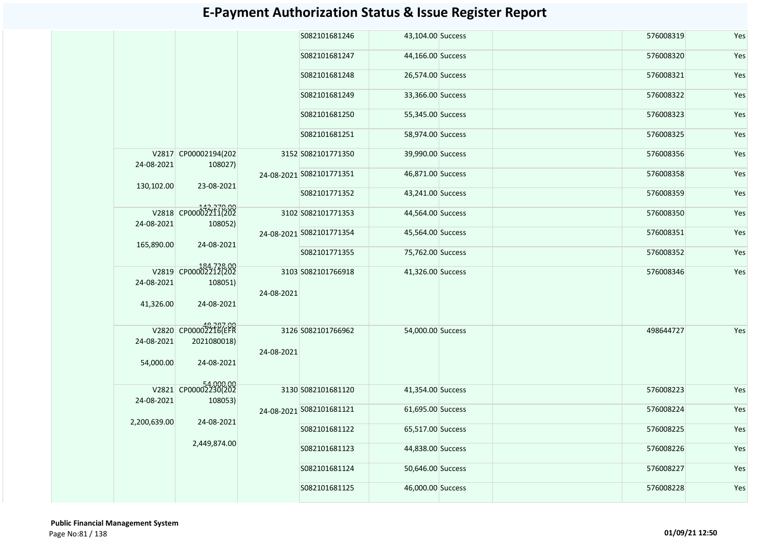|              |                                 |            | S082101681246            | 43,104.00 Success |  | 576008319 | Yes |
|--------------|---------------------------------|------------|--------------------------|-------------------|--|-----------|-----|
|              |                                 |            | S082101681247            | 44,166.00 Success |  | 576008320 | Yes |
|              |                                 |            | S082101681248            | 26,574.00 Success |  | 576008321 | Yes |
|              |                                 |            | S082101681249            | 33,366.00 Success |  | 576008322 | Yes |
|              |                                 |            | S082101681250            | 55,345.00 Success |  | 576008323 | Yes |
|              |                                 |            | S082101681251            | 58,974.00 Success |  | 576008325 | Yes |
| 24-08-2021   | V2817 CP00002194(202<br>108027) |            | 3152 S082101771350       | 39,990.00 Success |  | 576008356 | Yes |
|              |                                 |            | 24-08-2021 S082101771351 | 46,871.00 Success |  | 576008358 | Yes |
| 130,102.00   | 23-08-2021                      |            | S082101771352            | 43,241.00 Success |  | 576008359 | Yes |
| 24-08-2021   | V2818 CP00002211(202<br>108052) |            | 3102 S082101771353       | 44,564.00 Success |  | 576008350 | Yes |
| 165,890.00   | 24-08-2021                      |            | 24-08-2021 S082101771354 | 45,564.00 Success |  | 576008351 | Yes |
|              |                                 |            | S082101771355            | 75,762.00 Success |  | 576008352 | Yes |
|              | V2819 CP00002212(202            |            | 3103 S082101766918       | 41,326.00 Success |  | 576008346 | Yes |
| 24-08-2021   | 108051)                         | 24-08-2021 |                          |                   |  |           |     |
| 41,326.00    | 24-08-2021                      |            |                          |                   |  |           |     |
|              | V2820 CP00002216(EFR            |            | 3126 S082101766962       | 54,000.00 Success |  | 498644727 | Yes |
| 24-08-2021   | 2021080018)                     |            |                          |                   |  |           |     |
|              |                                 | 24-08-2021 |                          |                   |  |           |     |
| 54,000.00    | 24-08-2021                      |            |                          |                   |  |           |     |
|              | V2821 CP00002230(202            |            | 3130 S082101681120       | 41,354.00 Success |  | 576008223 | Yes |
| 24-08-2021   | 108053)                         |            | 24-08-2021 S082101681121 | 61,695.00 Success |  | 576008224 | Yes |
| 2,200,639.00 | 24-08-2021                      |            |                          |                   |  |           |     |
|              |                                 |            | S082101681122            | 65,517.00 Success |  | 576008225 | Yes |
|              | 2,449,874.00                    |            | S082101681123            | 44,838.00 Success |  | 576008226 | Yes |
|              |                                 |            | S082101681124            | 50,646.00 Success |  | 576008227 | Yes |
|              |                                 |            | S082101681125            | 46,000.00 Success |  | 576008228 | Yes |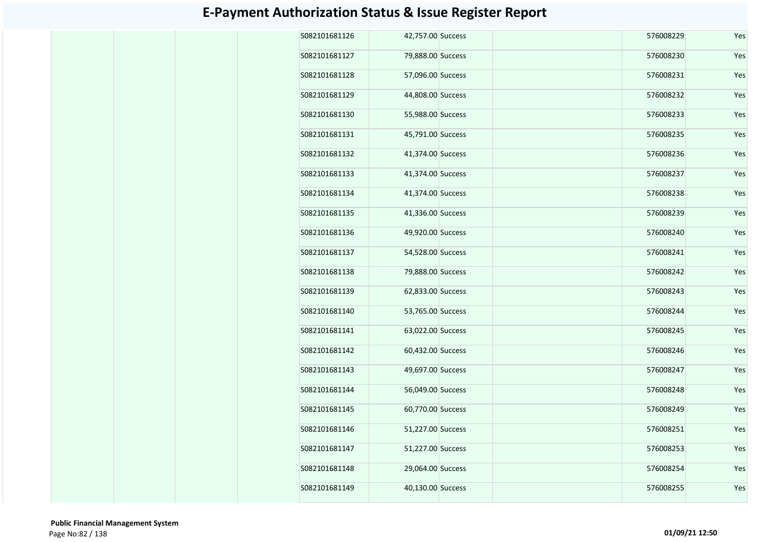| S082101681126 | 42,757.00 Success | 576008229 | Yes |
|---------------|-------------------|-----------|-----|
| S082101681127 | 79,888.00 Success | 576008230 | Yes |
| S082101681128 | 57,096.00 Success | 576008231 | Yes |
| S082101681129 | 44,808.00 Success | 576008232 | Yes |
| S082101681130 | 55,988.00 Success | 576008233 | Yes |
| S082101681131 | 45,791.00 Success | 576008235 | Yes |
| S082101681132 | 41,374.00 Success | 576008236 | Yes |
| S082101681133 | 41,374.00 Success | 576008237 | Yes |
| S082101681134 | 41,374.00 Success | 576008238 | Yes |
| S082101681135 | 41,336.00 Success | 576008239 | Yes |
| S082101681136 | 49,920.00 Success | 576008240 | Yes |
| S082101681137 | 54,528.00 Success | 576008241 | Yes |
| S082101681138 | 79,888.00 Success | 576008242 | Yes |
| S082101681139 | 62,833.00 Success | 576008243 | Yes |
| S082101681140 | 53,765.00 Success | 576008244 | Yes |
| S082101681141 | 63,022.00 Success | 576008245 | Yes |
| S082101681142 | 60,432.00 Success | 576008246 | Yes |
| S082101681143 | 49,697.00 Success | 576008247 | Yes |
| S082101681144 | 56,049.00 Success | 576008248 | Yes |
| S082101681145 | 60,770.00 Success | 576008249 | Yes |
| S082101681146 | 51,227.00 Success | 576008251 | Yes |
| S082101681147 | 51,227.00 Success | 576008253 | Yes |
| S082101681148 | 29,064.00 Success | 576008254 | Yes |
| S082101681149 | 40,130.00 Success | 576008255 | Yes |
|               |                   |           |     |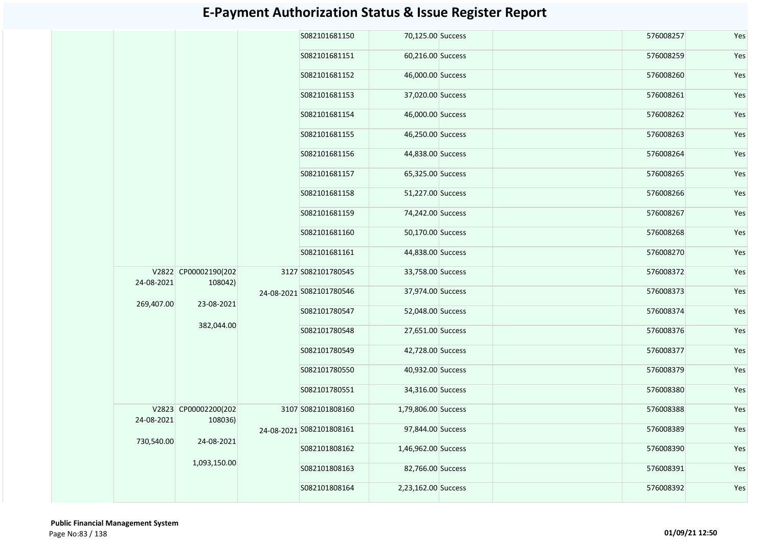|  |            |                                                             |  | S082101681150            | 70,125.00 Success   |  | 576008257 | Yes |  |  |  |               |                   |  |           |     |  |  |  |                          |                   |  |           |     |
|--|------------|-------------------------------------------------------------|--|--------------------------|---------------------|--|-----------|-----|--|--|--|---------------|-------------------|--|-----------|-----|--|--|--|--------------------------|-------------------|--|-----------|-----|
|  |            |                                                             |  | S082101681151            | 60,216.00 Success   |  | 576008259 | Yes |  |  |  |               |                   |  |           |     |  |  |  |                          |                   |  |           |     |
|  |            |                                                             |  | S082101681152            | 46,000.00 Success   |  | 576008260 | Yes |  |  |  |               |                   |  |           |     |  |  |  |                          |                   |  |           |     |
|  |            |                                                             |  | S082101681153            | 37,020.00 Success   |  | 576008261 | Yes |  |  |  |               |                   |  |           |     |  |  |  |                          |                   |  |           |     |
|  |            |                                                             |  | S082101681154            | 46,000.00 Success   |  | 576008262 | Yes |  |  |  |               |                   |  |           |     |  |  |  |                          |                   |  |           |     |
|  |            |                                                             |  | S082101681155            | 46,250.00 Success   |  | 576008263 | Yes |  |  |  |               |                   |  |           |     |  |  |  |                          |                   |  |           |     |
|  |            |                                                             |  | S082101681156            | 44,838.00 Success   |  | 576008264 | Yes |  |  |  |               |                   |  |           |     |  |  |  |                          |                   |  |           |     |
|  |            |                                                             |  | S082101681157            | 65,325.00 Success   |  | 576008265 | Yes |  |  |  |               |                   |  |           |     |  |  |  |                          |                   |  |           |     |
|  |            |                                                             |  | S082101681158            | 51,227.00 Success   |  | 576008266 | Yes |  |  |  |               |                   |  |           |     |  |  |  |                          |                   |  |           |     |
|  |            |                                                             |  | S082101681159            | 74,242.00 Success   |  | 576008267 | Yes |  |  |  |               |                   |  |           |     |  |  |  |                          |                   |  |           |     |
|  |            |                                                             |  | S082101681160            | 50,170.00 Success   |  | 576008268 | Yes |  |  |  |               |                   |  |           |     |  |  |  |                          |                   |  |           |     |
|  |            |                                                             |  | S082101681161            | 44,838.00 Success   |  | 576008270 | Yes |  |  |  |               |                   |  |           |     |  |  |  |                          |                   |  |           |     |
|  | 24-08-2021 | V2822 CP00002190(202<br>108042)                             |  | 3127 S082101780545       | 33,758.00 Success   |  | 576008372 | Yes |  |  |  |               |                   |  |           |     |  |  |  |                          |                   |  |           |     |
|  |            | 23-08-2021                                                  |  |                          |                     |  |           |     |  |  |  |               |                   |  |           |     |  |  |  | 24-08-2021 5082101780546 | 37,974.00 Success |  | 576008373 | Yes |
|  | 269,407.00 |                                                             |  |                          |                     |  |           |     |  |  |  | S082101780547 | 52,048.00 Success |  | 576008374 | Yes |  |  |  |                          |                   |  |           |     |
|  |            | 382,044.00                                                  |  | S082101780548            | 27,651.00 Success   |  | 576008376 | Yes |  |  |  |               |                   |  |           |     |  |  |  |                          |                   |  |           |     |
|  |            |                                                             |  | S082101780549            | 42,728.00 Success   |  | 576008377 | Yes |  |  |  |               |                   |  |           |     |  |  |  |                          |                   |  |           |     |
|  |            |                                                             |  | S082101780550            | 40,932.00 Success   |  | 576008379 | Yes |  |  |  |               |                   |  |           |     |  |  |  |                          |                   |  |           |     |
|  |            |                                                             |  | S082101780551            | 34,316.00 Success   |  | 576008380 | Yes |  |  |  |               |                   |  |           |     |  |  |  |                          |                   |  |           |     |
|  |            | V2823 CP00002200(202<br>24-08-2021<br>108036)<br>24-08-2021 |  | 3107 S082101808160       | 1,79,806.00 Success |  | 576008388 | Yes |  |  |  |               |                   |  |           |     |  |  |  |                          |                   |  |           |     |
|  |            |                                                             |  | 24-08-2021 S082101808161 | 97,844.00 Success   |  | 576008389 | Yes |  |  |  |               |                   |  |           |     |  |  |  |                          |                   |  |           |     |
|  | 730,540.00 |                                                             |  | S082101808162            | 1,46,962.00 Success |  | 576008390 | Yes |  |  |  |               |                   |  |           |     |  |  |  |                          |                   |  |           |     |
|  |            | 1,093,150.00                                                |  | S082101808163            | 82,766.00 Success   |  | 576008391 | Yes |  |  |  |               |                   |  |           |     |  |  |  |                          |                   |  |           |     |
|  |            |                                                             |  | S082101808164            | 2,23,162.00 Success |  | 576008392 | Yes |  |  |  |               |                   |  |           |     |  |  |  |                          |                   |  |           |     |
|  |            |                                                             |  |                          |                     |  |           |     |  |  |  |               |                   |  |           |     |  |  |  |                          |                   |  |           |     |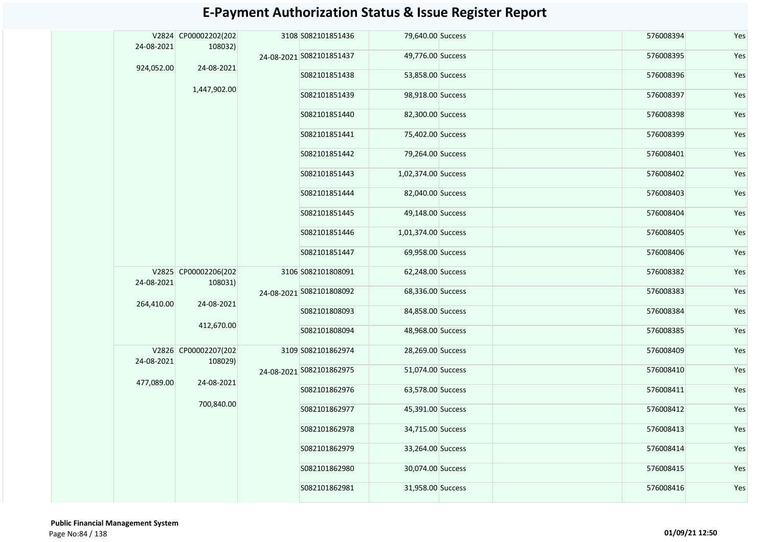| 24-08-2021 | V2824 CP00002202(202<br>108032) |               | 3108 S082101851436       | 79,640.00 Success   | 576008394 | Yes |
|------------|---------------------------------|---------------|--------------------------|---------------------|-----------|-----|
|            |                                 |               | 24-08-2021 S082101851437 | 49,776.00 Success   | 576008395 | Yes |
| 924,052.00 | 24-08-2021                      |               | S082101851438            | 53,858.00 Success   | 576008396 | Yes |
|            | 1,447,902.00                    |               | S082101851439            | 98,918.00 Success   | 576008397 | Yes |
|            |                                 |               | S082101851440            | 82,300.00 Success   | 576008398 | Yes |
|            |                                 |               | S082101851441            | 75,402.00 Success   | 576008399 | Yes |
|            |                                 |               | S082101851442            | 79,264.00 Success   | 576008401 | Yes |
|            |                                 |               | S082101851443            | 1,02,374.00 Success | 576008402 | Yes |
|            |                                 |               | S082101851444            | 82,040.00 Success   | 576008403 | Yes |
|            |                                 |               | S082101851445            | 49,148.00 Success   | 576008404 | Yes |
|            |                                 | S082101851446 | 1,01,374.00 Success      | 576008405           | Yes       |     |
|            |                                 |               | S082101851447            | 69,958.00 Success   | 576008406 | Yes |
| 24-08-2021 | V2825 CP00002206(202<br>108031) |               | 3106 S082101808091       | 62,248.00 Success   | 576008382 | Yes |
|            |                                 |               | 24-08-2021 5082101808092 | 68,336.00 Success   | 576008383 | Yes |
| 264,410.00 | 24-08-2021                      |               | S082101808093            | 84,858.00 Success   | 576008384 | Yes |
|            | 412,670.00                      |               | S082101808094            | 48,968.00 Success   | 576008385 | Yes |
| 24-08-2021 | V2826 CP00002207(202<br>108029) |               | 3109 S082101862974       | 28,269.00 Success   | 576008409 | Yes |
|            |                                 |               | 24-08-2021 S082101862975 | 51,074.00 Success   | 576008410 | Yes |
| 477,089.00 | 24-08-2021                      |               | S082101862976            | 63,578.00 Success   | 576008411 | Yes |
|            | 700,840.00                      |               | S082101862977            | 45,391.00 Success   | 576008412 | Yes |
|            |                                 | S082101862978 | 34,715.00 Success        | 576008413           | Yes       |     |
|            |                                 | S082101862979 | 33,264.00 Success        | 576008414           | Yes       |     |
|            |                                 | S082101862980 | 30,074.00 Success        | 576008415           | Yes       |     |
|            |                                 | S082101862981 | 31,958.00 Success        | 576008416           | Yes       |     |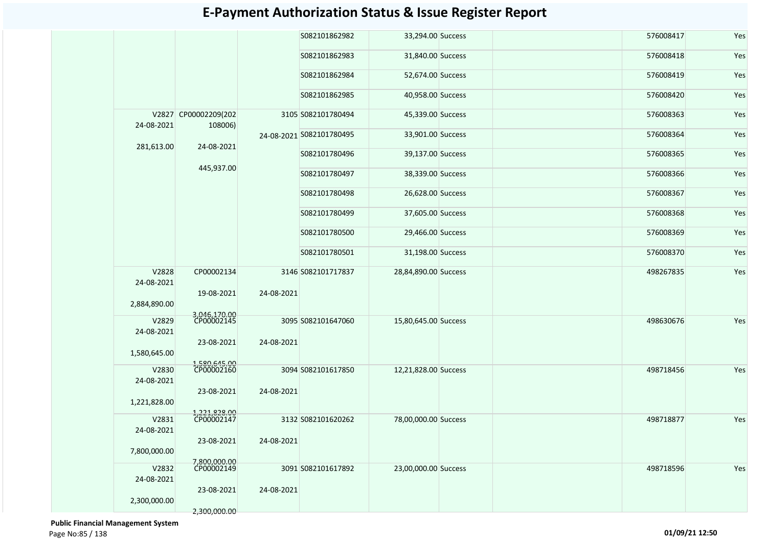|                     |                                 |            | S082101862982            | 33,294.00 Success    |  | 576008417 | Yes |
|---------------------|---------------------------------|------------|--------------------------|----------------------|--|-----------|-----|
|                     |                                 |            | S082101862983            | 31,840.00 Success    |  | 576008418 | Yes |
|                     |                                 |            | S082101862984            | 52,674.00 Success    |  | 576008419 | Yes |
|                     |                                 |            | S082101862985            | 40,958.00 Success    |  | 576008420 | Yes |
| 24-08-2021          | V2827 CP00002209(202<br>108006) |            | 3105 S082101780494       | 45,339.00 Success    |  | 576008363 | Yes |
| 281,613.00          | 24-08-2021                      |            | 24-08-2021 S082101780495 | 33,901.00 Success    |  | 576008364 | Yes |
|                     |                                 |            | S082101780496            | 39,137.00 Success    |  | 576008365 | Yes |
|                     | 445,937.00                      |            | S082101780497            | 38,339.00 Success    |  | 576008366 | Yes |
|                     |                                 |            | S082101780498            | 26,628.00 Success    |  | 576008367 | Yes |
|                     |                                 |            | S082101780499            | 37,605.00 Success    |  | 576008368 | Yes |
|                     |                                 |            | S082101780500            | 29,466.00 Success    |  | 576008369 | Yes |
|                     |                                 |            | S082101780501            | 31,198.00 Success    |  | 576008370 | Yes |
| V2828<br>24-08-2021 | CP00002134                      |            | 3146 S082101717837       | 28,84,890.00 Success |  | 498267835 | Yes |
| 2,884,890.00        | 19-08-2021                      | 24-08-2021 |                          |                      |  |           |     |
| V2829               | 3,046,170.00<br>CP00002145      |            | 3095 S082101647060       | 15,80,645.00 Success |  | 498630676 | Yes |
| 24-08-2021          |                                 |            |                          |                      |  |           |     |
| 1,580,645.00        | 23-08-2021                      | 24-08-2021 |                          |                      |  |           |     |
| V2830               | 1,580,645.00<br>CP00002160      |            | 3094 S082101617850       | 12,21,828.00 Success |  | 498718456 | Yes |
| 24-08-2021          |                                 |            |                          |                      |  |           |     |
| 1,221,828.00        | 23-08-2021                      | 24-08-2021 |                          |                      |  |           |     |
| V2831               | 1,221,828.00<br>CP00002147      |            | 3132 S082101620262       | 78,00,000.00 Success |  | 498718877 | Yes |
| 24-08-2021          |                                 |            |                          |                      |  |           |     |
|                     | 23-08-2021                      | 24-08-2021 |                          |                      |  |           |     |
| 7,800,000.00        |                                 |            |                          |                      |  |           |     |
| V2832               | 7,800,000.00<br>CP00002149      |            | 3091 S082101617892       | 23,00,000.00 Success |  | 498718596 | Yes |
| 24-08-2021          |                                 |            |                          |                      |  |           |     |
|                     | 23-08-2021                      | 24-08-2021 |                          |                      |  |           |     |
| 2,300,000.00        |                                 |            |                          |                      |  |           |     |
|                     | 2,300,000.00                    |            |                          |                      |  |           |     |

 **Public Financial Management System**  Page No:85 / 138 **01/09/21 12:50**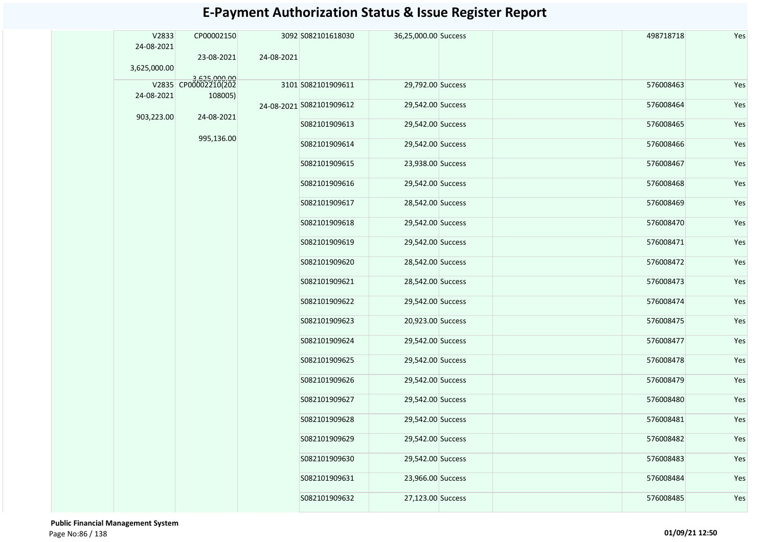| V2833<br>24-08-2021 | CP00002150   |            | 3092 S082101618030       | 36,25,000.00 Success |  | 498718718 | Yes |  |  |               |                   |  |           |     |  |  |  |  |  |
|---------------------|--------------|------------|--------------------------|----------------------|--|-----------|-----|--|--|---------------|-------------------|--|-----------|-----|--|--|--|--|--|
| 3,625,000.00        | 23-08-2021   | 24-08-2021 |                          |                      |  |           |     |  |  |               |                   |  |           |     |  |  |  |  |  |
|                     | 3,625,000.00 |            | 3101 S082101909611       | 29,792.00 Success    |  | 576008463 | Yes |  |  |               |                   |  |           |     |  |  |  |  |  |
| 24-08-2021          | 108005)      |            |                          |                      |  |           |     |  |  |               |                   |  |           |     |  |  |  |  |  |
|                     |              |            | 24-08-2021 S082101909612 | 29,542.00 Success    |  | 576008464 | Yes |  |  |               |                   |  |           |     |  |  |  |  |  |
| 903,223.00          | 24-08-2021   |            | S082101909613            | 29,542.00 Success    |  | 576008465 | Yes |  |  |               |                   |  |           |     |  |  |  |  |  |
|                     | 995,136.00   |            | S082101909614            | 29,542.00 Success    |  | 576008466 | Yes |  |  |               |                   |  |           |     |  |  |  |  |  |
|                     |              |            | S082101909615            | 23,938.00 Success    |  | 576008467 | Yes |  |  |               |                   |  |           |     |  |  |  |  |  |
|                     |              |            | S082101909616            | 29,542.00 Success    |  | 576008468 | Yes |  |  |               |                   |  |           |     |  |  |  |  |  |
|                     |              |            | S082101909617            | 28,542.00 Success    |  | 576008469 | Yes |  |  |               |                   |  |           |     |  |  |  |  |  |
|                     |              |            | S082101909618            | 29,542.00 Success    |  | 576008470 | Yes |  |  |               |                   |  |           |     |  |  |  |  |  |
|                     |              |            | S082101909619            | 29,542.00 Success    |  | 576008471 | Yes |  |  |               |                   |  |           |     |  |  |  |  |  |
|                     |              |            | S082101909620            | 28,542.00 Success    |  | 576008472 | Yes |  |  |               |                   |  |           |     |  |  |  |  |  |
|                     |              |            | S082101909621            | 28,542.00 Success    |  | 576008473 | Yes |  |  |               |                   |  |           |     |  |  |  |  |  |
|                     |              |            | S082101909622            | 29,542.00 Success    |  | 576008474 | Yes |  |  |               |                   |  |           |     |  |  |  |  |  |
|                     |              |            | S082101909623            | 20,923.00 Success    |  | 576008475 | Yes |  |  |               |                   |  |           |     |  |  |  |  |  |
|                     |              |            |                          |                      |  |           |     |  |  | S082101909624 | 29,542.00 Success |  | 576008477 | Yes |  |  |  |  |  |
|                     |              |            |                          |                      |  |           |     |  |  |               |                   |  |           |     |  |  |  |  |  |
|                     |              |            | S082101909626            | 29,542.00 Success    |  | 576008479 | Yes |  |  |               |                   |  |           |     |  |  |  |  |  |
|                     |              |            | S082101909627            | 29,542.00 Success    |  | 576008480 | Yes |  |  |               |                   |  |           |     |  |  |  |  |  |
|                     |              |            | S082101909628            | 29,542.00 Success    |  | 576008481 | Yes |  |  |               |                   |  |           |     |  |  |  |  |  |
|                     |              |            | S082101909629            | 29,542.00 Success    |  | 576008482 | Yes |  |  |               |                   |  |           |     |  |  |  |  |  |
|                     |              |            | S082101909630            | 29,542.00 Success    |  | 576008483 | Yes |  |  |               |                   |  |           |     |  |  |  |  |  |
|                     |              |            | S082101909631            | 23,966.00 Success    |  | 576008484 | Yes |  |  |               |                   |  |           |     |  |  |  |  |  |
|                     |              |            | S082101909632            | 27,123.00 Success    |  | 576008485 | Yes |  |  |               |                   |  |           |     |  |  |  |  |  |

 **Public Financial Management System**  Page No:86 / 138 **01/09/21 12:50**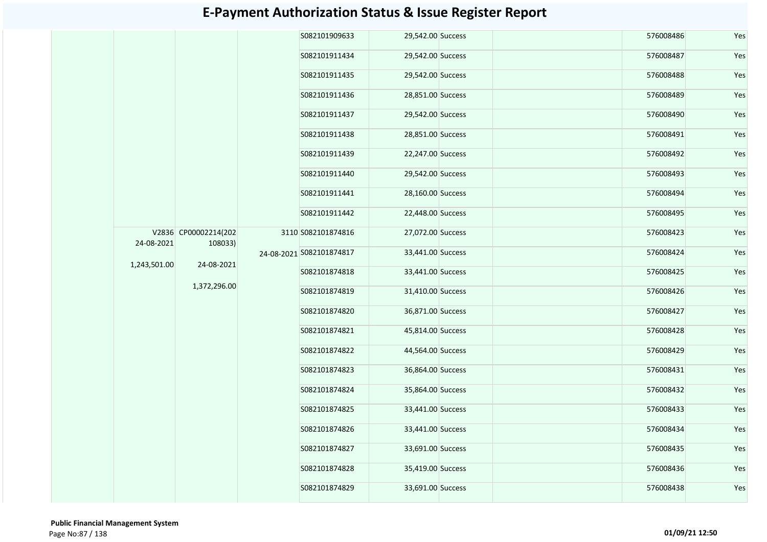|              |                                                               |  | S082101909633            | 29,542.00 Success  |                   | 576008486 | Yes       |     |
|--------------|---------------------------------------------------------------|--|--------------------------|--------------------|-------------------|-----------|-----------|-----|
|              |                                                               |  | S082101911434            | 29,542.00 Success  |                   | 576008487 | Yes       |     |
|              |                                                               |  | S082101911435            | 29,542.00 Success  |                   | 576008488 | Yes       |     |
|              |                                                               |  | S082101911436            | 28,851.00 Success  |                   | 576008489 | Yes       |     |
|              | V2836 CP00002214(202<br>108033)<br>24-08-2021<br>1,372,296.00 |  | S082101911437            | 29,542.00 Success  |                   | 576008490 | Yes       |     |
|              |                                                               |  | S082101911438            | 28,851.00 Success  |                   | 576008491 | Yes       |     |
|              |                                                               |  | S082101911439            | 22,247.00 Success  |                   | 576008492 | Yes       |     |
|              |                                                               |  | S082101911440            | 29,542.00 Success  |                   | 576008493 | Yes       |     |
|              |                                                               |  | S082101911441            | 28,160.00 Success  |                   | 576008494 | Yes       |     |
|              |                                                               |  | S082101911442            | 22,448.00 Success  |                   | 576008495 | Yes       |     |
|              |                                                               |  |                          | 3110 S082101874816 | 27,072.00 Success |           | 576008423 | Yes |
| 24-08-2021   |                                                               |  | 24-08-2021 5082101874817 | 33,441.00 Success  |                   | 576008424 | Yes       |     |
| 1,243,501.00 |                                                               |  | S082101874818            | 33,441.00 Success  |                   | 576008425 | Yes       |     |
|              |                                                               |  | S082101874819            | 31,410.00 Success  |                   | 576008426 | Yes       |     |
|              |                                                               |  | S082101874820            | 36,871.00 Success  |                   | 576008427 | Yes       |     |
|              |                                                               |  | S082101874821            | 45,814.00 Success  |                   | 576008428 | Yes       |     |
|              |                                                               |  | S082101874822            | 44,564.00 Success  |                   | 576008429 | Yes       |     |
|              |                                                               |  | S082101874823            | 36,864.00 Success  |                   | 576008431 | Yes       |     |
|              |                                                               |  | S082101874824            | 35,864.00 Success  |                   | 576008432 | Yes       |     |
|              |                                                               |  | S082101874825            | 33,441.00 Success  |                   | 576008433 | Yes       |     |
|              |                                                               |  | S082101874826            | 33,441.00 Success  |                   | 576008434 | Yes       |     |
|              |                                                               |  | S082101874827            | 33,691.00 Success  |                   | 576008435 | Yes       |     |
|              |                                                               |  | S082101874828            | 35,419.00 Success  |                   | 576008436 | Yes       |     |
|              |                                                               |  | S082101874829            | 33,691.00 Success  |                   | 576008438 | Yes       |     |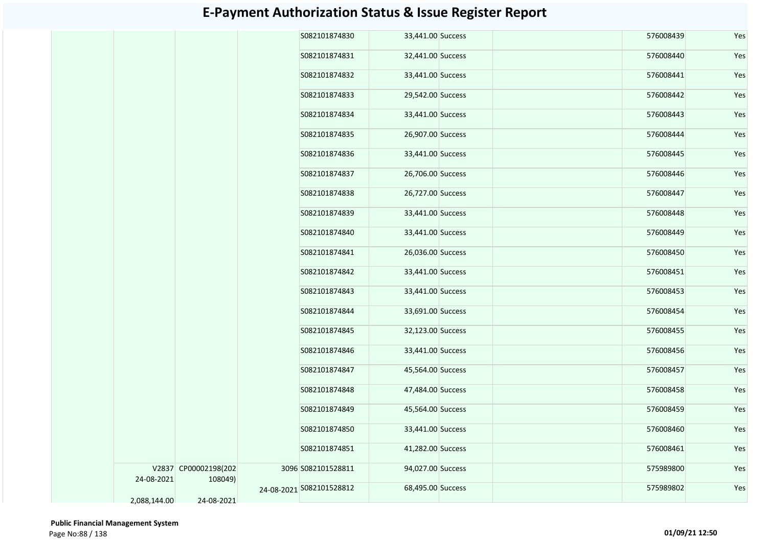|              |                      | S082101874830            | 33,441.00 Success |  | 576008439 | Yes |
|--------------|----------------------|--------------------------|-------------------|--|-----------|-----|
|              |                      | S082101874831            | 32,441.00 Success |  | 576008440 | Yes |
|              |                      | S082101874832            | 33,441.00 Success |  | 576008441 | Yes |
|              |                      | S082101874833            | 29,542.00 Success |  | 576008442 | Yes |
|              |                      | S082101874834            | 33,441.00 Success |  | 576008443 | Yes |
|              |                      | S082101874835            | 26,907.00 Success |  | 576008444 | Yes |
|              |                      | S082101874836            | 33,441.00 Success |  | 576008445 | Yes |
|              |                      | S082101874837            | 26,706.00 Success |  | 576008446 | Yes |
|              |                      | S082101874838            | 26,727.00 Success |  | 576008447 | Yes |
|              |                      | S082101874839            | 33,441.00 Success |  | 576008448 | Yes |
|              |                      | S082101874840            | 33,441.00 Success |  | 576008449 | Yes |
|              |                      | S082101874841            | 26,036.00 Success |  | 576008450 | Yes |
|              |                      | S082101874842            | 33,441.00 Success |  | 576008451 | Yes |
|              |                      | S082101874843            | 33,441.00 Success |  | 576008453 | Yes |
|              |                      | S082101874844            | 33,691.00 Success |  | 576008454 | Yes |
|              |                      | S082101874845            | 32,123.00 Success |  | 576008455 | Yes |
|              |                      | S082101874846            | 33,441.00 Success |  | 576008456 | Yes |
|              |                      | S082101874847            | 45,564.00 Success |  | 576008457 | Yes |
|              |                      | S082101874848            | 47,484.00 Success |  | 576008458 | Yes |
|              |                      | S082101874849            | 45,564.00 Success |  | 576008459 | Yes |
|              |                      | S082101874850            | 33,441.00 Success |  | 576008460 | Yes |
|              |                      | S082101874851            | 41,282.00 Success |  | 576008461 | Yes |
|              | V2837 CP00002198(202 | 3096 S082101528811       | 94,027.00 Success |  | 575989800 | Yes |
| 24-08-2021   | 108049)              | 24-08-2021 5082101528812 | 68,495.00 Success |  | 575989802 | Yes |
| 2,088,144.00 | 24-08-2021           |                          |                   |  |           |     |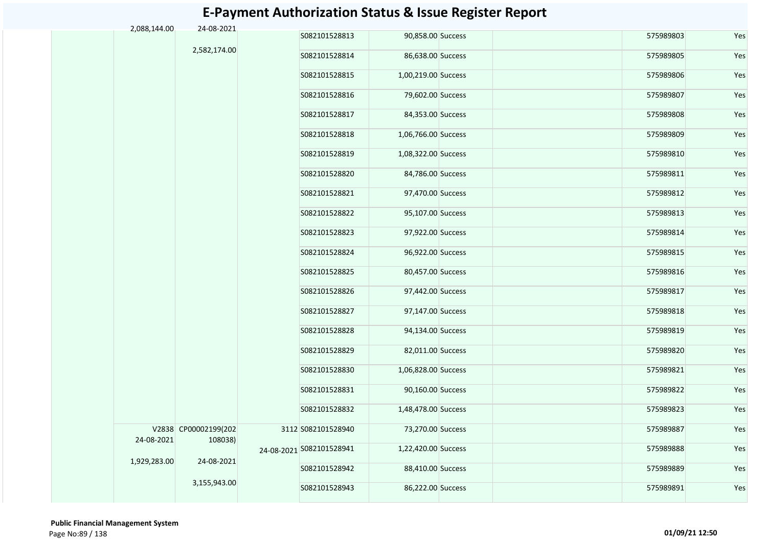| 2,088,144.00 | 24-08-2021           |                          |                     |  |           |     |
|--------------|----------------------|--------------------------|---------------------|--|-----------|-----|
|              |                      | S082101528813            | 90,858.00 Success   |  | 575989803 | Yes |
|              | 2,582,174.00         | S082101528814            | 86,638.00 Success   |  | 575989805 | Yes |
|              |                      | S082101528815            | 1,00,219.00 Success |  | 575989806 | Yes |
|              |                      | S082101528816            | 79,602.00 Success   |  | 575989807 | Yes |
|              |                      | S082101528817            | 84,353.00 Success   |  | 575989808 | Yes |
|              |                      | S082101528818            | 1,06,766.00 Success |  | 575989809 | Yes |
|              |                      | S082101528819            | 1,08,322.00 Success |  | 575989810 | Yes |
|              |                      | S082101528820            | 84,786.00 Success   |  | 575989811 | Yes |
|              |                      | S082101528821            | 97,470.00 Success   |  | 575989812 | Yes |
|              |                      | S082101528822            | 95,107.00 Success   |  | 575989813 | Yes |
|              |                      | S082101528823            | 97,922.00 Success   |  | 575989814 | Yes |
|              |                      | S082101528824            | 96,922.00 Success   |  | 575989815 | Yes |
|              |                      | S082101528825            | 80,457.00 Success   |  | 575989816 | Yes |
|              |                      | S082101528826            | 97,442.00 Success   |  | 575989817 | Yes |
|              |                      | S082101528827            | 97,147.00 Success   |  | 575989818 | Yes |
|              |                      | S082101528828            | 94,134.00 Success   |  | 575989819 | Yes |
|              |                      | S082101528829            | 82,011.00 Success   |  | 575989820 | Yes |
|              |                      | S082101528830            | 1,06,828.00 Success |  | 575989821 | Yes |
|              |                      | S082101528831            | 90,160.00 Success   |  | 575989822 | Yes |
|              |                      | S082101528832            | 1,48,478.00 Success |  | 575989823 | Yes |
|              | V2838 CP00002199(202 | 3112 S082101528940       | 73,270.00 Success   |  | 575989887 | Yes |
| 24-08-2021   | 108038)              | 24-08-2021 S082101528941 | 1,22,420.00 Success |  | 575989888 | Yes |
| 1,929,283.00 | 24-08-2021           | S082101528942            | 88,410.00 Success   |  | 575989889 | Yes |
|              | 3,155,943.00         | S082101528943            | 86,222.00 Success   |  | 575989891 | Yes |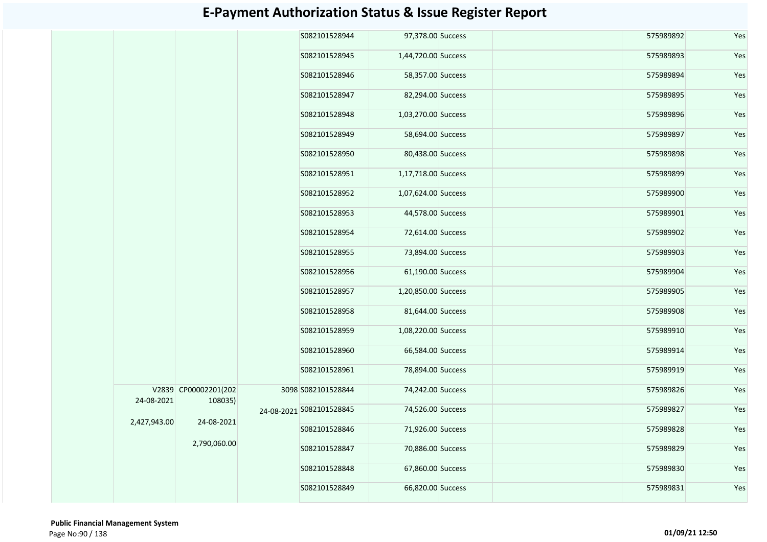|                            | S082101528944                                                 |                                                                                                                    |                                                                                                                                                                                                                                                                                                                                                                                                                                                                                                                                  | 575989892 | Yes |
|----------------------------|---------------------------------------------------------------|--------------------------------------------------------------------------------------------------------------------|----------------------------------------------------------------------------------------------------------------------------------------------------------------------------------------------------------------------------------------------------------------------------------------------------------------------------------------------------------------------------------------------------------------------------------------------------------------------------------------------------------------------------------|-----------|-----|
|                            | S082101528945                                                 |                                                                                                                    |                                                                                                                                                                                                                                                                                                                                                                                                                                                                                                                                  | 575989893 | Yes |
|                            | S082101528946                                                 |                                                                                                                    |                                                                                                                                                                                                                                                                                                                                                                                                                                                                                                                                  | 575989894 | Yes |
|                            | S082101528947                                                 |                                                                                                                    |                                                                                                                                                                                                                                                                                                                                                                                                                                                                                                                                  | 575989895 | Yes |
|                            | S082101528948                                                 |                                                                                                                    |                                                                                                                                                                                                                                                                                                                                                                                                                                                                                                                                  | 575989896 | Yes |
|                            |                                                               |                                                                                                                    |                                                                                                                                                                                                                                                                                                                                                                                                                                                                                                                                  | 575989897 | Yes |
|                            | S082101528950                                                 |                                                                                                                    |                                                                                                                                                                                                                                                                                                                                                                                                                                                                                                                                  | 575989898 | Yes |
|                            | S082101528951                                                 |                                                                                                                    |                                                                                                                                                                                                                                                                                                                                                                                                                                                                                                                                  | 575989899 | Yes |
|                            | S082101528952                                                 |                                                                                                                    |                                                                                                                                                                                                                                                                                                                                                                                                                                                                                                                                  | 575989900 | Yes |
|                            |                                                               |                                                                                                                    |                                                                                                                                                                                                                                                                                                                                                                                                                                                                                                                                  | 575989901 | Yes |
|                            | S082101528954                                                 |                                                                                                                    |                                                                                                                                                                                                                                                                                                                                                                                                                                                                                                                                  | 575989902 | Yes |
|                            | S082101528955                                                 |                                                                                                                    |                                                                                                                                                                                                                                                                                                                                                                                                                                                                                                                                  | 575989903 | Yes |
|                            |                                                               |                                                                                                                    |                                                                                                                                                                                                                                                                                                                                                                                                                                                                                                                                  | 575989904 | Yes |
|                            | S082101528957                                                 |                                                                                                                    |                                                                                                                                                                                                                                                                                                                                                                                                                                                                                                                                  | 575989905 | Yes |
|                            | S082101528958                                                 |                                                                                                                    |                                                                                                                                                                                                                                                                                                                                                                                                                                                                                                                                  | 575989908 | Yes |
|                            | S082101528959                                                 |                                                                                                                    |                                                                                                                                                                                                                                                                                                                                                                                                                                                                                                                                  | 575989910 | Yes |
|                            | S082101528960                                                 |                                                                                                                    |                                                                                                                                                                                                                                                                                                                                                                                                                                                                                                                                  | 575989914 | Yes |
|                            |                                                               |                                                                                                                    |                                                                                                                                                                                                                                                                                                                                                                                                                                                                                                                                  | 575989919 | Yes |
|                            |                                                               |                                                                                                                    |                                                                                                                                                                                                                                                                                                                                                                                                                                                                                                                                  | 575989826 | Yes |
|                            |                                                               |                                                                                                                    |                                                                                                                                                                                                                                                                                                                                                                                                                                                                                                                                  | 575989827 | Yes |
|                            | S082101528846                                                 |                                                                                                                    |                                                                                                                                                                                                                                                                                                                                                                                                                                                                                                                                  | 575989828 | Yes |
|                            | S082101528847                                                 |                                                                                                                    |                                                                                                                                                                                                                                                                                                                                                                                                                                                                                                                                  | 575989829 | Yes |
|                            | S082101528848                                                 |                                                                                                                    |                                                                                                                                                                                                                                                                                                                                                                                                                                                                                                                                  | 575989830 | Yes |
|                            | S082101528849                                                 |                                                                                                                    |                                                                                                                                                                                                                                                                                                                                                                                                                                                                                                                                  | 575989831 | Yes |
| 24-08-2021<br>2,427,943.00 | V2839 CP00002201(202<br>108035)<br>24-08-2021<br>2,790,060.00 | S082101528949<br>S082101528953<br>S082101528956<br>S082101528961<br>3098 S082101528844<br>24-08-2021 S082101528845 | 97,378.00 Success<br>1,44,720.00 Success<br>58,357.00 Success<br>82,294.00 Success<br>1,03,270.00 Success<br>58,694.00 Success<br>80,438.00 Success<br>1,17,718.00 Success<br>1,07,624.00 Success<br>44,578.00 Success<br>72,614.00 Success<br>73,894.00 Success<br>61,190.00 Success<br>1,20,850.00 Success<br>81,644.00 Success<br>1,08,220.00 Success<br>66,584.00 Success<br>78,894.00 Success<br>74,242.00 Success<br>74,526.00 Success<br>71,926.00 Success<br>70,886.00 Success<br>67,860.00 Success<br>66,820.00 Success |           |     |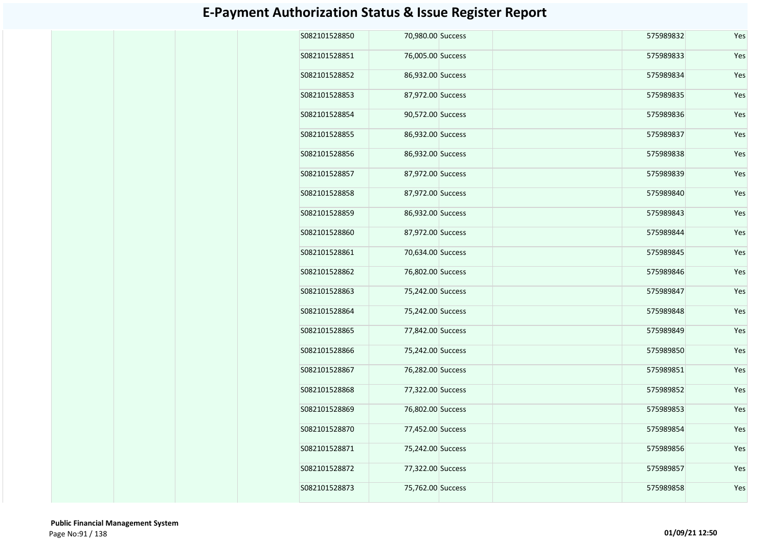| S082101528850 | 70,980.00 Success | 575989832 | Yes |
|---------------|-------------------|-----------|-----|
| S082101528851 | 76,005.00 Success | 575989833 | Yes |
| S082101528852 | 86,932.00 Success | 575989834 | Yes |
| S082101528853 | 87,972.00 Success | 575989835 | Yes |
| S082101528854 | 90,572.00 Success | 575989836 | Yes |
| S082101528855 | 86,932.00 Success | 575989837 | Yes |
| S082101528856 | 86,932.00 Success | 575989838 | Yes |
| S082101528857 | 87,972.00 Success | 575989839 | Yes |
| S082101528858 | 87,972.00 Success | 575989840 | Yes |
| S082101528859 | 86,932.00 Success | 575989843 | Yes |
| S082101528860 | 87,972.00 Success | 575989844 | Yes |
| S082101528861 | 70,634.00 Success | 575989845 | Yes |
| S082101528862 | 76,802.00 Success | 575989846 | Yes |
| S082101528863 | 75,242.00 Success | 575989847 | Yes |
| S082101528864 | 75,242.00 Success | 575989848 | Yes |
| S082101528865 | 77,842.00 Success | 575989849 | Yes |
| S082101528866 | 75,242.00 Success | 575989850 | Yes |
| S082101528867 | 76,282.00 Success | 575989851 | Yes |
| S082101528868 | 77,322.00 Success | 575989852 | Yes |
| S082101528869 | 76,802.00 Success | 575989853 | Yes |
| S082101528870 | 77,452.00 Success | 575989854 | Yes |
| S082101528871 | 75,242.00 Success | 575989856 | Yes |
| S082101528872 | 77,322.00 Success | 575989857 | Yes |
| S082101528873 | 75,762.00 Success | 575989858 | Yes |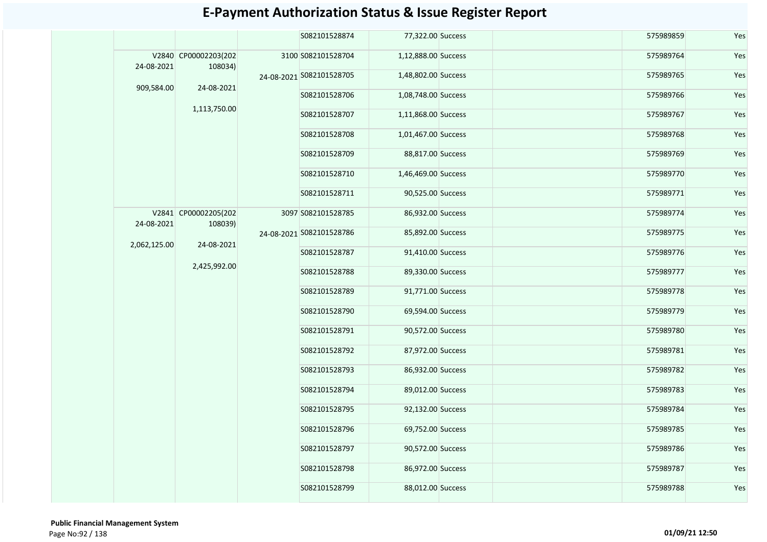|              |                                 |                          | S082101528874            | 77,322.00 Success   |                   | 575989859     | Yes               |     |           |     |
|--------------|---------------------------------|--------------------------|--------------------------|---------------------|-------------------|---------------|-------------------|-----|-----------|-----|
| 24-08-2021   | V2840 CP00002203(202<br>108034) |                          | 3100 S082101528704       | 1,12,888.00 Success |                   | 575989764     | Yes               |     |           |     |
| 909,584.00   |                                 |                          | 24-08-2021 S082101528705 | 1,48,802.00 Success |                   | 575989765     | Yes               |     |           |     |
|              | 24-08-2021                      |                          | S082101528706            | 1,08,748.00 Success |                   | 575989766     | Yes               |     |           |     |
|              | 1,113,750.00                    |                          | S082101528707            | 1,11,868.00 Success |                   | 575989767     | Yes               |     |           |     |
|              |                                 |                          | S082101528708            | 1,01,467.00 Success |                   | 575989768     | Yes               |     |           |     |
|              |                                 |                          | S082101528709            | 88,817.00 Success   |                   | 575989769     | Yes               |     |           |     |
|              |                                 |                          | S082101528710            | 1,46,469.00 Success |                   | 575989770     | Yes               |     |           |     |
|              |                                 |                          | S082101528711            | 90,525.00 Success   |                   | 575989771     | Yes               |     |           |     |
| 24-08-2021   | V2841 CP00002205(202            |                          | 3097 S082101528785       | 86,932.00 Success   |                   | 575989774     | Yes               |     |           |     |
|              | 108039)<br>24-08-2021           | 24-08-2021 S082101528786 | 85,892.00 Success        |                     | 575989775         | Yes           |                   |     |           |     |
| 2,062,125.00 |                                 |                          | S082101528787            | 91,410.00 Success   |                   | 575989776     | Yes               |     |           |     |
|              | 2,425,992.00                    |                          | S082101528788            | 89,330.00 Success   |                   | 575989777     | Yes               |     |           |     |
|              |                                 |                          | S082101528789            | 91,771.00 Success   |                   | 575989778     | Yes               |     |           |     |
|              |                                 |                          | S082101528790            | 69,594.00 Success   |                   | 575989779     | Yes               |     |           |     |
|              |                                 |                          | S082101528791            | 90,572.00 Success   |                   | 575989780     | Yes               |     |           |     |
|              |                                 |                          | S082101528792            | 87,972.00 Success   |                   | 575989781     | Yes               |     |           |     |
|              |                                 |                          | S082101528793            | 86,932.00 Success   |                   | 575989782     | Yes               |     |           |     |
|              |                                 |                          | S082101528794            | 89,012.00 Success   |                   | 575989783     | Yes               |     |           |     |
|              |                                 |                          |                          | S082101528795       | 92,132.00 Success |               | 575989784         | Yes |           |     |
|              |                                 |                          |                          |                     |                   | S082101528796 | 69,752.00 Success |     | 575989785 | Yes |
|              |                                 |                          |                          | S082101528797       | 90,572.00 Success |               | 575989786         | Yes |           |     |
|              |                                 |                          | S082101528798            | 86,972.00 Success   |                   | 575989787     | Yes               |     |           |     |
|              |                                 |                          | S082101528799            | 88,012.00 Success   |                   | 575989788     | Yes               |     |           |     |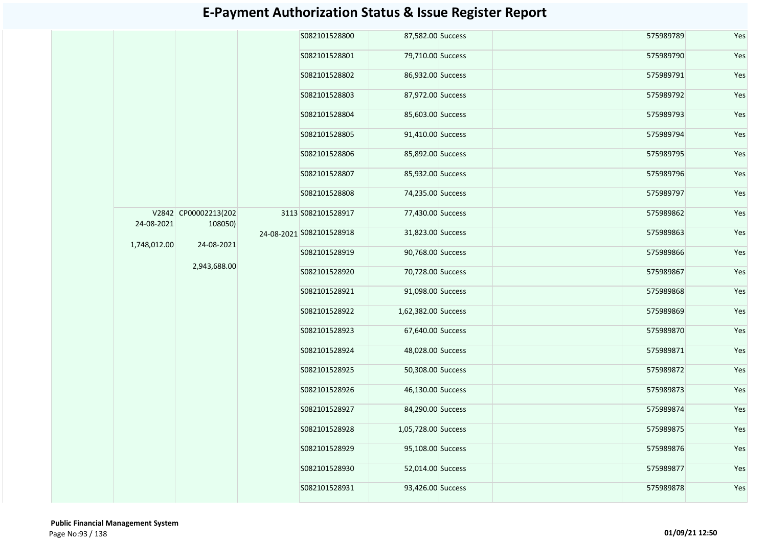|              |                                 |  | S082101528800            | 87,582.00 Success   |                   | 575989789 | Yes       |
|--------------|---------------------------------|--|--------------------------|---------------------|-------------------|-----------|-----------|
|              |                                 |  | S082101528801            | 79,710.00 Success   |                   | 575989790 | Yes       |
|              |                                 |  | S082101528802            | 86,932.00 Success   |                   | 575989791 | Yes       |
|              |                                 |  | S082101528803            | 87,972.00 Success   |                   | 575989792 | Yes       |
|              |                                 |  | S082101528804            | 85,603.00 Success   |                   | 575989793 | Yes       |
|              |                                 |  | S082101528805            | 91,410.00 Success   |                   | 575989794 | Yes       |
|              |                                 |  | S082101528806            | 85,892.00 Success   |                   | 575989795 | Yes       |
|              |                                 |  | S082101528807            | 85,932.00 Success   |                   | 575989796 | Yes       |
|              |                                 |  | S082101528808            | 74,235.00 Success   |                   | 575989797 | Yes       |
| 24-08-2021   | V2842 CP00002213(202<br>108050) |  | 3113 S082101528917       | 77,430.00 Success   |                   | 575989862 | Yes       |
| 1,748,012.00 | 24-08-2021                      |  | 24-08-2021 5082101528918 | 31,823.00 Success   |                   | 575989863 | Yes       |
|              |                                 |  | S082101528919            | 90,768.00 Success   |                   | 575989866 | Yes       |
|              | 2,943,688.00                    |  | S082101528920            | 70,728.00 Success   |                   | 575989867 | Yes       |
|              |                                 |  |                          | S082101528921       | 91,098.00 Success |           | 575989868 |
|              |                                 |  | S082101528922            | 1,62,382.00 Success |                   | 575989869 | Yes       |
|              |                                 |  | S082101528923            | 67,640.00 Success   |                   | 575989870 | Yes       |
|              |                                 |  | S082101528924            | 48,028.00 Success   |                   | 575989871 | Yes       |
|              |                                 |  | S082101528925            | 50,308.00 Success   |                   | 575989872 | Yes       |
|              |                                 |  | S082101528926            | 46,130.00 Success   |                   | 575989873 | Yes       |
|              |                                 |  | S082101528927            | 84,290.00 Success   |                   | 575989874 | Yes       |
|              |                                 |  | S082101528928            | 1,05,728.00 Success |                   | 575989875 | Yes       |
|              |                                 |  | S082101528929            | 95,108.00 Success   |                   | 575989876 | Yes       |
|              |                                 |  | S082101528930            | 52,014.00 Success   |                   | 575989877 | Yes       |
|              |                                 |  | S082101528931            | 93,426.00 Success   |                   | 575989878 | Yes       |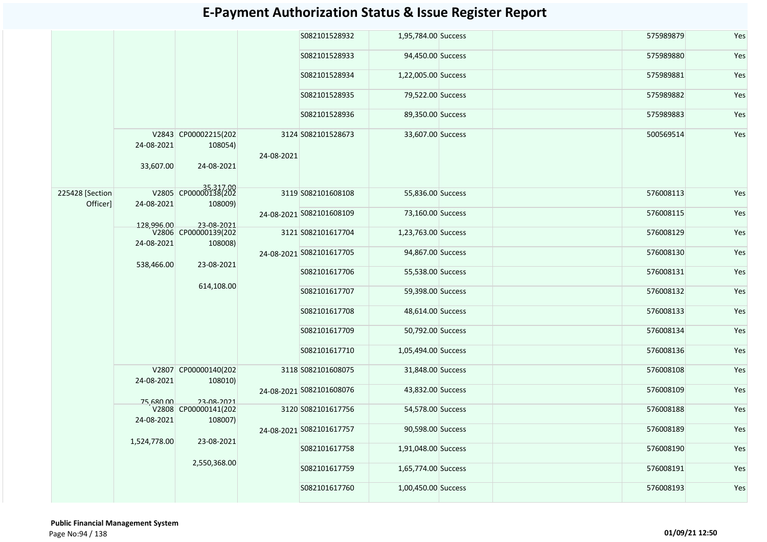|                 |              |                                 |            | S082101528932            | 1,95,784.00 Success |  | 575989879 | Yes |  |  |  |               |                     |  |           |
|-----------------|--------------|---------------------------------|------------|--------------------------|---------------------|--|-----------|-----|--|--|--|---------------|---------------------|--|-----------|
|                 |              |                                 |            | S082101528933            | 94,450.00 Success   |  | 575989880 | Yes |  |  |  |               |                     |  |           |
|                 |              |                                 |            | S082101528934            | 1,22,005.00 Success |  | 575989881 | Yes |  |  |  |               |                     |  |           |
|                 |              |                                 |            | S082101528935            | 79,522.00 Success   |  | 575989882 | Yes |  |  |  |               |                     |  |           |
|                 |              |                                 |            | S082101528936            | 89,350.00 Success   |  | 575989883 | Yes |  |  |  |               |                     |  |           |
|                 | 24-08-2021   | V2843 CP00002215(202<br>108054) | 24-08-2021 | 3124 S082101528673       | 33,607.00 Success   |  | 500569514 | Yes |  |  |  |               |                     |  |           |
|                 | 33,607.00    | 24-08-2021                      |            |                          |                     |  |           |     |  |  |  |               |                     |  |           |
| 225428 [Section |              | V2805 CP00000138(202            |            | 3119 S082101608108       | 55,836.00 Success   |  | 576008113 | Yes |  |  |  |               |                     |  |           |
| Officer]        | 24-08-2021   | 108009)                         |            | 24-08-2021 S082101608109 | 73,160.00 Success   |  | 576008115 | Yes |  |  |  |               |                     |  |           |
|                 | 128,996.00   | 23-08-2021                      |            |                          |                     |  |           |     |  |  |  |               |                     |  |           |
|                 | 24-08-2021   | V2806 CP00000139(202<br>108008) |            | 3121 S082101617704       | 1,23,763.00 Success |  | 576008129 | Yes |  |  |  |               |                     |  |           |
|                 | 538,466.00   | 23-08-2021                      |            | 24-08-2021 S082101617705 | 94,867.00 Success   |  | 576008130 | Yes |  |  |  |               |                     |  |           |
|                 |              |                                 |            | S082101617706            | 55,538.00 Success   |  | 576008131 | Yes |  |  |  |               |                     |  |           |
|                 |              | 614,108.00                      |            | S082101617707            | 59,398.00 Success   |  | 576008132 | Yes |  |  |  |               |                     |  |           |
|                 |              |                                 |            | S082101617708            | 48,614.00 Success   |  | 576008133 | Yes |  |  |  |               |                     |  |           |
|                 |              |                                 |            | S082101617709            | 50,792.00 Success   |  | 576008134 | Yes |  |  |  |               |                     |  |           |
|                 |              |                                 |            |                          |                     |  |           |     |  |  |  | S082101617710 | 1,05,494.00 Success |  | 576008136 |
|                 | 24-08-2021   | V2807 CP00000140(202<br>108010) |            | 3118 S082101608075       | 31,848.00 Success   |  | 576008108 | Yes |  |  |  |               |                     |  |           |
|                 |              |                                 |            | 24-08-2021 5082101608076 | 43,832.00 Success   |  | 576008109 | Yes |  |  |  |               |                     |  |           |
|                 | 75,680.00    | 23-08-2021                      |            |                          |                     |  |           |     |  |  |  |               |                     |  |           |
|                 | 24-08-2021   | V2808 CP00000141(202<br>108007) |            | 3120 S082101617756       | 54,578.00 Success   |  | 576008188 | Yes |  |  |  |               |                     |  |           |
|                 |              |                                 |            | 24-08-2021 S082101617757 | 90,598.00 Success   |  | 576008189 | Yes |  |  |  |               |                     |  |           |
|                 | 1,524,778.00 | 23-08-2021                      |            | S082101617758            | 1,91,048.00 Success |  | 576008190 | Yes |  |  |  |               |                     |  |           |
|                 |              | 2,550,368.00                    |            | S082101617759            | 1,65,774.00 Success |  | 576008191 | Yes |  |  |  |               |                     |  |           |
|                 |              |                                 |            |                          |                     |  |           |     |  |  |  |               |                     |  |           |
|                 |              |                                 |            | S082101617760            | 1,00,450.00 Success |  | 576008193 | Yes |  |  |  |               |                     |  |           |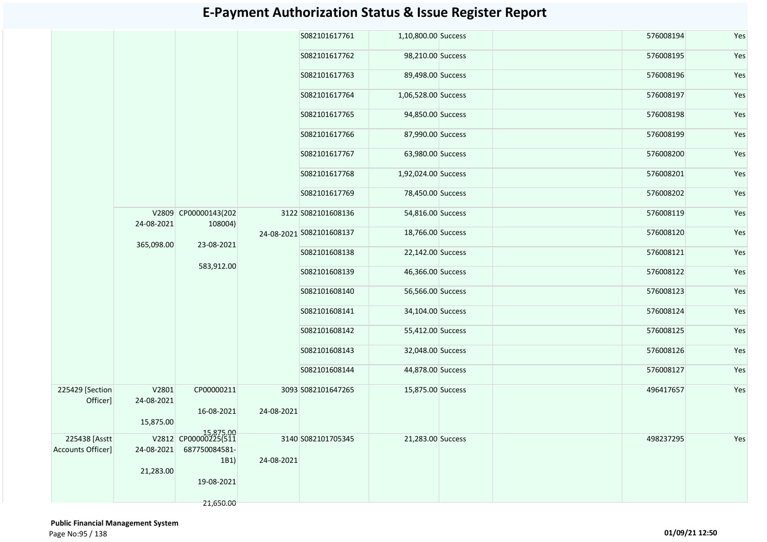| S082101617761<br>1,10,800.00 Success<br>576008194<br>S082101617762<br>98,210.00 Success<br>576008195<br>89,498.00 Success<br>576008196<br>S082101617763<br>576008197<br>S082101617764<br>1,06,528.00 Success<br>S082101617765<br>94,850.00 Success<br>576008198<br>S082101617766<br>87,990.00 Success<br>576008199<br>S082101617767<br>63,980.00 Success<br>576008200<br>576008201<br>S082101617768<br>1,92,024.00 Success<br>576008202<br>S082101617769<br>78,450.00 Success<br>V2809 CP00000143(202<br>3122 S082101608136<br>54,816.00 Success<br>576008119<br>24-08-2021<br>108004)<br>18,766.00 Success<br>576008120<br>24-08-2021 S082101608137<br>365,098.00<br>23-08-2021<br>S082101608138<br>22,142.00 Success<br>576008121<br>583,912.00<br>S082101608139<br>46,366.00 Success<br>576008122<br>576008123<br>S082101608140<br>56,566.00 Success<br>S082101608141<br>34,104.00 Success<br>576008124<br>S082101608142<br>55,412.00 Success<br>576008125<br>S082101608143<br>32,048.00 Success<br>576008126<br>S082101608144<br>44,878.00 Success<br>576008127<br>225429 [Section]<br>V2801<br>CP00000211<br>496417657<br>3093 S082101647265<br>15,875.00 Success<br>Officer]<br>24-08-2021<br>16-08-2021<br>24-08-2021<br>15,875.00<br>15,875.00<br>225438 [Asstt<br>V2812 CP00000225(511<br>3140 S082101705345<br>21,283.00 Success<br>498237295<br><b>Accounts Officer]</b><br>24-08-2021<br>687750084581-<br>24-08-2021<br>1B1)<br>21,283.00<br>19-08-2021<br>21,650.00 |  |  |  |  |     |
|----------------------------------------------------------------------------------------------------------------------------------------------------------------------------------------------------------------------------------------------------------------------------------------------------------------------------------------------------------------------------------------------------------------------------------------------------------------------------------------------------------------------------------------------------------------------------------------------------------------------------------------------------------------------------------------------------------------------------------------------------------------------------------------------------------------------------------------------------------------------------------------------------------------------------------------------------------------------------------------------------------------------------------------------------------------------------------------------------------------------------------------------------------------------------------------------------------------------------------------------------------------------------------------------------------------------------------------------------------------------------------------------------------------------------------------------------------------------------------|--|--|--|--|-----|
|                                                                                                                                                                                                                                                                                                                                                                                                                                                                                                                                                                                                                                                                                                                                                                                                                                                                                                                                                                                                                                                                                                                                                                                                                                                                                                                                                                                                                                                                                  |  |  |  |  | Yes |
|                                                                                                                                                                                                                                                                                                                                                                                                                                                                                                                                                                                                                                                                                                                                                                                                                                                                                                                                                                                                                                                                                                                                                                                                                                                                                                                                                                                                                                                                                  |  |  |  |  | Yes |
|                                                                                                                                                                                                                                                                                                                                                                                                                                                                                                                                                                                                                                                                                                                                                                                                                                                                                                                                                                                                                                                                                                                                                                                                                                                                                                                                                                                                                                                                                  |  |  |  |  | Yes |
|                                                                                                                                                                                                                                                                                                                                                                                                                                                                                                                                                                                                                                                                                                                                                                                                                                                                                                                                                                                                                                                                                                                                                                                                                                                                                                                                                                                                                                                                                  |  |  |  |  | Yes |
|                                                                                                                                                                                                                                                                                                                                                                                                                                                                                                                                                                                                                                                                                                                                                                                                                                                                                                                                                                                                                                                                                                                                                                                                                                                                                                                                                                                                                                                                                  |  |  |  |  | Yes |
|                                                                                                                                                                                                                                                                                                                                                                                                                                                                                                                                                                                                                                                                                                                                                                                                                                                                                                                                                                                                                                                                                                                                                                                                                                                                                                                                                                                                                                                                                  |  |  |  |  | Yes |
|                                                                                                                                                                                                                                                                                                                                                                                                                                                                                                                                                                                                                                                                                                                                                                                                                                                                                                                                                                                                                                                                                                                                                                                                                                                                                                                                                                                                                                                                                  |  |  |  |  | Yes |
|                                                                                                                                                                                                                                                                                                                                                                                                                                                                                                                                                                                                                                                                                                                                                                                                                                                                                                                                                                                                                                                                                                                                                                                                                                                                                                                                                                                                                                                                                  |  |  |  |  | Yes |
|                                                                                                                                                                                                                                                                                                                                                                                                                                                                                                                                                                                                                                                                                                                                                                                                                                                                                                                                                                                                                                                                                                                                                                                                                                                                                                                                                                                                                                                                                  |  |  |  |  | Yes |
|                                                                                                                                                                                                                                                                                                                                                                                                                                                                                                                                                                                                                                                                                                                                                                                                                                                                                                                                                                                                                                                                                                                                                                                                                                                                                                                                                                                                                                                                                  |  |  |  |  | Yes |
|                                                                                                                                                                                                                                                                                                                                                                                                                                                                                                                                                                                                                                                                                                                                                                                                                                                                                                                                                                                                                                                                                                                                                                                                                                                                                                                                                                                                                                                                                  |  |  |  |  | Yes |
|                                                                                                                                                                                                                                                                                                                                                                                                                                                                                                                                                                                                                                                                                                                                                                                                                                                                                                                                                                                                                                                                                                                                                                                                                                                                                                                                                                                                                                                                                  |  |  |  |  | Yes |
|                                                                                                                                                                                                                                                                                                                                                                                                                                                                                                                                                                                                                                                                                                                                                                                                                                                                                                                                                                                                                                                                                                                                                                                                                                                                                                                                                                                                                                                                                  |  |  |  |  | Yes |
|                                                                                                                                                                                                                                                                                                                                                                                                                                                                                                                                                                                                                                                                                                                                                                                                                                                                                                                                                                                                                                                                                                                                                                                                                                                                                                                                                                                                                                                                                  |  |  |  |  | Yes |
|                                                                                                                                                                                                                                                                                                                                                                                                                                                                                                                                                                                                                                                                                                                                                                                                                                                                                                                                                                                                                                                                                                                                                                                                                                                                                                                                                                                                                                                                                  |  |  |  |  | Yes |
|                                                                                                                                                                                                                                                                                                                                                                                                                                                                                                                                                                                                                                                                                                                                                                                                                                                                                                                                                                                                                                                                                                                                                                                                                                                                                                                                                                                                                                                                                  |  |  |  |  | Yes |
|                                                                                                                                                                                                                                                                                                                                                                                                                                                                                                                                                                                                                                                                                                                                                                                                                                                                                                                                                                                                                                                                                                                                                                                                                                                                                                                                                                                                                                                                                  |  |  |  |  | Yes |
|                                                                                                                                                                                                                                                                                                                                                                                                                                                                                                                                                                                                                                                                                                                                                                                                                                                                                                                                                                                                                                                                                                                                                                                                                                                                                                                                                                                                                                                                                  |  |  |  |  | Yes |
|                                                                                                                                                                                                                                                                                                                                                                                                                                                                                                                                                                                                                                                                                                                                                                                                                                                                                                                                                                                                                                                                                                                                                                                                                                                                                                                                                                                                                                                                                  |  |  |  |  | Yes |
|                                                                                                                                                                                                                                                                                                                                                                                                                                                                                                                                                                                                                                                                                                                                                                                                                                                                                                                                                                                                                                                                                                                                                                                                                                                                                                                                                                                                                                                                                  |  |  |  |  |     |
|                                                                                                                                                                                                                                                                                                                                                                                                                                                                                                                                                                                                                                                                                                                                                                                                                                                                                                                                                                                                                                                                                                                                                                                                                                                                                                                                                                                                                                                                                  |  |  |  |  |     |
|                                                                                                                                                                                                                                                                                                                                                                                                                                                                                                                                                                                                                                                                                                                                                                                                                                                                                                                                                                                                                                                                                                                                                                                                                                                                                                                                                                                                                                                                                  |  |  |  |  | Yes |
|                                                                                                                                                                                                                                                                                                                                                                                                                                                                                                                                                                                                                                                                                                                                                                                                                                                                                                                                                                                                                                                                                                                                                                                                                                                                                                                                                                                                                                                                                  |  |  |  |  |     |
|                                                                                                                                                                                                                                                                                                                                                                                                                                                                                                                                                                                                                                                                                                                                                                                                                                                                                                                                                                                                                                                                                                                                                                                                                                                                                                                                                                                                                                                                                  |  |  |  |  |     |
|                                                                                                                                                                                                                                                                                                                                                                                                                                                                                                                                                                                                                                                                                                                                                                                                                                                                                                                                                                                                                                                                                                                                                                                                                                                                                                                                                                                                                                                                                  |  |  |  |  |     |
|                                                                                                                                                                                                                                                                                                                                                                                                                                                                                                                                                                                                                                                                                                                                                                                                                                                                                                                                                                                                                                                                                                                                                                                                                                                                                                                                                                                                                                                                                  |  |  |  |  |     |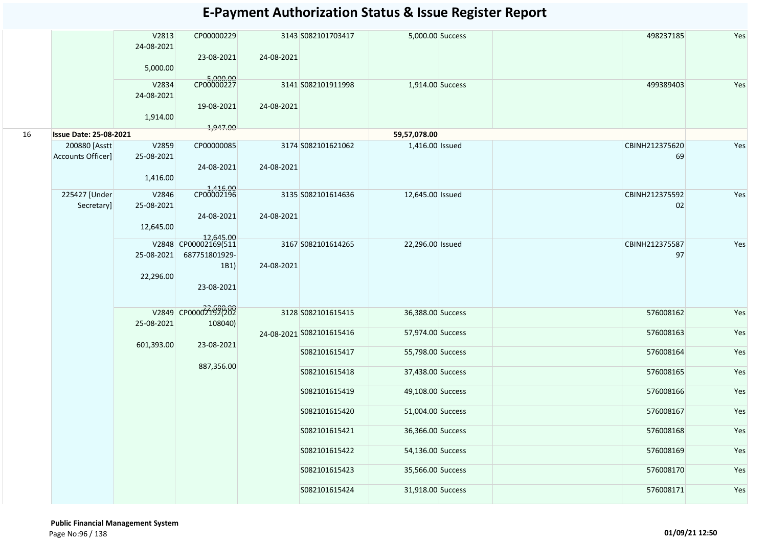|    |                               | V2813<br>24-08-2021<br>5,000.00  | CP00000229<br>23-08-2021                                                 | 24-08-2021 | 3143 S082101703417       | 5,000.00 Success  |  | 498237185            | Yes |
|----|-------------------------------|----------------------------------|--------------------------------------------------------------------------|------------|--------------------------|-------------------|--|----------------------|-----|
|    |                               | V2834<br>24-08-2021<br>1,914.00  | 5,000.00<br>CP00000227<br>19-08-2021                                     | 24-08-2021 | 3141 S082101911998       | 1,914.00 Success  |  | 499389403            | Yes |
| 16 | <b>Issue Date: 25-08-2021</b> |                                  | 1,947.00                                                                 |            |                          | 59,57,078.00      |  |                      |     |
|    | 200880 [Asstt                 | V2859                            | CP00000085                                                               |            | 3174 S082101621062       | 1,416.00 Issued   |  | CBINH212375620       | Yes |
|    | Accounts Officer]             | 25-08-2021<br>1,416.00           | 24-08-2021                                                               | 24-08-2021 |                          |                   |  | 69                   |     |
|    | 225427 [Under<br>Secretary]   | V2846<br>25-08-2021<br>12,645.00 | 1,416.00<br>CP00002196<br>24-08-2021                                     | 24-08-2021 | 3135 S082101614636       | 12,645.00 Issued  |  | CBINH212375592<br>02 | Yes |
|    |                               | 25-08-2021<br>22,296.00          | 12,645.00<br>V2848 CP00002169(511<br>687751801929-<br>1B1)<br>23-08-2021 | 24-08-2021 | 3167 S082101614265       | 22,296.00 Issued  |  | CBINH212375587<br>97 | Yes |
|    |                               |                                  | V2849 CP00002192(202                                                     |            | 3128 S082101615415       | 36,388.00 Success |  | 576008162            | Yes |
|    |                               | 25-08-2021                       | 108040)                                                                  |            | 24-08-2021 S082101615416 | 57,974.00 Success |  | 576008163            | Yes |
|    |                               | 601,393.00                       | 23-08-2021                                                               |            | S082101615417            | 55,798.00 Success |  | 576008164            | Yes |
|    |                               |                                  | 887,356.00                                                               |            | S082101615418            | 37,438.00 Success |  | 576008165            | Yes |
|    |                               |                                  |                                                                          |            | S082101615419            | 49,108.00 Success |  | 576008166            | Yes |
|    |                               |                                  |                                                                          |            | S082101615420            | 51,004.00 Success |  | 576008167            | Yes |
|    |                               |                                  |                                                                          |            | S082101615421            | 36,366.00 Success |  | 576008168            | Yes |
|    |                               |                                  |                                                                          |            | S082101615422            | 54,136.00 Success |  | 576008169            | Yes |
|    |                               |                                  |                                                                          |            | S082101615423            | 35,566.00 Success |  | 576008170            | Yes |
|    |                               |                                  |                                                                          |            | S082101615424            | 31,918.00 Success |  | 576008171            | Yes |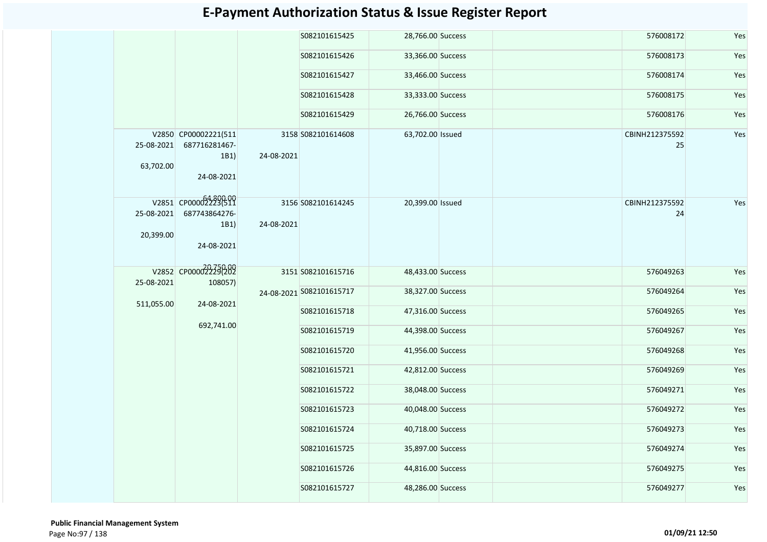|                         |                                     |                                                  | S082101615425                                           |                                                                                                                        |                                                                                                                                                                                                                                                                                                                                                                                                           | 576008172 | Yes                              |
|-------------------------|-------------------------------------|--------------------------------------------------|---------------------------------------------------------|------------------------------------------------------------------------------------------------------------------------|-----------------------------------------------------------------------------------------------------------------------------------------------------------------------------------------------------------------------------------------------------------------------------------------------------------------------------------------------------------------------------------------------------------|-----------|----------------------------------|
|                         |                                     |                                                  | S082101615426                                           |                                                                                                                        |                                                                                                                                                                                                                                                                                                                                                                                                           | 576008173 | Yes                              |
|                         |                                     |                                                  | S082101615427                                           |                                                                                                                        |                                                                                                                                                                                                                                                                                                                                                                                                           | 576008174 | Yes                              |
|                         |                                     |                                                  | S082101615428                                           |                                                                                                                        |                                                                                                                                                                                                                                                                                                                                                                                                           | 576008175 | Yes                              |
|                         |                                     |                                                  | S082101615429                                           |                                                                                                                        |                                                                                                                                                                                                                                                                                                                                                                                                           | 576008176 | Yes                              |
| 25-08-2021<br>63,702.00 | 687716281467-<br>1B1)<br>24-08-2021 |                                                  |                                                         |                                                                                                                        |                                                                                                                                                                                                                                                                                                                                                                                                           | 25        | Yes                              |
| 25-08-2021<br>20,399.00 | 687743864276-<br>1B1)<br>24-08-2021 |                                                  |                                                         |                                                                                                                        |                                                                                                                                                                                                                                                                                                                                                                                                           | 24        | Yes                              |
|                         |                                     |                                                  |                                                         |                                                                                                                        |                                                                                                                                                                                                                                                                                                                                                                                                           | 576049263 | Yes                              |
|                         |                                     |                                                  |                                                         |                                                                                                                        |                                                                                                                                                                                                                                                                                                                                                                                                           | 576049264 | Yes                              |
|                         |                                     |                                                  | S082101615718                                           |                                                                                                                        |                                                                                                                                                                                                                                                                                                                                                                                                           | 576049265 | Yes                              |
|                         | 692,741.00                          |                                                  | S082101615719                                           |                                                                                                                        |                                                                                                                                                                                                                                                                                                                                                                                                           | 576049267 | Yes                              |
|                         |                                     |                                                  | S082101615720                                           |                                                                                                                        |                                                                                                                                                                                                                                                                                                                                                                                                           | 576049268 | Yes                              |
|                         |                                     |                                                  | S082101615721                                           |                                                                                                                        |                                                                                                                                                                                                                                                                                                                                                                                                           | 576049269 | Yes                              |
|                         |                                     |                                                  | S082101615722                                           |                                                                                                                        |                                                                                                                                                                                                                                                                                                                                                                                                           | 576049271 | Yes                              |
|                         |                                     |                                                  | S082101615723                                           |                                                                                                                        |                                                                                                                                                                                                                                                                                                                                                                                                           | 576049272 | Yes                              |
|                         |                                     |                                                  | S082101615724                                           |                                                                                                                        |                                                                                                                                                                                                                                                                                                                                                                                                           | 576049273 | Yes                              |
|                         |                                     |                                                  | S082101615725                                           |                                                                                                                        |                                                                                                                                                                                                                                                                                                                                                                                                           | 576049274 | Yes                              |
|                         |                                     |                                                  | S082101615726                                           |                                                                                                                        |                                                                                                                                                                                                                                                                                                                                                                                                           | 576049275 | Yes                              |
|                         |                                     |                                                  | S082101615727                                           |                                                                                                                        |                                                                                                                                                                                                                                                                                                                                                                                                           | 576049277 | Yes                              |
|                         | 25-08-2021                          | V2851 CP00002223(511<br>511,055.00<br>24-08-2021 | V2850 CP00002221(511<br>V2852 CP000022230209<br>108057) | 3158 S082101614608<br>24-08-2021<br>3156 S082101614245<br>24-08-2021<br>3151 S082101615716<br>24-08-2021 S082101615717 | 28,766.00 Success<br>33,366.00 Success<br>33,466.00 Success<br>33,333.00 Success<br>26,766.00 Success<br>63,702.00 Issued<br>20,399.00 Issued<br>48,433.00 Success<br>38,327.00 Success<br>47,316.00 Success<br>44,398.00 Success<br>41,956.00 Success<br>42,812.00 Success<br>38,048.00 Success<br>40,048.00 Success<br>40,718.00 Success<br>35,897.00 Success<br>44,816.00 Success<br>48,286.00 Success |           | CBINH212375592<br>CBINH212375592 |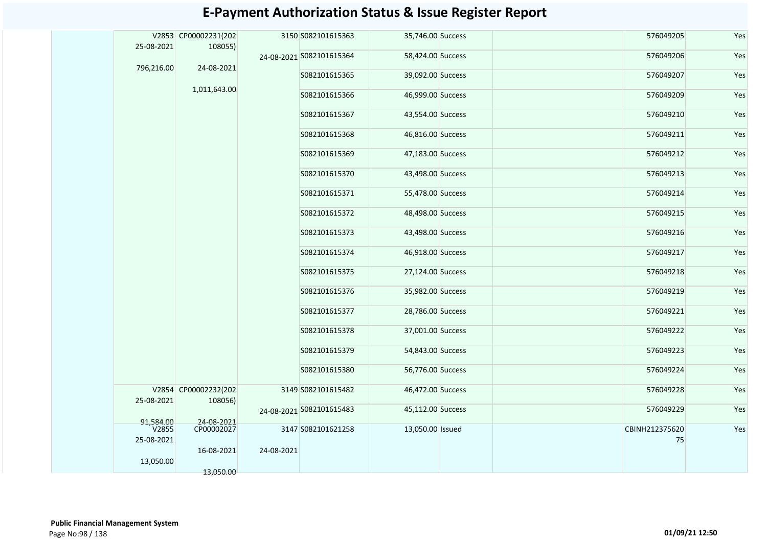|                    | V2853 CP00002231(202            |            | 3150 S082101615363       | 35,746.00 Success | 576049205      | Yes |
|--------------------|---------------------------------|------------|--------------------------|-------------------|----------------|-----|
| 25-08-2021         | 108055)                         |            | 24-08-2021 S082101615364 | 58,424.00 Success | 576049206      | Yes |
| 796,216.00         | 24-08-2021                      |            | S082101615365            | 39,092.00 Success | 576049207      | Yes |
|                    | 1,011,643.00                    |            | S082101615366            | 46,999.00 Success | 576049209      | Yes |
|                    |                                 |            | S082101615367            | 43,554.00 Success | 576049210      | Yes |
|                    |                                 |            |                          |                   |                |     |
|                    |                                 |            | S082101615368            | 46,816.00 Success | 576049211      | Yes |
|                    |                                 |            | S082101615369            | 47,183.00 Success | 576049212      | Yes |
|                    |                                 |            | S082101615370            | 43,498.00 Success | 576049213      | Yes |
|                    |                                 |            | S082101615371            | 55,478.00 Success | 576049214      | Yes |
|                    |                                 |            | S082101615372            | 48,498.00 Success | 576049215      | Yes |
|                    |                                 |            | S082101615373            | 43,498.00 Success | 576049216      | Yes |
|                    |                                 |            | S082101615374            | 46,918.00 Success | 576049217      | Yes |
|                    |                                 |            | S082101615375            | 27,124.00 Success | 576049218      | Yes |
|                    |                                 |            | S082101615376            | 35,982.00 Success | 576049219      | Yes |
|                    |                                 |            | S082101615377            | 28,786.00 Success | 576049221      | Yes |
|                    |                                 |            | S082101615378            | 37,001.00 Success | 576049222      | Yes |
|                    |                                 |            | S082101615379            | 54,843.00 Success | 576049223      | Yes |
|                    |                                 |            | S082101615380            | 56,776.00 Success | 576049224      | Yes |
| 25-08-2021         | V2854 CP00002232(202<br>108056) |            | 3149 S082101615482       | 46,472.00 Success | 576049228      | Yes |
|                    |                                 |            | 24-08-2021 S082101615483 | 45,112.00 Success | 576049229      | Yes |
| 91,584.00<br>V2855 | 24-08-2021<br>CP00002027        |            | 3147 S082101621258       | 13,050.00 Issued  | CBINH212375620 | Yes |
| 25-08-2021         | 16-08-2021                      | 24-08-2021 |                          |                   | 75             |     |
| 13,050.00          | 13,050.00                       |            |                          |                   |                |     |
|                    |                                 |            |                          |                   |                |     |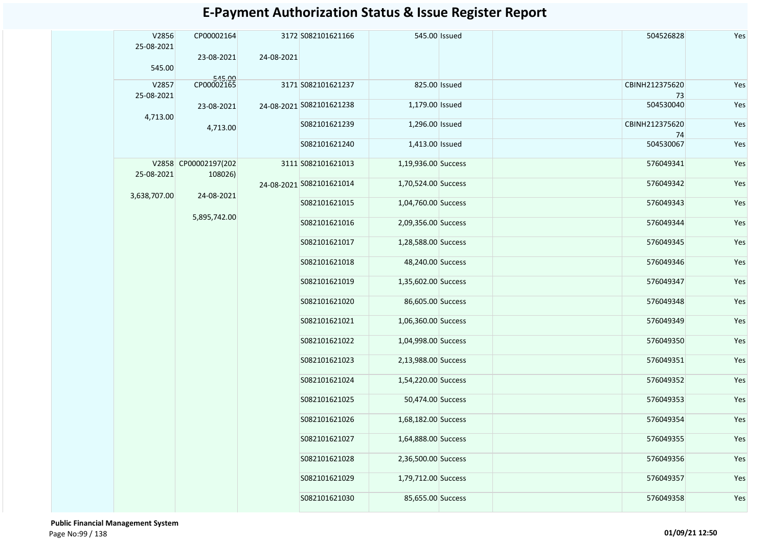| V2856<br>25-08-2021 | CP00002164<br>23-08-2021        | 24-08-2021               | 3172 S082101621166       | 545.00 Issued       |                     | 504526828       | Yes           |                     |  |           |     |
|---------------------|---------------------------------|--------------------------|--------------------------|---------------------|---------------------|-----------------|---------------|---------------------|--|-----------|-----|
| 545.00              |                                 |                          |                          |                     |                     |                 |               |                     |  |           |     |
| V2857               | 545.00<br>CP00002165            |                          | 3171 S082101621237       | 825.00 Issued       |                     | CBINH212375620  | Yes           |                     |  |           |     |
| 25-08-2021          | 23-08-2021                      |                          | 24-08-2021 S082101621238 | 1,179.00 Issued     |                     | 73<br>504530040 | Yes           |                     |  |           |     |
| 4,713.00            |                                 |                          | S082101621239            | 1,296.00 Issued     |                     | CBINH212375620  | Yes           |                     |  |           |     |
|                     | 4,713.00                        |                          |                          |                     |                     | 74              |               |                     |  |           |     |
|                     | V2858 CP00002197(202<br>108026) |                          | S082101621240            | 1,413.00 Issued     |                     | 504530067       | Yes           |                     |  |           |     |
| 25-08-2021          |                                 |                          | 3111 S082101621013       | 1,19,936.00 Success |                     | 576049341       | Yes           |                     |  |           |     |
|                     |                                 | 24-08-2021 5082101621014 | 1,70,524.00 Success      |                     | 576049342           | Yes             |               |                     |  |           |     |
| 3,638,707.00        | 24-08-2021                      |                          | S082101621015            | 1,04,760.00 Success |                     | 576049343       | Yes           |                     |  |           |     |
|                     | 5,895,742.00                    |                          | S082101621016            | 2,09,356.00 Success |                     | 576049344       | Yes           |                     |  |           |     |
|                     |                                 |                          | S082101621017            | 1,28,588.00 Success |                     | 576049345       | Yes           |                     |  |           |     |
|                     |                                 |                          | S082101621018            | 48,240.00 Success   |                     | 576049346       | Yes           |                     |  |           |     |
|                     |                                 |                          | S082101621019            | 1,35,602.00 Success |                     | 576049347       | Yes           |                     |  |           |     |
|                     |                                 |                          | S082101621020            | 86,605.00 Success   |                     | 576049348       | Yes           |                     |  |           |     |
|                     |                                 |                          | S082101621021            | 1,06,360.00 Success |                     | 576049349       | Yes           |                     |  |           |     |
|                     |                                 |                          | S082101621022            | 1,04,998.00 Success |                     | 576049350       | Yes           |                     |  |           |     |
|                     |                                 |                          | S082101621023            | 2,13,988.00 Success |                     | 576049351       | Yes           |                     |  |           |     |
|                     |                                 |                          |                          |                     |                     |                 | S082101621024 | 1,54,220.00 Success |  | 576049352 | Yes |
|                     |                                 |                          |                          |                     |                     |                 | S082101621025 | 50,474.00 Success   |  | 576049353 | Yes |
|                     |                                 |                          | S082101621026            | 1,68,182.00 Success |                     | 576049354       | Yes           |                     |  |           |     |
|                     |                                 |                          | S082101621027            | 1,64,888.00 Success |                     | 576049355       | Yes           |                     |  |           |     |
|                     |                                 |                          |                          | S082101621028       | 2,36,500.00 Success |                 | 576049356     | Yes                 |  |           |     |
|                     |                                 |                          | S082101621029            | 1,79,712.00 Success |                     | 576049357       | Yes           |                     |  |           |     |
|                     |                                 |                          | S082101621030            | 85,655.00 Success   |                     | 576049358       | Yes           |                     |  |           |     |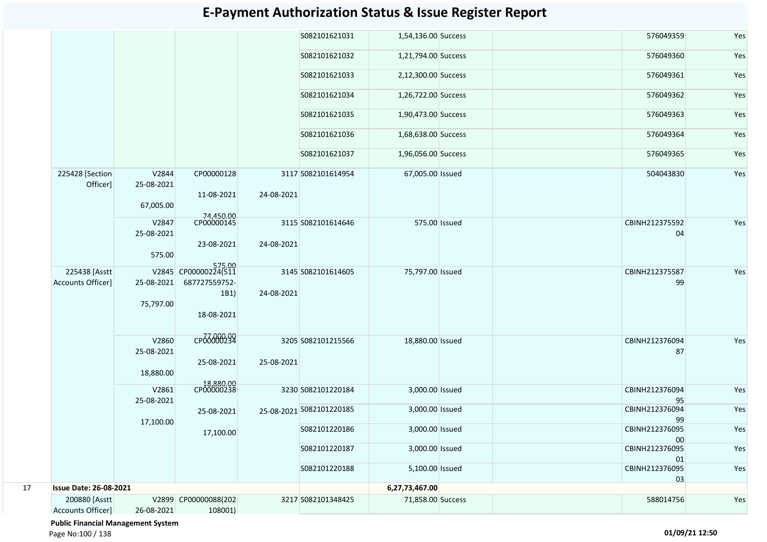|    |                               |                                  |                                     |            | S082101621031            | 1,54,136.00 Success |               | 576049359            | Yes |
|----|-------------------------------|----------------------------------|-------------------------------------|------------|--------------------------|---------------------|---------------|----------------------|-----|
|    |                               |                                  |                                     |            | S082101621032            | 1,21,794.00 Success |               | 576049360            | Yes |
|    |                               |                                  |                                     |            | S082101621033            | 2,12,300.00 Success |               | 576049361            | Yes |
|    |                               |                                  |                                     |            | S082101621034            | 1,26,722.00 Success |               | 576049362            | Yes |
|    |                               |                                  |                                     |            | S082101621035            | 1,90,473.00 Success |               | 576049363            | Yes |
|    |                               |                                  |                                     |            | S082101621036            | 1,68,638.00 Success |               | 576049364            | Yes |
|    |                               |                                  |                                     |            | S082101621037            | 1,96,056.00 Success |               | 576049365            | Yes |
|    | 225428 [Section<br>Officer]   | V2844<br>25-08-2021<br>67,005.00 | CP00000128<br>11-08-2021            | 24-08-2021 | 3117 S082101614954       | 67,005.00 Issued    |               | 504043830            | Yes |
|    |                               | V2847                            | 74,450.00<br>CP00000145             |            | 3115 S082101614646       |                     | 575.00 Issued | CBINH212375592       | Yes |
|    |                               | 25-08-2021                       |                                     |            |                          |                     |               | 04                   |     |
|    |                               | 575.00                           | 23-08-2021                          | 24-08-2021 |                          |                     |               |                      |     |
|    | 225438 [Asstt                 |                                  | 575.00<br>V2845 CP00000224(511      |            | 3145 S082101614605       | 75,797.00 Issued    |               | CBINH212375587       | Yes |
|    | Accounts Officer]             | 25-08-2021<br>75,797.00          | 687727559752-<br>1B1)<br>18-08-2021 | 24-08-2021 |                          |                     |               | 99                   |     |
|    |                               | V2860<br>25-08-2021<br>18,880.00 | CP66000299<br>25-08-2021            | 25-08-2021 | 3205 S082101215566       | 18,880.00 Issued    |               | CBINH212376094<br>87 | Yes |
|    |                               | V2861                            | 18,880.00<br>CP00000238             |            | 3230 S082101220184       | 3,000.00 Issued     |               | CBINH212376094       | Yes |
|    |                               | 25-08-2021                       | 25-08-2021                          |            | 25-08-2021 S082101220185 | 3,000.00 Issued     |               | 95<br>CBINH212376094 | Yes |
|    |                               | 17,100.00                        |                                     |            |                          |                     |               | 99                   |     |
|    |                               |                                  | 17,100.00                           |            | S082101220186            | 3,000.00 Issued     |               | CBINH212376095<br>00 | Yes |
|    |                               |                                  |                                     |            | S082101220187            | 3,000.00 Issued     |               | CBINH212376095<br>01 | Yes |
|    |                               |                                  |                                     |            | S082101220188            | 5,100.00 Issued     |               | CBINH212376095<br>03 | Yes |
| 17 | <b>Issue Date: 26-08-2021</b> |                                  |                                     |            |                          | 6,27,73,467.00      |               |                      |     |
|    | 200880 [Asstt                 |                                  | V2899 CP00000088(202                |            | 3217 S082101348425       | 71,858.00 Success   |               | 588014756            | Yes |
|    | Accounts Officer]             | 26-08-2021                       | 108001)                             |            |                          |                     |               |                      |     |

 **Public Financial Management System** 

Page No:100 / 138 **01/09/21 12:50**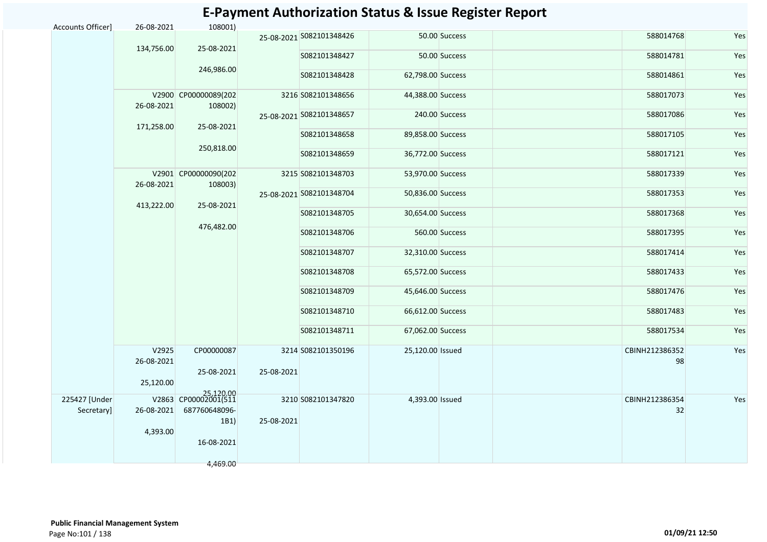| Accounts Officer] | 26-08-2021          | 108001)                           |            |                          |                   |                |                      |     |
|-------------------|---------------------|-----------------------------------|------------|--------------------------|-------------------|----------------|----------------------|-----|
|                   |                     |                                   |            | 25-08-2021 5082101348426 |                   | 50.00 Success  | 588014768            | Yes |
|                   | 134,756.00          | 25-08-2021                        |            | S082101348427            |                   | 50.00 Success  | 588014781            | Yes |
|                   |                     | 246,986.00                        |            | S082101348428            | 62,798.00 Success |                | 588014861            | Yes |
|                   | 26-08-2021          | V2900 CP00000089(202              |            | 3216 S082101348656       | 44,388.00 Success |                | 588017073            | Yes |
|                   |                     | 108002)                           |            | 25-08-2021 S082101348657 |                   | 240.00 Success | 588017086            | Yes |
|                   | 171,258.00          | 25-08-2021                        |            | S082101348658            | 89,858.00 Success |                | 588017105            | Yes |
|                   |                     | 250,818.00                        |            | S082101348659            | 36,772.00 Success |                | 588017121            | Yes |
|                   | 26-08-2021          | V2901 CP00000090(202<br>108003)   |            | 3215 S082101348703       | 53,970.00 Success |                | 588017339            | Yes |
|                   |                     |                                   |            | 25-08-2021 S082101348704 | 50,836.00 Success |                | 588017353            | Yes |
|                   | 413,222.00          | 25-08-2021                        |            | S082101348705            | 30,654.00 Success |                | 588017368            | Yes |
|                   |                     | 476,482.00                        |            | S082101348706            |                   | 560.00 Success | 588017395            | Yes |
|                   |                     |                                   |            | S082101348707            | 32,310.00 Success |                | 588017414            | Yes |
|                   |                     |                                   |            | S082101348708            | 65,572.00 Success |                | 588017433            | Yes |
|                   |                     |                                   |            | S082101348709            | 45,646.00 Success |                | 588017476            | Yes |
|                   |                     |                                   |            | S082101348710            | 66,612.00 Success |                | 588017483            | Yes |
|                   |                     |                                   |            | S082101348711            | 67,062.00 Success |                | 588017534            | Yes |
|                   | V2925<br>26-08-2021 | CP00000087                        |            | 3214 S082101350196       | 25,120.00 Issued  |                | CBINH212386352<br>98 | Yes |
|                   |                     | 25-08-2021                        | 25-08-2021 |                          |                   |                |                      |     |
|                   | 25,120.00           |                                   |            |                          |                   |                |                      |     |
| 225427 [Under     |                     | 25,120.00<br>V2863 CP00002001(511 |            | 3210 S082101347820       | 4,393.00 Issued   |                | CBINH212386354       | Yes |
| Secretary]        | 26-08-2021          | 687760648096-<br>1B1)             | 25-08-2021 |                          |                   |                | 32                   |     |
|                   | 4,393.00            |                                   |            |                          |                   |                |                      |     |
|                   |                     | 16-08-2021                        |            |                          |                   |                |                      |     |
|                   |                     | 4,469.00                          |            |                          |                   |                |                      |     |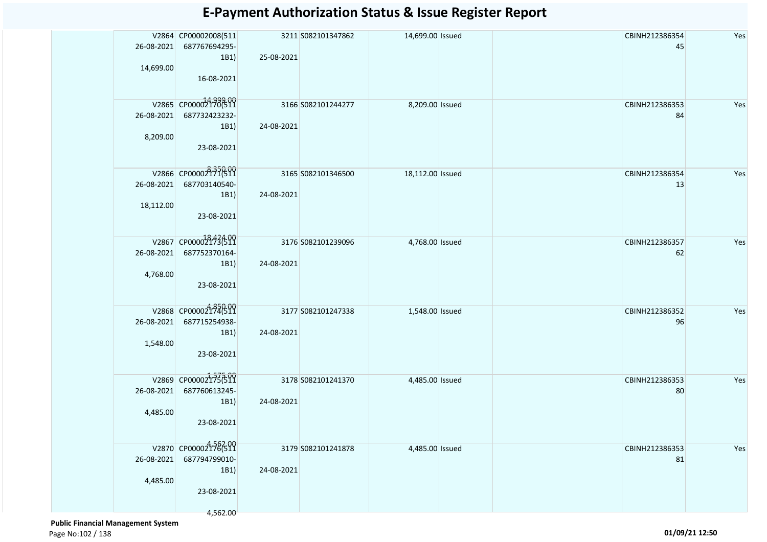| 26-08-2021<br>14,699.00 | V2864 CP00002008(511<br>687767694295-<br>1B1)<br>16-08-2021             | 25-08-2021 | 3211 S082101347862 | 14,699.00 Issued | CBINH212386354<br>45 | Yes |
|-------------------------|-------------------------------------------------------------------------|------------|--------------------|------------------|----------------------|-----|
| 26-08-2021<br>8,209.00  | V2865 CP000021706511<br>687732423232-<br>1B1)<br>23-08-2021             | 24-08-2021 | 3166 S082101244277 | 8,209.00 Issued  | CBINH212386353<br>84 | Yes |
| 26-08-2021<br>18,112.00 | V2866 CP00002171(511<br>687703140540-<br>1B1)<br>23-08-2021             | 24-08-2021 | 3165 S082101346500 | 18,112.00 Issued | CBINH212386354<br>13 | Yes |
| 26-08-2021<br>4,768.00  | V2867 CP00002173699<br>687752370164-<br>1B1)<br>23-08-2021              | 24-08-2021 | 3176 S082101239096 | 4,768.00 Issued  | CBINH212386357<br>62 | Yes |
| 26-08-2021<br>1,548.00  | V2868 CP000021746519<br>687715254938-<br>1B1)<br>23-08-2021             | 24-08-2021 | 3177 S082101247338 | 1,548.00 Issued  | CBINH212386352<br>96 | Yes |
| 26-08-2021<br>4,485.00  | V2869 CP000021736511<br>687760613245-<br>1B1)<br>23-08-2021             | 24-08-2021 | 3178 S082101241370 | 4,485.00 Issued  | CBINH212386353<br>80 | Yes |
| 26-08-2021<br>4,485.00  | V2870 CP000021786519<br>687794799010-<br>1B1)<br>23-08-2021<br>4,562.00 | 24-08-2021 | 3179 S082101241878 | 4,485.00 Issued  | CBINH212386353<br>81 | Yes |

 **Public Financial Management System**  Page No:102 / 138 **01/09/21 12:50**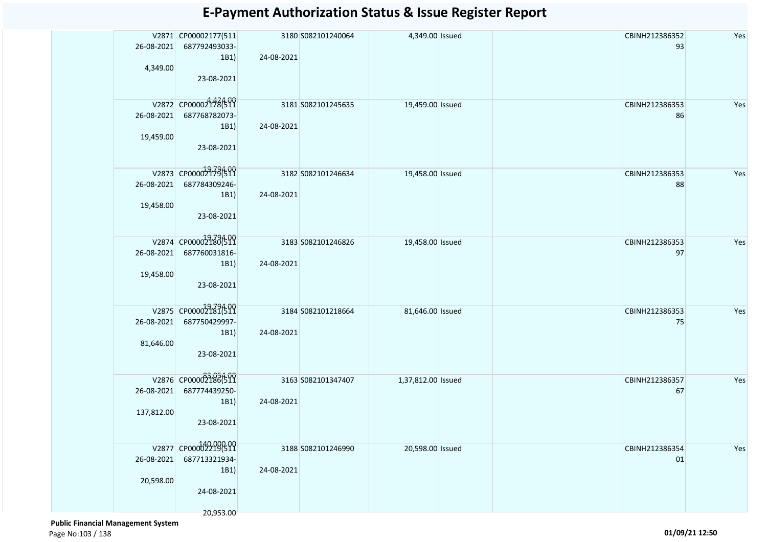| 26-08-2021<br>4,349.00   | V2871 CP00002177(511<br>687792493033-<br>1B1)<br>23-08-2021              | 24-08-2021 | 3180 S082101240064 | 4,349.00 Issued    | CBINH212386352<br>93         | Yes |
|--------------------------|--------------------------------------------------------------------------|------------|--------------------|--------------------|------------------------------|-----|
| 19,459.00                | V2872 CP00002178(511<br>26-08-2021 687768782073-<br>1B1)<br>23-08-2021   | 24-08-2021 | 3181 S082101245635 | 19,459.00 Issued   | CBINH212386353<br>86         | Yes |
| 26-08-2021<br>19,458.00  | V2873 CP000021794500<br>687784309246-<br>1B1)<br>23-08-2021              | 24-08-2021 | 3182 S082101246634 | 19,458.00 Issued   | CBINH212386353<br>88         | Yes |
| 26-08-2021<br>19,458.00  | V2874 CP00002180(511<br>687760031816-<br>1B1)<br>23-08-2021              | 24-08-2021 | 3183 S082101246826 | 19,458.00 Issued   | CBINH212386353<br>97         | Yes |
| 26-08-2021<br>81,646.00  | V2875 CP00002181(511<br>687750429997-<br>1B1)<br>23-08-2021              | 24-08-2021 | 3184 S082101218664 | 81,646.00 Issued   | CBINH212386353<br>75         | Yes |
| 26-08-2021<br>137,812.00 | V2876 CP00002186(511<br>687774439250-<br>1B1)<br>23-08-2021              | 24-08-2021 | 3163 S082101347407 | 1,37,812.00 Issued | CBINH212386357<br>67         | Yes |
| 26-08-2021<br>20,598.00  | V2877 CP00002219(511<br>687713321934-<br>1B1)<br>24-08-2021<br>20,953.00 | 24-08-2021 | 3188 S082101246990 | 20,598.00 Issued   | CBINH212386354<br>${\tt 01}$ | Yes |

 **Public Financial Management System**  Page No:103 / 138 **01/09/21 12:50**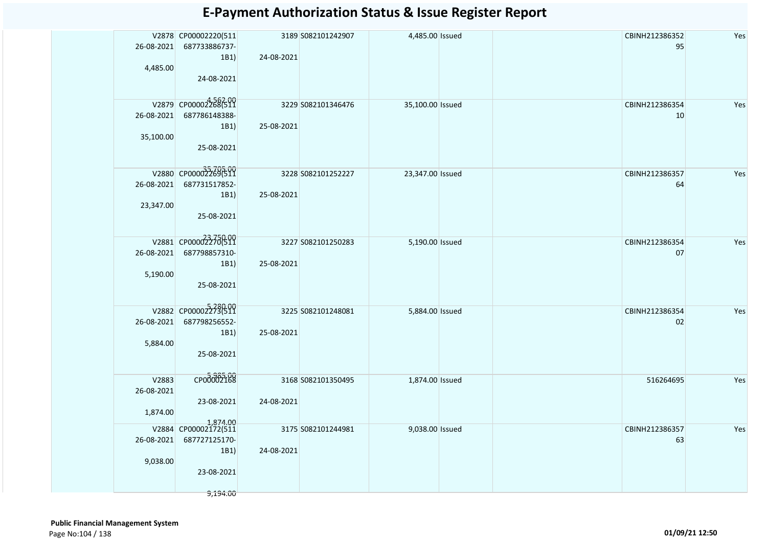|            | V2878 CP00002220(511             |            | 3189 S082101242907 | 4,485.00 Issued  | CBINH212386352 | Yes |
|------------|----------------------------------|------------|--------------------|------------------|----------------|-----|
| 26-08-2021 | 687733886737-                    |            |                    |                  | 95             |     |
|            | 1B1)                             | 24-08-2021 |                    |                  |                |     |
| 4,485.00   |                                  |            |                    |                  |                |     |
|            | 24-08-2021                       |            |                    |                  |                |     |
|            |                                  |            |                    |                  |                |     |
|            | V2879 CP00002268(511             |            | 3229 S082101346476 | 35,100.00 Issued | CBINH212386354 | Yes |
| 26-08-2021 | 687786148388-                    |            |                    |                  | 10             |     |
|            |                                  |            |                    |                  |                |     |
|            | 1B1)                             | 25-08-2021 |                    |                  |                |     |
| 35,100.00  | 25-08-2021                       |            |                    |                  |                |     |
|            |                                  |            |                    |                  |                |     |
|            |                                  |            |                    |                  |                |     |
|            | V2880 CP000022696511             |            | 3228 S082101252227 | 23,347.00 Issued | CBINH212386357 | Yes |
| 26-08-2021 | 687731517852-                    |            |                    |                  | 64             |     |
|            | 1B1)                             | 25-08-2021 |                    |                  |                |     |
| 23,347.00  |                                  |            |                    |                  |                |     |
|            | 25-08-2021                       |            |                    |                  |                |     |
|            |                                  |            |                    |                  |                |     |
|            | V2881 CP000023278099             |            | 3227 S082101250283 | 5,190.00 Issued  | CBINH212386354 | Yes |
|            | 26-08-2021 687798857310-         |            |                    |                  | 07             |     |
|            | 1B1)                             | 25-08-2021 |                    |                  |                |     |
| 5,190.00   |                                  |            |                    |                  |                |     |
|            | 25-08-2021                       |            |                    |                  |                |     |
|            |                                  |            |                    |                  |                |     |
|            |                                  |            |                    |                  |                |     |
|            | V2882 CP00002273(511             |            | 3225 S082101248081 | 5,884.00 Issued  | CBINH212386354 | Yes |
| 26-08-2021 | 687798256552-                    |            |                    |                  | 02             |     |
|            | 1B1)                             | 25-08-2021 |                    |                  |                |     |
| 5,884.00   |                                  |            |                    |                  |                |     |
|            | 25-08-2021                       |            |                    |                  |                |     |
|            |                                  |            |                    |                  |                |     |
| V2883      | CP00002168                       |            | 3168 S082101350495 | 1,874.00 Issued  | 516264695      | Yes |
| 26-08-2021 |                                  |            |                    |                  |                |     |
|            | 23-08-2021                       | 24-08-2021 |                    |                  |                |     |
| 1,874.00   |                                  |            |                    |                  |                |     |
|            |                                  |            |                    |                  |                |     |
|            | 1,874.00<br>V2884 CP00002172(511 |            | 3175 S082101244981 | 9,038.00 Issued  | CBINH212386357 | Yes |
| 26-08-2021 | 687727125170-                    |            |                    |                  | 63             |     |
|            | 1B1)                             | 24-08-2021 |                    |                  |                |     |
| 9,038.00   |                                  |            |                    |                  |                |     |
|            | 23-08-2021                       |            |                    |                  |                |     |
|            |                                  |            |                    |                  |                |     |
|            | 9,194.00                         |            |                    |                  |                |     |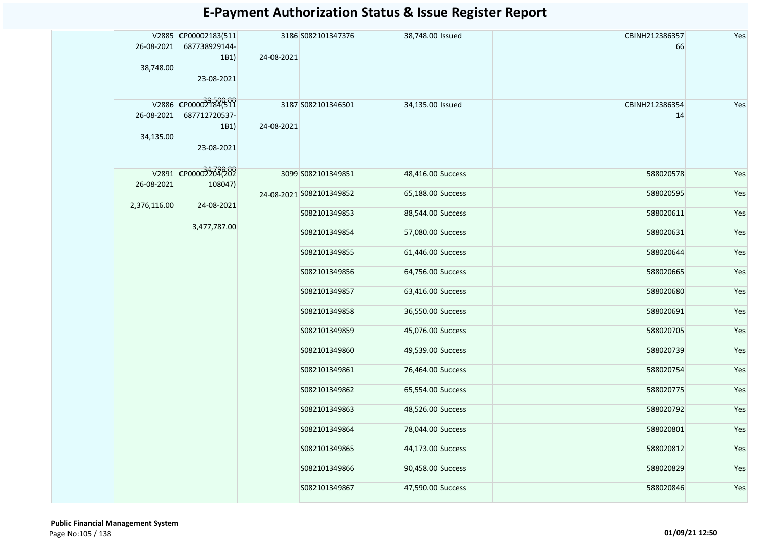| 26-08-2021<br>38,748.00 | V2885 CP00002183(511<br>687738929144-<br>1B1)<br>23-08-2021 | 24-08-2021    | 3186 S082101347376       | 38,748.00 Issued  |                   | CBINH212386357<br>66 | Yes       |     |
|-------------------------|-------------------------------------------------------------|---------------|--------------------------|-------------------|-------------------|----------------------|-----------|-----|
| 26-08-2021<br>34,135.00 | V2886 CP00002184(511<br>687712720537-<br>1B1)<br>23-08-2021 | 24-08-2021    | 3187 S082101346501       | 34,135.00 Issued  |                   | CBINH212386354<br>14 | Yes       |     |
| 26-08-2021              | V2891 CP000032204(202<br>108047)                            |               | 3099 S082101349851       | 48,416.00 Success |                   | 588020578            | Yes       |     |
|                         |                                                             |               | 24-08-2021 S082101349852 | 65,188.00 Success |                   | 588020595            | Yes       |     |
| 2,376,116.00            | 24-08-2021                                                  |               | S082101349853            | 88,544.00 Success |                   | 588020611            | Yes       |     |
|                         | 3,477,787.00                                                |               | S082101349854            | 57,080.00 Success |                   | 588020631            | Yes       |     |
|                         |                                                             |               | S082101349855            | 61,446.00 Success |                   | 588020644            | Yes       |     |
|                         |                                                             |               | S082101349856            | 64,756.00 Success |                   | 588020665            | Yes       |     |
|                         |                                                             |               | S082101349857            | 63,416.00 Success |                   | 588020680            | Yes       |     |
|                         |                                                             |               | S082101349858            | 36,550.00 Success |                   | 588020691            | Yes       |     |
|                         |                                                             |               | S082101349859            | 45,076.00 Success |                   | 588020705            | Yes       |     |
|                         |                                                             |               | S082101349860            | 49,539.00 Success |                   | 588020739            | Yes       |     |
|                         |                                                             |               |                          | S082101349861     | 76,464.00 Success |                      | 588020754 | Yes |
|                         |                                                             |               | S082101349862            | 65,554.00 Success |                   | 588020775            | Yes       |     |
|                         |                                                             |               | S082101349863            | 48,526.00 Success |                   | 588020792            | Yes       |     |
|                         |                                                             |               | S082101349864            | 78,044.00 Success |                   | 588020801            | Yes       |     |
|                         |                                                             |               | S082101349865            | 44,173.00 Success |                   | 588020812            | Yes       |     |
|                         |                                                             | S082101349866 | 90,458.00 Success        |                   | 588020829         | Yes                  |           |     |
|                         |                                                             |               | S082101349867            | 47,590.00 Success |                   | 588020846            | Yes       |     |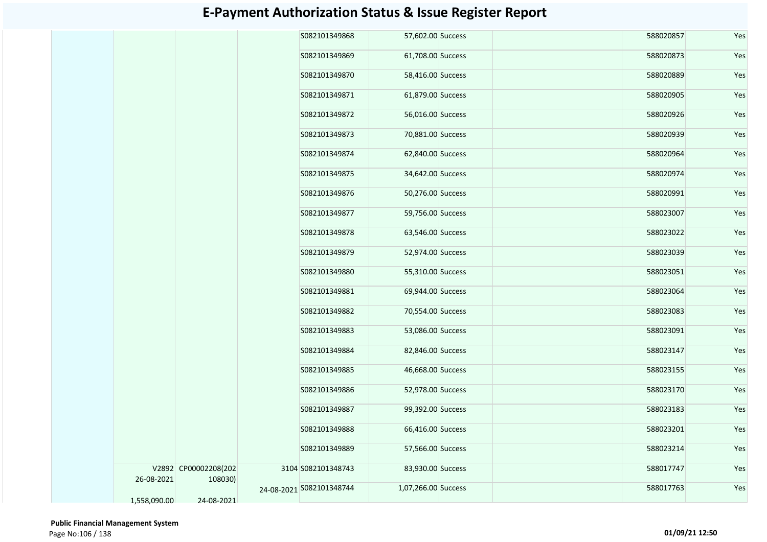|              |                                 | S082101349868            | 57,602.00 Success   |  | 588020857 | Yes |
|--------------|---------------------------------|--------------------------|---------------------|--|-----------|-----|
|              |                                 | S082101349869            | 61,708.00 Success   |  | 588020873 | Yes |
|              |                                 | S082101349870            | 58,416.00 Success   |  | 588020889 | Yes |
|              |                                 | S082101349871            | 61,879.00 Success   |  | 588020905 | Yes |
|              |                                 | S082101349872            | 56,016.00 Success   |  | 588020926 | Yes |
|              |                                 | S082101349873            | 70,881.00 Success   |  | 588020939 | Yes |
|              |                                 | S082101349874            | 62,840.00 Success   |  | 588020964 | Yes |
|              |                                 | S082101349875            | 34,642.00 Success   |  | 588020974 | Yes |
|              |                                 | S082101349876            | 50,276.00 Success   |  | 588020991 | Yes |
|              |                                 | S082101349877            | 59,756.00 Success   |  | 588023007 | Yes |
|              |                                 | S082101349878            | 63,546.00 Success   |  | 588023022 | Yes |
|              |                                 | S082101349879            | 52,974.00 Success   |  | 588023039 | Yes |
|              |                                 | S082101349880            | 55,310.00 Success   |  | 588023051 | Yes |
|              |                                 | S082101349881            | 69,944.00 Success   |  | 588023064 | Yes |
|              |                                 | S082101349882            | 70,554.00 Success   |  | 588023083 | Yes |
|              |                                 | S082101349883            | 53,086.00 Success   |  | 588023091 | Yes |
|              |                                 | S082101349884            | 82,846.00 Success   |  | 588023147 | Yes |
|              |                                 | S082101349885            | 46,668.00 Success   |  | 588023155 | Yes |
|              |                                 | S082101349886            | 52,978.00 Success   |  | 588023170 | Yes |
|              |                                 | S082101349887            | 99,392.00 Success   |  | 588023183 | Yes |
|              |                                 | S082101349888            | 66,416.00 Success   |  | 588023201 | Yes |
|              |                                 | S082101349889            | 57,566.00 Success   |  | 588023214 | Yes |
| 26-08-2021   | V2892 CP00002208(202<br>108030) | 3104 S082101348743       | 83,930.00 Success   |  | 588017747 | Yes |
| 1,558,090.00 | 24-08-2021                      | 24-08-2021 S082101348744 | 1,07,266.00 Success |  | 588017763 | Yes |
|              |                                 |                          |                     |  |           |     |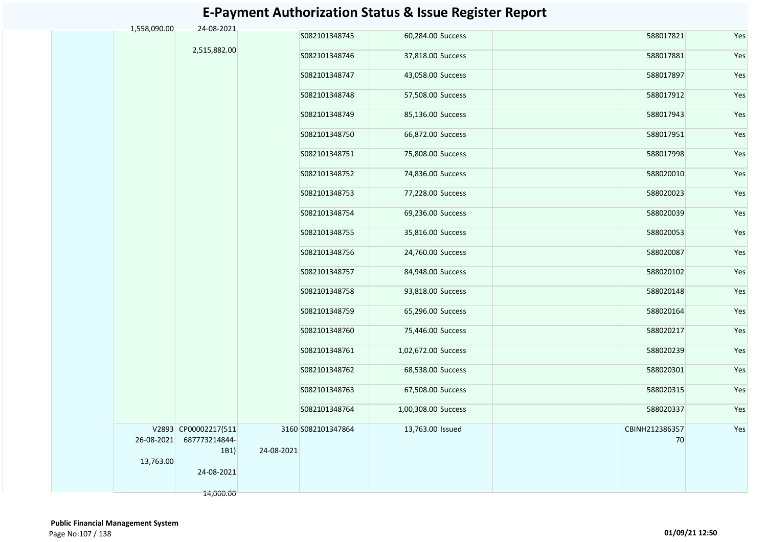| 1,558,090.00 | 24-08-2021                                               |            |                    |                     |  |                      |     |
|--------------|----------------------------------------------------------|------------|--------------------|---------------------|--|----------------------|-----|
|              |                                                          |            | S082101348745      | 60,284.00 Success   |  | 588017821            | Yes |
|              | 2,515,882.00                                             |            | S082101348746      | 37,818.00 Success   |  | 588017881            | Yes |
|              |                                                          |            | S082101348747      | 43,058.00 Success   |  | 588017897            | Yes |
|              |                                                          |            | S082101348748      | 57,508.00 Success   |  | 588017912            | Yes |
|              |                                                          |            | S082101348749      | 85,136.00 Success   |  | 588017943            | Yes |
|              |                                                          |            | S082101348750      | 66,872.00 Success   |  | 588017951            | Yes |
|              |                                                          |            | S082101348751      | 75,808.00 Success   |  | 588017998            | Yes |
|              |                                                          |            | S082101348752      | 74,836.00 Success   |  | 588020010            | Yes |
|              |                                                          |            | S082101348753      | 77,228.00 Success   |  | 588020023            | Yes |
|              |                                                          |            | S082101348754      | 69,236.00 Success   |  | 588020039            | Yes |
|              |                                                          |            | S082101348755      | 35,816.00 Success   |  | 588020053            | Yes |
|              |                                                          |            | S082101348756      | 24,760.00 Success   |  | 588020087            | Yes |
|              |                                                          |            | S082101348757      | 84,948.00 Success   |  | 588020102            | Yes |
|              |                                                          |            | S082101348758      | 93,818.00 Success   |  | 588020148            | Yes |
|              |                                                          |            | S082101348759      | 65,296.00 Success   |  | 588020164            | Yes |
|              |                                                          |            | S082101348760      | 75,446.00 Success   |  | 588020217            | Yes |
|              |                                                          |            | S082101348761      | 1,02,672.00 Success |  | 588020239            | Yes |
|              |                                                          |            | S082101348762      | 68,538.00 Success   |  | 588020301            | Yes |
|              |                                                          |            | S082101348763      | 67,508.00 Success   |  | 588020315            | Yes |
|              |                                                          |            | S082101348764      | 1,00,308.00 Success |  | 588020337            | Yes |
|              | V2893 CP00002217(511<br>26-08-2021 687773214844-<br>1B1) | 24-08-2021 | 3160 S082101347864 | 13,763.00 Issued    |  | CBINH212386357<br>70 | Yes |
| 13,763.00    | 24-08-2021                                               |            |                    |                     |  |                      |     |
|              | 14,000.00                                                |            |                    |                     |  |                      |     |

 **Public Financial Management System**  Page No:107 / 138 **01/09/21 12:50**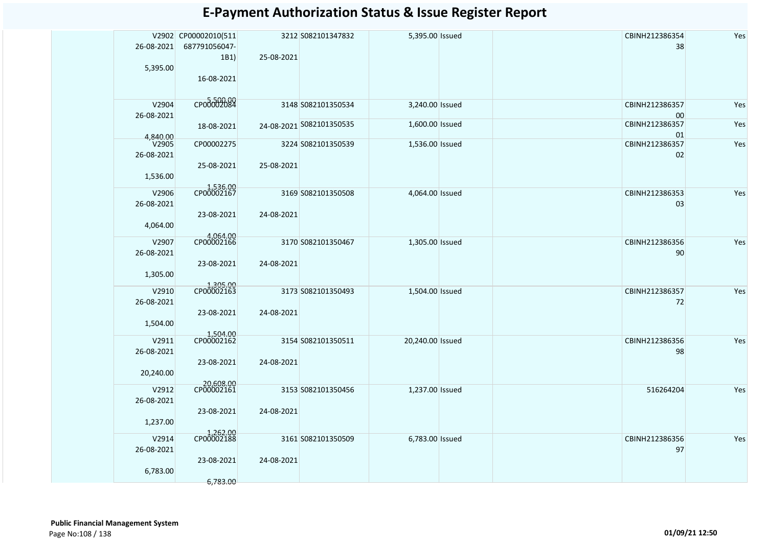|                   | V2902 CP00002010(511    |            | 3212 S082101347832       | 5,395.00 Issued  | CBINH212386354       | Yes |
|-------------------|-------------------------|------------|--------------------------|------------------|----------------------|-----|
| 26-08-2021        | 687791056047-           |            |                          |                  | 38                   |     |
| 5,395.00          | 1B1)                    | 25-08-2021 |                          |                  |                      |     |
|                   | 16-08-2021              |            |                          |                  |                      |     |
|                   |                         |            |                          |                  |                      |     |
| V2904             | сродо02084              |            | 3148 S082101350534       | 3,240.00 Issued  | CBINH212386357       | Yes |
| 26-08-2021        |                         |            |                          |                  | 00                   |     |
|                   | 18-08-2021              |            | 24-08-2021 S082101350535 | 1,600.00 Issued  | CBINH212386357       | Yes |
| 4,840.00<br>V2905 | CP00002275              |            | 3224 S082101350539       | 1,536.00 Issued  | 01<br>CBINH212386357 | Yes |
| 26-08-2021        |                         |            |                          |                  | 02                   |     |
|                   | 25-08-2021              | 25-08-2021 |                          |                  |                      |     |
| 1,536.00          |                         |            |                          |                  |                      |     |
| V2906             | 1,536.00<br>CP00002167  |            | 3169 S082101350508       | 4,064.00 Issued  | CBINH212386353       | Yes |
| 26-08-2021        |                         |            |                          |                  | 03                   |     |
|                   | 23-08-2021              | 24-08-2021 |                          |                  |                      |     |
| 4,064.00          |                         |            |                          |                  |                      |     |
| V2907             | 4,064.00<br>CP00002166  |            | 3170 S082101350467       | 1,305.00 Issued  | CBINH212386356       | Yes |
| 26-08-2021        |                         |            |                          |                  | 90                   |     |
|                   | 23-08-2021              | 24-08-2021 |                          |                  |                      |     |
| 1,305.00          |                         |            |                          |                  |                      |     |
| V2910             | 1,305.00<br>CP00002163  |            | 3173 S082101350493       | 1,504.00 Issued  | CBINH212386357       | Yes |
| 26-08-2021        |                         |            |                          |                  | 72                   |     |
|                   | 23-08-2021              | 24-08-2021 |                          |                  |                      |     |
| 1,504.00          |                         |            |                          |                  |                      |     |
| V2911             | 1,504.00<br>CP00002162  |            | 3154 S082101350511       | 20,240.00 Issued | CBINH212386356       | Yes |
| 26-08-2021        |                         |            |                          |                  | 98                   |     |
|                   | 23-08-2021              | 24-08-2021 |                          |                  |                      |     |
| 20,240.00         |                         |            |                          |                  |                      |     |
| V2912             | 20,608.00<br>CP00002161 |            | 3153 S082101350456       | 1,237.00 Issued  | 516264204            | Yes |
| 26-08-2021        |                         |            |                          |                  |                      |     |
|                   | 23-08-2021              | 24-08-2021 |                          |                  |                      |     |
| 1,237.00          |                         |            |                          |                  |                      |     |
| V2914             | 1,262.00<br>CP00002188  |            | 3161 S082101350509       | 6,783.00 Issued  | CBINH212386356       | Yes |
| 26-08-2021        |                         |            |                          |                  | 97                   |     |
|                   | 23-08-2021              | 24-08-2021 |                          |                  |                      |     |
| 6,783.00          |                         |            |                          |                  |                      |     |
|                   | 6,783.00                |            |                          |                  |                      |     |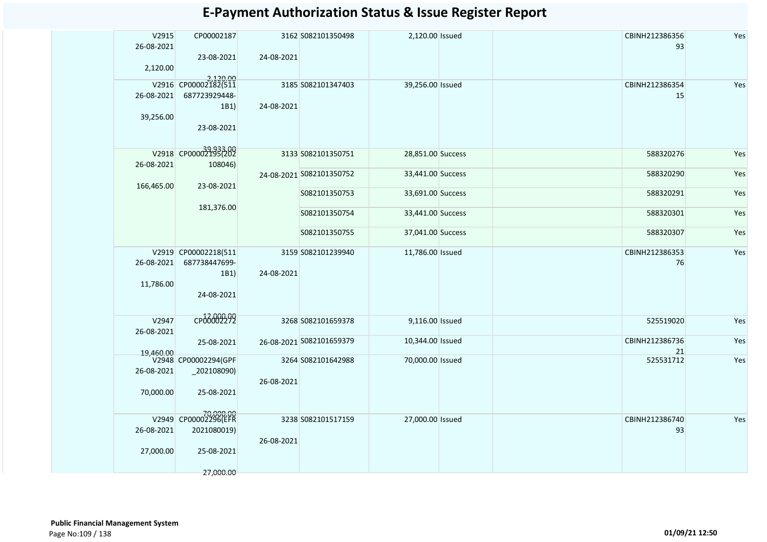| V2915      | CP00002187                        |            | 3162 S082101350498       | 2,120.00 Issued   | CBINH212386356 | Yes |
|------------|-----------------------------------|------------|--------------------------|-------------------|----------------|-----|
| 26-08-2021 |                                   |            |                          |                   | 93             |     |
| 2,120.00   | 23-08-2021                        | 24-08-2021 |                          |                   |                |     |
|            |                                   |            |                          |                   |                |     |
|            | 2,120.00<br>V2916 CP00002182(511  |            | 3185 S082101347403       | 39,256.00 Issued  | CBINH212386354 | Yes |
| 26-08-2021 | 687723929448-                     |            |                          |                   | 15             |     |
| 39,256.00  | 1B1)                              | 24-08-2021 |                          |                   |                |     |
|            | 23-08-2021                        |            |                          |                   |                |     |
|            |                                   |            |                          |                   |                |     |
|            | V2918 CP00002195(202              |            | 3133 S082101350751       | 28,851.00 Success | 588320276      | Yes |
| 26-08-2021 | 108046)                           |            |                          |                   |                |     |
|            |                                   |            | 24-08-2021 S082101350752 | 33,441.00 Success | 588320290      | Yes |
| 166,465.00 | 23-08-2021                        |            |                          |                   |                |     |
|            |                                   |            | S082101350753            | 33,691.00 Success | 588320291      | Yes |
|            | 181,376.00                        |            | S082101350754            | 33,441.00 Success | 588320301      | Yes |
|            |                                   |            |                          |                   |                |     |
|            |                                   |            | S082101350755            | 37,041.00 Success | 588320307      | Yes |
|            | V2919 CP00002218(511              |            | 3159 S082101239940       | 11,786.00 Issued  | CBINH212386353 | Yes |
| 26-08-2021 | 687738447699-                     |            |                          |                   | 76             |     |
|            | 1B1)                              | 24-08-2021 |                          |                   |                |     |
| 11,786.00  |                                   |            |                          |                   |                |     |
|            | 24-08-2021                        |            |                          |                   |                |     |
|            |                                   |            |                          |                   |                |     |
| V2947      | CP06002292                        |            | 3268 S082101659378       | 9,116.00 Issued   | 525519020      | Yes |
| 26-08-2021 | 25-08-2021                        |            | 26-08-2021 S082101659379 | 10,344.00 Issued  | CBINH212386736 | Yes |
| 19,460.00  |                                   |            |                          |                   | 21             |     |
|            | V2948 CP00002294(GPF              |            | 3264 S082101642988       | 70,000.00 Issued  | 525531712      | Yes |
| 26-08-2021 | _202108090)                       | 26-08-2021 |                          |                   |                |     |
| 70,000.00  | 25-08-2021                        |            |                          |                   |                |     |
|            |                                   |            |                          |                   |                |     |
|            | 70,000.00<br>V2949 CP00002296(EFR |            | 3238 S082101517159       | 27,000.00 Issued  | CBINH212386740 | Yes |
| 26-08-2021 | 2021080019)                       |            |                          |                   | 93             |     |
|            |                                   | 26-08-2021 |                          |                   |                |     |
| 27,000.00  | 25-08-2021                        |            |                          |                   |                |     |
|            |                                   |            |                          |                   |                |     |
|            | 27,000.00                         |            |                          |                   |                |     |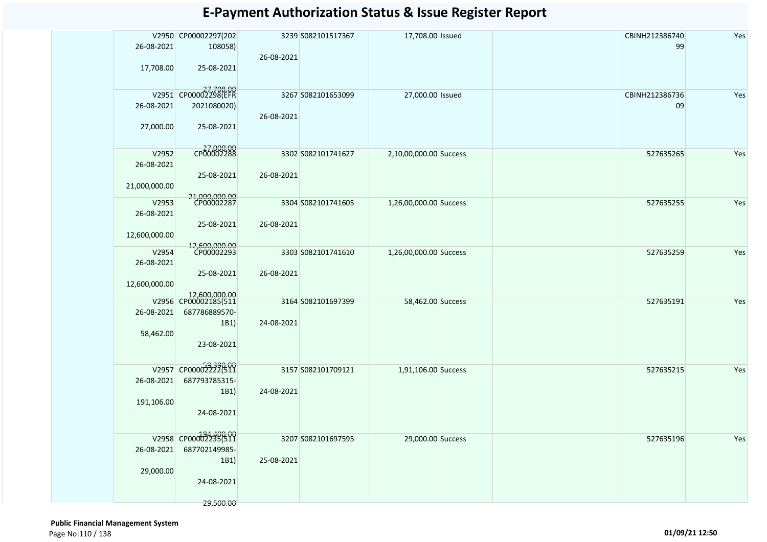|               | V2950 CP00002297(202                  |            | 3239 S082101517367 | 17,708.00 Issued       | CBINH212386740 | Yes |
|---------------|---------------------------------------|------------|--------------------|------------------------|----------------|-----|
| 26-08-2021    | 108058)                               |            |                    |                        | 99             |     |
|               |                                       | 26-08-2021 |                    |                        |                |     |
| 17,708.00     | 25-08-2021                            |            |                    |                        |                |     |
|               |                                       |            |                    |                        |                |     |
|               | V2951 CP00002298(EFR                  |            | 3267 S082101653099 | 27,000.00 Issued       | CBINH212386736 | Yes |
| 26-08-2021    | 2021080020)                           |            |                    |                        | 09             |     |
|               |                                       | 26-08-2021 |                    |                        |                |     |
| 27,000.00     | 25-08-2021                            |            |                    |                        |                |     |
|               |                                       |            |                    |                        |                |     |
|               |                                       |            |                    |                        |                |     |
| V2952         | CP00002288                            |            | 3302 S082101741627 | 2,10,00,000.00 Success | 527635265      | Yes |
| 26-08-2021    |                                       |            |                    |                        |                |     |
|               | 25-08-2021                            | 26-08-2021 |                    |                        |                |     |
| 21,000,000.00 |                                       |            |                    |                        |                |     |
| V2953         | 21,000,000.00<br>CP00002287           |            | 3304 S082101741605 | 1,26,00,000.00 Success | 527635255      | Yes |
| 26-08-2021    |                                       |            |                    |                        |                |     |
|               | 25-08-2021                            | 26-08-2021 |                    |                        |                |     |
| 12,600,000.00 |                                       |            |                    |                        |                |     |
|               |                                       |            |                    |                        |                |     |
| V2954         | 12,600,000.00<br>CP00002293           |            | 3303 S082101741610 | 1,26,00,000.00 Success | 527635259      | Yes |
| 26-08-2021    |                                       |            |                    |                        |                |     |
|               | 25-08-2021                            | 26-08-2021 |                    |                        |                |     |
| 12,600,000.00 |                                       |            |                    |                        |                |     |
|               | 12,600,000.00<br>V2956 CP00002185(511 |            | 3164 S082101697399 | 58,462.00 Success      | 527635191      | Yes |
| 26-08-2021    | 687786889570-                         |            |                    |                        |                |     |
|               | 1B1)                                  | 24-08-2021 |                    |                        |                |     |
| 58,462.00     |                                       |            |                    |                        |                |     |
|               | 23-08-2021                            |            |                    |                        |                |     |
|               |                                       |            |                    |                        |                |     |
|               |                                       |            |                    |                        |                |     |
|               | V2957 CP000022222(511                 |            | 3157 S082101709121 | 1,91,106.00 Success    | 527635215      | Yes |
| 26-08-2021    | 687793785315-                         |            |                    |                        |                |     |
|               | 1B1)                                  | 24-08-2021 |                    |                        |                |     |
| 191,106.00    |                                       |            |                    |                        |                |     |
|               | 24-08-2021                            |            |                    |                        |                |     |
|               |                                       |            |                    |                        |                |     |
|               | V2958 CP00002235(511                  |            | 3207 S082101697595 | 29,000.00 Success      | 527635196      | Yes |
|               | 26-08-2021 687702149985-              |            |                    |                        |                |     |
|               | 1B1)                                  | 25-08-2021 |                    |                        |                |     |
| 29,000.00     |                                       |            |                    |                        |                |     |
|               | 24-08-2021                            |            |                    |                        |                |     |
|               |                                       |            |                    |                        |                |     |
|               | 29,500.00                             |            |                    |                        |                |     |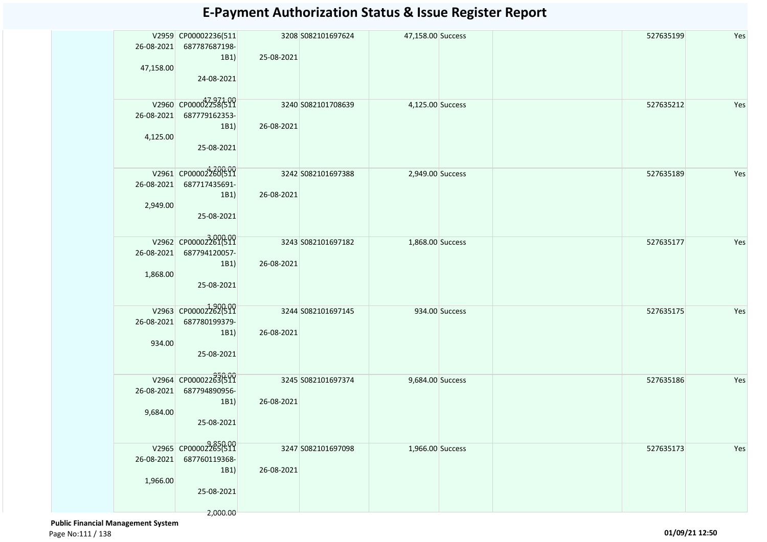| 26-08-2021<br>47,158.00 | V2959 CP00002236(511<br>687787687198-<br>1B1)<br>24-08-2021             | 25-08-2021 | 3208 S082101697624 | 47,158.00 Success |                | 527635199 | Yes |
|-------------------------|-------------------------------------------------------------------------|------------|--------------------|-------------------|----------------|-----------|-----|
| 26-08-2021<br>4,125.00  | V2960 CP00002258(511<br>687779162353-<br>1B1)<br>25-08-2021             | 26-08-2021 | 3240 S082101708639 | 4,125.00 Success  |                | 527635212 | Yes |
| 26-08-2021<br>2,949.00  | V2961 CP000022600511<br>687717435691-<br>1B1)<br>25-08-2021             | 26-08-2021 | 3242 S082101697388 | 2,949.00 Success  |                | 527635189 | Yes |
| 26-08-2021<br>1,868.00  | V2962 CP00002361(511<br>687794120057-<br>1B1)<br>25-08-2021             | 26-08-2021 | 3243 S082101697182 | 1,868.00 Success  |                | 527635177 | Yes |
| 26-08-2021<br>934.00    | V2963 CP00002262(511<br>687780199379-<br>1B1)<br>25-08-2021             | 26-08-2021 | 3244 S082101697145 |                   | 934.00 Success | 527635175 | Yes |
| 26-08-2021<br>9,684.00  | V2964 CP00002283(511<br>687794890956-<br>1B1)<br>25-08-2021             | 26-08-2021 | 3245 S082101697374 | 9,684.00 Success  |                | 527635186 | Yes |
| 26-08-2021<br>1,966.00  | V2965 CP00002265(511<br>687760119368-<br>1B1)<br>25-08-2021<br>2,000.00 | 26-08-2021 | 3247 S082101697098 | 1,966.00 Success  |                | 527635173 | Yes |

 **Public Financial Management System**  Page No:111 / 138 **01/09/21 12:50**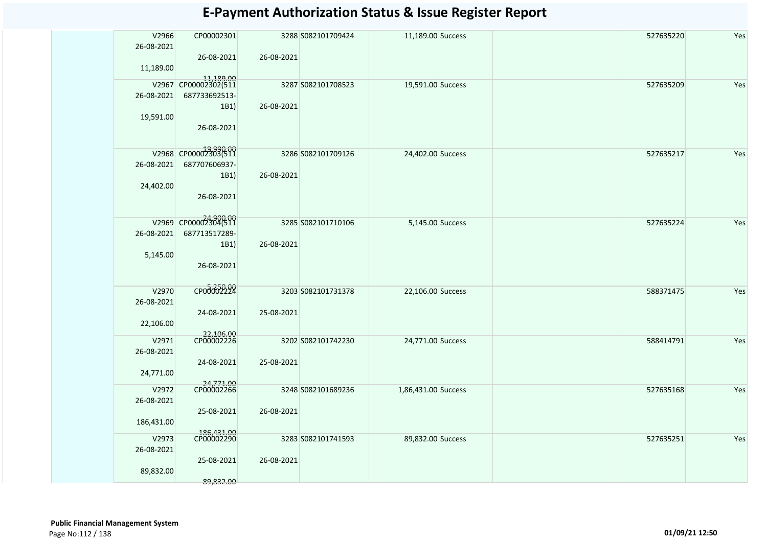| V2966               | CP00002301                        |            | 3288 S082101709424 | 11,189.00 Success   | 527635220 | Yes |
|---------------------|-----------------------------------|------------|--------------------|---------------------|-----------|-----|
| 26-08-2021          | 26-08-2021                        | 26-08-2021 |                    |                     |           |     |
| 11,189.00           |                                   |            |                    |                     |           |     |
|                     | 11,189.00<br>V2967 CP00002302(511 |            |                    |                     |           |     |
|                     |                                   |            | 3287 S082101708523 | 19,591.00 Success   | 527635209 | Yes |
| 26-08-2021          | 687733692513-<br>1B1)             | 26-08-2021 |                    |                     |           |     |
| 19,591.00           |                                   |            |                    |                     |           |     |
|                     | 26-08-2021                        |            |                    |                     |           |     |
|                     |                                   |            |                    |                     |           |     |
|                     | V2968 CP00002303(511              |            | 3286 S082101709126 | 24,402.00 Success   | 527635217 | Yes |
| 26-08-2021          | 687707606937-                     |            |                    |                     |           |     |
|                     | 1B1)                              | 26-08-2021 |                    |                     |           |     |
| 24,402.00           |                                   |            |                    |                     |           |     |
|                     | 26-08-2021                        |            |                    |                     |           |     |
|                     | V2969 CP00002304(511              |            |                    |                     |           |     |
| 26-08-2021          | 687713517289-                     |            | 3285 S082101710106 | 5,145.00 Success    | 527635224 | Yes |
|                     | 1B1)                              | 26-08-2021 |                    |                     |           |     |
| 5,145.00            |                                   |            |                    |                     |           |     |
|                     | 26-08-2021                        |            |                    |                     |           |     |
|                     |                                   |            |                    |                     |           |     |
| V2970               | CPO00002299                       |            | 3203 S082101731378 | 22,106.00 Success   | 588371475 | Yes |
| 26-08-2021          |                                   |            |                    |                     |           |     |
| 22,106.00           | 24-08-2021                        | 25-08-2021 |                    |                     |           |     |
|                     | 22,106.00<br>CP00002226           |            |                    |                     |           |     |
| V2971               |                                   |            | 3202 S082101742230 | 24,771.00 Success   | 588414791 | Yes |
| 26-08-2021          | 24-08-2021                        | 25-08-2021 |                    |                     |           |     |
| 24,771.00           |                                   |            |                    |                     |           |     |
|                     | 24,771.00<br>CP00002266           |            |                    |                     |           |     |
| V2972<br>26-08-2021 |                                   |            | 3248 S082101689236 | 1,86,431.00 Success | 527635168 | Yes |
|                     | 25-08-2021                        | 26-08-2021 |                    |                     |           |     |
| 186,431.00          |                                   |            |                    |                     |           |     |
| V2973               | 186,431.00<br>CP00002290          |            | 3283 S082101741593 | 89,832.00 Success   | 527635251 | Yes |
| 26-08-2021          |                                   |            |                    |                     |           |     |
|                     | 25-08-2021                        | 26-08-2021 |                    |                     |           |     |
| 89,832.00           |                                   |            |                    |                     |           |     |
|                     | 89,832.00                         |            |                    |                     |           |     |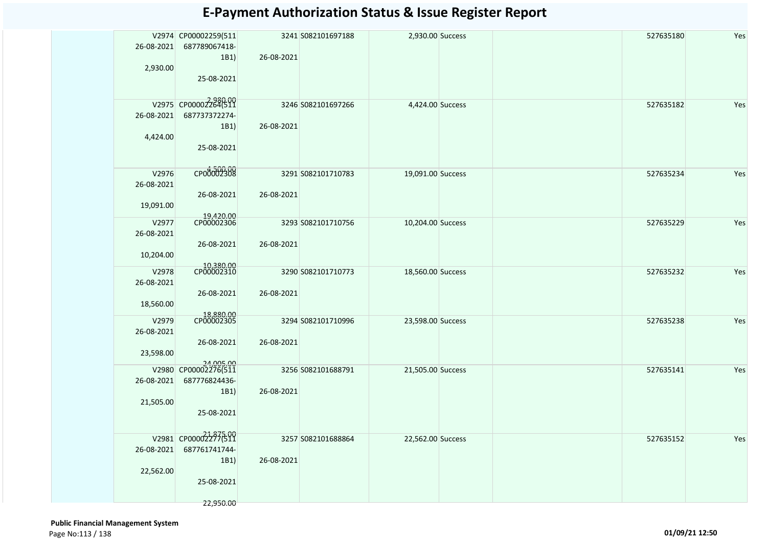| 26-08-2021<br>2,930.00           | V2974 CP00002259(511<br>687789067418-<br>1B1)<br>25-08-2021             | 26-08-2021 | 3241 S082101697188 | 2,930.00 Success  | 527635180 | Yes |
|----------------------------------|-------------------------------------------------------------------------|------------|--------------------|-------------------|-----------|-----|
| 26-08-2021<br>4,424.00           | V2975 CP00002284(511<br>687737372274-<br>1B1)<br>25-08-2021             | 26-08-2021 | 3246 S082101697266 | 4,424.00 Success  | 527635182 | Yes |
| V2976<br>26-08-2021<br>19,091.00 | CP00002308<br>26-08-2021                                                | 26-08-2021 | 3291 S082101710783 | 19,091.00 Success | 527635234 | Yes |
| V2977<br>26-08-2021<br>10,204.00 | 19,420.00<br>CP00002306<br>26-08-2021                                   | 26-08-2021 | 3293 S082101710756 | 10,204.00 Success | 527635229 | Yes |
| V2978<br>26-08-2021<br>18,560.00 | 10,380.00<br>CP00002310<br>26-08-2021                                   | 26-08-2021 | 3290 S082101710773 | 18,560.00 Success | 527635232 | Yes |
| V2979<br>26-08-2021<br>23,598.00 | 18,880.00<br>CP00002305<br>26-08-2021                                   | 26-08-2021 | 3294 S082101710996 | 23,598.00 Success | 527635238 | Yes |
| V2980<br>26-08-2021<br>21,505.00 | 24,005.00<br>CP00002276(511<br>687776824436-<br>1B1)<br>25-08-2021      | 26-08-2021 | 3256 S082101688791 | 21,505.00 Success | 527635141 | Yes |
| 26-08-2021<br>22,562.00          | V2981 CP00002277611<br>687761741744-<br>1B1)<br>25-08-2021<br>22,950.00 | 26-08-2021 | 3257 S082101688864 | 22,562.00 Success | 527635152 | Yes |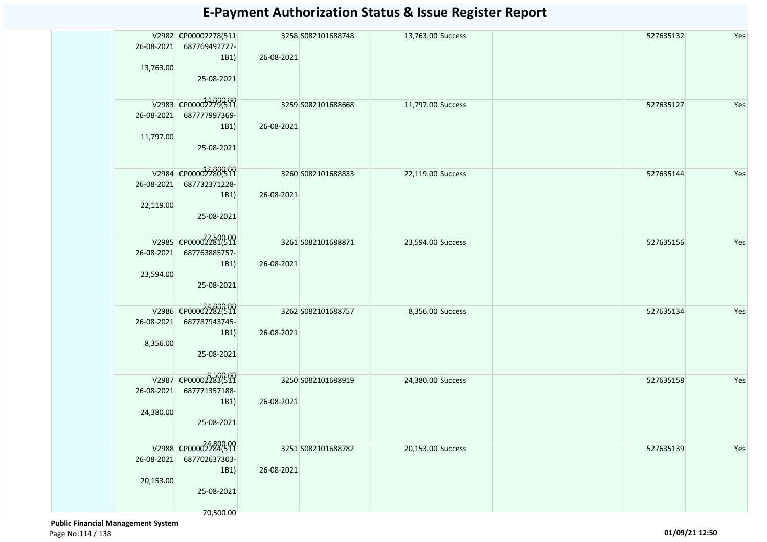| 26-08-2021<br>13,763.00 | V2982 CP00002278(511<br>687769492727-<br>1B1)<br>25-08-2021             | 26-08-2021 | 3258 S082101688748 | 13,763.00 Success | 527635132 | Yes |
|-------------------------|-------------------------------------------------------------------------|------------|--------------------|-------------------|-----------|-----|
| 26-08-2021<br>11,797.00 | V2983 CP00002279(511<br>687777997369-<br>1B1)<br>25-08-2021             | 26-08-2021 | 3259 S082101688668 | 11,797.00 Success | 527635127 | Yes |
| 26-08-2021<br>22,119.00 | V2984 CP00002280(511<br>687732371228-<br>1B1)<br>25-08-2021             | 26-08-2021 | 3260 S082101688833 | 22,119.00 Success | 527635144 | Yes |
| 26-08-2021<br>23,594.00 | V2985 CP00002281(511<br>687763885757-<br>1B1)<br>25-08-2021             | 26-08-2021 | 3261 S082101688871 | 23,594.00 Success | 527635156 | Yes |
| 26-08-2021<br>8,356.00  | V2986 CP00002282(511<br>687787943745-<br>1B1)<br>25-08-2021             | 26-08-2021 | 3262 S082101688757 | 8,356.00 Success  | 527635134 | Yes |
| 26-08-2021<br>24,380.00 | V2987 CP00002283(511<br>687771357188-<br>1B1)<br>25-08-2021             | 26-08-2021 | 3250 S082101688919 | 24,380.00 Success | 527635158 | Yes |
| 26-08-2021<br>20,153.00 | V2988 CP00002284511<br>687702637303-<br>1B1)<br>25-08-2021<br>20,500.00 | 26-08-2021 | 3251 S082101688782 | 20,153.00 Success | 527635139 | Yes |

 **Public Financial Management System**  Page No:114 / 138 **01/09/21 12:50**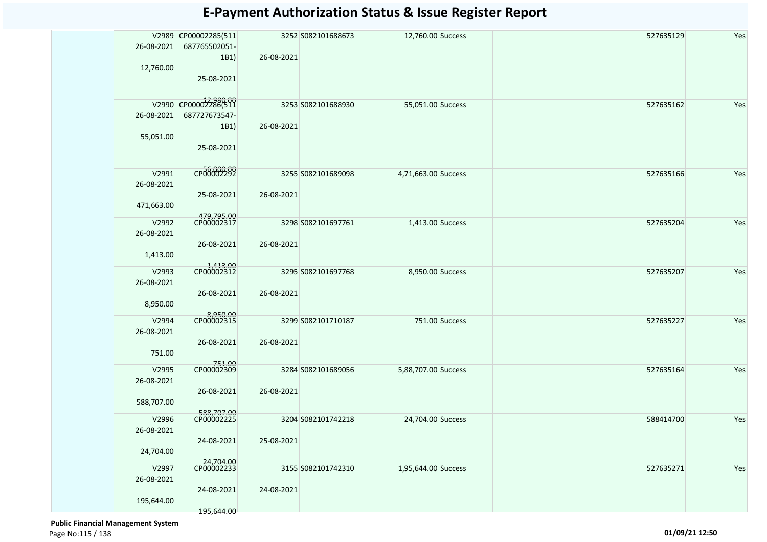| 26-08-2021<br>12,760.00           | V2989 CP00002285(511<br>687765502051-<br>1B1)<br>25-08-2021 | 26-08-2021 | 3252 S082101688673 | 12,760.00 Success   |                | 527635129 | Yes |
|-----------------------------------|-------------------------------------------------------------|------------|--------------------|---------------------|----------------|-----------|-----|
| 26-08-2021<br>55,051.00           | V2990 CP00002286(511<br>687727673547-<br>1B1)<br>25-08-2021 | 26-08-2021 | 3253 S082101688930 | 55,051.00 Success   |                | 527635162 | Yes |
| V2991<br>26-08-2021<br>471,663.00 | CP00002292<br>25-08-2021                                    | 26-08-2021 | 3255 S082101689098 | 4,71,663.00 Success |                | 527635166 | Yes |
| V2992<br>26-08-2021<br>1,413.00   | 479,795.00<br>CP00002317<br>26-08-2021                      | 26-08-2021 | 3298 S082101697761 | 1,413.00 Success    |                | 527635204 | Yes |
| V2993<br>26-08-2021<br>8,950.00   | 1,413.00<br>CP00002312<br>26-08-2021                        | 26-08-2021 | 3295 S082101697768 | 8,950.00 Success    |                | 527635207 | Yes |
| V2994<br>26-08-2021<br>751.00     | 8,950.00<br>CP00002315<br>26-08-2021                        | 26-08-2021 | 3299 S082101710187 |                     | 751.00 Success | 527635227 | Yes |
| V2995<br>26-08-2021<br>588,707.00 | 751.00<br>CP00002309<br>26-08-2021                          | 26-08-2021 | 3284 S082101689056 | 5,88,707.00 Success |                | 527635164 | Yes |
| V2996<br>26-08-2021<br>24,704.00  | 588,707.00<br>CP00002225<br>24-08-2021                      | 25-08-2021 | 3204 S082101742218 | 24,704.00 Success   |                | 588414700 | Yes |
| V2997<br>26-08-2021<br>195,644.00 | 24,704.00<br>CP00002233<br>24-08-2021<br>195,644.00         | 24-08-2021 | 3155 S082101742310 | 1,95,644.00 Success |                | 527635271 | Yes |

 **Public Financial Management System**  Page No:115 / 138 **01/09/21 12:50**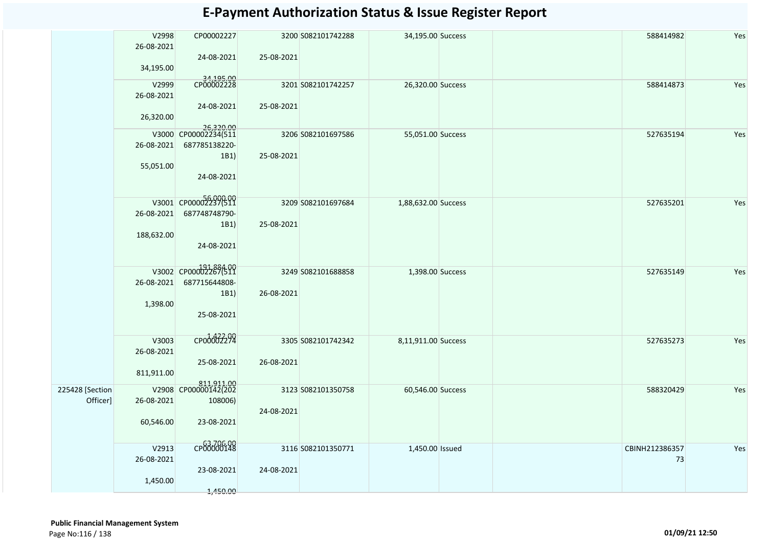|                             | V2998<br>26-08-2021<br>34,195.00  | CP00002227<br>24-08-2021                                                 | 25-08-2021 | 3200 S082101742288 | 34,195.00 Success   | 588414982            | Yes |
|-----------------------------|-----------------------------------|--------------------------------------------------------------------------|------------|--------------------|---------------------|----------------------|-----|
|                             | V2999<br>26-08-2021<br>26,320.00  | 34,195.00<br>CP00002228<br>24-08-2021                                    | 25-08-2021 | 3201 S082101742257 | 26,320.00 Success   | 588414873            | Yes |
|                             | 26-08-2021<br>55,051.00           | 26,320.00<br>V3000 CP00002234(511<br>687785138220-<br>1B1)<br>24-08-2021 | 25-08-2021 | 3206 S082101697586 | 55,051.00 Success   | 527635194            | Yes |
|                             | 26-08-2021<br>188,632.00          | V3001 CP00002237(511<br>687748748790-<br>1B1)<br>24-08-2021              | 25-08-2021 | 3209 S082101697684 | 1,88,632.00 Success | 527635201            | Yes |
|                             | 26-08-2021<br>1,398.00            | V3002 CP00002267(511<br>687715644808-<br>1B1)<br>25-08-2021              | 26-08-2021 | 3249 S082101688858 | 1,398.00 Success    | 527635149            | Yes |
|                             | V3003<br>26-08-2021<br>811,911.00 | CP00002292<br>25-08-2021                                                 | 26-08-2021 | 3305 S082101742342 | 8,11,911.00 Success | 527635273            | Yes |
| 225428 [Section<br>Officer] | 26-08-2021<br>60,546.00           | 811,911.00<br>V2908 CP00000142(202<br>108006)<br>23-08-2021              | 24-08-2021 | 3123 S082101350758 | 60,546.00 Success   | 588320429            | Yes |
|                             | V2913<br>26-08-2021<br>1,450.00   | CP00000148<br>23-08-2021<br>1,450.00                                     | 24-08-2021 | 3116 S082101350771 | 1,450.00 Issued     | CBINH212386357<br>73 | Yes |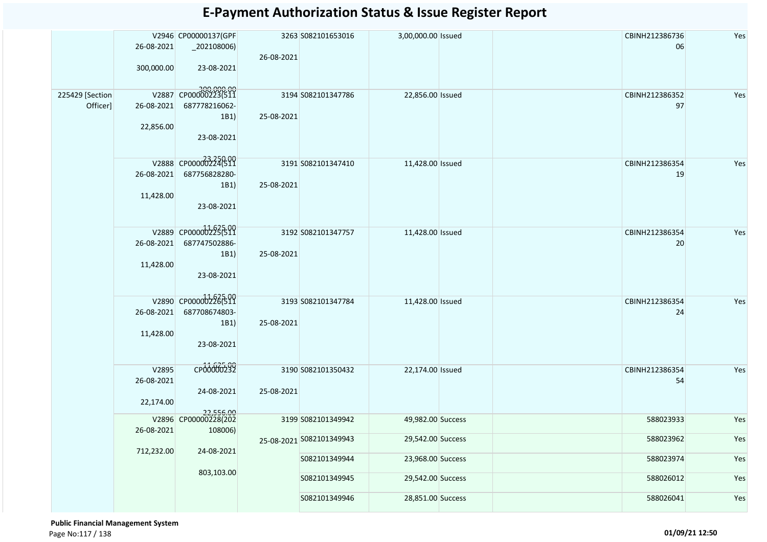|                 |                     | V2946 CP00000137(GPF              |                    | 3263 S082101653016       | 3,00,000.00 Issued | CBINH212386736 | Yes |
|-----------------|---------------------|-----------------------------------|--------------------|--------------------------|--------------------|----------------|-----|
|                 | 26-08-2021          | $_2$ 02108006)                    |                    |                          |                    | 06             |     |
|                 |                     |                                   | 26-08-2021         |                          |                    |                |     |
|                 | 300,000.00          | 23-08-2021                        |                    |                          |                    |                |     |
|                 |                     |                                   |                    |                          |                    |                |     |
|                 |                     | V2887 CP00000223(511              |                    |                          |                    |                |     |
| 225429 [Section |                     |                                   |                    | 3194 S082101347786       | 22,856.00 Issued   | CBINH212386352 | Yes |
| Officer]        | 26-08-2021          | 687778216062-                     |                    |                          |                    | 97             |     |
|                 |                     | 1B1)                              | 25-08-2021         |                          |                    |                |     |
|                 | 22,856.00           |                                   |                    |                          |                    |                |     |
|                 |                     | 23-08-2021                        |                    |                          |                    |                |     |
|                 |                     |                                   |                    |                          |                    |                |     |
|                 |                     | V2888 CP0000002224(511            |                    | 3191 S082101347410       | 11,428.00 Issued   | CBINH212386354 | Yes |
|                 | 26-08-2021          | 687756828280-                     |                    |                          |                    | 19             |     |
|                 |                     | 1B1)                              | 25-08-2021         |                          |                    |                |     |
|                 | 11,428.00           |                                   |                    |                          |                    |                |     |
|                 |                     | 23-08-2021                        |                    |                          |                    |                |     |
|                 |                     |                                   |                    |                          |                    |                |     |
|                 |                     |                                   |                    |                          |                    |                |     |
|                 |                     | V2889 CP000002225(511             |                    | 3192 S082101347757       | 11,428.00 Issued   | CBINH212386354 | Yes |
|                 | 26-08-2021          | 687747502886-                     |                    |                          |                    | 20             |     |
|                 |                     | 1B1)                              | 25-08-2021         |                          |                    |                |     |
|                 | 11,428.00           |                                   |                    |                          |                    |                |     |
|                 |                     | 23-08-2021                        |                    |                          |                    |                |     |
|                 |                     |                                   |                    |                          |                    |                |     |
|                 | V2890 CP00000226511 |                                   | 3193 S082101347784 | 11,428.00 Issued         | CBINH212386354     | Yes            |     |
|                 | 26-08-2021          | 687708674803-                     |                    |                          |                    | 24             |     |
|                 |                     | 1B1)                              | 25-08-2021         |                          |                    |                |     |
|                 | 11,428.00           |                                   |                    |                          |                    |                |     |
|                 |                     | 23-08-2021                        |                    |                          |                    |                |     |
|                 |                     |                                   |                    |                          |                    |                |     |
|                 |                     |                                   |                    |                          |                    |                |     |
|                 | V2895               | CP00000232                        |                    | 3190 S082101350432       | 22,174.00 Issued   | CBINH212386354 | Yes |
|                 | 26-08-2021          |                                   |                    |                          |                    | 54             |     |
|                 |                     | 24-08-2021                        | 25-08-2021         |                          |                    |                |     |
|                 | 22,174.00           |                                   |                    |                          |                    |                |     |
|                 |                     | 22,556.00<br>V2896 CP00000228(202 |                    | 3199 S082101349942       | 49,982.00 Success  | 588023933      | Yes |
|                 | 26-08-2021          | 108006)                           |                    |                          |                    |                |     |
|                 |                     |                                   |                    | 25-08-2021 S082101349943 | 29,542.00 Success  | 588023962      | Yes |
|                 | 712,232.00          | 24-08-2021                        |                    |                          |                    |                |     |
|                 |                     |                                   |                    | S082101349944            | 23,968.00 Success  | 588023974      | Yes |
|                 |                     | 803,103.00                        |                    |                          |                    |                |     |
|                 |                     |                                   |                    | S082101349945            | 29,542.00 Success  | 588026012      | Yes |
|                 |                     |                                   |                    |                          |                    |                |     |
|                 |                     |                                   |                    | S082101349946            | 28,851.00 Success  | 588026041      | Yes |
|                 |                     |                                   |                    |                          |                    |                |     |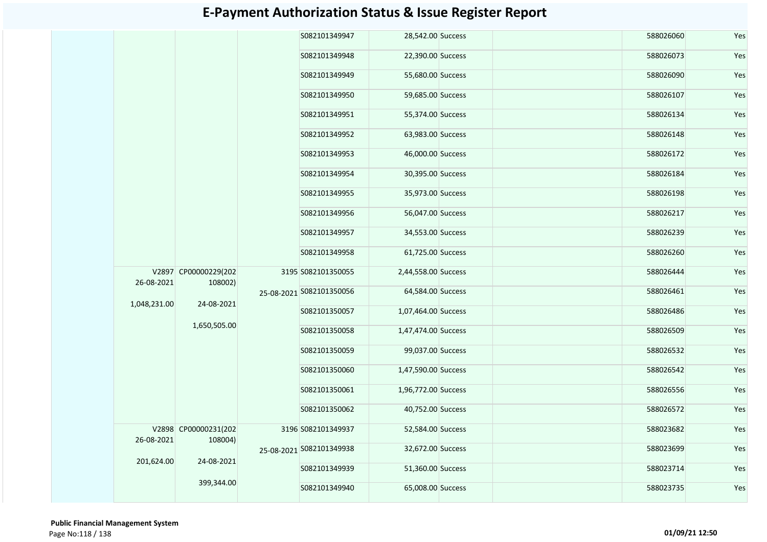|              |                                                                                         |                    | S082101349947            | 28,542.00 Success   |                          | 588026060         | Yes               |                     |           |           |
|--------------|-----------------------------------------------------------------------------------------|--------------------|--------------------------|---------------------|--------------------------|-------------------|-------------------|---------------------|-----------|-----------|
|              |                                                                                         |                    | S082101349948            | 22,390.00 Success   |                          | 588026073         | Yes               |                     |           |           |
|              |                                                                                         |                    | S082101349949            | 55,680.00 Success   |                          | 588026090         | Yes               |                     |           |           |
|              |                                                                                         |                    | S082101349950            | 59,685.00 Success   |                          | 588026107         | Yes               |                     |           |           |
|              |                                                                                         |                    | S082101349951            | 55,374.00 Success   |                          | 588026134         | Yes               |                     |           |           |
|              |                                                                                         |                    | S082101349952            | 63,983.00 Success   |                          | 588026148         | Yes               |                     |           |           |
|              |                                                                                         |                    | S082101349953            | 46,000.00 Success   |                          | 588026172         | Yes               |                     |           |           |
|              |                                                                                         |                    |                          | S082101349954       | 30,395.00 Success        |                   | 588026184         | Yes                 |           |           |
|              |                                                                                         |                    |                          |                     |                          | S082101349955     | 35,973.00 Success |                     | 588026198 | Yes       |
|              |                                                                                         |                    |                          |                     | S082101349956            | 56,047.00 Success |                   | 588026217           | Yes       |           |
|              |                                                                                         |                    |                          |                     | S082101349957            | 34,553.00 Success |                   | 588026239           | Yes       |           |
|              |                                                                                         |                    | S082101349958            | 61,725.00 Success   |                          | 588026260         | Yes               |                     |           |           |
| 26-08-2021   | V2897 CP00000229(202<br>108002)                                                         |                    | 3195 S082101350055       | 2,44,558.00 Success |                          | 588026444         | Yes               |                     |           |           |
|              |                                                                                         |                    |                          |                     | 25-08-2021 5082101350056 | 64,584.00 Success |                   | 588026461           | Yes       |           |
| 1,048,231.00 | 24-08-2021                                                                              |                    |                          | S082101350057       | 1,07,464.00 Success      |                   | 588026486         | Yes                 |           |           |
|              |                                                                                         |                    |                          |                     |                          | 1,650,505.00      | S082101350058     | 1,47,474.00 Success |           | 588026509 |
|              |                                                                                         |                    | S082101350059            | 99,037.00 Success   |                          | 588026532         | Yes               |                     |           |           |
|              |                                                                                         |                    | S082101350060            | 1,47,590.00 Success |                          | 588026542         | Yes               |                     |           |           |
|              |                                                                                         |                    | S082101350061            | 1,96,772.00 Success |                          | 588026556         | Yes               |                     |           |           |
|              |                                                                                         |                    | S082101350062            | 40,752.00 Success   |                          | 588026572         | Yes               |                     |           |           |
|              | V2898 CP00000231(202<br>26-08-2021<br>108004)<br>201,624.00<br>24-08-2021<br>399,344.00 | 3196 S082101349937 | 52,584.00 Success        |                     | 588023682                | Yes               |                   |                     |           |           |
|              |                                                                                         |                    | 25-08-2021 5082101349938 | 32,672.00 Success   |                          | 588023699         | Yes               |                     |           |           |
|              |                                                                                         |                    | S082101349939            | 51,360.00 Success   |                          | 588023714         | Yes               |                     |           |           |
|              |                                                                                         | S082101349940      | 65,008.00 Success        |                     | 588023735                | Yes               |                   |                     |           |           |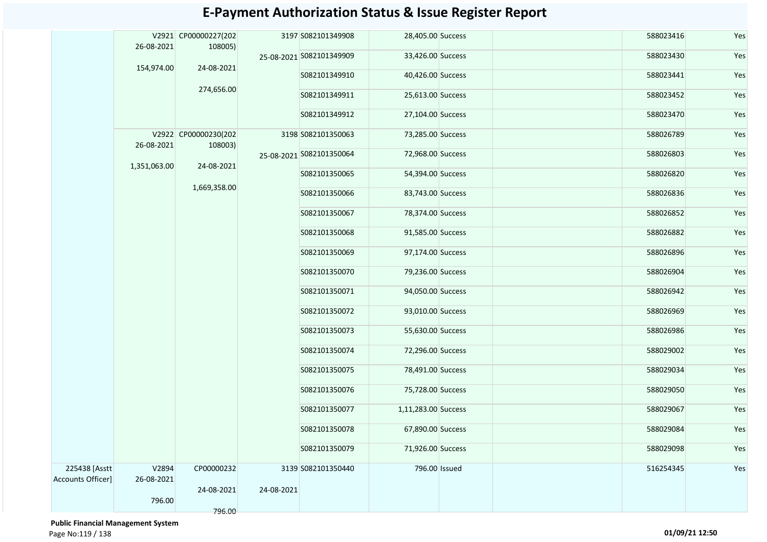|                                    | 26-08-2021          | V2921 CP00000227(202<br>108005) |            | 3197 S082101349908       | 28,405.00 Success   |                   | 588023416 | Yes       |     |
|------------------------------------|---------------------|---------------------------------|------------|--------------------------|---------------------|-------------------|-----------|-----------|-----|
|                                    |                     |                                 |            | 25-08-2021 S082101349909 | 33,426.00 Success   |                   | 588023430 | Yes       |     |
|                                    | 154,974.00          | 24-08-2021                      |            | S082101349910            | 40,426.00 Success   |                   | 588023441 | Yes       |     |
|                                    |                     | 274,656.00                      |            | S082101349911            | 25,613.00 Success   |                   | 588023452 | Yes       |     |
|                                    |                     |                                 |            | S082101349912            | 27,104.00 Success   |                   | 588023470 | Yes       |     |
|                                    | 26-08-2021          | V2922 CP00000230(202<br>108003) |            | 3198 S082101350063       | 73,285.00 Success   |                   | 588026789 | Yes       |     |
|                                    |                     |                                 |            | 25-08-2021 S082101350064 | 72,968.00 Success   |                   | 588026803 | Yes       |     |
|                                    | 1,351,063.00        | 1,669,358.00                    | 24-08-2021 |                          | S082101350065       | 54,394.00 Success |           | 588026820 | Yes |
|                                    |                     |                                 |            | S082101350066            | 83,743.00 Success   |                   | 588026836 | Yes       |     |
|                                    |                     |                                 |            | S082101350067            | 78,374.00 Success   |                   | 588026852 | Yes       |     |
|                                    |                     |                                 |            | S082101350068            | 91,585.00 Success   |                   | 588026882 | Yes       |     |
|                                    |                     |                                 |            | S082101350069            | 97,174.00 Success   |                   | 588026896 | Yes       |     |
|                                    |                     |                                 |            | S082101350070            | 79,236.00 Success   |                   | 588026904 | Yes       |     |
|                                    |                     |                                 |            | S082101350071            | 94,050.00 Success   |                   | 588026942 | Yes       |     |
|                                    |                     |                                 |            | S082101350072            | 93,010.00 Success   |                   | 588026969 | Yes       |     |
|                                    |                     |                                 |            | S082101350073            | 55,630.00 Success   |                   | 588026986 | Yes       |     |
|                                    |                     |                                 |            | S082101350074            | 72,296.00 Success   |                   | 588029002 | Yes       |     |
|                                    |                     |                                 |            | S082101350075            | 78,491.00 Success   |                   | 588029034 | Yes       |     |
|                                    |                     |                                 |            | S082101350076            | 75,728.00 Success   |                   | 588029050 | Yes       |     |
|                                    |                     |                                 |            | S082101350077            | 1,11,283.00 Success |                   | 588029067 | Yes       |     |
|                                    |                     |                                 |            | S082101350078            | 67,890.00 Success   |                   | 588029084 | Yes       |     |
|                                    |                     |                                 |            | S082101350079            | 71,926.00 Success   |                   | 588029098 | Yes       |     |
| 225438 [Asstt<br>Accounts Officer] | V2894<br>26-08-2021 | CP00000232                      |            | 3139 S082101350440       | 796.00 Issued       |                   | 516254345 | Yes       |     |
|                                    | 796.00              | 24-08-2021                      | 24-08-2021 |                          |                     |                   |           |           |     |
|                                    |                     | 796.00                          |            |                          |                     |                   |           |           |     |

 **Public Financial Management System**  Page No:119 / 138 **01/09/21 12:50**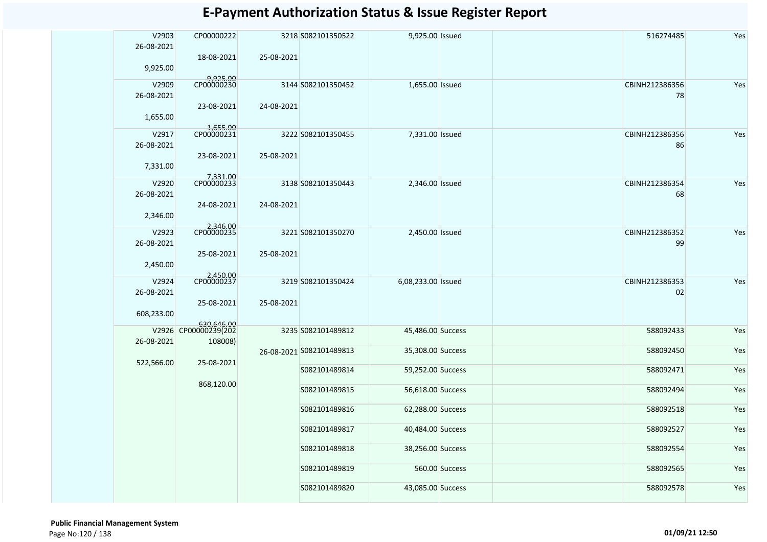| V2903<br>26-08-2021    | CP00000222                         |            | 3218 S082101350522       | 9,925.00 Issued    |                | 516274485            | Yes |
|------------------------|------------------------------------|------------|--------------------------|--------------------|----------------|----------------------|-----|
| 9,925.00               | 18-08-2021                         | 25-08-2021 |                          |                    |                |                      |     |
| V2909                  | 9,925.00<br>CP00000230             |            | 3144 S082101350452       | 1,655.00 Issued    |                | CBINH212386356       | Yes |
| 26-08-2021             | 23-08-2021                         | 24-08-2021 |                          |                    |                | 78                   |     |
| 1,655.00               |                                    |            |                          |                    |                |                      |     |
| V2917<br>26-08-2021    | 1,655.00<br>CP00000231             |            | 3222 S082101350455       | 7,331.00 Issued    |                | CBINH212386356<br>86 | Yes |
| 7,331.00               | 23-08-2021                         | 25-08-2021 |                          |                    |                |                      |     |
| V2920                  | 7,331.00<br>CP00000233             |            | 3138 S082101350443       | 2,346.00 Issued    |                | CBINH212386354       | Yes |
| 26-08-2021<br>2,346.00 | 24-08-2021                         | 24-08-2021 |                          |                    |                | 68                   |     |
|                        | 2,346.00<br>CP00000235             |            |                          |                    |                | CBINH212386352       | Yes |
| V2923<br>26-08-2021    |                                    |            | 3221 S082101350270       | 2,450.00 Issued    |                | 99                   |     |
| 2,450.00               | 25-08-2021                         | 25-08-2021 |                          |                    |                |                      |     |
| V2924                  | 2,450.00<br>CP00000237             |            | 3219 S082101350424       | 6,08,233.00 Issued |                | CBINH212386353       | Yes |
| 26-08-2021             | 25-08-2021                         | 25-08-2021 |                          |                    |                | 02                   |     |
| 608,233.00             |                                    |            |                          |                    |                |                      |     |
|                        | 630,646.00<br>V2926 CP00000239(202 |            | 3235 S082101489812       | 45,486.00 Success  |                | 588092433            | Yes |
| 26-08-2021             | 108008)                            |            |                          |                    |                |                      |     |
| 522,566.00             | 25-08-2021                         |            | 26-08-2021 5082101489813 | 35,308.00 Success  |                | 588092450            | Yes |
|                        |                                    |            | S082101489814            | 59,252.00 Success  |                | 588092471            | Yes |
|                        | 868,120.00                         |            | S082101489815            | 56,618.00 Success  |                | 588092494            | Yes |
|                        |                                    |            | S082101489816            | 62,288.00 Success  |                | 588092518            | Yes |
|                        |                                    |            | S082101489817            | 40,484.00 Success  |                | 588092527            | Yes |
|                        |                                    |            | S082101489818            | 38,256.00 Success  |                | 588092554            | Yes |
|                        |                                    |            | S082101489819            |                    | 560.00 Success | 588092565            | Yes |
|                        |                                    |            | S082101489820            | 43,085.00 Success  |                | 588092578            | Yes |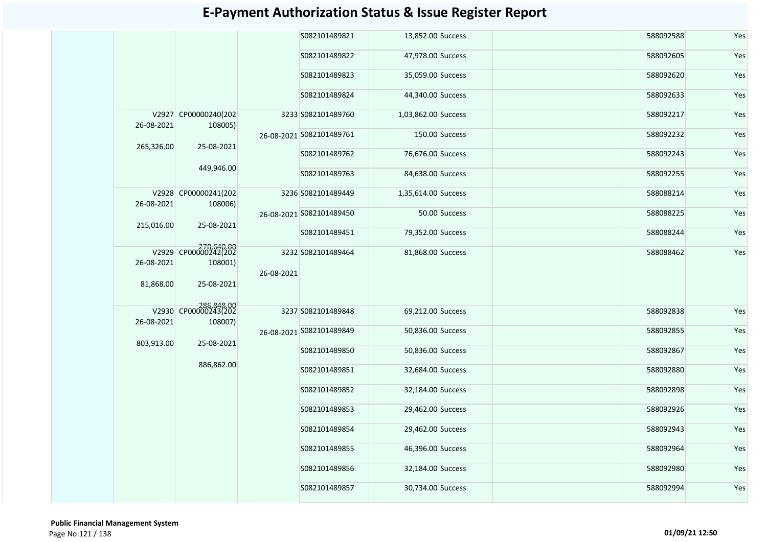|                         |                                     |            | S082101489821            | 13,852.00 Success   |                | 588092588 | Yes |
|-------------------------|-------------------------------------|------------|--------------------------|---------------------|----------------|-----------|-----|
|                         |                                     |            | S082101489822            | 47,978.00 Success   |                | 588092605 | Yes |
|                         |                                     |            | S082101489823            | 35,059.00 Success   |                | 588092620 | Yes |
|                         |                                     |            | S082101489824            | 44,340.00 Success   |                | 588092633 | Yes |
| 26-08-2021              | V2927 CP00000240(202<br>108005)     |            | 3233 S082101489760       | 1,03,862.00 Success |                | 588092217 | Yes |
| 265,326.00              | 25-08-2021                          |            | 26-08-2021 S082101489761 |                     | 150.00 Success | 588092232 | Yes |
|                         |                                     |            | S082101489762            | 76,676.00 Success   |                | 588092243 | Yes |
|                         | 449,946.00                          |            | S082101489763            | 84,638.00 Success   |                | 588092255 | Yes |
| 26-08-2021              | V2928 CP00000241(202<br>108006)     |            | 3236 S082101489449       | 1,35,614.00 Success |                | 588088214 | Yes |
|                         |                                     |            | 26-08-2021 S082101489450 |                     | 50.00 Success  | 588088225 | Yes |
| 215,016.00              | 25-08-2021                          |            | S082101489451            | 79,352.00 Success   |                | 588088244 | Yes |
| 26-08-2021<br>81,868.00 | 278.640.00<br>108001)<br>25-08-2021 | 26-08-2021 | 3232 S082101489464       | 81,868.00 Success   |                | 588088462 | Yes |
| 26-08-2021              | V2930 CP00000243(202<br>108007)     |            | 3237 S082101489848       | 69,212.00 Success   |                | 588092838 | Yes |
| 803,913.00              |                                     |            | 26-08-2021 S082101489849 | 50,836.00 Success   |                | 588092855 | Yes |
|                         | 25-08-2021                          |            | S082101489850            | 50,836.00 Success   |                | 588092867 | Yes |
|                         | 886,862.00                          |            | S082101489851            | 32,684.00 Success   |                | 588092880 | Yes |
|                         |                                     |            | S082101489852            | 32,184.00 Success   |                | 588092898 | Yes |
|                         |                                     |            | S082101489853            | 29,462.00 Success   |                | 588092926 | Yes |
|                         |                                     |            | S082101489854            | 29,462.00 Success   |                | 588092943 | Yes |
|                         |                                     |            | S082101489855            | 46,396.00 Success   |                | 588092964 | Yes |
|                         |                                     |            | S082101489856            | 32,184.00 Success   |                | 588092980 | Yes |
|                         |                                     |            | S082101489857            | 30,734.00 Success   |                | 588092994 | Yes |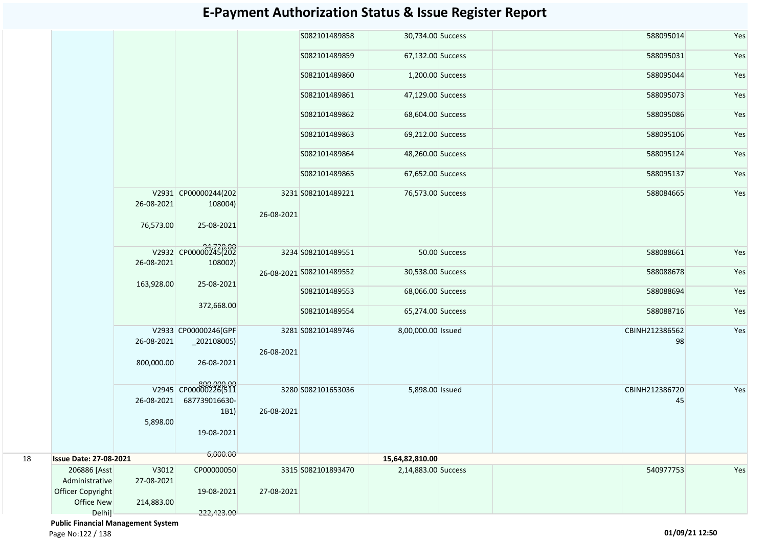|    |                                                                   |                                   |                                                                           |            | S082101489858            | 30,734.00 Success   | 588095014            | Yes |
|----|-------------------------------------------------------------------|-----------------------------------|---------------------------------------------------------------------------|------------|--------------------------|---------------------|----------------------|-----|
|    |                                                                   |                                   |                                                                           |            | S082101489859            | 67,132.00 Success   | 588095031            | Yes |
|    |                                                                   |                                   |                                                                           |            | S082101489860            | 1,200.00 Success    | 588095044            | Yes |
|    |                                                                   |                                   |                                                                           |            | S082101489861            | 47,129.00 Success   | 588095073            | Yes |
|    |                                                                   |                                   |                                                                           |            | S082101489862            | 68,604.00 Success   | 588095086            | Yes |
|    |                                                                   |                                   |                                                                           |            | S082101489863            | 69,212.00 Success   | 588095106            | Yes |
|    |                                                                   |                                   |                                                                           |            | S082101489864            | 48,260.00 Success   | 588095124            | Yes |
|    |                                                                   |                                   |                                                                           |            | S082101489865            | 67,652.00 Success   | 588095137            | Yes |
|    |                                                                   | 26-08-2021<br>76,573.00           | V2931 CP00000244(202<br>108004)<br>25-08-2021                             | 26-08-2021 | 3231 S082101489221       | 76,573.00 Success   | 588084665            | Yes |
|    |                                                                   |                                   | V2932 CP00000245(202                                                      |            | 3234 S082101489551       | 50.00 Success       | 588088661            | Yes |
|    |                                                                   | 26-08-2021                        | 108002)                                                                   |            | 26-08-2021 S082101489552 | 30,538.00 Success   | 588088678            | Yes |
|    |                                                                   | 163,928.00                        | 25-08-2021                                                                |            | S082101489553            | 68,066.00 Success   | 588088694            | Yes |
|    |                                                                   |                                   | 372,668.00                                                                |            | S082101489554            | 65,274.00 Success   | 588088716            | Yes |
|    |                                                                   | 26-08-2021<br>800,000.00          | V2933 CP00000246(GPF<br>$_2$ 202108005)<br>26-08-2021                     | 26-08-2021 | 3281 S082101489746       | 8,00,000.00 Issued  | CBINH212386562<br>98 | Yes |
|    |                                                                   | 26-08-2021<br>5,898.00            | 800,000.00<br>V2945 CP00000226(511<br>687739016630-<br>1B1)<br>19-08-2021 | 26-08-2021 | 3280 S082101653036       | 5,898.00 Issued     | CBINH212386720<br>45 | Yes |
| 18 | <b>Issue Date: 27-08-2021</b>                                     |                                   | 6,000.00                                                                  |            |                          | 15,64,82,810.00     |                      |     |
|    | 206886 [Asst<br>Administrative<br>Officer Copyright<br>Office New | V3012<br>27-08-2021<br>214,883.00 | CP00000050<br>19-08-2021                                                  | 27-08-2021 | 3315 S082101893470       | 2,14,883.00 Success | 540977753            | Yes |
|    | Delhi]                                                            |                                   | 222,423.00                                                                |            |                          |                     |                      |     |

 **Public Financial Management System** 

Page No:122 / 138 **01/09/21 12:50**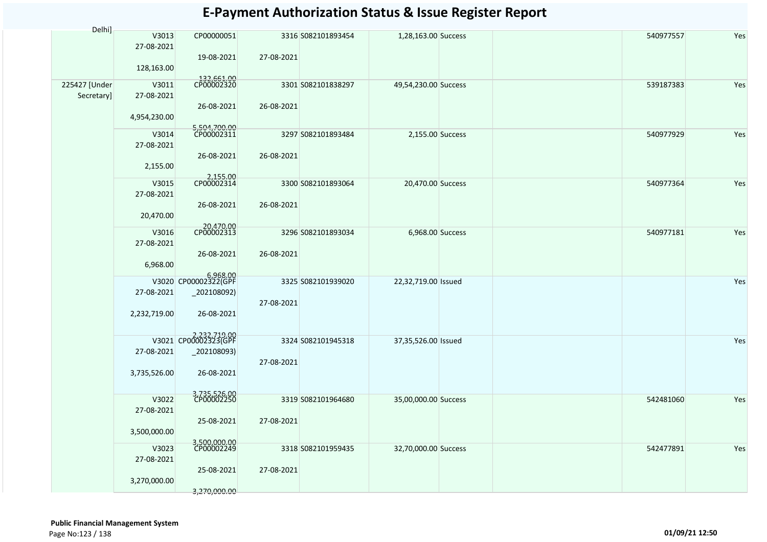| Delhi]                      |                     |                                        |            |                    |                      |           |     |
|-----------------------------|---------------------|----------------------------------------|------------|--------------------|----------------------|-----------|-----|
|                             | V3013<br>27-08-2021 | CP00000051<br>19-08-2021               | 27-08-2021 | 3316 S082101893454 | 1,28,163.00 Success  | 540977557 | Yes |
|                             | 128,163.00          |                                        |            |                    |                      |           |     |
| 225427 [Under<br>Secretary] | V3011<br>27-08-2021 | 132,661.00<br>CP00002320<br>26-08-2021 | 26-08-2021 | 3301 S082101838297 | 49,54,230.00 Success | 539187383 | Yes |
|                             | 4,954,230.00        |                                        |            |                    |                      |           |     |
|                             | V3014<br>27-08-2021 | 5,504,700.00<br>CP00002311             |            | 3297 S082101893484 | 2,155.00 Success     | 540977929 | Yes |
|                             | 2,155.00            | 26-08-2021                             | 26-08-2021 |                    |                      |           |     |
|                             | V3015<br>27-08-2021 | 2,155.00<br>CP00002314                 |            | 3300 S082101893064 | 20,470.00 Success    | 540977364 | Yes |
|                             | 20,470.00           | 26-08-2021                             | 26-08-2021 |                    |                      |           |     |
|                             | V3016<br>27-08-2021 | 20,470.00<br>CP00002313                |            | 3296 S082101893034 | 6,968.00 Success     | 540977181 | Yes |
|                             | 6,968.00            | 26-08-2021                             | 26-08-2021 |                    |                      |           |     |
|                             |                     | 6,968.00<br>V3020 CP00002322(GPF       |            | 3325 S082101939020 | 22,32,719.00 Issued  |           | Yes |
|                             | 27-08-2021          | _202108092)                            | 27-08-2021 |                    |                      |           |     |
|                             | 2,232,719.00        | 26-08-2021                             |            |                    |                      |           |     |
|                             |                     | V3021 CP00002323(GPF                   |            | 3324 S082101945318 | 37,35,526.00 Issued  |           | Yes |
|                             | 27-08-2021          | $_2$ 02108093)                         | 27-08-2021 |                    |                      |           |     |
|                             | 3,735,526.00        | 26-08-2021                             |            |                    |                      |           |     |
|                             | V3022               | 3,735,526.00<br>CP00002250             |            | 3319 S082101964680 | 35,00,000.00 Success | 542481060 | Yes |
|                             | 27-08-2021          | 25-08-2021                             | 27-08-2021 |                    |                      |           |     |
|                             | 3,500,000.00        |                                        |            |                    |                      |           |     |
|                             | V3023<br>27-08-2021 | 3,500,000.00<br>CP00002249             |            | 3318 S082101959435 | 32,70,000.00 Success | 542477891 | Yes |
|                             | 3,270,000.00        | 25-08-2021<br>3,270,000.00             | 27-08-2021 |                    |                      |           |     |
|                             |                     |                                        |            |                    |                      |           |     |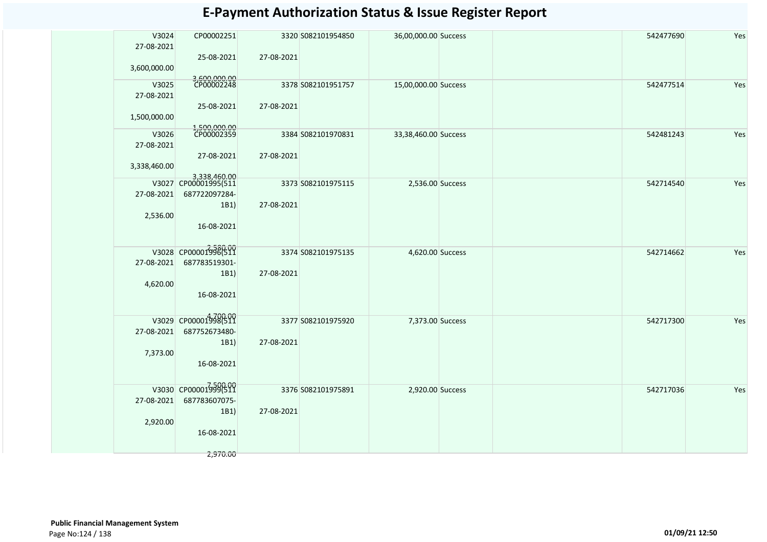| 27-08-2021<br>3,600,000.00 | V3024<br>CP00002251<br>25-08-2021                                                       | 27-08-2021 | 3320 S082101954850 | 36,00,000.00 Success | 542477690 | Yes |
|----------------------------|-----------------------------------------------------------------------------------------|------------|--------------------|----------------------|-----------|-----|
| 27-08-2021<br>1,500,000.00 | 3,600,000.00<br>CP00002248<br>V3025<br>25-08-2021                                       | 27-08-2021 | 3378 S082101951757 | 15,00,000.00 Success | 542477514 | Yes |
| 27-08-2021<br>3,338,460.00 | 1,500,000.00<br>CP00002359<br>V3026<br>27-08-2021                                       | 27-08-2021 | 3384 S082101970831 | 33,38,460.00 Success | 542481243 | Yes |
| 27-08-2021                 | 3,338,460.00<br>V3027 CP00001995(511<br>687722097284-<br>1B1)<br>2,536.00<br>16-08-2021 | 27-08-2021 | 3373 S082101975115 | 2,536.00 Success     | 542714540 | Yes |
| 27-08-2021                 | V3028 CP00001998(511<br>687783519301-<br>1B1)                                           | 27-08-2021 | 3374 S082101975135 | 4,620.00 Success     | 542714662 | Yes |
|                            | 4,620.00<br>16-08-2021<br>V3029 CP00001998(511                                          |            |                    |                      |           |     |
| 27-08-2021                 | 687752673480-<br>1B1)<br>7,373.00<br>16-08-2021                                         | 27-08-2021 | 3377 S082101975920 | 7,373.00 Success     | 542717300 | Yes |
| 27-08-2021                 | V3030 CP000019996511<br>687783607075-<br>1B1)<br>2,920.00<br>16-08-2021                 | 27-08-2021 | 3376 S082101975891 | 2,920.00 Success     | 542717036 | Yes |
|                            | 2,970.00                                                                                |            |                    |                      |           |     |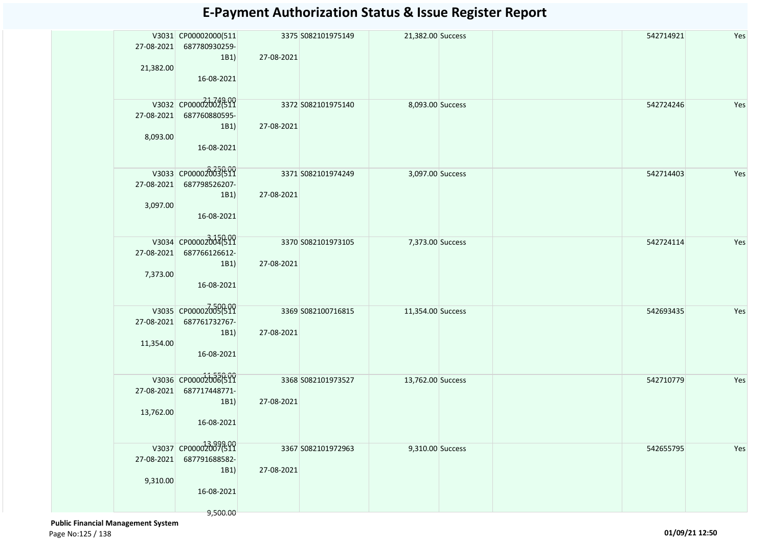| 27-08-2021<br>21,382.00 | V3031 CP00002000(511<br>687780930259-<br>1B1)<br>16-08-2021            | 27-08-2021 | 3375 S082101975149 | 21,382.00 Success | 542714921 | Yes |
|-------------------------|------------------------------------------------------------------------|------------|--------------------|-------------------|-----------|-----|
| 27-08-2021<br>8,093.00  | V3032 CP000020026319<br>687760880595-<br>1B1)<br>16-08-2021            | 27-08-2021 | 3372 S082101975140 | 8,093.00 Success  | 542724246 | Yes |
| 27-08-2021<br>3,097.00  | V3033 CP00002003(511<br>687798526207-<br>1B1)<br>16-08-2021            | 27-08-2021 | 3371 S082101974249 | 3,097.00 Success  | 542714403 | Yes |
| 27-08-2021<br>7,373.00  | V3034 CP00002004(511<br>687766126612-<br>1B1)<br>16-08-2021            | 27-08-2021 | 3370 S082101973105 | 7,373.00 Success  | 542724114 | Yes |
| 27-08-2021<br>11,354.00 | V3035 CP00002005(511<br>687761732767-<br>1B1)<br>16-08-2021            | 27-08-2021 | 3369 S082100716815 | 11,354.00 Success | 542693435 | Yes |
| 27-08-2021<br>13,762.00 | V3036 CP00002006(511<br>687717448771-<br>1B1)<br>16-08-2021            | 27-08-2021 | 3368 S082101973527 | 13,762.00 Success | 542710779 | Yes |
| 27-08-2021<br>9,310.00  | V3037 CP00002007511<br>687791688582-<br>1B1)<br>16-08-2021<br>9,500.00 | 27-08-2021 | 3367 S082101972963 | 9,310.00 Success  | 542655795 | Yes |

 **Public Financial Management System**  Page No:125 / 138 **01/09/21 12:50**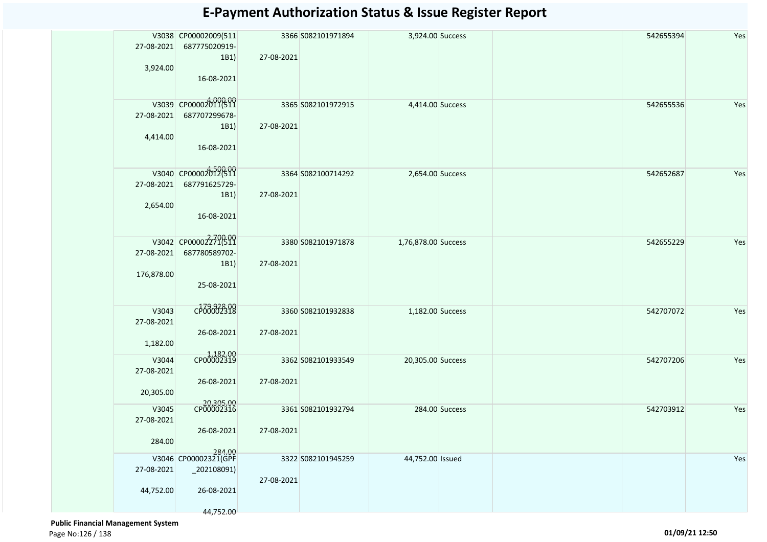| 27-08-2021<br>3,924.00           | V3038 CP00002009(511<br>687775020919-<br>1B1)<br>16-08-2021              | 27-08-2021 | 3366 S082101971894 | 3,924.00 Success    |                | 542655394 | Yes |
|----------------------------------|--------------------------------------------------------------------------|------------|--------------------|---------------------|----------------|-----------|-----|
| 27-08-2021<br>4,414.00           | V3039 CP00002011(511<br>687707299678-<br>1B1)<br>16-08-2021              | 27-08-2021 | 3365 S082101972915 | 4,414.00 Success    |                | 542655536 | Yes |
| 27-08-2021<br>2,654.00           | V3040 CP00002012(511<br>687791625729-<br>1B1)<br>16-08-2021              | 27-08-2021 | 3364 S082100714292 | 2,654.00 Success    |                | 542652687 | Yes |
| 27-08-2021<br>176,878.00         | V3042 CP00002271(511<br>687780589702-<br>1B1)<br>25-08-2021              | 27-08-2021 | 3380 S082101971878 | 1,76,878.00 Success |                | 542655229 | Yes |
| V3043<br>27-08-2021<br>1,182.00  | CP00002318<br>26-08-2021                                                 | 27-08-2021 | 3360 S082101932838 | 1,182.00 Success    |                | 542707072 | Yes |
| V3044<br>27-08-2021<br>20,305.00 | 1,182.00<br>CP00002319<br>26-08-2021                                     | 27-08-2021 | 3362 S082101933549 | 20,305.00 Success   |                | 542707206 | Yes |
| V3045<br>27-08-2021<br>284.00    | 20,305.00<br>CP00002316<br>26-08-2021                                    | 27-08-2021 | 3361 S082101932794 |                     | 284.00 Success | 542703912 | Yes |
| 27-08-2021<br>44,752.00          | 284.00<br>V3046 CP00002321(GPF<br>_202108091)<br>26-08-2021<br>44,752.00 | 27-08-2021 | 3322 S082101945259 | 44,752.00 Issued    |                |           | Yes |

 **Public Financial Management System**  Page No:126 / 138 **01/09/21 12:50**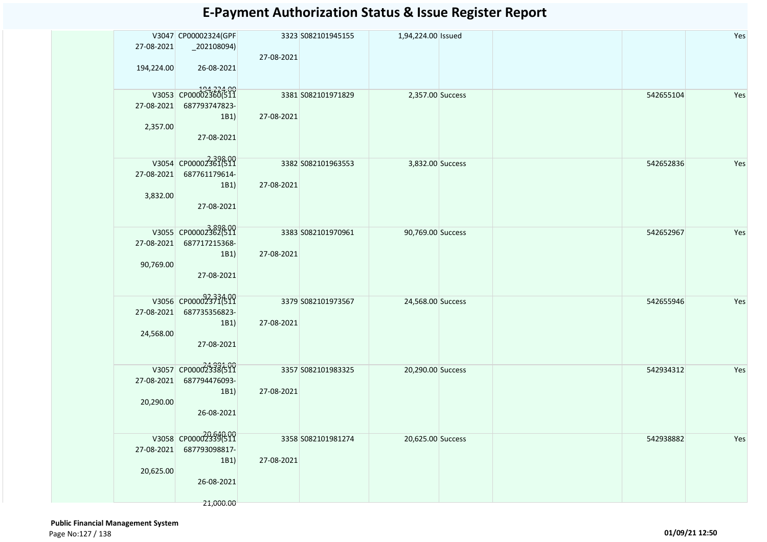| 27-08-2021<br>194,224.00 | V3047 CP00002324(GPF<br>$_2$ 202108094)<br>26-08-2021                    | 27-08-2021 | 3323 S082101945155 | 1,94,224.00 Issued |  |           | Yes |
|--------------------------|--------------------------------------------------------------------------|------------|--------------------|--------------------|--|-----------|-----|
| 27-08-2021<br>2,357.00   | V3053 CP00002360(511<br>687793747823-<br>1B1)<br>27-08-2021              | 27-08-2021 | 3381 S082101971829 | 2,357.00 Success   |  | 542655104 | Yes |
| 27-08-2021<br>3,832.00   | V3054 CP00002361(511<br>687761179614-<br>1B1)<br>27-08-2021              | 27-08-2021 | 3382 S082101963553 | 3,832.00 Success   |  | 542652836 | Yes |
| 27-08-2021<br>90,769.00  | V3055 CP00002362699<br>687717215368-<br>1B1)<br>27-08-2021               | 27-08-2021 | 3383 S082101970961 | 90,769.00 Success  |  | 542652967 | Yes |
| 27-08-2021<br>24,568.00  | V3056 CP00002371(511<br>687735356823-<br>1B1)<br>27-08-2021              | 27-08-2021 | 3379 S082101973567 | 24,568.00 Success  |  | 542655946 | Yes |
| 27-08-2021<br>20,290.00  | V3057 CP00002338(511<br>687794476093-<br>1B1)<br>26-08-2021              | 27-08-2021 | 3357 S082101983325 | 20,290.00 Success  |  | 542934312 | Yes |
| 27-08-2021<br>20,625.00  | V3058 CP00002339(511<br>687793098817-<br>1B1)<br>26-08-2021<br>21,000.00 | 27-08-2021 | 3358 5082101981274 | 20,625.00 Success  |  | 542938882 | Yes |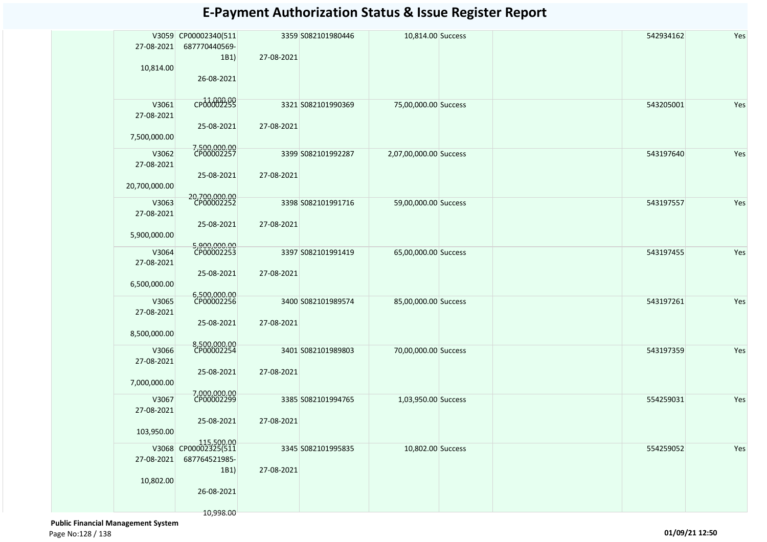| 27-08-2021<br>10,814.00             | V3059 CP00002340(511<br>687770440569-<br>1B1)<br>26-08-2021 | 27-08-2021 | 3359 S082101980446 | 10,814.00 Success      | 542934162 | Yes |
|-------------------------------------|-------------------------------------------------------------|------------|--------------------|------------------------|-----------|-----|
| V3061<br>27-08-2021                 | CP00002299<br>25-08-2021                                    | 27-08-2021 | 3321 S082101990369 | 75,00,000.00 Success   | 543205001 | Yes |
| 7,500,000.00<br>V3062               | 7,500,000.00<br>CP00002257                                  |            | 3399 S082101992287 | 2,07,00,000.00 Success | 543197640 | Yes |
| 27-08-2021<br>20,700,000.00         | 25-08-2021                                                  | 27-08-2021 |                    |                        |           |     |
| V3063<br>27-08-2021                 | 20,700,000.00<br>CP00002252                                 |            | 3398 S082101991716 | 59,00,000.00 Success   | 543197557 | Yes |
| 5,900,000.00                        | 25-08-2021                                                  | 27-08-2021 |                    |                        |           |     |
| V3064<br>27-08-2021<br>6,500,000.00 | 5,900,000.00<br>CP00002253<br>25-08-2021                    | 27-08-2021 | 3397 S082101991419 | 65,00,000.00 Success   | 543197455 | Yes |
|                                     | 6,500,000.00<br>CP00002256                                  |            |                    |                        |           |     |
| V3065<br>27-08-2021<br>8,500,000.00 | 25-08-2021                                                  | 27-08-2021 | 3400 S082101989574 | 85,00,000.00 Success   | 543197261 | Yes |
| V3066                               | 8,500,000.00<br>CP00002254                                  |            | 3401 S082101989803 |                        |           | Yes |
| 27-08-2021                          | 25-08-2021                                                  | 27-08-2021 |                    | 70,00,000.00 Success   | 543197359 |     |
| 7,000,000.00                        |                                                             |            |                    |                        |           |     |
| V3067<br>27-08-2021                 | 7,000,000.00<br>CP00002299                                  |            | 3385 S082101994765 | 1,03,950.00 Success    | 554259031 | Yes |
| 103,950.00                          | 25-08-2021                                                  | 27-08-2021 |                    |                        |           |     |
| 27-08-2021                          | 115,500.00<br>V3068 CP00002325(511<br>687764521985-         |            | 3345 S082101995835 | 10,802.00 Success      | 554259052 | Yes |
| 10,802.00                           | 1B1)<br>26-08-2021                                          | 27-08-2021 |                    |                        |           |     |
|                                     | 10,998.00                                                   |            |                    |                        |           |     |

 **Public Financial Management System**  Page No:128 / 138 **01/09/21 12:50**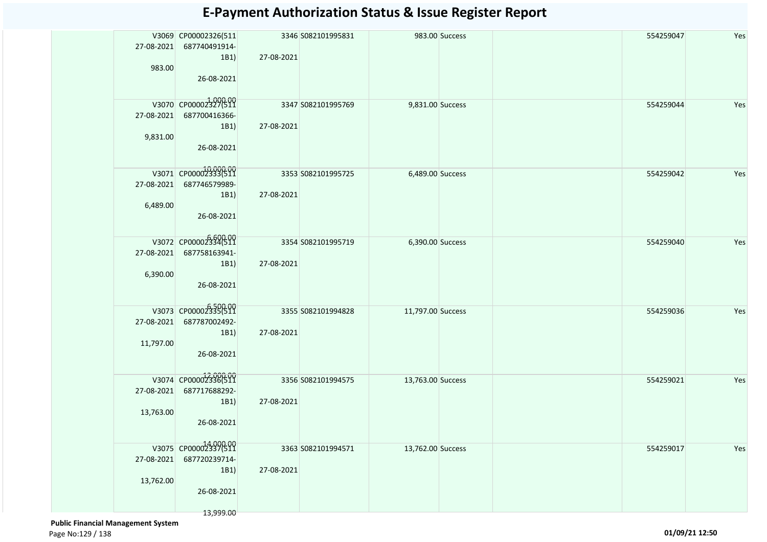| 27-08-2021<br>983.00    | V3069 CP00002326(511<br>687740491914-<br>1B1)<br>26-08-2021              | 27-08-2021 | 3346 S082101995831 |                   | 983.00 Success | 554259047 | Yes |
|-------------------------|--------------------------------------------------------------------------|------------|--------------------|-------------------|----------------|-----------|-----|
| 27-08-2021<br>9,831.00  | V3070 CP00002327(511<br>687700416366-<br>1B1)<br>26-08-2021              | 27-08-2021 | 3347 S082101995769 | 9,831.00 Success  |                | 554259044 | Yes |
| 27-08-2021<br>6,489.00  | V3071 CP00002333(511<br>687746579989-<br>1B1)<br>26-08-2021              | 27-08-2021 | 3353 S082101995725 | 6,489.00 Success  |                | 554259042 | Yes |
| 27-08-2021<br>6,390.00  | V3072 CP00002334(511<br>687758163941-<br>1B1)<br>26-08-2021              | 27-08-2021 | 3354 S082101995719 | 6,390.00 Success  |                | 554259040 | Yes |
| 27-08-2021<br>11,797.00 | V3073 CP00002335(511<br>687787002492-<br>1B1)<br>26-08-2021              | 27-08-2021 | 3355 S082101994828 | 11,797.00 Success |                | 554259036 | Yes |
| 27-08-2021<br>13,763.00 | V3074 CP00002336(511<br>687717688292-<br>1B1)<br>26-08-2021              | 27-08-2021 | 3356 S082101994575 | 13,763.00 Success |                | 554259021 | Yes |
| 27-08-2021<br>13,762.00 | V3075 CP00002337(511<br>687720239714-<br>1B1)<br>26-08-2021<br>13,999.00 | 27-08-2021 | 3363 S082101994571 | 13,762.00 Success |                | 554259017 | Yes |

 **Public Financial Management System**  Page No:129 / 138 **01/09/21 12:50**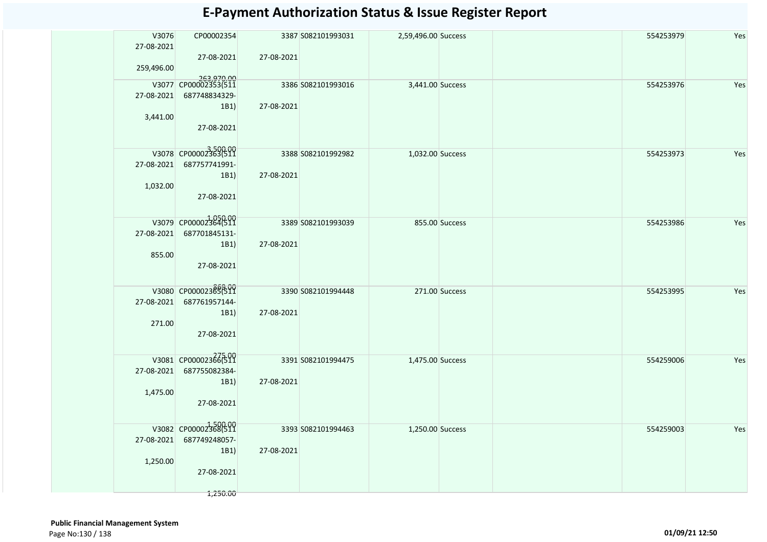| V3076<br>27-08-2021 | CP00002354                            |            | 3387 S082101993031 | 2,59,496.00 Success |                | 554253979 | Yes |
|---------------------|---------------------------------------|------------|--------------------|---------------------|----------------|-----------|-----|
| 259,496.00          | 27-08-2021                            | 27-08-2021 |                    |                     |                |           |     |
|                     | 263,970.00<br>V3077 CP00002353(511    |            | 3386 S082101993016 | 3,441.00 Success    |                | 554253976 | Yes |
| 27-08-2021          | 687748834329-                         |            |                    |                     |                |           |     |
| 3,441.00            | 1B1<br>27-08-2021                     | 27-08-2021 |                    |                     |                |           |     |
|                     | V3078 CP00002363(511                  |            | 3388 S082101992982 | 1,032.00 Success    |                | 554253973 | Yes |
|                     | 27-08-2021 687757741991-              |            |                    |                     |                |           |     |
| 1,032.00            | 1B1)<br>27-08-2021                    | 27-08-2021 |                    |                     |                |           |     |
|                     | V3079 CP00002364(511                  |            | 3389 S082101993039 |                     |                |           |     |
| 27-08-2021          | 687701845131-                         |            |                    |                     | 855.00 Success | 554253986 | Yes |
|                     | 1B1                                   | 27-08-2021 |                    |                     |                |           |     |
| 855.00              | 27-08-2021                            |            |                    |                     |                |           |     |
|                     | V3080 CP00002365(511                  |            | 3390 S082101994448 |                     | 271.00 Success | 554253995 | Yes |
|                     | 27-08-2021 687761957144-              |            |                    |                     |                |           |     |
|                     | 1B1)                                  | 27-08-2021 |                    |                     |                |           |     |
| 271.00              |                                       |            |                    |                     |                |           |     |
|                     | 27-08-2021                            |            |                    |                     |                |           |     |
|                     | V3081 CP00002366511                   |            | 3391 S082101994475 | 1,475.00 Success    |                | 554259006 | Yes |
| 27-08-2021          | 687755082384-                         |            |                    |                     |                |           |     |
|                     | 1B1)                                  | 27-08-2021 |                    |                     |                |           |     |
| 1,475.00            |                                       |            |                    |                     |                |           |     |
|                     | 27-08-2021                            |            |                    |                     |                |           |     |
|                     |                                       |            |                    |                     |                |           |     |
| 27-08-2021          | V3082 CP00002368(511<br>687749248057- |            | 3393 S082101994463 | 1,250.00 Success    |                | 554259003 | Yes |
|                     | 1B1)                                  | 27-08-2021 |                    |                     |                |           |     |
| 1,250.00            |                                       |            |                    |                     |                |           |     |
|                     | 27-08-2021                            |            |                    |                     |                |           |     |
|                     | 1,250.00                              |            |                    |                     |                |           |     |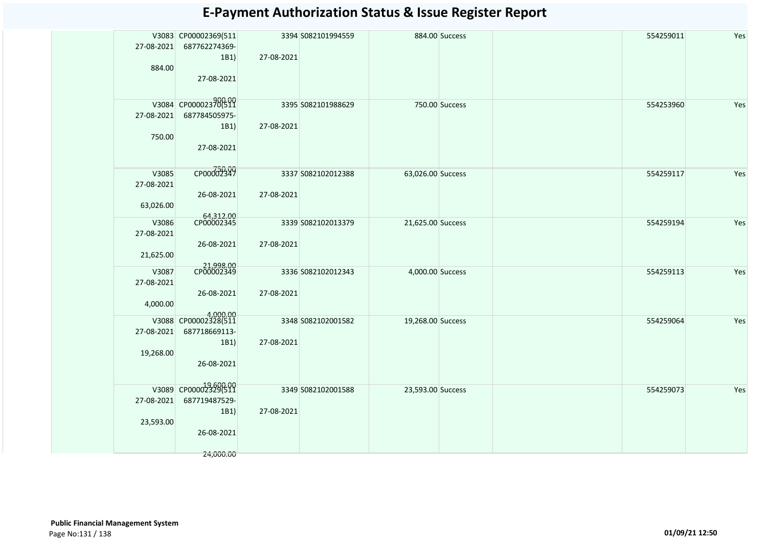| 27-08-2021<br>884.00             | V3083 CP00002369(511<br>687762274369-<br>1B1)<br>27-08-2021              | 27-08-2021 | 3394 S082101994559 |                   | 884.00 Success | 554259011 | Yes |
|----------------------------------|--------------------------------------------------------------------------|------------|--------------------|-------------------|----------------|-----------|-----|
| 27-08-2021<br>750.00             | V3084 CP00002370(511<br>687784505975-<br>1B1)<br>27-08-2021              | 27-08-2021 | 3395 S082101988629 |                   | 750.00 Success | 554253960 | Yes |
| V3085<br>27-08-2021<br>63,026.00 | CP00002349<br>26-08-2021                                                 | 27-08-2021 | 3337 S082102012388 | 63,026.00 Success |                | 554259117 | Yes |
| V3086<br>27-08-2021<br>21,625.00 | 64,312.00<br>CP00002345<br>26-08-2021                                    | 27-08-2021 | 3339 S082102013379 | 21,625.00 Success |                | 554259194 | Yes |
| V3087<br>27-08-2021<br>4,000.00  | 21,998.00<br>CP00002349<br>26-08-2021<br>4,000.00                        | 27-08-2021 | 3336 S082102012343 | 4,000.00 Success  |                | 554259113 | Yes |
| 27-08-2021<br>19,268.00          | V3088 CP00002328(511<br>687718669113-<br>1B1)<br>26-08-2021              | 27-08-2021 | 3348 S082102001582 | 19,268.00 Success |                | 554259064 | Yes |
| 27-08-2021<br>23,593.00          | V3089 CP00002329(511<br>687719487529-<br>1B1)<br>26-08-2021<br>24,000.00 | 27-08-2021 | 3349 S082102001588 | 23,593.00 Success |                | 554259073 | Yes |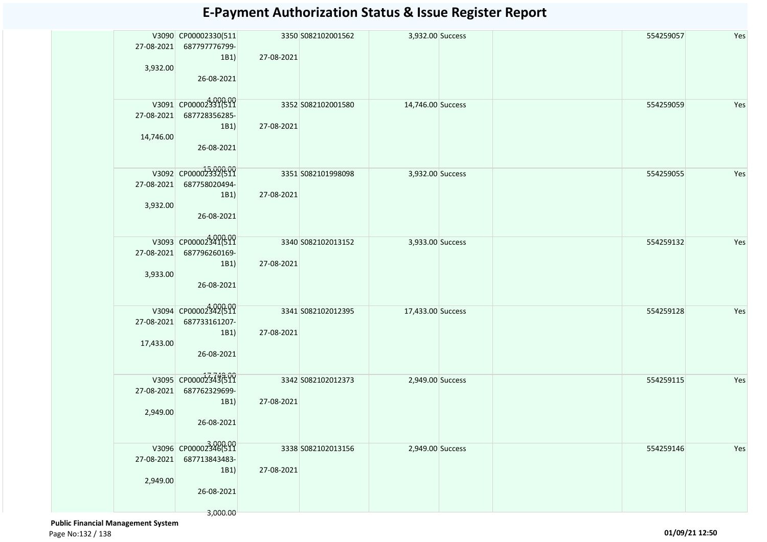| 27-08-2021<br>3,932.00  | V3090 CP00002330(511<br>687797776799-<br>1B1)<br>26-08-2021             | 27-08-2021 | 3350 S082102001562 | 3,932.00 Success  |  | 554259057 | Yes |
|-------------------------|-------------------------------------------------------------------------|------------|--------------------|-------------------|--|-----------|-----|
| 27-08-2021<br>14,746.00 | V3091 CP00002331(511<br>687728356285-<br>1B1)<br>26-08-2021             | 27-08-2021 | 3352 S082102001580 | 14,746.00 Success |  | 554259059 | Yes |
| 27-08-2021<br>3,932.00  | V3092 CP00002332(511<br>687758020494-<br>1B1)<br>26-08-2021             | 27-08-2021 | 3351 S082101998098 | 3,932.00 Success  |  | 554259055 | Yes |
| 27-08-2021<br>3,933.00  | V3093 CP00002341(511<br>687796260169-<br>1B1)<br>26-08-2021             | 27-08-2021 | 3340 S082102013152 | 3,933.00 Success  |  | 554259132 | Yes |
| 27-08-2021<br>17,433.00 | V3094 CP00002342(511<br>687733161207-<br>1B1)<br>26-08-2021             | 27-08-2021 | 3341 S082102012395 | 17,433.00 Success |  | 554259128 | Yes |
| 27-08-2021<br>2,949.00  | V3095 CP00002343699<br>687762329699-<br>1B1)<br>26-08-2021              | 27-08-2021 | 3342 S082102012373 | 2,949.00 Success  |  | 554259115 | Yes |
| 27-08-2021<br>2,949.00  | V3096 CP00002346(511<br>687713843483-<br>1B1)<br>26-08-2021<br>3,000.00 | 27-08-2021 | 3338 S082102013156 | 2,949.00 Success  |  | 554259146 | Yes |

 **Public Financial Management System**  Page No:132 / 138 **01/09/21 12:50**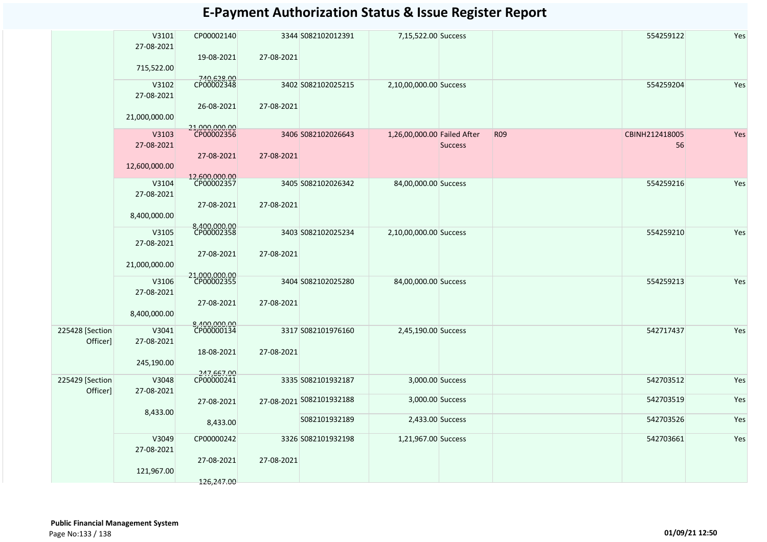|                             | V3101<br>27-08-2021               | CP00002140<br>19-08-2021                  | 27-08-2021 | 3344 S082102012391       | 7,15,522.00 Success         |                |            | 554259122            | Yes |
|-----------------------------|-----------------------------------|-------------------------------------------|------------|--------------------------|-----------------------------|----------------|------------|----------------------|-----|
|                             | 715,522.00<br>V3102<br>27-08-2021 | 740,628.00<br>CP00002348                  |            | 3402 S082102025215       | 2,10,00,000.00 Success      |                |            | 554259204            | Yes |
|                             | 21,000,000.00                     | 26-08-2021                                | 27-08-2021 |                          |                             |                |            |                      |     |
|                             | V3103<br>27-08-2021               | 21,000,000.00<br>CP00002356<br>27-08-2021 | 27-08-2021 | 3406 S082102026643       | 1,26,00,000.00 Failed After | <b>Success</b> | <b>R09</b> | CBINH212418005<br>56 | Yes |
|                             | 12,600,000.00                     |                                           |            |                          |                             |                |            |                      |     |
|                             | V3104<br>27-08-2021               | 12,600,000.00<br>CP00002357<br>27-08-2021 | 27-08-2021 | 3405 S082102026342       | 84,00,000.00 Success        |                |            | 554259216            | Yes |
|                             | 8,400,000.00                      |                                           |            |                          |                             |                |            |                      |     |
|                             | V3105<br>27-08-2021               | 8,400,000.00<br>CP00002358                |            | 3403 S082102025234       | 2,10,00,000.00 Success      |                |            | 554259210            | Yes |
|                             | 21,000,000.00                     | 27-08-2021                                | 27-08-2021 |                          |                             |                |            |                      |     |
|                             | V3106<br>27-08-2021               | 21,000,000.00<br>CP00002355               |            | 3404 S082102025280       | 84,00,000.00 Success        |                |            | 554259213            | Yes |
|                             | 8,400,000.00                      | 27-08-2021                                | 27-08-2021 |                          |                             |                |            |                      |     |
| 225428 [Section<br>Officer] | V3041<br>27-08-2021               | 8,400,000.00<br>CP00000134                |            | 3317 S082101976160       | 2,45,190.00 Success         |                |            | 542717437            | Yes |
|                             | 245,190.00                        | 18-08-2021                                | 27-08-2021 |                          |                             |                |            |                      |     |
| 225429 [Section<br>Officer] | V3048<br>27-08-2021               | 247,667.00<br>CP00000241                  |            | 3335 S082101932187       | 3,000.00 Success            |                |            | 542703512            | Yes |
|                             |                                   | 27-08-2021                                |            | 27-08-2021 S082101932188 | 3,000.00 Success            |                |            | 542703519            | Yes |
|                             | 8,433.00                          | 8,433.00                                  |            | S082101932189            | 2,433.00 Success            |                |            | 542703526            | Yes |
|                             | V3049<br>27-08-2021               | CP00000242                                |            | 3326 S082101932198       | 1,21,967.00 Success         |                |            | 542703661            | Yes |
|                             | 121,967.00                        | 27-08-2021<br>126,247.00                  | 27-08-2021 |                          |                             |                |            |                      |     |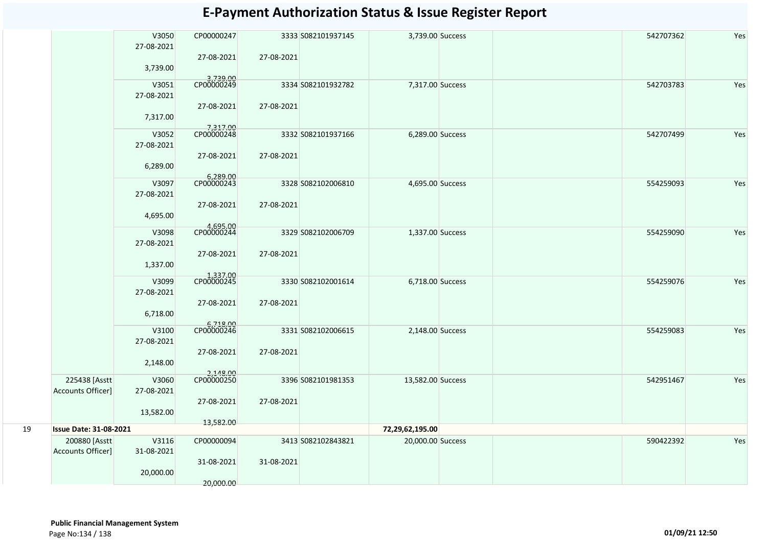|    |                                    | V3050<br>27-08-2021<br>3,739.00 | CP00000247<br>27-08-2021             | 27-08-2021 | 3333 S082101937145 | 3,739.00 Success  | 542707362 | Yes |
|----|------------------------------------|---------------------------------|--------------------------------------|------------|--------------------|-------------------|-----------|-----|
|    |                                    | V3051<br>27-08-2021             | 3,739.00<br>CP00000249<br>27-08-2021 | 27-08-2021 | 3334 S082101932782 | 7,317.00 Success  | 542703783 | Yes |
|    |                                    | 7,317.00                        |                                      |            |                    |                   |           |     |
|    |                                    | V3052<br>27-08-2021             | 7,317.00<br>CP00000248               |            | 3332 S082101937166 | 6,289.00 Success  | 542707499 | Yes |
|    |                                    | 6,289.00                        | 27-08-2021                           | 27-08-2021 |                    |                   |           |     |
|    |                                    | V3097<br>27-08-2021             | 6,289.00<br>CP00000243<br>27-08-2021 | 27-08-2021 | 3328 S082102006810 | 4,695.00 Success  | 554259093 | Yes |
|    |                                    | 4,695.00                        |                                      |            |                    |                   |           |     |
|    |                                    | V3098<br>27-08-2021             | 4,695.00<br>CP00000244               |            | 3329 S082102006709 | 1,337.00 Success  | 554259090 | Yes |
|    |                                    | 1,337.00                        | 27-08-2021                           | 27-08-2021 |                    |                   |           |     |
|    |                                    | V3099<br>27-08-2021             | 1,337.00<br>CP00000245               |            | 3330 S082102001614 | 6,718.00 Success  | 554259076 | Yes |
|    |                                    | 6,718.00                        | 27-08-2021                           | 27-08-2021 |                    |                   |           |     |
|    |                                    | V3100<br>27-08-2021             | 6,718.00<br>CP00000246               |            | 3331 S082102006615 | 2,148.00 Success  | 554259083 | Yes |
|    |                                    | 2,148.00                        | 27-08-2021                           | 27-08-2021 |                    |                   |           |     |
|    | 225438 [Asstt<br>Accounts Officer] | V3060<br>27-08-2021             | 2,148.00                             |            | 3396 S082101981353 | 13,582.00 Success | 542951467 | Yes |
|    |                                    | 13,582.00                       | 27-08-2021                           | 27-08-2021 |                    |                   |           |     |
| 19 | <b>Issue Date: 31-08-2021</b>      |                                 | 13,582.00                            |            |                    | 72,29,62,195.00   |           |     |
|    | 200880 [Asstt<br>Accounts Officer] | V3116<br>31-08-2021             | CP00000094                           |            | 3413 S082102843821 | 20,000.00 Success | 590422392 | Yes |
|    |                                    | 20,000.00                       | 31-08-2021<br>20,000.00              | 31-08-2021 |                    |                   |           |     |
|    |                                    |                                 |                                      |            |                    |                   |           |     |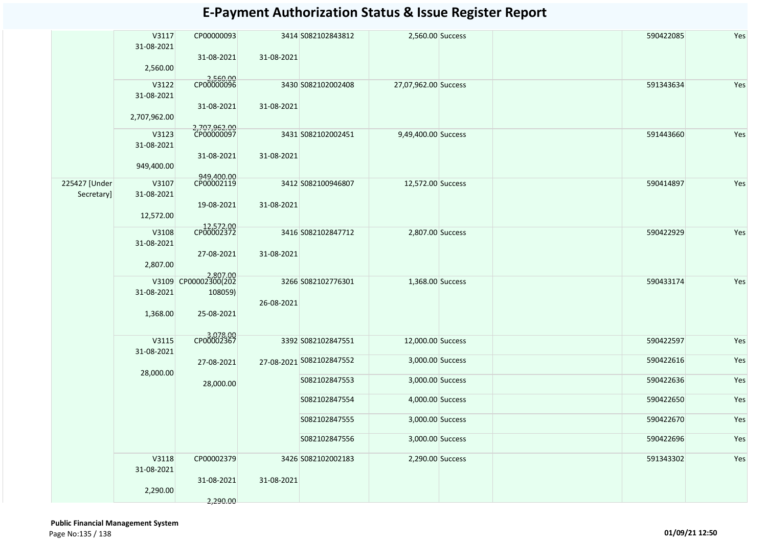|                             | V3117<br>31-08-2021        | CP00000093                            |                         | 3414 S082102843812       | 2,560.00 Success     |           | 590422085 | Yes |
|-----------------------------|----------------------------|---------------------------------------|-------------------------|--------------------------|----------------------|-----------|-----------|-----|
|                             | 2,560.00                   | 31-08-2021                            | 31-08-2021              |                          |                      |           |           |     |
|                             | V3122                      | 2,560.00<br>CP00000096                |                         | 3430 S082102002408       | 27,07,962.00 Success |           | 591343634 | Yes |
|                             | 31-08-2021<br>2,707,962.00 | 31-08-2021                            | 31-08-2021              |                          |                      |           |           |     |
|                             | V3123                      | 2,707,962.00<br>CP00000097            |                         | 3431 S082102002451       | 9,49,400.00 Success  |           | 591443660 | Yes |
|                             | 31-08-2021<br>949,400.00   | 31-08-2021                            | 31-08-2021              |                          |                      |           |           |     |
|                             |                            | 949,400.00<br>CP00002119              |                         |                          |                      |           |           |     |
| 225427 [Under<br>Secretary] | V3107<br>31-08-2021        |                                       |                         | 3412 S082100946807       | 12,572.00 Success    |           | 590414897 | Yes |
|                             | 12,572.00                  | 19-08-2021                            | 31-08-2021              |                          |                      |           |           |     |
|                             | V3108                      | 12,572.00<br>CP00002372               |                         | 3416 S082102847712       | 2,807.00 Success     |           | 590422929 | Yes |
|                             | 31-08-2021                 | 27-08-2021                            | 31-08-2021              |                          |                      |           |           |     |
|                             | 2,807.00                   |                                       |                         |                          |                      |           |           |     |
|                             | V3109<br>31-08-2021        | 2,807.00<br>CP00002300(202<br>108059) |                         | 3266 S082102776301       | 1,368.00 Success     |           | 590433174 | Yes |
|                             |                            |                                       | 26-08-2021              |                          |                      |           |           |     |
|                             | 1,368.00                   | 25-08-2021<br>3,078.00<br>CP00002367  |                         |                          |                      |           |           |     |
|                             | V3115                      |                                       |                         | 3392 S082102847551       | 12,000.00 Success    |           | 590422597 | Yes |
|                             | 31-08-2021                 |                                       |                         | 27-08-2021 S082102847552 | 3,000.00 Success     |           | 590422616 | Yes |
|                             | 28,000.00                  |                                       | 27-08-2021<br>28,000.00 |                          |                      |           |           |     |
|                             |                            |                                       |                         | S082102847553            | 3,000.00 Success     |           | 590422636 | Yes |
|                             |                            |                                       |                         | S082102847554            | 4,000.00 Success     |           | 590422650 | Yes |
|                             |                            |                                       |                         | S082102847555            | 3,000.00 Success     |           | 590422670 | Yes |
|                             |                            |                                       |                         | S082102847556            | 3,000.00 Success     |           | 590422696 | Yes |
|                             | V3118<br>31-08-2021        | CP00002379                            | 3426 S082102002183      | 2,290.00 Success         |                      | 591343302 | Yes       |     |
|                             | 2,290.00                   | 31-08-2021                            | 31-08-2021              |                          |                      |           |           |     |
|                             |                            | 2,290.00                              |                         |                          |                      |           |           |     |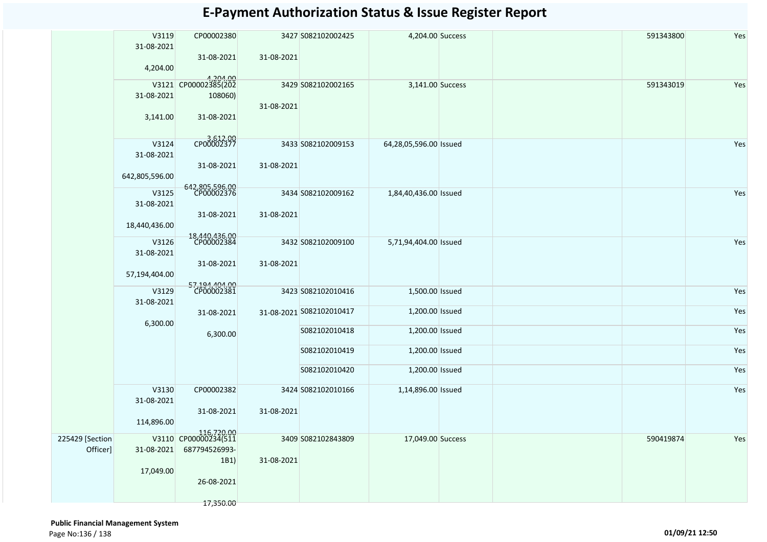|                 | V3119          | CP00002380                         |            | 3427 S082102002425       | 4,204.00 Success       |  | 591343800 | Yes |
|-----------------|----------------|------------------------------------|------------|--------------------------|------------------------|--|-----------|-----|
|                 | 31-08-2021     |                                    |            |                          |                        |  |           |     |
|                 | 4,204.00       | 31-08-2021                         | 31-08-2021 |                          |                        |  |           |     |
|                 |                | 4,204.00<br>V3121 CP00002385(202   |            |                          |                        |  |           |     |
|                 | 31-08-2021     | 108060)                            |            | 3429 S082102002165       | 3,141.00 Success       |  | 591343019 | Yes |
|                 |                |                                    | 31-08-2021 |                          |                        |  |           |     |
|                 | 3,141.00       | 31-08-2021                         |            |                          |                        |  |           |     |
|                 | V3124          | CP00002377                         |            | 3433 S082102009153       | 64,28,05,596.00 Issued |  |           | Yes |
|                 | 31-08-2021     |                                    |            |                          |                        |  |           |     |
|                 |                | 31-08-2021                         | 31-08-2021 |                          |                        |  |           |     |
|                 | 642,805,596.00 |                                    |            |                          |                        |  |           |     |
|                 | V3125          | 642,805,596.00<br>CP00002376       |            | 3434 S082102009162       | 1,84,40,436.00 Issued  |  |           | Yes |
|                 | 31-08-2021     |                                    |            |                          |                        |  |           |     |
|                 |                | 31-08-2021                         | 31-08-2021 |                          |                        |  |           |     |
|                 | 18,440,436.00  |                                    |            |                          |                        |  |           |     |
|                 | V3126          | 18,440,436.00<br>CP00002384        |            | 3432 S082102009100       | 5,71,94,404.00 Issued  |  |           | Yes |
|                 | 31-08-2021     |                                    |            |                          |                        |  |           |     |
|                 | 57,194,404.00  | 31-08-2021                         | 31-08-2021 |                          |                        |  |           |     |
|                 |                | 57,194,404.00<br>CP00002381        |            |                          |                        |  |           |     |
|                 | V3129          |                                    |            | 3423 S082102010416       | 1,500.00 Issued        |  |           | Yes |
|                 | 31-08-2021     | 31-08-2021                         |            | 31-08-2021 S082102010417 | 1,200.00 Issued        |  |           | Yes |
|                 | 6,300.00       |                                    |            |                          |                        |  |           |     |
|                 |                | 6,300.00                           |            | S082102010418            | 1,200.00 Issued        |  |           | Yes |
|                 |                |                                    |            | S082102010419            | 1,200.00 Issued        |  |           | Yes |
|                 |                |                                    |            |                          |                        |  |           |     |
|                 |                |                                    |            | S082102010420            | 1,200.00 Issued        |  |           | Yes |
|                 | V3130          | CP00002382                         |            | 3424 S082102010166       | 1,14,896.00 Issued     |  |           | Yes |
|                 | 31-08-2021     |                                    |            |                          |                        |  |           |     |
|                 | 114,896.00     | 31-08-2021                         | 31-08-2021 |                          |                        |  |           |     |
|                 |                |                                    |            |                          |                        |  |           |     |
| 225429 [Section |                | 116,720.00<br>V3110 CP00000234(511 |            | 3409 S082102843809       | 17,049.00 Success      |  | 590419874 | Yes |
| Officer]        | 31-08-2021     | 687794526993-<br>1B1)              | 31-08-2021 |                          |                        |  |           |     |
|                 | 17,049.00      |                                    |            |                          |                        |  |           |     |
|                 |                | 26-08-2021                         |            |                          |                        |  |           |     |
|                 |                |                                    |            |                          |                        |  |           |     |
|                 |                | 17,350.00                          |            |                          |                        |  |           |     |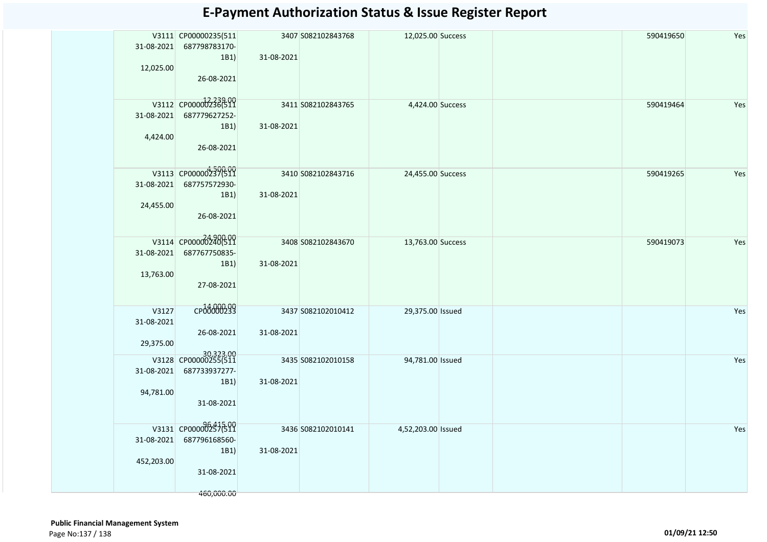| 31-08-2021<br>12,025.00          | V3111 CP00000235(511<br>687798783170-<br>1B1)<br>26-08-2021               | 31-08-2021 | 3407 S082102843768 | 12,025.00 Success  |  | 590419650 | Yes |
|----------------------------------|---------------------------------------------------------------------------|------------|--------------------|--------------------|--|-----------|-----|
| 31-08-2021<br>4,424.00           | V3112 CP00000236(511<br>687779627252-<br>1B1)<br>26-08-2021               | 31-08-2021 | 3411 S082102843765 | 4,424.00 Success   |  | 590419464 | Yes |
| 31-08-2021<br>24,455.00          | V3113 CP00000237(511<br>687757572930-<br>1B1)<br>26-08-2021               | 31-08-2021 | 3410 S082102843716 | 24,455.00 Success  |  | 590419265 | Yes |
| 13,763.00                        | V3114 CP000002400511<br>31-08-2021 687767750835-<br>1B1)<br>27-08-2021    | 31-08-2021 | 3408 S082102843670 | 13,763.00 Success  |  | 590419073 | Yes |
| V3127<br>31-08-2021<br>29,375.00 | CP00000299<br>26-08-2021                                                  | 31-08-2021 | 3437 S082102010412 | 29,375.00 Issued   |  |           | Yes |
| 31-08-2021<br>94,781.00          | 30,323.00<br>V3128 CP00000255(511<br>687733937277-<br>1B1)<br>31-08-2021  | 31-08-2021 | 3435 S082102010158 | 94,781.00 Issued   |  |           | Yes |
| 31-08-2021<br>452,203.00         | V3131 CP00000257(511<br>687796168560-<br>1B1)<br>31-08-2021<br>460,000.00 | 31-08-2021 | 3436 S082102010141 | 4,52,203.00 Issued |  |           | Yes |